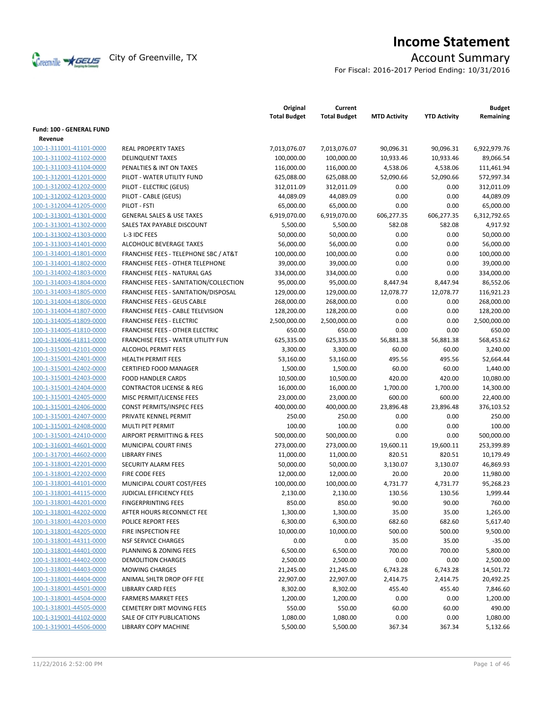

# **Income Statement**

For Fiscal: 2016-2017 Period Ending: 10/31/2016

|                                 |                                          | Original<br><b>Total Budget</b> | Current<br><b>Total Budget</b> | <b>MTD Activity</b> | <b>YTD Activity</b> | <b>Budget</b><br>Remaining |
|---------------------------------|------------------------------------------|---------------------------------|--------------------------------|---------------------|---------------------|----------------------------|
| <b>Fund: 100 - GENERAL FUND</b> |                                          |                                 |                                |                     |                     |                            |
| Revenue                         | <b>REAL PROPERTY TAXES</b>               |                                 |                                |                     |                     |                            |
| 100-1-311001-41101-0000         |                                          | 7,013,076.07                    | 7,013,076.07                   | 90,096.31           | 90,096.31           | 6,922,979.76               |
| 100-1-311002-41102-0000         | <b>DELINQUENT TAXES</b>                  | 100,000.00                      | 100,000.00                     | 10,933.46           | 10,933.46           | 89,066.54                  |
| 100-1-311003-41104-0000         | PENALTIES & INT ON TAXES                 | 116,000.00                      | 116,000.00                     | 4,538.06            | 4,538.06            | 111,461.94                 |
| 100-1-312001-41201-0000         | PILOT - WATER UTILITY FUND               | 625,088.00                      | 625,088.00                     | 52,090.66           | 52,090.66           | 572,997.34                 |
| 100-1-312002-41202-0000         | PILOT - ELECTRIC (GEUS)                  | 312,011.09                      | 312,011.09                     | 0.00                | 0.00                | 312,011.09                 |
| 100-1-312002-41203-0000         | PILOT - CABLE (GEUS)                     | 44,089.09                       | 44,089.09                      | 0.00                | 0.00                | 44,089.09                  |
| 100-1-312004-41205-0000         | PILOT - FSTI                             | 65,000.00                       | 65,000.00                      | 0.00                | 0.00                | 65,000.00                  |
| 100-1-313001-41301-0000         | <b>GENERAL SALES &amp; USE TAXES</b>     | 6,919,070.00                    | 6,919,070.00                   | 606,277.35          | 606,277.35          | 6,312,792.65               |
| 100-1-313001-41302-0000         | SALES TAX PAYABLE DISCOUNT               | 5,500.00                        | 5,500.00                       | 582.08              | 582.08              | 4,917.92                   |
| 100-1-313002-41303-0000         | L-3 IDC FEES                             | 50,000.00                       | 50,000.00                      | 0.00                | 0.00                | 50,000.00                  |
| 100-1-313003-41401-0000         | ALCOHOLIC BEVERAGE TAXES                 | 56,000.00                       | 56,000.00                      | 0.00                | 0.00                | 56,000.00                  |
| 100-1-314001-41801-0000         | FRANCHISE FEES - TELEPHONE SBC / AT&T    | 100,000.00                      | 100,000.00                     | 0.00                | 0.00                | 100,000.00                 |
| 100-1-314001-41802-0000         | FRANCHISE FEES - OTHER TELEPHONE         | 39,000.00                       | 39,000.00                      | 0.00                | 0.00                | 39,000.00                  |
| 100-1-314002-41803-0000         | FRANCHISE FEES - NATURAL GAS             | 334,000.00                      | 334,000.00                     | 0.00                | 0.00                | 334,000.00                 |
| 100-1-314003-41804-0000         | FRANCHISE FEES - SANITATION/COLLECTION   | 95,000.00                       | 95,000.00                      | 8,447.94            | 8,447.94            | 86,552.06                  |
| 100-1-314003-41805-0000         | FRANCHISE FEES - SANITATION/DISPOSAL     | 129,000.00                      | 129,000.00                     | 12,078.77           | 12,078.77           | 116,921.23                 |
| 100-1-314004-41806-0000         | <b>FRANCHISE FEES - GEUS CABLE</b>       | 268,000.00                      | 268,000.00                     | 0.00                | 0.00                | 268,000.00                 |
| 100-1-314004-41807-0000         | <b>FRANCHISE FEES - CABLE TELEVISION</b> | 128,200.00                      | 128,200.00                     | 0.00                | 0.00                | 128,200.00                 |
| 100-1-314005-41809-0000         | <b>FRANCHISE FEES - ELECTRIC</b>         | 2,500,000.00                    | 2,500,000.00                   | 0.00                | 0.00                | 2,500,000.00               |
| 100-1-314005-41810-0000         | FRANCHISE FEES - OTHER ELECTRIC          | 650.00                          | 650.00                         | 0.00                | 0.00                | 650.00                     |
| 100-1-314006-41811-0000         | FRANCHISE FEES - WATER UTILITY FUN       | 625,335.00                      | 625,335.00                     | 56,881.38           | 56,881.38           | 568,453.62                 |
| 100-1-315001-42101-0000         | <b>ALCOHOL PERMIT FEES</b>               | 3,300.00                        | 3,300.00                       | 60.00               | 60.00               | 3,240.00                   |
| 100-1-315001-42401-0000         | <b>HEALTH PERMIT FEES</b>                | 53,160.00                       | 53,160.00                      | 495.56              | 495.56              | 52,664.44                  |
| 100-1-315001-42402-0000         | <b>CERTIFIED FOOD MANAGER</b>            | 1,500.00                        | 1,500.00                       | 60.00               | 60.00               | 1,440.00                   |
| 100-1-315001-42403-0000         | <b>FOOD HANDLER CARDS</b>                | 10,500.00                       | 10,500.00                      | 420.00              | 420.00              | 10,080.00                  |
| 100-1-315001-42404-0000         | <b>CONTRACTOR LICENSE &amp; REG</b>      | 16,000.00                       | 16,000.00                      | 1,700.00            | 1,700.00            | 14,300.00                  |
| 100-1-315001-42405-0000         | MISC PERMIT/LICENSE FEES                 | 23,000.00                       | 23,000.00                      | 600.00              | 600.00              | 22,400.00                  |
| 100-1-315001-42406-0000         | <b>CONST PERMITS/INSPEC FEES</b>         | 400,000.00                      | 400,000.00                     | 23,896.48           | 23,896.48           | 376,103.52                 |
| 100-1-315001-42407-0000         | PRIVATE KENNEL PERMIT                    | 250.00                          | 250.00                         | 0.00                | 0.00                | 250.00                     |
| 100-1-315001-42408-0000         | <b>MULTI PET PERMIT</b>                  | 100.00                          | 100.00                         | 0.00                | 0.00                | 100.00                     |
| 100-1-315001-42410-0000         | AIRPORT PERMITTING & FEES                | 500,000.00                      | 500,000.00                     | 0.00                | 0.00                | 500,000.00                 |
| 100-1-316001-44601-0000         | MUNICIPAL COURT FINES                    | 273,000.00                      | 273,000.00                     | 19,600.11           | 19,600.11           | 253,399.89                 |
| 100-1-317001-44602-0000         | <b>LIBRARY FINES</b>                     | 11,000.00                       | 11,000.00                      | 820.51              | 820.51              | 10,179.49                  |
| 100-1-318001-42201-0000         | SECURITY ALARM FEES                      | 50,000.00                       | 50,000.00                      | 3,130.07            | 3,130.07            | 46,869.93                  |
| 100-1-318001-42202-0000         | FIRE CODE FEES                           | 12,000.00                       | 12,000.00                      | 20.00               | 20.00               | 11,980.00                  |
| 100-1-318001-44101-0000         | MUNICIPAL COURT COST/FEES                | 100,000.00                      | 100,000.00                     | 4,731.77            | 4,731.77            | 95,268.23                  |
| 100-1-318001-44115-0000         | <b>JUDICIAL EFFICIENCY FEES</b>          | 2,130.00                        | 2,130.00                       | 130.56              | 130.56              | 1,999.44                   |
| 100-1-318001-44201-0000         | <b>FINGERPRINTING FEES</b>               | 850.00                          | 850.00                         | 90.00               | 90.00               | 760.00                     |
| 100-1-318001-44202-0000         | AFTER HOURS RECONNECT FEE                | 1,300.00                        | 1,300.00                       | 35.00               | 35.00               | 1,265.00                   |
| 100-1-318001-44203-0000         | POLICE REPORT FEES                       | 6,300.00                        | 6,300.00                       | 682.60              | 682.60              | 5,617.40                   |
| 100-1-318001-44205-0000         | FIRE INSPECTION FEE                      | 10,000.00                       | 10,000.00                      | 500.00              | 500.00              | 9,500.00                   |
| 100-1-318001-44311-0000         | <b>NSF SERVICE CHARGES</b>               | 0.00                            | 0.00                           | 35.00               | 35.00               | $-35.00$                   |
| 100-1-318001-44401-0000         | PLANNING & ZONING FEES                   | 6,500.00                        | 6,500.00                       | 700.00              | 700.00              | 5,800.00                   |
| 100-1-318001-44402-0000         | DEMOLITION CHARGES                       | 2,500.00                        | 2,500.00                       | 0.00                | 0.00                | 2,500.00                   |
| 100-1-318001-44403-0000         | <b>MOWING CHARGES</b>                    | 21,245.00                       | 21,245.00                      | 6,743.28            | 6,743.28            | 14,501.72                  |
| 100-1-318001-44404-0000         | ANIMAL SHLTR DROP OFF FEE                | 22,907.00                       | 22,907.00                      | 2,414.75            | 2,414.75            | 20,492.25                  |
| 100-1-318001-44501-0000         | <b>LIBRARY CARD FEES</b>                 | 8,302.00                        | 8,302.00                       | 455.40              | 455.40              | 7,846.60                   |
| 100-1-318001-44504-0000         | <b>FARMERS MARKET FEES</b>               | 1,200.00                        | 1,200.00                       | 0.00                | 0.00                | 1,200.00                   |
| 100-1-318001-44505-0000         | <b>CEMETERY DIRT MOVING FEES</b>         | 550.00                          | 550.00                         | 60.00               | 60.00               | 490.00                     |
| 100-1-319001-44102-0000         | SALE OF CITY PUBLICATIONS                | 1,080.00                        | 1,080.00                       | 0.00                | 0.00                | 1,080.00                   |
| 100-1-319001-44506-0000         | LIBRARY COPY MACHINE                     | 5,500.00                        | 5,500.00                       | 367.34              | 367.34              | 5,132.66                   |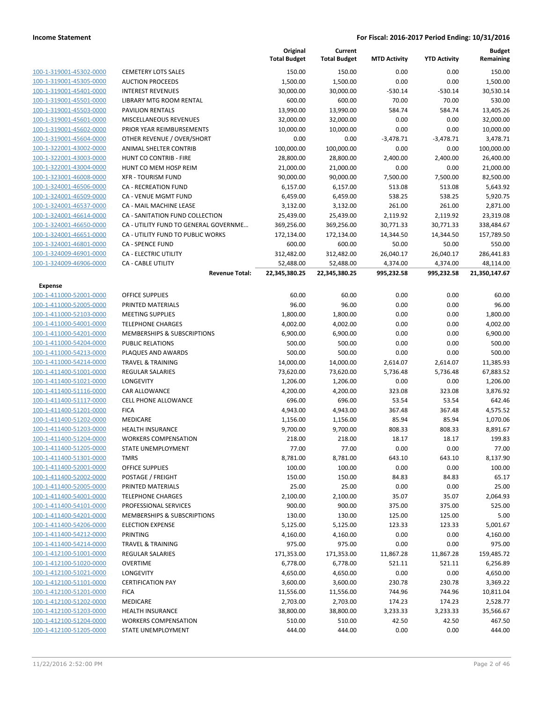| 100-1-319001-45302-0000 |
|-------------------------|
| 100-1-319001-45305-0000 |
| 100-1-319001-45401-0000 |
| 100-1-319001-45501-0000 |
| 100-1-319001-45503-0000 |
| 100-1-319001-45601-0000 |
| 100-1-319001-45602-0000 |
| 100-1-319001-45604-0000 |
| 100-1-322001-43002-0000 |
| 100-1-322001-43003-0000 |
| 100-1-322001-43004-0000 |
| 100-1-323001-46008-0000 |
| 100-1-324001-46506-0000 |
| 100-1-324001-46509-0000 |
| 100-1-324001-46537-0000 |
| 100-1-324001-46614-0000 |
| 100-1-324001-46650-0000 |
| 100-1-324001-46651-0000 |
| 100-1-324001-46801-0000 |
| 100-1-324009-46901-0000 |
| 100-1-324009-46906-0000 |

### **Expense**

|                                |                                        | Original<br><b>Total Budget</b> | Current<br><b>Total Budget</b> | <b>MTD Activity</b> | <b>YTD Activity</b> | <b>Budget</b><br>Remaining |
|--------------------------------|----------------------------------------|---------------------------------|--------------------------------|---------------------|---------------------|----------------------------|
| 100-1-319001-45302-0000        | <b>CEMETERY LOTS SALES</b>             | 150.00                          | 150.00                         | 0.00                | 0.00                | 150.00                     |
| 100-1-319001-45305-0000        | <b>AUCTION PROCEEDS</b>                | 1,500.00                        | 1,500.00                       | 0.00                | 0.00                | 1,500.00                   |
| 100-1-319001-45401-0000        | <b>INTEREST REVENUES</b>               | 30,000.00                       | 30,000.00                      | $-530.14$           | $-530.14$           | 30,530.14                  |
| 100-1-319001-45501-0000        | LIBRARY MTG ROOM RENTAL                | 600.00                          | 600.00                         | 70.00               | 70.00               | 530.00                     |
| 100-1-319001-45503-0000        | <b>PAVILION RENTALS</b>                | 13,990.00                       | 13,990.00                      | 584.74              | 584.74              | 13,405.26                  |
| 100-1-319001-45601-0000        | MISCELLANEOUS REVENUES                 | 32,000.00                       | 32,000.00                      | 0.00                | 0.00                | 32,000.00                  |
| 100-1-319001-45602-0000        | PRIOR YEAR REIMBURSEMENTS              | 10,000.00                       | 10,000.00                      | 0.00                | 0.00                | 10,000.00                  |
| 100-1-319001-45604-0000        | OTHER REVENUE / OVER/SHORT             | 0.00                            | 0.00                           | $-3,478.71$         | $-3,478.71$         | 3,478.71                   |
| 100-1-322001-43002-0000        | ANIMAL SHELTER CONTRIB                 | 100,000.00                      | 100,000.00                     | 0.00                | 0.00                | 100.000.00                 |
| 100-1-322001-43003-0000        | HUNT CO CONTRIB - FIRE                 | 28,800.00                       | 28,800.00                      | 2,400.00            | 2,400.00            | 26,400.00                  |
| 100-1-322001-43004-0000        | HUNT CO MEM HOSP REIM                  | 21,000.00                       | 21,000.00                      | 0.00                | 0.00                | 21,000.00                  |
| 100-1-323001-46008-0000        | <b>XFR - TOURISM FUND</b>              | 90,000.00                       | 90,000.00                      | 7,500.00            | 7,500.00            | 82,500.00                  |
| 100-1-324001-46506-0000        | <b>CA - RECREATION FUND</b>            | 6,157.00                        | 6,157.00                       | 513.08              | 513.08              | 5,643.92                   |
| 100-1-324001-46509-0000        | CA - VENUE MGMT FUND                   | 6,459.00                        | 6,459.00                       | 538.25              | 538.25              | 5,920.75                   |
| 100-1-324001-46537-0000        | CA - MAIL MACHINE LEASE                | 3,132.00                        | 3,132.00                       | 261.00              | 261.00              | 2,871.00                   |
| 100-1-324001-46614-0000        | CA - SANITATION FUND COLLECTION        | 25,439.00                       | 25,439.00                      | 2,119.92            | 2,119.92            | 23,319.08                  |
| 100-1-324001-46650-0000        | CA - UTILITY FUND TO GENERAL GOVERNME  | 369,256.00                      | 369,256.00                     | 30,771.33           | 30,771.33           | 338,484.67                 |
| 100-1-324001-46651-0000        | CA - UTILITY FUND TO PUBLIC WORKS      | 172,134.00                      | 172,134.00                     | 14,344.50           | 14,344.50           | 157,789.50                 |
| 100-1-324001-46801-0000        | <b>CA - SPENCE FUND</b>                | 600.00                          | 600.00                         | 50.00               | 50.00               | 550.00                     |
| 100-1-324009-46901-0000        | <b>CA - ELECTRIC UTILITY</b>           | 312,482.00                      | 312,482.00                     | 26,040.17           | 26,040.17           | 286,441.83                 |
| 100-1-324009-46906-0000        | <b>CA - CABLE UTILITY</b>              | 52,488.00                       | 52,488.00                      | 4,374.00            | 4,374.00            | 48,114.00                  |
|                                | <b>Revenue Total:</b>                  | 22,345,380.25                   | 22,345,380.25                  | 995,232.58          | 995,232.58          | 21,350,147.67              |
| <b>Expense</b>                 |                                        |                                 |                                |                     |                     |                            |
| 100-1-411000-52001-0000        | <b>OFFICE SUPPLIES</b>                 | 60.00                           | 60.00                          | 0.00                | 0.00                | 60.00                      |
| 100-1-411000-52005-0000        | PRINTED MATERIALS                      | 96.00                           | 96.00                          | 0.00                | 0.00                | 96.00                      |
| 100-1-411000-52103-0000        | <b>MEETING SUPPLIES</b>                | 1,800.00                        | 1,800.00                       | 0.00                | 0.00                | 1,800.00                   |
| 100-1-411000-54001-0000        | <b>TELEPHONE CHARGES</b>               | 4,002.00                        | 4,002.00                       | 0.00                | 0.00                | 4,002.00                   |
| 100-1-411000-54201-0000        | MEMBERSHIPS & SUBSCRIPTIONS            | 6,900.00                        | 6,900.00                       | 0.00                | 0.00                | 6,900.00                   |
| 100-1-411000-54204-0000        | <b>PUBLIC RELATIONS</b>                | 500.00                          | 500.00                         | 0.00                | 0.00                | 500.00                     |
| 100-1-411000-54213-0000        | PLAQUES AND AWARDS                     | 500.00                          | 500.00                         | 0.00                | 0.00                | 500.00                     |
| 100-1-411000-54214-0000        | <b>TRAVEL &amp; TRAINING</b>           | 14,000.00                       | 14,000.00                      | 2,614.07            | 2,614.07            | 11,385.93                  |
| 100-1-411400-51001-0000        | <b>REGULAR SALARIES</b>                | 73,620.00                       | 73,620.00                      | 5,736.48            | 5,736.48            | 67,883.52                  |
| 100-1-411400-51021-0000        | LONGEVITY                              | 1,206.00                        | 1,206.00                       | 0.00                | 0.00                | 1,206.00                   |
| 100-1-411400-51116-0000        | CAR ALLOWANCE                          | 4,200.00                        | 4,200.00                       | 323.08              | 323.08              | 3,876.92                   |
| 100-1-411400-51117-0000        | CELL PHONE ALLOWANCE                   | 696.00                          | 696.00                         | 53.54               | 53.54               | 642.46                     |
| 100-1-411400-51201-0000        | <b>FICA</b>                            | 4,943.00                        | 4,943.00                       | 367.48              | 367.48              | 4,575.52                   |
| 100-1-411400-51202-0000        | MEDICARE                               | 1,156.00                        | 1,156.00                       | 85.94               | 85.94               | 1,070.06                   |
| 100-1-411400-51203-0000        | <b>HEALTH INSURANCE</b>                | 9,700.00                        | 9,700.00                       | 808.33              | 808.33              | 8,891.67                   |
| 100-1-411400-51204-0000        | <b>WORKERS COMPENSATION</b>            | 218.00                          | 218.00                         | 18.17               | 18.17               | 199.83                     |
| <u>100-1-411400-51205-0000</u> | STATE UNEMPLOYMENT                     | 77.00                           | 77.00                          | 0.00                | 0.00                | 77.00                      |
| 100-1-411400-51301-0000        | <b>TMRS</b>                            | 8,781.00                        | 8,781.00                       | 643.10              | 643.10              | 8,137.90                   |
| 100-1-411400-52001-0000        | <b>OFFICE SUPPLIES</b>                 | 100.00                          | 100.00                         | 0.00                | 0.00                | 100.00                     |
| 100-1-411400-52002-0000        | POSTAGE / FREIGHT                      | 150.00                          | 150.00                         | 84.83               | 84.83               | 65.17                      |
| 100-1-411400-52005-0000        | PRINTED MATERIALS                      | 25.00                           | 25.00                          | 0.00                | 0.00                | 25.00                      |
| 100-1-411400-54001-0000        | <b>TELEPHONE CHARGES</b>               | 2,100.00                        | 2,100.00                       | 35.07               | 35.07               | 2,064.93                   |
| 100-1-411400-54101-0000        | PROFESSIONAL SERVICES                  | 900.00                          | 900.00                         | 375.00              | 375.00              | 525.00                     |
| 100-1-411400-54201-0000        | <b>MEMBERSHIPS &amp; SUBSCRIPTIONS</b> | 130.00                          | 130.00                         | 125.00              | 125.00              | 5.00                       |
| 100-1-411400-54206-0000        | <b>ELECTION EXPENSE</b>                | 5,125.00                        | 5,125.00                       | 123.33              | 123.33              | 5,001.67                   |
| 100-1-411400-54212-0000        | PRINTING                               | 4,160.00                        | 4,160.00                       | 0.00                | 0.00                | 4,160.00                   |
| 100-1-411400-54214-0000        | <b>TRAVEL &amp; TRAINING</b>           | 975.00                          | 975.00                         | 0.00                | 0.00                | 975.00                     |
| 100-1-412100-51001-0000        | REGULAR SALARIES                       | 171,353.00                      | 171,353.00                     | 11,867.28           | 11,867.28           | 159,485.72                 |
| 100-1-412100-51020-0000        | <b>OVERTIME</b>                        | 6,778.00                        | 6,778.00                       | 521.11              | 521.11              | 6,256.89                   |
| 100-1-412100-51021-0000        | LONGEVITY                              | 4,650.00                        | 4,650.00                       | 0.00                | 0.00                | 4,650.00                   |
| 100-1-412100-51101-0000        | <b>CERTIFICATION PAY</b>               | 3,600.00                        | 3,600.00                       | 230.78              | 230.78              | 3,369.22                   |
| 100-1-412100-51201-0000        | <b>FICA</b>                            | 11,556.00                       | 11,556.00                      | 744.96              | 744.96              | 10,811.04                  |
| 100-1-412100-51202-0000        | MEDICARE                               | 2,703.00                        | 2,703.00                       | 174.23              | 174.23              | 2,528.77                   |
| 100-1-412100-51203-0000        | <b>HEALTH INSURANCE</b>                | 38,800.00                       | 38,800.00                      | 3,233.33            | 3,233.33            | 35,566.67                  |
| 100-1-412100-51204-0000        | <b>WORKERS COMPENSATION</b>            | 510.00                          | 510.00                         | 42.50               | 42.50               | 467.50                     |
| 100-1-412100-51205-0000        | STATE UNEMPLOYMENT                     | 444.00                          | 444.00                         | 0.00                | 0.00                | 444.00                     |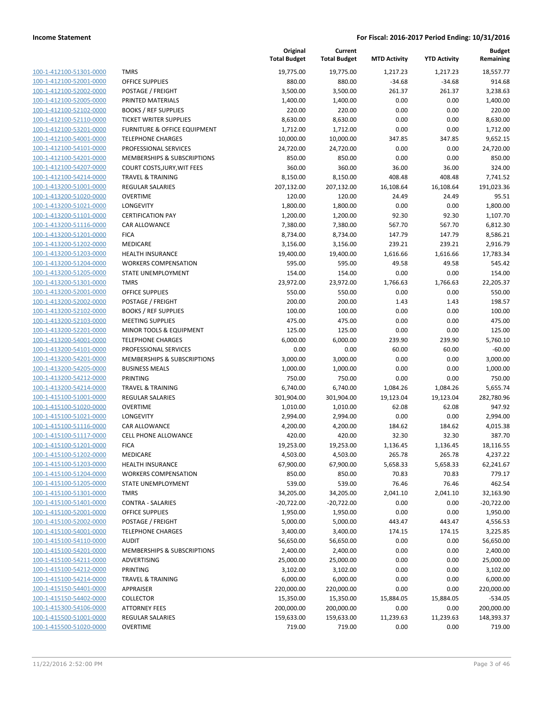**Current**

**Original**

**Budget Remaining**

|                                                    |                                     | <b>Total Budget</b> | <b>Total Budget</b> | <b>MTD Activity</b> | <b>YTD Activity</b> | Remaining            |
|----------------------------------------------------|-------------------------------------|---------------------|---------------------|---------------------|---------------------|----------------------|
| 100-1-412100-51301-0000                            | <b>TMRS</b>                         | 19,775.00           | 19,775.00           | 1,217.23            | 1,217.23            | 18,557.77            |
| 100-1-412100-52001-0000                            | <b>OFFICE SUPPLIES</b>              | 880.00              | 880.00              | $-34.68$            | $-34.68$            | 914.68               |
| 100-1-412100-52002-0000                            | POSTAGE / FREIGHT                   | 3,500.00            | 3,500.00            | 261.37              | 261.37              | 3,238.63             |
| 100-1-412100-52005-0000                            | PRINTED MATERIALS                   | 1,400.00            | 1,400.00            | 0.00                | 0.00                | 1,400.00             |
| 100-1-412100-52102-0000                            | <b>BOOKS / REF SUPPLIES</b>         | 220.00              | 220.00              | 0.00                | 0.00                | 220.00               |
| 100-1-412100-52110-0000                            | <b>TICKET WRITER SUPPLIES</b>       | 8,630.00            | 8,630.00            | 0.00                | 0.00                | 8,630.00             |
| 100-1-412100-53201-0000                            | FURNITURE & OFFICE EQUIPMENT        | 1,712.00            | 1,712.00            | 0.00                | 0.00                | 1,712.00             |
| 100-1-412100-54001-0000                            | <b>TELEPHONE CHARGES</b>            | 10,000.00           | 10,000.00           | 347.85              | 347.85              | 9,652.15             |
| 100-1-412100-54101-0000                            | PROFESSIONAL SERVICES               | 24,720.00           | 24,720.00           | 0.00                | 0.00                | 24,720.00            |
| 100-1-412100-54201-0000                            | MEMBERSHIPS & SUBSCRIPTIONS         | 850.00              | 850.00              | 0.00                | 0.00                | 850.00               |
| 100-1-412100-54207-0000                            | COURT COSTS, JURY, WIT FEES         | 360.00              | 360.00              | 36.00               | 36.00               | 324.00               |
| 100-1-412100-54214-0000                            | <b>TRAVEL &amp; TRAINING</b>        | 8,150.00            | 8,150.00            | 408.48              | 408.48              | 7,741.52             |
| 100-1-413200-51001-0000                            | <b>REGULAR SALARIES</b>             | 207,132.00          | 207,132.00          | 16,108.64           | 16,108.64           | 191,023.36           |
| 100-1-413200-51020-0000                            | <b>OVERTIME</b>                     | 120.00              | 120.00              | 24.49               | 24.49               | 95.51                |
| 100-1-413200-51021-0000                            | LONGEVITY                           | 1,800.00            | 1,800.00            | 0.00                | 0.00                | 1,800.00             |
| 100-1-413200-51101-0000                            | <b>CERTIFICATION PAY</b>            | 1,200.00            | 1,200.00            | 92.30               | 92.30               | 1,107.70             |
| 100-1-413200-51116-0000                            | <b>CAR ALLOWANCE</b>                | 7,380.00            | 7,380.00            | 567.70              | 567.70              | 6,812.30             |
| 100-1-413200-51201-0000                            | <b>FICA</b>                         | 8,734.00            | 8,734.00            | 147.79              | 147.79              | 8,586.21             |
| 100-1-413200-51202-0000                            | MEDICARE                            | 3,156.00            | 3,156.00            | 239.21              | 239.21              | 2,916.79             |
| 100-1-413200-51203-0000                            | <b>HEALTH INSURANCE</b>             | 19,400.00           | 19,400.00           | 1,616.66            | 1,616.66            | 17,783.34            |
| 100-1-413200-51204-0000                            | <b>WORKERS COMPENSATION</b>         | 595.00              | 595.00              | 49.58               | 49.58               | 545.42               |
| 100-1-413200-51205-0000                            | STATE UNEMPLOYMENT                  | 154.00              | 154.00              | 0.00                | 0.00                | 154.00               |
| 100-1-413200-51301-0000                            | <b>TMRS</b>                         | 23,972.00           | 23,972.00           | 1,766.63            | 1,766.63            | 22,205.37            |
| 100-1-413200-52001-0000                            | <b>OFFICE SUPPLIES</b>              | 550.00              | 550.00              | 0.00                | 0.00                | 550.00               |
| 100-1-413200-52002-0000                            | POSTAGE / FREIGHT                   | 200.00              | 200.00              | 1.43                | 1.43                | 198.57               |
| 100-1-413200-52102-0000                            | <b>BOOKS / REF SUPPLIES</b>         | 100.00              | 100.00              | 0.00                | 0.00                | 100.00               |
| 100-1-413200-52103-0000                            | <b>MEETING SUPPLIES</b>             | 475.00              | 475.00              | 0.00                | 0.00                | 475.00               |
| 100-1-413200-52201-0000                            | MINOR TOOLS & EQUIPMENT             | 125.00              | 125.00              | 0.00                | 0.00                | 125.00               |
| 100-1-413200-54001-0000                            | <b>TELEPHONE CHARGES</b>            | 6,000.00            | 6,000.00            | 239.90              | 239.90              | 5,760.10             |
| 100-1-413200-54101-0000                            | PROFESSIONAL SERVICES               | 0.00                | 0.00                | 60.00               | 60.00               | $-60.00$             |
| 100-1-413200-54201-0000                            | MEMBERSHIPS & SUBSCRIPTIONS         | 3,000.00            | 3,000.00            | 0.00                | 0.00                | 3,000.00             |
| 100-1-413200-54205-0000                            | <b>BUSINESS MEALS</b>               | 1,000.00            | 1,000.00            | 0.00                | 0.00                | 1,000.00             |
| 100-1-413200-54212-0000                            | PRINTING                            | 750.00              | 750.00              | 0.00                | 0.00                | 750.00               |
| 100-1-413200-54214-0000                            | <b>TRAVEL &amp; TRAINING</b>        | 6,740.00            | 6,740.00            | 1,084.26            | 1,084.26            | 5,655.74             |
| 100-1-415100-51001-0000                            | <b>REGULAR SALARIES</b>             | 301,904.00          | 301,904.00          | 19,123.04           | 19,123.04           | 282,780.96           |
| 100-1-415100-51020-0000                            | <b>OVERTIME</b><br><b>LONGEVITY</b> | 1,010.00            | 1,010.00            | 62.08               | 62.08               | 947.92               |
| 100-1-415100-51021-0000<br>100-1-415100-51116-0000 | <b>CAR ALLOWANCE</b>                | 2,994.00            | 2,994.00            | 0.00<br>184.62      | 0.00<br>184.62      | 2,994.00<br>4,015.38 |
| 100-1-415100-51117-0000                            | <b>CELL PHONE ALLOWANCE</b>         | 4,200.00<br>420.00  | 4,200.00<br>420.00  | 32.30               | 32.30               | 387.70               |
| 100-1-415100-51201-0000                            | <b>FICA</b>                         | 19,253.00           | 19,253.00           | 1,136.45            | 1,136.45            | 18,116.55            |
| 100-1-415100-51202-0000                            | <b>MEDICARE</b>                     | 4,503.00            | 4,503.00            | 265.78              | 265.78              | 4,237.22             |
| 100-1-415100-51203-0000                            | <b>HEALTH INSURANCE</b>             | 67,900.00           | 67,900.00           | 5,658.33            | 5,658.33            | 62,241.67            |
| 100-1-415100-51204-0000                            | <b>WORKERS COMPENSATION</b>         | 850.00              | 850.00              | 70.83               | 70.83               | 779.17               |
| 100-1-415100-51205-0000                            | STATE UNEMPLOYMENT                  | 539.00              | 539.00              | 76.46               | 76.46               | 462.54               |
| 100-1-415100-51301-0000                            | <b>TMRS</b>                         | 34,205.00           | 34,205.00           | 2,041.10            | 2,041.10            | 32,163.90            |
| 100-1-415100-51401-0000                            | <b>CONTRA - SALARIES</b>            | $-20,722.00$        | $-20,722.00$        | 0.00                | 0.00                | $-20,722.00$         |
| 100-1-415100-52001-0000                            | <b>OFFICE SUPPLIES</b>              | 1,950.00            | 1,950.00            | 0.00                | 0.00                | 1,950.00             |
| 100-1-415100-52002-0000                            | POSTAGE / FREIGHT                   | 5,000.00            | 5,000.00            | 443.47              | 443.47              | 4,556.53             |
| 100-1-415100-54001-0000                            | <b>TELEPHONE CHARGES</b>            | 3,400.00            | 3,400.00            | 174.15              | 174.15              | 3,225.85             |
| 100-1-415100-54110-0000                            | <b>AUDIT</b>                        | 56,650.00           | 56,650.00           | 0.00                | 0.00                | 56,650.00            |
| 100-1-415100-54201-0000                            | MEMBERSHIPS & SUBSCRIPTIONS         | 2,400.00            | 2,400.00            | 0.00                | 0.00                | 2,400.00             |
| 100-1-415100-54211-0000                            | ADVERTISING                         | 25,000.00           | 25,000.00           | 0.00                | 0.00                | 25,000.00            |
| 100-1-415100-54212-0000                            | PRINTING                            | 3,102.00            | 3,102.00            | 0.00                | 0.00                | 3,102.00             |
| 100-1-415100-54214-0000                            | <b>TRAVEL &amp; TRAINING</b>        | 6,000.00            | 6,000.00            | 0.00                | 0.00                | 6,000.00             |
| 100-1-415150-54401-0000                            | APPRAISER                           | 220,000.00          | 220,000.00          | 0.00                | 0.00                | 220,000.00           |
| 100-1-415150-54402-0000                            | <b>COLLECTOR</b>                    | 15,350.00           | 15,350.00           | 15,884.05           | 15,884.05           | $-534.05$            |
| 100-1-415300-54106-0000                            | <b>ATTORNEY FEES</b>                | 200,000.00          | 200,000.00          | 0.00                | 0.00                | 200,000.00           |
| 100-1-415500-51001-0000                            | <b>REGULAR SALARIES</b>             | 159,633.00          | 159,633.00          | 11,239.63           | 11,239.63           | 148,393.37           |
| 100-1-415500-51020-0000                            | <b>OVERTIME</b>                     | 719.00              | 719.00              | 0.00                | 0.00                | 719.00               |
|                                                    |                                     |                     |                     |                     |                     |                      |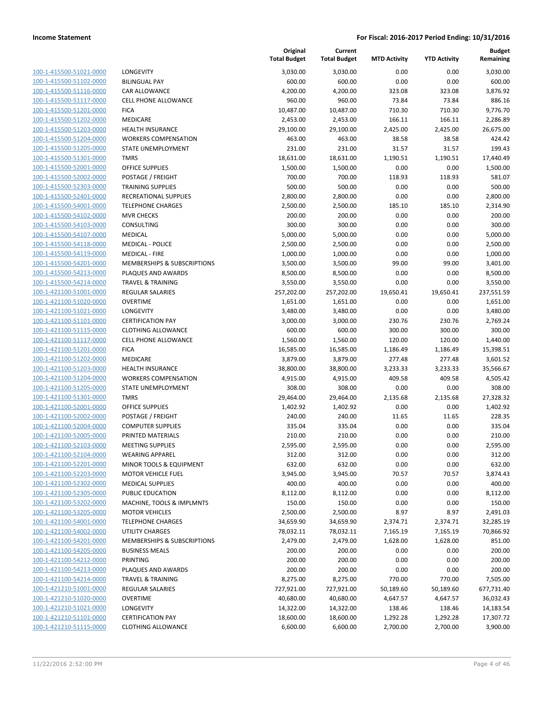| 100-1-415500-51021-0000                                          |
|------------------------------------------------------------------|
| 100-1-415500-51102-0000                                          |
| 100-1-415500-51116-0000                                          |
| 100-1-415500-51117-0000                                          |
| 100-1-415500-51201-0000                                          |
| 100-1-415500-51202-0000                                          |
|                                                                  |
| 100-1-415500-51203-0000                                          |
| 100-1-415500-51204-0000                                          |
| 100-1-415500-51205-0000                                          |
| 100-1-415500-51301-0000                                          |
| 100-1-415500-52001-0000                                          |
| 100-1-415500-52002-0000                                          |
| 100-1-415500-52303-0000                                          |
|                                                                  |
| 100-1-415500-52401-0000                                          |
| 100-1-415500-54001-0000                                          |
| 100-1-415500-54102-0000                                          |
| 100-1-415500-54103-0000                                          |
| 100-1-415500-54107-0000                                          |
| 100-1-415500-54118-0000                                          |
| 100-1-415500-54119-0000                                          |
| 100-1-415500-54201-0000                                          |
|                                                                  |
| 100-1-415500-54213-0000                                          |
| 100-1-415500-54214-0000                                          |
| 100-1-421100-51001-0000                                          |
| 100-1-421100-51020-0000                                          |
| 100-1-421100-51021-0000                                          |
| 100-1-421100-51101-0000                                          |
| 100-1-421100-51115-0000                                          |
| 100-1-421100-51117-0000                                          |
| 100-1-421100-51201-0000                                          |
|                                                                  |
| 100-1-421100-51202-0000                                          |
| 100-1-421100-51203-0000                                          |
| <u>100-1-421100-51204-0000</u>                                   |
| 100-1-421100-51205-0000                                          |
| 100-1-421100-51301-0000                                          |
| 100-1-421100-52001-0000                                          |
| 100-1-421100-52002-0000                                          |
| 100-1-421100-52004-0000                                          |
| 100-1-421100-52005-0000                                          |
|                                                                  |
| 100-1-421100-52103-0000                                          |
| 100-1-421100-52104-0000                                          |
| 100-1-421100-52201-0000                                          |
| 100-1-421100-52203-0000                                          |
| <u>100-1-421100-52302-0000</u>                                   |
| 100-1-421100-52305-0000                                          |
| 100-1-421100-53202-0000                                          |
| 100-1-421100-53205-0000                                          |
|                                                                  |
| <u>100-1-421100-54001-0000</u>                                   |
| <u>100-1-421100-54002-0000</u>                                   |
| 100-1-421100-54201-0000                                          |
| 100-1-421100-54205-0000                                          |
|                                                                  |
| 100-1-421100-54212-0000                                          |
| <u>100-1-421100-54213-0000</u>                                   |
| <u>100-1-421100-54214-0000</u>                                   |
|                                                                  |
| <u>100-1-421210-51001-0000</u>                                   |
| 100-1-421210-51020-0000                                          |
| <u>100-1-421210-51021-0000</u>                                   |
| <u>100-1-421210-51101-0000</u><br><u>100-1-421210-51115-0000</u> |

|                                                    |                                             | Original<br><b>Total Budget</b> | Current<br><b>Total Budget</b> | <b>MTD Activity</b> | <b>YTD Activity</b> | <b>Budget</b><br>Remaining |
|----------------------------------------------------|---------------------------------------------|---------------------------------|--------------------------------|---------------------|---------------------|----------------------------|
| 100-1-415500-51021-0000                            | LONGEVITY                                   | 3,030.00                        | 3,030.00                       | 0.00                | 0.00                | 3,030.00                   |
| 100-1-415500-51102-0000                            | <b>BILINGUAL PAY</b>                        | 600.00                          | 600.00                         | 0.00                | 0.00                | 600.00                     |
| 100-1-415500-51116-0000                            | <b>CAR ALLOWANCE</b>                        | 4,200.00                        | 4,200.00                       | 323.08              | 323.08              | 3,876.92                   |
| 100-1-415500-51117-0000                            | <b>CELL PHONE ALLOWANCE</b>                 | 960.00                          | 960.00                         | 73.84               | 73.84               | 886.16                     |
| 100-1-415500-51201-0000                            | <b>FICA</b>                                 | 10,487.00                       | 10,487.00                      | 710.30              | 710.30              | 9.776.70                   |
| 100-1-415500-51202-0000                            | MEDICARE                                    | 2,453.00                        | 2,453.00                       | 166.11              | 166.11              | 2,286.89                   |
| 100-1-415500-51203-0000                            | <b>HEALTH INSURANCE</b>                     | 29,100.00                       | 29,100.00                      | 2,425.00            | 2,425.00            | 26,675.00                  |
| 100-1-415500-51204-0000                            | <b>WORKERS COMPENSATION</b>                 | 463.00                          | 463.00                         | 38.58               | 38.58               | 424.42                     |
| 100-1-415500-51205-0000                            | STATE UNEMPLOYMENT                          | 231.00                          | 231.00                         | 31.57               | 31.57               | 199.43                     |
| 100-1-415500-51301-0000                            | <b>TMRS</b>                                 | 18,631.00                       | 18,631.00                      | 1,190.51            | 1,190.51            | 17,440.49                  |
| 100-1-415500-52001-0000                            | <b>OFFICE SUPPLIES</b>                      | 1,500.00                        | 1,500.00                       | 0.00                | 0.00                | 1,500.00                   |
| 100-1-415500-52002-0000                            | POSTAGE / FREIGHT                           | 700.00                          | 700.00                         | 118.93              | 118.93              | 581.07                     |
| 100-1-415500-52303-0000                            | <b>TRAINING SUPPLIES</b>                    | 500.00                          | 500.00                         | 0.00                | 0.00                | 500.00                     |
| 100-1-415500-52401-0000                            | RECREATIONAL SUPPLIES                       | 2,800.00                        | 2,800.00                       | 0.00                | 0.00                | 2,800.00                   |
| 100-1-415500-54001-0000                            | <b>TELEPHONE CHARGES</b>                    | 2,500.00                        | 2,500.00                       | 185.10              | 185.10              | 2,314.90                   |
| 100-1-415500-54102-0000                            | <b>MVR CHECKS</b>                           | 200.00                          | 200.00                         | 0.00                | 0.00                | 200.00                     |
| 100-1-415500-54103-0000                            | CONSULTING                                  | 300.00                          | 300.00                         | 0.00                | 0.00                | 300.00                     |
| 100-1-415500-54107-0000                            | <b>MEDICAL</b>                              | 5,000.00                        | 5,000.00                       | 0.00                | 0.00                | 5,000.00                   |
| 100-1-415500-54118-0000                            | <b>MEDICAL - POLICE</b>                     | 2,500.00                        | 2,500.00                       | 0.00                | 0.00                | 2,500.00                   |
| 100-1-415500-54119-0000                            | <b>MEDICAL - FIRE</b>                       | 1,000.00                        | 1,000.00                       | 0.00                | 0.00                | 1,000.00                   |
| 100-1-415500-54201-0000                            | MEMBERSHIPS & SUBSCRIPTIONS                 | 3,500.00                        | 3,500.00                       | 99.00               | 99.00               | 3,401.00                   |
| 100-1-415500-54213-0000                            | PLAQUES AND AWARDS                          | 8,500.00                        | 8,500.00                       | 0.00                | 0.00                | 8,500.00                   |
| 100-1-415500-54214-0000                            | <b>TRAVEL &amp; TRAINING</b>                | 3,550.00                        | 3,550.00                       | 0.00                | 0.00                | 3,550.00                   |
| 100-1-421100-51001-0000                            | <b>REGULAR SALARIES</b>                     | 257,202.00                      | 257,202.00                     | 19,650.41           | 19,650.41           | 237,551.59                 |
| 100-1-421100-51020-0000                            | <b>OVERTIME</b>                             | 1,651.00                        | 1,651.00                       | 0.00                | 0.00                | 1,651.00                   |
| 100-1-421100-51021-0000                            | LONGEVITY                                   | 3,480.00                        | 3,480.00                       | 0.00                | 0.00                | 3,480.00                   |
| 100-1-421100-51101-0000                            | <b>CERTIFICATION PAY</b>                    | 3,000.00                        | 3,000.00                       | 230.76              | 230.76              | 2,769.24                   |
| 100-1-421100-51115-0000                            | <b>CLOTHING ALLOWANCE</b>                   | 600.00                          | 600.00                         | 300.00              | 300.00              | 300.00                     |
| 100-1-421100-51117-0000                            | <b>CELL PHONE ALLOWANCE</b>                 | 1,560.00                        | 1,560.00                       | 120.00              | 120.00              | 1,440.00                   |
| 100-1-421100-51201-0000                            | <b>FICA</b>                                 | 16,585.00                       | 16,585.00                      | 1,186.49            | 1,186.49            | 15,398.51                  |
| 100-1-421100-51202-0000                            | MEDICARE                                    | 3,879.00                        | 3,879.00                       | 277.48              | 277.48              | 3,601.52                   |
| 100-1-421100-51203-0000                            | <b>HEALTH INSURANCE</b>                     | 38,800.00                       | 38,800.00                      | 3,233.33            | 3,233.33            | 35,566.67                  |
| 100-1-421100-51204-0000                            | <b>WORKERS COMPENSATION</b>                 | 4,915.00                        | 4,915.00                       | 409.58              | 409.58              | 4,505.42                   |
| 100-1-421100-51205-0000                            | STATE UNEMPLOYMENT<br><b>TMRS</b>           | 308.00<br>29,464.00             | 308.00                         | 0.00                | 0.00                | 308.00                     |
| 100-1-421100-51301-0000<br>100-1-421100-52001-0000 |                                             | 1,402.92                        | 29,464.00<br>1,402.92          | 2,135.68            | 2,135.68            | 27,328.32<br>1,402.92      |
| 100-1-421100-52002-0000                            | <b>OFFICE SUPPLIES</b><br>POSTAGE / FREIGHT | 240.00                          | 240.00                         | 0.00<br>11.65       | 0.00<br>11.65       | 228.35                     |
| 100-1-421100-52004-0000                            | <b>COMPUTER SUPPLIES</b>                    | 335.04                          | 335.04                         | 0.00                | 0.00                | 335.04                     |
| 100-1-421100-52005-0000                            | PRINTED MATERIALS                           | 210.00                          | 210.00                         | 0.00                | 0.00                | 210.00                     |
| 100-1-421100-52103-0000                            | <b>MEETING SUPPLIES</b>                     | 2,595.00                        | 2,595.00                       | 0.00                | 0.00                | 2,595.00                   |
| 100-1-421100-52104-0000                            | <b>WEARING APPAREL</b>                      | 312.00                          | 312.00                         | 0.00                | 0.00                | 312.00                     |
| 100-1-421100-52201-0000                            | MINOR TOOLS & EQUIPMENT                     | 632.00                          | 632.00                         | 0.00                | 0.00                | 632.00                     |
| 100-1-421100-52203-0000                            | <b>MOTOR VEHICLE FUEL</b>                   | 3,945.00                        | 3,945.00                       | 70.57               | 70.57               | 3,874.43                   |
| 100-1-421100-52302-0000                            | <b>MEDICAL SUPPLIES</b>                     | 400.00                          | 400.00                         | 0.00                | 0.00                | 400.00                     |
| 100-1-421100-52305-0000                            | PUBLIC EDUCATION                            | 8,112.00                        | 8,112.00                       | 0.00                | 0.00                | 8,112.00                   |
| 100-1-421100-53202-0000                            | MACHINE, TOOLS & IMPLMNTS                   | 150.00                          | 150.00                         | 0.00                | 0.00                | 150.00                     |
| 100-1-421100-53205-0000                            | <b>MOTOR VEHICLES</b>                       | 2,500.00                        | 2,500.00                       | 8.97                | 8.97                | 2,491.03                   |
| 100-1-421100-54001-0000                            | <b>TELEPHONE CHARGES</b>                    | 34,659.90                       | 34,659.90                      | 2,374.71            | 2,374.71            | 32,285.19                  |
| 100-1-421100-54002-0000                            | UTILITY CHARGES                             | 78,032.11                       | 78,032.11                      | 7,165.19            | 7,165.19            | 70,866.92                  |
| 100-1-421100-54201-0000                            | MEMBERSHIPS & SUBSCRIPTIONS                 | 2,479.00                        | 2,479.00                       | 1,628.00            | 1,628.00            | 851.00                     |
| 100-1-421100-54205-0000                            | <b>BUSINESS MEALS</b>                       | 200.00                          | 200.00                         | 0.00                | 0.00                | 200.00                     |
| 100-1-421100-54212-0000                            | PRINTING                                    | 200.00                          | 200.00                         | 0.00                | 0.00                | 200.00                     |
| 100-1-421100-54213-0000                            | PLAQUES AND AWARDS                          | 200.00                          | 200.00                         | 0.00                | 0.00                | 200.00                     |
| 100-1-421100-54214-0000                            | <b>TRAVEL &amp; TRAINING</b>                | 8,275.00                        | 8,275.00                       | 770.00              | 770.00              | 7,505.00                   |
| 100-1-421210-51001-0000                            | <b>REGULAR SALARIES</b>                     | 727,921.00                      | 727,921.00                     | 50,189.60           | 50,189.60           | 677,731.40                 |
| 100-1-421210-51020-0000                            | <b>OVERTIME</b>                             | 40,680.00                       | 40,680.00                      | 4,647.57            | 4,647.57            | 36,032.43                  |
| 100-1-421210-51021-0000                            | LONGEVITY                                   | 14,322.00                       | 14,322.00                      | 138.46              | 138.46              | 14,183.54                  |
| 100-1-421210-51101-0000                            | <b>CERTIFICATION PAY</b>                    | 18,600.00                       | 18,600.00                      | 1,292.28            | 1,292.28            | 17,307.72                  |
| 100-1-421210-51115-0000                            | <b>CLOTHING ALLOWANCE</b>                   | 6,600.00                        | 6,600.00                       | 2,700.00            | 2,700.00            | 3,900.00                   |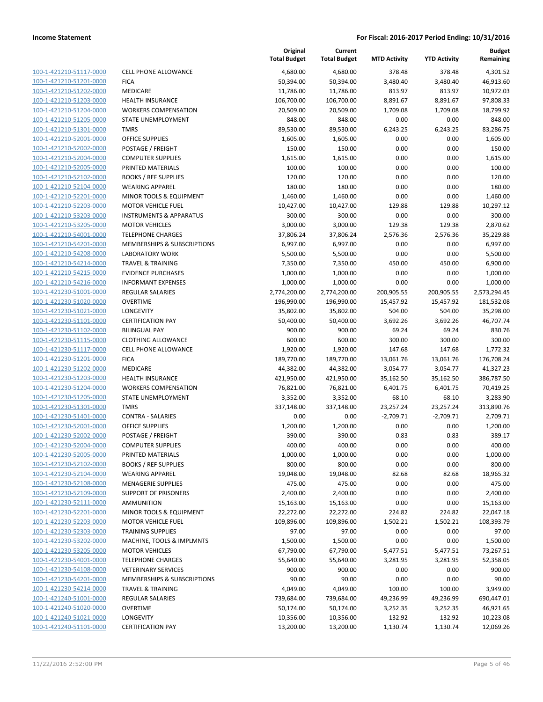| 100-1-421210-51117-0000<br>100-1-421210-51201-0000<br>100-1-421210-51202-0000<br>100-1-421210-51203-0000<br>100-1-421210-51204-0000<br>100-1-421210-51205-0000<br>100-1-421210-51301-0000<br>100-1-421210-52001-0000<br>100-1-421210-52002-0000<br>100-1-421210-52004-0000<br>100-1-421210-52005-0000<br>100-1-421210-52102-0000<br>100-1-421210-52104-0000<br>100-1-421210-52201-0000<br><u>100-1-421210-52203-0000</u><br><u>100-1-421210-53203-0000</u><br>100-1-421210-53205-0000<br>100-1-421210-54001-0000<br>100-1-421210-54201-0000<br>100-1-421210-54208-0000<br>100-1-421210-54214-0000<br>100-1-421210-54215-0000<br>100-1-421210-54216-0000<br>100-1-421230-51001-0000<br><u>100-1-421230-51020-0000</u><br>100-1-421230-51021-0000<br>100-1-421230-51101-0000<br>100-1-421230-51102-0000 |
|-------------------------------------------------------------------------------------------------------------------------------------------------------------------------------------------------------------------------------------------------------------------------------------------------------------------------------------------------------------------------------------------------------------------------------------------------------------------------------------------------------------------------------------------------------------------------------------------------------------------------------------------------------------------------------------------------------------------------------------------------------------------------------------------------------|
|                                                                                                                                                                                                                                                                                                                                                                                                                                                                                                                                                                                                                                                                                                                                                                                                       |
|                                                                                                                                                                                                                                                                                                                                                                                                                                                                                                                                                                                                                                                                                                                                                                                                       |
|                                                                                                                                                                                                                                                                                                                                                                                                                                                                                                                                                                                                                                                                                                                                                                                                       |
|                                                                                                                                                                                                                                                                                                                                                                                                                                                                                                                                                                                                                                                                                                                                                                                                       |
|                                                                                                                                                                                                                                                                                                                                                                                                                                                                                                                                                                                                                                                                                                                                                                                                       |
|                                                                                                                                                                                                                                                                                                                                                                                                                                                                                                                                                                                                                                                                                                                                                                                                       |
|                                                                                                                                                                                                                                                                                                                                                                                                                                                                                                                                                                                                                                                                                                                                                                                                       |
|                                                                                                                                                                                                                                                                                                                                                                                                                                                                                                                                                                                                                                                                                                                                                                                                       |
|                                                                                                                                                                                                                                                                                                                                                                                                                                                                                                                                                                                                                                                                                                                                                                                                       |
|                                                                                                                                                                                                                                                                                                                                                                                                                                                                                                                                                                                                                                                                                                                                                                                                       |
|                                                                                                                                                                                                                                                                                                                                                                                                                                                                                                                                                                                                                                                                                                                                                                                                       |
|                                                                                                                                                                                                                                                                                                                                                                                                                                                                                                                                                                                                                                                                                                                                                                                                       |
|                                                                                                                                                                                                                                                                                                                                                                                                                                                                                                                                                                                                                                                                                                                                                                                                       |
|                                                                                                                                                                                                                                                                                                                                                                                                                                                                                                                                                                                                                                                                                                                                                                                                       |
|                                                                                                                                                                                                                                                                                                                                                                                                                                                                                                                                                                                                                                                                                                                                                                                                       |
|                                                                                                                                                                                                                                                                                                                                                                                                                                                                                                                                                                                                                                                                                                                                                                                                       |
|                                                                                                                                                                                                                                                                                                                                                                                                                                                                                                                                                                                                                                                                                                                                                                                                       |
|                                                                                                                                                                                                                                                                                                                                                                                                                                                                                                                                                                                                                                                                                                                                                                                                       |
|                                                                                                                                                                                                                                                                                                                                                                                                                                                                                                                                                                                                                                                                                                                                                                                                       |
|                                                                                                                                                                                                                                                                                                                                                                                                                                                                                                                                                                                                                                                                                                                                                                                                       |
|                                                                                                                                                                                                                                                                                                                                                                                                                                                                                                                                                                                                                                                                                                                                                                                                       |
|                                                                                                                                                                                                                                                                                                                                                                                                                                                                                                                                                                                                                                                                                                                                                                                                       |
|                                                                                                                                                                                                                                                                                                                                                                                                                                                                                                                                                                                                                                                                                                                                                                                                       |
|                                                                                                                                                                                                                                                                                                                                                                                                                                                                                                                                                                                                                                                                                                                                                                                                       |
|                                                                                                                                                                                                                                                                                                                                                                                                                                                                                                                                                                                                                                                                                                                                                                                                       |
|                                                                                                                                                                                                                                                                                                                                                                                                                                                                                                                                                                                                                                                                                                                                                                                                       |
|                                                                                                                                                                                                                                                                                                                                                                                                                                                                                                                                                                                                                                                                                                                                                                                                       |
|                                                                                                                                                                                                                                                                                                                                                                                                                                                                                                                                                                                                                                                                                                                                                                                                       |
| 100-1-421230-51115-0000                                                                                                                                                                                                                                                                                                                                                                                                                                                                                                                                                                                                                                                                                                                                                                               |
| 100-1-421230-51117-0000                                                                                                                                                                                                                                                                                                                                                                                                                                                                                                                                                                                                                                                                                                                                                                               |
| 100-1-421230-51201-0000                                                                                                                                                                                                                                                                                                                                                                                                                                                                                                                                                                                                                                                                                                                                                                               |
| 100-1-421230-51202-0000                                                                                                                                                                                                                                                                                                                                                                                                                                                                                                                                                                                                                                                                                                                                                                               |
| 100-1-421230-51203-0000                                                                                                                                                                                                                                                                                                                                                                                                                                                                                                                                                                                                                                                                                                                                                                               |
| 100-1-421230-51204-0000                                                                                                                                                                                                                                                                                                                                                                                                                                                                                                                                                                                                                                                                                                                                                                               |
| <u>100-1-421230-51205-0000</u>                                                                                                                                                                                                                                                                                                                                                                                                                                                                                                                                                                                                                                                                                                                                                                        |
| 100-1-421230-51301-0000                                                                                                                                                                                                                                                                                                                                                                                                                                                                                                                                                                                                                                                                                                                                                                               |
| 100-1-421230-51401-0000                                                                                                                                                                                                                                                                                                                                                                                                                                                                                                                                                                                                                                                                                                                                                                               |
| 100-1-421230-52001-0000                                                                                                                                                                                                                                                                                                                                                                                                                                                                                                                                                                                                                                                                                                                                                                               |
| 100-1-421230-52002-0000                                                                                                                                                                                                                                                                                                                                                                                                                                                                                                                                                                                                                                                                                                                                                                               |
| 100-1-421230-52004-0000                                                                                                                                                                                                                                                                                                                                                                                                                                                                                                                                                                                                                                                                                                                                                                               |
| 100-1-421230-52005-0000                                                                                                                                                                                                                                                                                                                                                                                                                                                                                                                                                                                                                                                                                                                                                                               |
| <u>100-1-421230-52102-0000</u>                                                                                                                                                                                                                                                                                                                                                                                                                                                                                                                                                                                                                                                                                                                                                                        |
| 100-1-421230-52104-0000                                                                                                                                                                                                                                                                                                                                                                                                                                                                                                                                                                                                                                                                                                                                                                               |
| 100-1-421230-52108-0000                                                                                                                                                                                                                                                                                                                                                                                                                                                                                                                                                                                                                                                                                                                                                                               |
| 100-1-421230-52109-0000                                                                                                                                                                                                                                                                                                                                                                                                                                                                                                                                                                                                                                                                                                                                                                               |
| <u>100-1-421230-52111-0000</u>                                                                                                                                                                                                                                                                                                                                                                                                                                                                                                                                                                                                                                                                                                                                                                        |
| 100-1-421230-52201-0000                                                                                                                                                                                                                                                                                                                                                                                                                                                                                                                                                                                                                                                                                                                                                                               |
| <u>100-1-421230-52203-0000</u>                                                                                                                                                                                                                                                                                                                                                                                                                                                                                                                                                                                                                                                                                                                                                                        |
| 100-1-421230-52303-0000                                                                                                                                                                                                                                                                                                                                                                                                                                                                                                                                                                                                                                                                                                                                                                               |
| 100-1-421230-53202-0000                                                                                                                                                                                                                                                                                                                                                                                                                                                                                                                                                                                                                                                                                                                                                                               |
| <u>100-1-421230-53205-0000</u>                                                                                                                                                                                                                                                                                                                                                                                                                                                                                                                                                                                                                                                                                                                                                                        |
| 100-1-421230-54001-0000                                                                                                                                                                                                                                                                                                                                                                                                                                                                                                                                                                                                                                                                                                                                                                               |
| 100-1-421230-54108-0000                                                                                                                                                                                                                                                                                                                                                                                                                                                                                                                                                                                                                                                                                                                                                                               |
| 100-1-421230-54201-0000                                                                                                                                                                                                                                                                                                                                                                                                                                                                                                                                                                                                                                                                                                                                                                               |
|                                                                                                                                                                                                                                                                                                                                                                                                                                                                                                                                                                                                                                                                                                                                                                                                       |
| 100-1-421230-54214-0000                                                                                                                                                                                                                                                                                                                                                                                                                                                                                                                                                                                                                                                                                                                                                                               |
| <u>100-1-421240-51001-0000</u>                                                                                                                                                                                                                                                                                                                                                                                                                                                                                                                                                                                                                                                                                                                                                                        |
| 100-1-421240-51020-0000                                                                                                                                                                                                                                                                                                                                                                                                                                                                                                                                                                                                                                                                                                                                                                               |
| <u>100-1-421240-51021-0000</u>                                                                                                                                                                                                                                                                                                                                                                                                                                                                                                                                                                                                                                                                                                                                                                        |

|                         |                                    | Original<br><b>Total Budget</b> | Current<br><b>Total Budget</b> | <b>MTD Activity</b> | <b>YTD Activity</b> | <b>Budget</b><br>Remaining |
|-------------------------|------------------------------------|---------------------------------|--------------------------------|---------------------|---------------------|----------------------------|
| 100-1-421210-51117-0000 | <b>CELL PHONE ALLOWANCE</b>        | 4,680.00                        | 4,680.00                       | 378.48              | 378.48              | 4,301.52                   |
| 100-1-421210-51201-0000 | <b>FICA</b>                        | 50,394.00                       | 50,394.00                      | 3,480.40            | 3,480.40            | 46,913.60                  |
| 100-1-421210-51202-0000 | MEDICARE                           | 11,786.00                       | 11,786.00                      | 813.97              | 813.97              | 10,972.03                  |
| 100-1-421210-51203-0000 | <b>HEALTH INSURANCE</b>            | 106,700.00                      | 106,700.00                     | 8,891.67            | 8,891.67            | 97,808.33                  |
| 100-1-421210-51204-0000 | <b>WORKERS COMPENSATION</b>        | 20,509.00                       | 20,509.00                      | 1,709.08            | 1,709.08            | 18,799.92                  |
| 100-1-421210-51205-0000 | STATE UNEMPLOYMENT                 | 848.00                          | 848.00                         | 0.00                | 0.00                | 848.00                     |
| 100-1-421210-51301-0000 | <b>TMRS</b>                        | 89,530.00                       | 89,530.00                      | 6,243.25            | 6,243.25            | 83,286.75                  |
| 100-1-421210-52001-0000 | <b>OFFICE SUPPLIES</b>             | 1,605.00                        | 1,605.00                       | 0.00                | 0.00                | 1,605.00                   |
| 100-1-421210-52002-0000 | POSTAGE / FREIGHT                  | 150.00                          | 150.00                         | 0.00                | 0.00                | 150.00                     |
| 100-1-421210-52004-0000 | <b>COMPUTER SUPPLIES</b>           | 1,615.00                        | 1,615.00                       | 0.00                | 0.00                | 1,615.00                   |
| 100-1-421210-52005-0000 | PRINTED MATERIALS                  | 100.00                          | 100.00                         | 0.00                | 0.00                | 100.00                     |
| 100-1-421210-52102-0000 | <b>BOOKS / REF SUPPLIES</b>        | 120.00                          | 120.00                         | 0.00                | 0.00                | 120.00                     |
| 100-1-421210-52104-0000 | <b>WEARING APPAREL</b>             | 180.00                          | 180.00                         | 0.00                | 0.00                | 180.00                     |
| 100-1-421210-52201-0000 | MINOR TOOLS & EQUIPMENT            | 1,460.00                        | 1,460.00                       | 0.00                | 0.00                | 1,460.00                   |
| 100-1-421210-52203-0000 | <b>MOTOR VEHICLE FUEL</b>          | 10,427.00                       | 10,427.00                      | 129.88              | 129.88              | 10,297.12                  |
| 100-1-421210-53203-0000 | <b>INSTRUMENTS &amp; APPARATUS</b> | 300.00                          | 300.00                         | 0.00                | 0.00                | 300.00                     |
| 100-1-421210-53205-0000 | <b>MOTOR VEHICLES</b>              | 3,000.00                        | 3,000.00                       | 129.38              | 129.38              | 2,870.62                   |
| 100-1-421210-54001-0000 | <b>TELEPHONE CHARGES</b>           | 37,806.24                       | 37,806.24                      | 2,576.36            | 2,576.36            | 35,229.88                  |
| 100-1-421210-54201-0000 | MEMBERSHIPS & SUBSCRIPTIONS        | 6,997.00                        | 6,997.00                       | 0.00                | 0.00                | 6,997.00                   |
| 100-1-421210-54208-0000 | <b>LABORATORY WORK</b>             | 5,500.00                        | 5,500.00                       | 0.00                | 0.00                | 5,500.00                   |
| 100-1-421210-54214-0000 | <b>TRAVEL &amp; TRAINING</b>       | 7,350.00                        | 7,350.00                       | 450.00              | 450.00              | 6,900.00                   |
| 100-1-421210-54215-0000 | <b>EVIDENCE PURCHASES</b>          | 1,000.00                        | 1,000.00                       | 0.00                | 0.00                | 1,000.00                   |
| 100-1-421210-54216-0000 | <b>INFORMANT EXPENSES</b>          | 1,000.00                        | 1,000.00                       | 0.00                | 0.00                | 1,000.00                   |
| 100-1-421230-51001-0000 | <b>REGULAR SALARIES</b>            | 2,774,200.00                    | 2,774,200.00                   | 200,905.55          | 200,905.55          | 2,573,294.45               |
| 100-1-421230-51020-0000 | <b>OVERTIME</b>                    | 196,990.00                      | 196,990.00                     | 15,457.92           | 15,457.92           | 181,532.08                 |
| 100-1-421230-51021-0000 | LONGEVITY                          | 35,802.00                       | 35,802.00                      | 504.00              | 504.00              | 35,298.00                  |
| 100-1-421230-51101-0000 | <b>CERTIFICATION PAY</b>           | 50,400.00                       | 50,400.00                      | 3,692.26            | 3,692.26            | 46,707.74                  |
| 100-1-421230-51102-0000 | <b>BILINGUAL PAY</b>               | 900.00                          | 900.00                         | 69.24               | 69.24               | 830.76                     |
| 100-1-421230-51115-0000 | <b>CLOTHING ALLOWANCE</b>          | 600.00                          | 600.00                         | 300.00              | 300.00              | 300.00                     |
| 100-1-421230-51117-0000 | <b>CELL PHONE ALLOWANCE</b>        | 1,920.00                        | 1,920.00                       | 147.68              | 147.68              | 1,772.32                   |
| 100-1-421230-51201-0000 | <b>FICA</b>                        | 189,770.00                      | 189,770.00                     | 13,061.76           | 13,061.76           | 176,708.24                 |
| 100-1-421230-51202-0000 | MEDICARE                           | 44,382.00                       | 44,382.00                      | 3,054.77            | 3,054.77            | 41,327.23                  |
| 100-1-421230-51203-0000 | <b>HEALTH INSURANCE</b>            | 421,950.00                      | 421,950.00                     | 35,162.50           | 35,162.50           | 386,787.50                 |
| 100-1-421230-51204-0000 | <b>WORKERS COMPENSATION</b>        | 76,821.00                       | 76,821.00                      | 6,401.75            | 6,401.75            | 70,419.25                  |
| 100-1-421230-51205-0000 | STATE UNEMPLOYMENT                 | 3,352.00                        | 3,352.00                       | 68.10               | 68.10               | 3,283.90                   |
| 100-1-421230-51301-0000 | <b>TMRS</b>                        | 337,148.00                      | 337,148.00                     | 23,257.24           | 23,257.24           | 313,890.76                 |
| 100-1-421230-51401-0000 | <b>CONTRA - SALARIES</b>           | 0.00                            | 0.00                           | $-2,709.71$         | $-2,709.71$         | 2,709.71                   |
| 100-1-421230-52001-0000 | <b>OFFICE SUPPLIES</b>             | 1,200.00                        | 1,200.00                       | 0.00                | 0.00                | 1,200.00                   |
| 100-1-421230-52002-0000 | POSTAGE / FREIGHT                  | 390.00                          | 390.00                         | 0.83                | 0.83                | 389.17                     |
| 100-1-421230-52004-0000 | <b>COMPUTER SUPPLIES</b>           | 400.00                          | 400.00                         | 0.00                | 0.00                | 400.00                     |
| 100-1-421230-52005-0000 | PRINTED MATERIALS                  | 1,000.00                        | 1,000.00                       | 0.00                | 0.00                | 1,000.00                   |
| 100-1-421230-52102-0000 | <b>BOOKS / REF SUPPLIES</b>        | 800.00                          | 800.00                         | 0.00                | 0.00                | 800.00                     |
| 100-1-421230-52104-0000 | <b>WEARING APPAREL</b>             | 19,048.00                       | 19,048.00                      | 82.68               | 82.68               | 18,965.32                  |
| 100-1-421230-52108-0000 | <b>MENAGERIE SUPPLIES</b>          | 475.00                          | 475.00                         | 0.00                | 0.00                | 475.00                     |
| 100-1-421230-52109-0000 | <b>SUPPORT OF PRISONERS</b>        | 2,400.00                        | 2,400.00                       | 0.00                | 0.00                | 2,400.00                   |
| 100-1-421230-52111-0000 | <b>AMMUNITION</b>                  | 15,163.00                       | 15,163.00                      | 0.00                | 0.00                | 15,163.00                  |
| 100-1-421230-52201-0000 | MINOR TOOLS & EQUIPMENT            | 22,272.00                       | 22,272.00                      | 224.82              | 224.82              | 22,047.18                  |
| 100-1-421230-52203-0000 | <b>MOTOR VEHICLE FUEL</b>          | 109,896.00                      | 109,896.00                     | 1,502.21            | 1,502.21            | 108,393.79                 |
| 100-1-421230-52303-0000 | <b>TRAINING SUPPLIES</b>           | 97.00                           | 97.00                          | 0.00                | 0.00                | 97.00                      |
| 100-1-421230-53202-0000 | MACHINE, TOOLS & IMPLMNTS          | 1,500.00                        | 1,500.00                       | 0.00                | 0.00                | 1,500.00                   |
| 100-1-421230-53205-0000 | <b>MOTOR VEHICLES</b>              | 67,790.00                       | 67,790.00                      | $-5,477.51$         | $-5,477.51$         | 73,267.51                  |
| 100-1-421230-54001-0000 | <b>TELEPHONE CHARGES</b>           | 55,640.00                       | 55,640.00                      | 3,281.95            | 3,281.95            | 52,358.05                  |
| 100-1-421230-54108-0000 | <b>VETERINARY SERVICES</b>         | 900.00                          | 900.00                         | 0.00                | 0.00                | 900.00                     |
| 100-1-421230-54201-0000 | MEMBERSHIPS & SUBSCRIPTIONS        | 90.00                           | 90.00                          | 0.00                | 0.00                | 90.00                      |
| 100-1-421230-54214-0000 | <b>TRAVEL &amp; TRAINING</b>       | 4,049.00                        | 4,049.00                       | 100.00              | 100.00              | 3,949.00                   |
| 100-1-421240-51001-0000 | REGULAR SALARIES                   | 739,684.00                      | 739,684.00                     | 49,236.99           | 49,236.99           | 690,447.01                 |
| 100-1-421240-51020-0000 | <b>OVERTIME</b>                    | 50,174.00                       | 50,174.00                      | 3,252.35            | 3,252.35            | 46,921.65                  |
| 100-1-421240-51021-0000 | LONGEVITY                          | 10,356.00                       | 10,356.00                      | 132.92              | 132.92              | 10,223.08                  |
| 100-1-421240-51101-0000 | <b>CERTIFICATION PAY</b>           | 13,200.00                       | 13,200.00                      | 1,130.74            | 1,130.74            | 12,069.26                  |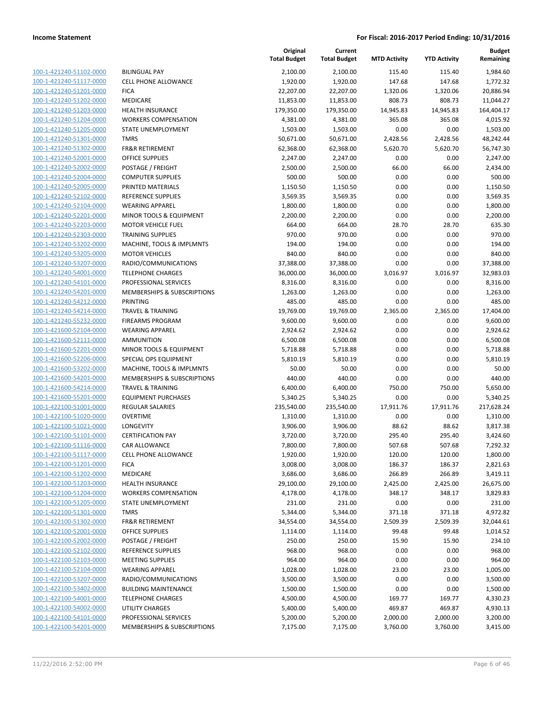| 100-1-421240-51102-0000        |
|--------------------------------|
| 100-1-421240-51117-0000        |
| 100-1-421240-51201-0000        |
| 100-1-421240-51202-0000        |
| 100-1-421240-51203-0000        |
| 100-1-421240-51204-0000        |
| 100-1-421240-51205-0000        |
| 100-1-421240-51301-0000        |
| 100-1-421240-51302-0000        |
| 100-1-421240-52001-0000        |
| 100-1-421240-52002-0000        |
| 100-1-421240-52004-0000        |
| 100-1-421240-52005-0000        |
| 100-1-421240-52102-0000        |
| 100-1-421240-52104-0000        |
|                                |
| 100-1-421240-52201-0000        |
| 100-1-421240-52203-0000        |
| 100-1-421240-52303-0000        |
| 100-1-421240-53202-0000        |
| 100-1-421240-53205-0000        |
| 100-1-421240-53207-0000        |
| 100-1-421240-54001-0000        |
| 100-1-421240-54101-0000        |
| 100-1-421240-54201-0000        |
| 100-1-421240-54212-0000        |
| 100-1-421240-54214-0000        |
| 100-1-421240-55232-0000        |
| 100-1-421600-52104-0000        |
| 100-1-421600-52111-0000        |
| 100-1-421600-52201-0000        |
| 100-1-421600-52206-0000        |
|                                |
| 100-1-421600-53202-0000        |
| 100-1-421600-54201-0000        |
| 100-1-421600-54214-0000        |
| 100-1-421600-55201-0000        |
| 100-1-422100-51001-0000        |
| 100-1-422100-51020-0000        |
| 100-1-422100-51021-0000        |
| 100-1-422100-51101-0000        |
| 100-1-422100-51116-0000        |
| 100-1-422100-51117-0000        |
| <u>100-1-422100-51201-0000</u> |
| <u>100-1-422100-51202-0000</u> |
| <u>100-1-422100-51203-0000</u> |
| 100-1-422100-51204-0000        |
| 100-1-422100-51205-0000        |
| 100-1-422100-51301-0000        |
| 100-1-422100-51302-0000        |
|                                |
| <u>100-1-422100-52001-0000</u> |
| 100-1-422100-52002-0000        |
| <u>100-1-422100-52102-0000</u> |
| 100-1-422100-52103-0000        |
| <u>100-1-422100-52104-0000</u> |
| <u>100-1-422100-53207-0000</u> |
| 100-1-422100-53402-0000        |
| 100-1-422100-54001-0000        |
| 100-1-422100-54002-0000        |
| <u>100-1-422100-54101-0000</u> |
| <u>100-1-422100-54201-0000</u> |
|                                |

| <b>BILINGUAL PAY</b>                                   |
|--------------------------------------------------------|
| CELL PHONE ALLOWANCE                                   |
| <b>ICA</b>                                             |
| MEDICARE<br><b>IEALTH INSURANCE</b>                    |
| VORKERS COMPENSATION                                   |
| TATE UNEMPLOYMENT                                      |
| <b>MRS</b>                                             |
| R&R RETIREMENT                                         |
| <b>DEFICE SUPPLIES</b>                                 |
| POSTAGE / FREIGHT                                      |
| COMPUTER SUPPLIES                                      |
| <b>PRINTED MATERIALS</b>                               |
| REFERENCE SUPPLIES                                     |
| VEARING APPAREL                                        |
| MINOR TOOLS & EQUIPMENT                                |
| MOTOR VEHICLE FUEL                                     |
| <b>RAINING SUPPLIES</b>                                |
| MACHINE, TOOLS & IMPLMNTS                              |
| <b>MOTOR VEHICLES</b>                                  |
| RADIO/COMMUNICATIONS                                   |
| <b>ELEPHONE CHARGES</b>                                |
| <b>PROFESSIONAL SERVICES</b>                           |
| MEMBERSHIPS & SUBSCRIPTIONS<br><b>RINTING</b>          |
| <b>RAVEL &amp; TRAINING</b>                            |
| <b>IREARMS PROGRAM</b>                                 |
| VEARING APPAREL                                        |
| <b>MMUNITION</b>                                       |
| MINOR TOOLS & EQUIPMENT                                |
| PECIAL OPS EQUIPMENT                                   |
| MACHINE, TOOLS & IMPLMNTS                              |
| <b>MEMBERSHIPS &amp; SUBSCRIPTIONS</b>                 |
| <b>RAVEL &amp; TRAINING</b>                            |
| <b>QUIPMENT PURCHASES</b>                              |
| REGULAR SALARIES                                       |
| <b>DVERTIME</b>                                        |
| ONGEVITY.                                              |
| <b>CERTIFICATION PAY</b>                               |
| CAR ALLOWANCE<br>CELL PHONE ALLOWANCE                  |
| <b>ICA</b>                                             |
| <b>MEDICARE</b>                                        |
| <b>IEALTH INSURANCE</b>                                |
| <b><i>NORKERS COMPENSATION</i></b>                     |
| TATE UNEMPLOYMENT                                      |
| <b>MRS</b>                                             |
| R&R RETIREMENT                                         |
| <b>DEFICE SUPPLIES</b>                                 |
| POSTAGE / FREIGHT                                      |
| REFERENCE SUPPLIES                                     |
| <b>MEETING SUPPLIES</b>                                |
| VEARING APPAREL                                        |
| RADIO/COMMUNICATIONS                                   |
| <b>BUILDING MAINTENANCE</b>                            |
| <b>ELEPHONE CHARGES</b>                                |
| <b>JTILITY CHARGES</b><br><b>PROFESSIONAL SERVICES</b> |
|                                                        |

|                                                    |                                                    | Original<br><b>Total Budget</b> | Current<br><b>Total Budget</b> | <b>MTD Activity</b> | <b>YTD Activity</b> | <b>Budget</b><br>Remaining |
|----------------------------------------------------|----------------------------------------------------|---------------------------------|--------------------------------|---------------------|---------------------|----------------------------|
| 100-1-421240-51102-0000                            | <b>BILINGUAL PAY</b>                               | 2,100.00                        | 2,100.00                       | 115.40              | 115.40              | 1,984.60                   |
| 100-1-421240-51117-0000                            | <b>CELL PHONE ALLOWANCE</b>                        | 1,920.00                        | 1,920.00                       | 147.68              | 147.68              | 1,772.32                   |
| 100-1-421240-51201-0000                            | <b>FICA</b>                                        | 22,207.00                       | 22,207.00                      | 1,320.06            | 1,320.06            | 20,886.94                  |
| 100-1-421240-51202-0000                            | MEDICARE                                           | 11,853.00                       | 11,853.00                      | 808.73              | 808.73              | 11,044.27                  |
| 100-1-421240-51203-0000                            | <b>HEALTH INSURANCE</b>                            | 179,350.00                      | 179,350.00                     | 14,945.83           | 14,945.83           | 164,404.17                 |
| 100-1-421240-51204-0000                            | <b>WORKERS COMPENSATION</b>                        | 4,381.00                        | 4,381.00                       | 365.08              | 365.08              | 4,015.92                   |
| 100-1-421240-51205-0000                            | STATE UNEMPLOYMENT                                 | 1,503.00                        | 1,503.00                       | 0.00                | 0.00                | 1,503.00                   |
| 100-1-421240-51301-0000                            | <b>TMRS</b>                                        | 50,671.00                       | 50,671.00                      | 2,428.56            | 2,428.56            | 48,242.44                  |
| 100-1-421240-51302-0000                            | <b>FR&amp;R RETIREMENT</b>                         | 62,368.00                       | 62,368.00                      | 5,620.70            | 5,620.70            | 56,747.30                  |
| 100-1-421240-52001-0000                            | <b>OFFICE SUPPLIES</b>                             | 2,247.00                        | 2,247.00                       | 0.00                | 0.00                | 2,247.00                   |
| 100-1-421240-52002-0000                            | POSTAGE / FREIGHT                                  | 2,500.00                        | 2,500.00                       | 66.00               | 66.00               | 2,434.00                   |
| 100-1-421240-52004-0000                            | <b>COMPUTER SUPPLIES</b>                           | 500.00                          | 500.00                         | 0.00                | 0.00                | 500.00                     |
| 100-1-421240-52005-0000                            | PRINTED MATERIALS                                  | 1,150.50                        | 1,150.50                       | 0.00                | 0.00                | 1,150.50                   |
| 100-1-421240-52102-0000                            | REFERENCE SUPPLIES                                 | 3,569.35                        | 3,569.35                       | 0.00                | 0.00                | 3,569.35                   |
| 100-1-421240-52104-0000                            | <b>WEARING APPAREL</b>                             | 1,800.00                        | 1,800.00                       | 0.00                | 0.00                | 1,800.00                   |
| 100-1-421240-52201-0000                            | MINOR TOOLS & EQUIPMENT                            | 2,200.00                        | 2,200.00                       | 0.00                | 0.00                | 2,200.00                   |
| 100-1-421240-52203-0000                            | <b>MOTOR VEHICLE FUEL</b>                          | 664.00                          | 664.00                         | 28.70               | 28.70               | 635.30                     |
| 100-1-421240-52303-0000                            | <b>TRAINING SUPPLIES</b>                           | 970.00                          | 970.00                         | 0.00                | 0.00                | 970.00                     |
| 100-1-421240-53202-0000                            | MACHINE, TOOLS & IMPLMNTS                          | 194.00                          | 194.00                         | 0.00                | 0.00                | 194.00                     |
| 100-1-421240-53205-0000                            | <b>MOTOR VEHICLES</b>                              | 840.00                          | 840.00                         | 0.00                | 0.00                | 840.00                     |
| 100-1-421240-53207-0000                            | RADIO/COMMUNICATIONS                               | 37,388.00                       | 37,388.00                      | 0.00                | 0.00                | 37,388.00                  |
| 100-1-421240-54001-0000                            | <b>TELEPHONE CHARGES</b>                           | 36,000.00                       | 36,000.00                      | 3,016.97            | 3,016.97            | 32,983.03                  |
| 100-1-421240-54101-0000                            | PROFESSIONAL SERVICES                              | 8,316.00                        | 8,316.00                       | 0.00                | 0.00                | 8,316.00                   |
| 100-1-421240-54201-0000                            | MEMBERSHIPS & SUBSCRIPTIONS                        | 1,263.00                        | 1,263.00                       | 0.00                | 0.00                | 1,263.00                   |
| 100-1-421240-54212-0000                            | PRINTING                                           | 485.00                          | 485.00                         | 0.00                | 0.00                | 485.00                     |
| 100-1-421240-54214-0000                            | <b>TRAVEL &amp; TRAINING</b>                       | 19,769.00                       | 19,769.00                      | 2,365.00            | 2,365.00            | 17,404.00                  |
| 100-1-421240-55232-0000                            | <b>FIREARMS PROGRAM</b>                            | 9,600.00                        | 9,600.00                       | 0.00                | 0.00                | 9,600.00                   |
| 100-1-421600-52104-0000                            | <b>WEARING APPAREL</b>                             | 2,924.62                        | 2,924.62                       | 0.00                | 0.00                | 2,924.62                   |
| 100-1-421600-52111-0000                            | <b>AMMUNITION</b>                                  | 6,500.08                        | 6,500.08                       | 0.00                | 0.00                | 6,500.08                   |
| 100-1-421600-52201-0000                            | MINOR TOOLS & EQUIPMENT                            | 5,718.88                        | 5,718.88                       | 0.00                | 0.00                | 5,718.88                   |
| 100-1-421600-52206-0000<br>100-1-421600-53202-0000 | SPECIAL OPS EQUIPMENT<br>MACHINE, TOOLS & IMPLMNTS | 5,810.19<br>50.00               | 5,810.19<br>50.00              | 0.00<br>0.00        | 0.00<br>0.00        | 5,810.19<br>50.00          |
| 100-1-421600-54201-0000                            | MEMBERSHIPS & SUBSCRIPTIONS                        | 440.00                          | 440.00                         | 0.00                | 0.00                | 440.00                     |
| 100-1-421600-54214-0000                            | <b>TRAVEL &amp; TRAINING</b>                       | 6,400.00                        | 6,400.00                       | 750.00              | 750.00              | 5,650.00                   |
| 100-1-421600-55201-0000                            | <b>EQUIPMENT PURCHASES</b>                         | 5,340.25                        | 5,340.25                       | 0.00                | 0.00                | 5,340.25                   |
| 100-1-422100-51001-0000                            | REGULAR SALARIES                                   | 235,540.00                      | 235,540.00                     | 17,911.76           | 17,911.76           | 217,628.24                 |
| 100-1-422100-51020-0000                            | <b>OVERTIME</b>                                    | 1,310.00                        | 1,310.00                       | 0.00                | 0.00                | 1,310.00                   |
| 100-1-422100-51021-0000                            | LONGEVITY                                          | 3,906.00                        | 3,906.00                       | 88.62               | 88.62               | 3,817.38                   |
| 100-1-422100-51101-0000                            | <b>CERTIFICATION PAY</b>                           | 3,720.00                        | 3,720.00                       | 295.40              | 295.40              | 3,424.60                   |
| 100-1-422100-51116-0000                            | CAR ALLOWANCE                                      | 7,800.00                        | 7,800.00                       | 507.68              | 507.68              | 7,292.32                   |
| 100-1-422100-51117-0000                            | <b>CELL PHONE ALLOWANCE</b>                        | 1,920.00                        | 1,920.00                       | 120.00              | 120.00              | 1,800.00                   |
| 100-1-422100-51201-0000                            | <b>FICA</b>                                        | 3,008.00                        | 3,008.00                       | 186.37              | 186.37              | 2,821.63                   |
| 100-1-422100-51202-0000                            | MEDICARE                                           | 3,686.00                        | 3,686.00                       | 266.89              | 266.89              | 3,419.11                   |
| 100-1-422100-51203-0000                            | <b>HEALTH INSURANCE</b>                            | 29,100.00                       | 29,100.00                      | 2,425.00            | 2,425.00            | 26,675.00                  |
| 100-1-422100-51204-0000                            | <b>WORKERS COMPENSATION</b>                        | 4,178.00                        | 4,178.00                       | 348.17              | 348.17              | 3,829.83                   |
| 100-1-422100-51205-0000                            | <b>STATE UNEMPLOYMENT</b>                          | 231.00                          | 231.00                         | 0.00                | 0.00                | 231.00                     |
| 100-1-422100-51301-0000                            | <b>TMRS</b>                                        | 5,344.00                        | 5,344.00                       | 371.18              | 371.18              | 4,972.82                   |
| 100-1-422100-51302-0000                            | <b>FR&amp;R RETIREMENT</b>                         | 34,554.00                       | 34,554.00                      | 2,509.39            | 2,509.39            | 32,044.61                  |
| 100-1-422100-52001-0000                            | OFFICE SUPPLIES                                    | 1,114.00                        | 1,114.00                       | 99.48               | 99.48               | 1,014.52                   |
| 100-1-422100-52002-0000                            | POSTAGE / FREIGHT                                  | 250.00                          | 250.00                         | 15.90               | 15.90               | 234.10                     |
| 100-1-422100-52102-0000                            | REFERENCE SUPPLIES                                 | 968.00                          | 968.00                         | 0.00                | 0.00                | 968.00                     |
| 100-1-422100-52103-0000                            | <b>MEETING SUPPLIES</b>                            | 964.00                          | 964.00                         | 0.00                | 0.00                | 964.00                     |
| 100-1-422100-52104-0000                            | <b>WEARING APPAREL</b>                             | 1,028.00                        | 1,028.00                       | 23.00               | 23.00               | 1,005.00                   |
| 100-1-422100-53207-0000                            | RADIO/COMMUNICATIONS                               | 3,500.00                        | 3,500.00                       | 0.00                | 0.00                | 3,500.00                   |
| 100-1-422100-53402-0000                            | <b>BUILDING MAINTENANCE</b>                        | 1,500.00                        | 1,500.00                       | 0.00                | 0.00                | 1,500.00                   |
| 100-1-422100-54001-0000                            | <b>TELEPHONE CHARGES</b>                           | 4,500.00                        | 4,500.00                       | 169.77              | 169.77              | 4,330.23                   |
| 100-1-422100-54002-0000                            | <b>UTILITY CHARGES</b>                             | 5,400.00                        | 5,400.00                       | 469.87              | 469.87              | 4,930.13                   |
| 100-1-422100-54101-0000                            | PROFESSIONAL SERVICES                              | 5,200.00                        | 5,200.00                       | 2,000.00            | 2,000.00            | 3,200.00                   |
| 100-1-422100-54201-0000                            | MEMBERSHIPS & SUBSCRIPTIONS                        | 7,175.00                        | 7,175.00                       | 3,760.00            | 3,760.00            | 3,415.00                   |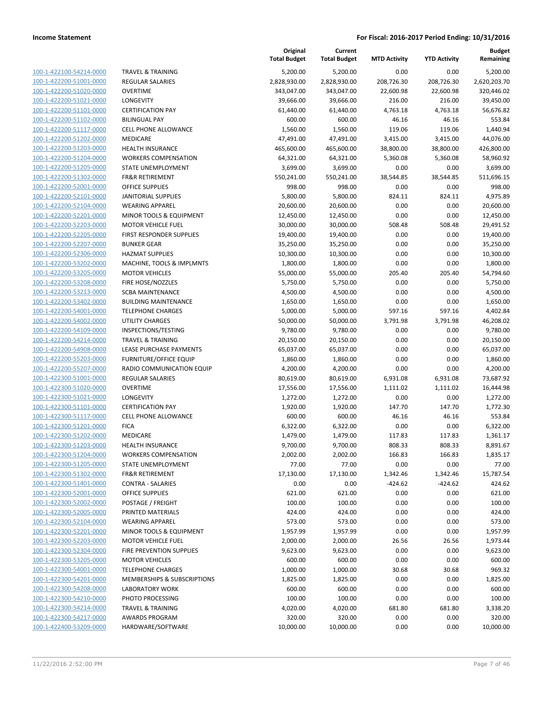| 100-1-422100-54214-0000         |
|---------------------------------|
| 100-1-422200-51001-0000         |
| 100-1-422200-51020-0000         |
| 100-1-422200-51021-0000         |
| 100-1-422200-51101-0000         |
|                                 |
| 100-1-422200-51102-0000         |
| 100-1-422200-51117-0000         |
| 100-1-422200-51202-0000         |
| 100-1-422200-51203-0000         |
| 100-1-422200-51204-0000         |
| 100-1-422200-51205-0000         |
| 100-1-422200-51302-0000         |
| 100-1-422200-52001-0000         |
| 100-1-422200-52101-0000         |
| 100-1-422200-52104-0000         |
|                                 |
| 100-1-422200-52201-0000         |
| 100-1-422200-52203-0000         |
| 100-1-422200-52205-0000         |
| 100-1-422200-52207-0000         |
| $100 - 1$<br>-422200-52306-0000 |
| 100-1-422200-53202-0000         |
| 100-1-422200-53205-0000         |
| 100-1-422200-53208-0000         |
| 100-1-422200-53213-0000         |
| 100-1-422200-53402-0000         |
|                                 |
| 100-1-422200-54001-0000         |
| 100-1-422200-54002-0000         |
| 100-1-422200-54109-0000         |
| 100-1-422200-54214-0000         |
| $100 - 1$<br>-422200-54908-0000 |
| 100-1-422200-55203-0000         |
| 100-1-422200-55207-0000         |
| <u>100-1-422300-51001-0000</u>  |
| 100-1-422300-51020-0000         |
| 100-1-422300-51021-0000         |
| 100-1-422300-51101-0000         |
|                                 |
| 100-1-422300-51117-0000         |
| 100-1-422300-51201-0000         |
| 100-1-422300-51202-0000         |
| 100-1-422300-51203-0000         |
| 100-1-422300-51204-0000         |
| 100-1-422300-51205-0000         |
| 100-1-422300-51302-0000         |
| 100-1-422300-51401-0000         |
| 100-1-422300-52001-0000         |
| 100-1-422300-52002-0000         |
| 100-1-422300-52005-0000         |
|                                 |
| 100-1-422300-52104-0000         |
| 100-1-422300-52201-0000         |
| 100-1-422300-52203-0000         |
| 100-1-422300-52304-0000         |
| 100-1-422300-53205-0000         |
| 100-1-422300-54001-0000         |
| 100-1-422300-54201-0000         |
| 100-1-422300-54208-0000         |
| 100-1-422300-54210-0000         |
| 100-1-422300-54214-0000         |
|                                 |
| <u>100-1-422300-54217-0000</u>  |
| <u>100-1-422400-53209-0000</u>  |

| <b>TRAVEL &amp; TRAINING</b>       |
|------------------------------------|
| <b>REGULAR SALARIES</b>            |
|                                    |
| <b>OVERTIME</b>                    |
| <b>LONGEVITY</b>                   |
| <b>CERTIFICATION PAY</b>           |
| <b>BILINGUAL PAY</b>               |
| <b>CELL PHONE ALLOWANCE</b>        |
|                                    |
| <b>MEDICARE</b>                    |
| <b>HEALTH INSURANCE</b>            |
| <b>WORKERS COMPENSATION</b>        |
| STATE UNEMPLOYMENT                 |
| <b>FR&amp;R RETIREMENT</b>         |
| <b>OFFICE SUPPLIES</b>             |
|                                    |
| <b>JANITORIAL SUPPLIES</b>         |
| <b>WEARING APPAREL</b>             |
| <b>MINOR TOOLS &amp; EQUIPMENT</b> |
| MOTOR VEHICLE FUEL                 |
| <b>FIRST RESPONDER SUPPLIES</b>    |
| <b>BUNKER GEAR</b>                 |
| <b>HAZMAT SUPPLIES</b>             |
|                                    |
| MACHINE, TOOLS & IMPLMNTS          |
| <b>MOTOR VEHICLES</b>              |
| FIRE HOSE/NOZZLES                  |
| <b>SCBA MAINTENANCE</b>            |
| <b>BUILDING MAINTENANCE</b>        |
| <b>TELEPHONE CHARGES</b>           |
| <b>UTILITY CHARGES</b>             |
|                                    |
| INSPECTIONS/TESTING                |
| <b>TRAVEL &amp; TRAINING</b>       |
| LEASE PURCHASE PAYMENTS            |
| <b>FURNITURE/OFFICE EQUIP</b>      |
| RADIO COMMUNICATION EQUIP          |
| REGULAR SALARIES                   |
|                                    |
| <b>OVERTIME</b>                    |
| <b>LONGEVITY</b>                   |
| <b>CERTIFICATION PAY</b>           |
| <b>CELL PHONE ALLOWANCE</b>        |
| <b>FICA</b>                        |
| <b>MEDICARE</b>                    |
| <b>HEALTH INSURANCE</b>            |
|                                    |
| <b>WORKERS COMPENSATION</b>        |
| STATE UNEMPLOYMENT                 |
| <b>FR&amp;R RETIREMENT</b>         |
| <b>CONTRA - SALARIES</b>           |
| <b>OFFICE SUPPLIES</b>             |
| <b>POSTAGE / FREIGHT</b>           |
| PRINTED MATERIALS                  |
|                                    |
| <b>WEARING APPAREL</b>             |
| <b>MINOR TOOLS &amp; EQUIPMENT</b> |
| MOTOR VEHICLE FUEL                 |
| FIRE PREVENTION SUPPLIES           |
| <b>MOTOR VEHICLES</b>              |
| <b>TELEPHONE CHARGES</b>           |
| MEMBERSHIPS & SUBSCRIPTIONS        |
|                                    |
| <b>LABORATORY WORK</b>             |
|                                    |
| PHOTO PROCESSING                   |
| <b>TRAVEL &amp; TRAINING</b>       |

|                                                    |                                                        | Original<br><b>Total Budget</b> | Current<br><b>Total Budget</b> | <b>MTD Activity</b> | <b>YTD Activity</b> | <b>Budget</b><br>Remaining |
|----------------------------------------------------|--------------------------------------------------------|---------------------------------|--------------------------------|---------------------|---------------------|----------------------------|
| 100-1-422100-54214-0000                            | <b>TRAVEL &amp; TRAINING</b>                           | 5,200.00                        | 5,200.00                       | 0.00                | 0.00                | 5,200.00                   |
| 100-1-422200-51001-0000                            | <b>REGULAR SALARIES</b>                                | 2,828,930.00                    | 2,828,930.00                   | 208,726.30          | 208,726.30          | 2,620,203.70               |
| 100-1-422200-51020-0000                            | <b>OVERTIME</b>                                        | 343,047.00                      | 343,047.00                     | 22,600.98           | 22,600.98           | 320,446.02                 |
| 100-1-422200-51021-0000                            | LONGEVITY                                              | 39,666.00                       | 39,666.00                      | 216.00              | 216.00              | 39,450.00                  |
| 100-1-422200-51101-0000                            | <b>CERTIFICATION PAY</b>                               | 61,440.00                       | 61,440.00                      | 4,763.18            | 4,763.18            | 56,676.82                  |
| 100-1-422200-51102-0000                            | <b>BILINGUAL PAY</b>                                   | 600.00                          | 600.00                         | 46.16               | 46.16               | 553.84                     |
| 100-1-422200-51117-0000                            | CELL PHONE ALLOWANCE                                   | 1,560.00                        | 1,560.00                       | 119.06              | 119.06              | 1,440.94                   |
| 100-1-422200-51202-0000                            | MEDICARE                                               | 47,491.00                       | 47,491.00                      | 3,415.00            | 3,415.00            | 44,076.00                  |
| 100-1-422200-51203-0000                            | <b>HEALTH INSURANCE</b>                                | 465,600.00                      | 465,600.00                     | 38,800.00           | 38,800.00           | 426,800.00                 |
| 100-1-422200-51204-0000                            | <b>WORKERS COMPENSATION</b>                            | 64,321.00                       | 64,321.00                      | 5,360.08            | 5,360.08            | 58,960.92                  |
| 100-1-422200-51205-0000                            | STATE UNEMPLOYMENT                                     | 3,699.00                        | 3,699.00                       | 0.00                | 0.00                | 3,699.00                   |
| 100-1-422200-51302-0000                            | <b>FR&amp;R RETIREMENT</b>                             | 550,241.00                      | 550,241.00                     | 38,544.85           | 38,544.85           | 511,696.15                 |
| 100-1-422200-52001-0000                            | <b>OFFICE SUPPLIES</b>                                 | 998.00                          | 998.00                         | 0.00                | 0.00                | 998.00                     |
| 100-1-422200-52101-0000                            | <b>JANITORIAL SUPPLIES</b>                             | 5,800.00                        | 5,800.00                       | 824.11              | 824.11              | 4,975.89                   |
| 100-1-422200-52104-0000                            | <b>WEARING APPAREL</b>                                 | 20,600.00                       | 20,600.00                      | 0.00                | 0.00                | 20,600.00                  |
| 100-1-422200-52201-0000                            | MINOR TOOLS & EQUIPMENT                                | 12,450.00                       | 12,450.00                      | 0.00                | 0.00                | 12,450.00                  |
| 100-1-422200-52203-0000                            | <b>MOTOR VEHICLE FUEL</b>                              | 30,000.00                       | 30,000.00                      | 508.48              | 508.48              | 29,491.52                  |
| 100-1-422200-52205-0000                            | <b>FIRST RESPONDER SUPPLIES</b>                        | 19,400.00                       | 19,400.00                      | 0.00                | 0.00                | 19,400.00                  |
| 100-1-422200-52207-0000                            | <b>BUNKER GEAR</b>                                     | 35,250.00                       | 35,250.00                      | 0.00                | 0.00                | 35,250.00                  |
| 100-1-422200-52306-0000                            | <b>HAZMAT SUPPLIES</b>                                 | 10,300.00                       | 10,300.00                      | 0.00                | 0.00                | 10,300.00                  |
| 100-1-422200-53202-0000                            | MACHINE, TOOLS & IMPLMNTS                              | 1,800.00                        | 1,800.00                       | 0.00                | 0.00                | 1,800.00                   |
| 100-1-422200-53205-0000<br>100-1-422200-53208-0000 | <b>MOTOR VEHICLES</b>                                  | 55,000.00                       | 55,000.00                      | 205.40              | 205.40              | 54,794.60                  |
| 100-1-422200-53213-0000                            | FIRE HOSE/NOZZLES                                      | 5,750.00                        | 5,750.00                       | 0.00                | 0.00                | 5,750.00                   |
| 100-1-422200-53402-0000                            | <b>SCBA MAINTENANCE</b><br><b>BUILDING MAINTENANCE</b> | 4,500.00<br>1,650.00            | 4,500.00<br>1,650.00           | 0.00<br>0.00        | 0.00<br>0.00        | 4,500.00                   |
| 100-1-422200-54001-0000                            | <b>TELEPHONE CHARGES</b>                               | 5,000.00                        | 5,000.00                       | 597.16              | 597.16              | 1,650.00<br>4,402.84       |
| 100-1-422200-54002-0000                            | UTILITY CHARGES                                        | 50,000.00                       | 50,000.00                      | 3,791.98            | 3,791.98            | 46,208.02                  |
| 100-1-422200-54109-0000                            | INSPECTIONS/TESTING                                    | 9,780.00                        | 9,780.00                       | 0.00                | 0.00                | 9,780.00                   |
| 100-1-422200-54214-0000                            | <b>TRAVEL &amp; TRAINING</b>                           | 20,150.00                       | 20,150.00                      | 0.00                | 0.00                | 20,150.00                  |
| 100-1-422200-54908-0000                            | LEASE PURCHASE PAYMENTS                                | 65,037.00                       | 65,037.00                      | 0.00                | 0.00                | 65,037.00                  |
| 100-1-422200-55203-0000                            | <b>FURNITURE/OFFICE EQUIP</b>                          | 1,860.00                        | 1,860.00                       | 0.00                | 0.00                | 1,860.00                   |
| 100-1-422200-55207-0000                            | RADIO COMMUNICATION EQUIP                              | 4,200.00                        | 4,200.00                       | 0.00                | 0.00                | 4,200.00                   |
| 100-1-422300-51001-0000                            | <b>REGULAR SALARIES</b>                                | 80,619.00                       | 80,619.00                      | 6,931.08            | 6,931.08            | 73,687.92                  |
| 100-1-422300-51020-0000                            | <b>OVERTIME</b>                                        | 17,556.00                       | 17,556.00                      | 1,111.02            | 1,111.02            | 16,444.98                  |
| 100-1-422300-51021-0000                            | LONGEVITY                                              | 1,272.00                        | 1,272.00                       | 0.00                | 0.00                | 1,272.00                   |
| 100-1-422300-51101-0000                            | <b>CERTIFICATION PAY</b>                               | 1,920.00                        | 1,920.00                       | 147.70              | 147.70              | 1,772.30                   |
| 100-1-422300-51117-0000                            | CELL PHONE ALLOWANCE                                   | 600.00                          | 600.00                         | 46.16               | 46.16               | 553.84                     |
| 100-1-422300-51201-0000                            | <b>FICA</b>                                            | 6,322.00                        | 6,322.00                       | 0.00                | 0.00                | 6,322.00                   |
| 100-1-422300-51202-0000                            | MEDICARE                                               | 1,479.00                        | 1,479.00                       | 117.83              | 117.83              | 1,361.17                   |
| 100-1-422300-51203-0000                            | <b>HEALTH INSURANCE</b>                                | 9,700.00                        | 9,700.00                       | 808.33              | 808.33              | 8,891.67                   |
| 100-1-422300-51204-0000                            | <b>WORKERS COMPENSATION</b>                            | 2,002.00                        | 2,002.00                       | 166.83              | 166.83              | 1,835.17                   |
| 100-1-422300-51205-0000                            | STATE UNEMPLOYMENT                                     | 77.00                           | 77.00                          | 0.00                | 0.00                | 77.00                      |
| 100-1-422300-51302-0000                            | <b>FR&amp;R RETIREMENT</b>                             | 17,130.00                       | 17,130.00                      | 1,342.46            | 1,342.46            | 15,787.54                  |
| 100-1-422300-51401-0000                            | <b>CONTRA - SALARIES</b>                               | 0.00                            | 0.00                           | $-424.62$           | $-424.62$           | 424.62                     |
| 100-1-422300-52001-0000                            | OFFICE SUPPLIES                                        | 621.00                          | 621.00                         | 0.00                | 0.00                | 621.00                     |
| 100-1-422300-52002-0000                            | POSTAGE / FREIGHT                                      | 100.00                          | 100.00                         | 0.00                | 0.00                | 100.00                     |
| 100-1-422300-52005-0000                            | PRINTED MATERIALS                                      | 424.00                          | 424.00                         | 0.00                | 0.00                | 424.00                     |
| 100-1-422300-52104-0000                            | <b>WEARING APPAREL</b>                                 | 573.00                          | 573.00                         | 0.00                | 0.00                | 573.00                     |
| 100-1-422300-52201-0000                            | <b>MINOR TOOLS &amp; EQUIPMENT</b>                     | 1,957.99                        | 1,957.99                       | 0.00                | 0.00                | 1,957.99                   |
| 100-1-422300-52203-0000                            | <b>MOTOR VEHICLE FUEL</b>                              | 2,000.00                        | 2,000.00                       | 26.56               | 26.56               | 1,973.44                   |
| 100-1-422300-52304-0000                            | FIRE PREVENTION SUPPLIES                               | 9,623.00                        | 9,623.00                       | 0.00                | 0.00                | 9,623.00                   |
| 100-1-422300-53205-0000                            | <b>MOTOR VEHICLES</b>                                  | 600.00                          | 600.00                         | 0.00                | 0.00                | 600.00                     |
| 100-1-422300-54001-0000                            | <b>TELEPHONE CHARGES</b>                               | 1,000.00                        | 1,000.00                       | 30.68               | 30.68               | 969.32                     |
| 100-1-422300-54201-0000                            | MEMBERSHIPS & SUBSCRIPTIONS                            | 1,825.00                        | 1,825.00                       | 0.00                | 0.00                | 1,825.00                   |
| 100-1-422300-54208-0000                            | LABORATORY WORK                                        | 600.00                          | 600.00                         | 0.00                | 0.00                | 600.00                     |
| 100-1-422300-54210-0000                            | PHOTO PROCESSING                                       | 100.00                          | 100.00                         | 0.00                | 0.00                | 100.00                     |
| 100-1-422300-54214-0000                            | <b>TRAVEL &amp; TRAINING</b>                           | 4,020.00                        | 4,020.00                       | 681.80              | 681.80              | 3,338.20                   |
| 100-1-422300-54217-0000                            | <b>AWARDS PROGRAM</b>                                  | 320.00                          | 320.00                         | 0.00                | 0.00                | 320.00                     |
| 100-1-422400-53209-0000                            | HARDWARE/SOFTWARE                                      | 10,000.00                       | 10,000.00                      | 0.00                | 0.00                | 10,000.00                  |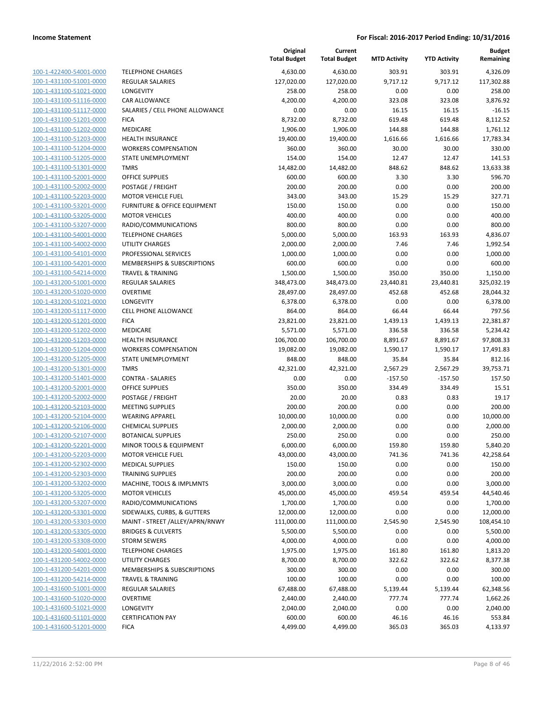|                                                    |                                                        | Original<br><b>Total Budget</b> | Current<br><b>Total Budget</b> | <b>MTD Activity</b>  | <b>YTD Activity</b>  | <b>Budget</b><br>Remaining |
|----------------------------------------------------|--------------------------------------------------------|---------------------------------|--------------------------------|----------------------|----------------------|----------------------------|
| 100-1-422400-54001-0000                            | <b>TELEPHONE CHARGES</b>                               | 4,630.00                        | 4,630.00                       | 303.91               | 303.91               | 4,326.09                   |
| 100-1-431100-51001-0000                            | <b>REGULAR SALARIES</b>                                | 127,020.00                      | 127,020.00                     | 9,717.12             | 9,717.12             | 117,302.88                 |
| 100-1-431100-51021-0000                            | LONGEVITY                                              | 258.00                          | 258.00                         | 0.00                 | 0.00                 | 258.00                     |
| 100-1-431100-51116-0000                            | <b>CAR ALLOWANCE</b>                                   | 4,200.00                        | 4,200.00                       | 323.08               | 323.08               | 3,876.92                   |
| 100-1-431100-51117-0000                            | SALARIES / CELL PHONE ALLOWANCE                        | 0.00                            | 0.00                           | 16.15                | 16.15                | $-16.15$                   |
| 100-1-431100-51201-0000                            | <b>FICA</b>                                            | 8,732.00                        | 8,732.00                       | 619.48               | 619.48               | 8,112.52                   |
| 100-1-431100-51202-0000                            | MEDICARE                                               | 1,906.00                        | 1,906.00                       | 144.88               | 144.88               | 1,761.12                   |
| 100-1-431100-51203-0000                            | <b>HEALTH INSURANCE</b>                                | 19,400.00                       | 19,400.00                      | 1,616.66             | 1,616.66             | 17,783.34                  |
| 100-1-431100-51204-0000                            | <b>WORKERS COMPENSATION</b>                            | 360.00                          | 360.00                         | 30.00                | 30.00                | 330.00                     |
| 100-1-431100-51205-0000                            | STATE UNEMPLOYMENT                                     | 154.00                          | 154.00                         | 12.47                | 12.47                | 141.53                     |
| 100-1-431100-51301-0000                            | <b>TMRS</b>                                            | 14,482.00                       | 14,482.00                      | 848.62               | 848.62               | 13,633.38                  |
| 100-1-431100-52001-0000                            | <b>OFFICE SUPPLIES</b>                                 | 600.00                          | 600.00                         | 3.30                 | 3.30                 | 596.70                     |
| 100-1-431100-52002-0000                            | POSTAGE / FREIGHT                                      | 200.00                          | 200.00                         | 0.00                 | 0.00                 | 200.00                     |
| 100-1-431100-52203-0000                            | <b>MOTOR VEHICLE FUEL</b>                              | 343.00                          | 343.00                         | 15.29                | 15.29                | 327.71                     |
| 100-1-431100-53201-0000                            | FURNITURE & OFFICE EQUIPMENT                           | 150.00                          | 150.00                         | 0.00                 | 0.00                 | 150.00                     |
| 100-1-431100-53205-0000                            | <b>MOTOR VEHICLES</b>                                  | 400.00                          | 400.00                         | 0.00                 | 0.00                 | 400.00                     |
| 100-1-431100-53207-0000                            | RADIO/COMMUNICATIONS                                   | 800.00                          | 800.00                         | 0.00                 | 0.00                 | 800.00                     |
| 100-1-431100-54001-0000                            | <b>TELEPHONE CHARGES</b>                               | 5,000.00                        | 5,000.00                       | 163.93               | 163.93               | 4,836.07                   |
| 100-1-431100-54002-0000                            | <b>UTILITY CHARGES</b>                                 | 2,000.00                        | 2,000.00                       | 7.46                 | 7.46                 | 1,992.54                   |
| 100-1-431100-54101-0000                            | PROFESSIONAL SERVICES                                  | 1,000.00                        | 1,000.00                       | 0.00                 | 0.00                 | 1,000.00                   |
| 100-1-431100-54201-0000                            | MEMBERSHIPS & SUBSCRIPTIONS                            | 600.00                          | 600.00                         | 0.00                 | 0.00                 | 600.00                     |
| 100-1-431100-54214-0000                            | <b>TRAVEL &amp; TRAINING</b>                           | 1,500.00                        | 1,500.00                       | 350.00               | 350.00               | 1,150.00                   |
| 100-1-431200-51001-0000                            | <b>REGULAR SALARIES</b>                                | 348,473.00                      | 348,473.00                     | 23,440.81            | 23,440.81            | 325,032.19                 |
| 100-1-431200-51020-0000                            | <b>OVERTIME</b>                                        | 28,497.00                       | 28,497.00                      | 452.68               | 452.68               | 28,044.32                  |
| 100-1-431200-51021-0000                            | <b>LONGEVITY</b>                                       | 6,378.00                        | 6,378.00                       | 0.00                 | 0.00                 | 6,378.00                   |
| 100-1-431200-51117-0000                            | <b>CELL PHONE ALLOWANCE</b>                            | 864.00                          | 864.00                         | 66.44                | 66.44                | 797.56                     |
| 100-1-431200-51201-0000                            | <b>FICA</b>                                            | 23,821.00                       | 23,821.00                      | 1,439.13             | 1,439.13             | 22,381.87                  |
| 100-1-431200-51202-0000                            | MEDICARE                                               | 5,571.00                        | 5,571.00                       | 336.58               | 336.58               | 5,234.42                   |
| 100-1-431200-51203-0000<br>100-1-431200-51204-0000 | <b>HEALTH INSURANCE</b><br><b>WORKERS COMPENSATION</b> | 106,700.00<br>19,082.00         | 106,700.00<br>19,082.00        | 8,891.67<br>1,590.17 | 8,891.67<br>1,590.17 | 97,808.33<br>17,491.83     |
| 100-1-431200-51205-0000                            | STATE UNEMPLOYMENT                                     | 848.00                          | 848.00                         | 35.84                | 35.84                | 812.16                     |
| 100-1-431200-51301-0000                            | <b>TMRS</b>                                            | 42,321.00                       | 42,321.00                      | 2,567.29             | 2,567.29             | 39,753.71                  |
| 100-1-431200-51401-0000                            | <b>CONTRA - SALARIES</b>                               | 0.00                            | 0.00                           | $-157.50$            | $-157.50$            | 157.50                     |
| 100-1-431200-52001-0000                            | <b>OFFICE SUPPLIES</b>                                 | 350.00                          | 350.00                         | 334.49               | 334.49               | 15.51                      |
| 100-1-431200-52002-0000                            | POSTAGE / FREIGHT                                      | 20.00                           | 20.00                          | 0.83                 | 0.83                 | 19.17                      |
| 100-1-431200-52103-0000                            | <b>MEETING SUPPLIES</b>                                | 200.00                          | 200.00                         | 0.00                 | 0.00                 | 200.00                     |
| 100-1-431200-52104-0000                            | <b>WEARING APPAREL</b>                                 | 10,000.00                       | 10,000.00                      | 0.00                 | 0.00                 | 10,000.00                  |
| 100-1-431200-52106-0000                            | <b>CHEMICAL SUPPLIES</b>                               | 2,000.00                        | 2,000.00                       | 0.00                 | 0.00                 | 2,000.00                   |
| 100-1-431200-52107-0000                            | <b>BOTANICAL SUPPLIES</b>                              | 250.00                          | 250.00                         | 0.00                 | 0.00                 | 250.00                     |
| 100-1-431200-52201-0000                            | <b>MINOR TOOLS &amp; EQUIPMENT</b>                     | 6,000.00                        | 6,000.00                       | 159.80               | 159.80               | 5,840.20                   |
| 100-1-431200-52203-0000                            | <b>MOTOR VEHICLE FUEL</b>                              | 43,000.00                       | 43,000.00                      | 741.36               | 741.36               | 42,258.64                  |
| 100-1-431200-52302-0000                            | <b>MEDICAL SUPPLIES</b>                                | 150.00                          | 150.00                         | 0.00                 | 0.00                 | 150.00                     |
| 100-1-431200-52303-0000                            | <b>TRAINING SUPPLIES</b>                               | 200.00                          | 200.00                         | 0.00                 | 0.00                 | 200.00                     |
| 100-1-431200-53202-0000                            | MACHINE, TOOLS & IMPLMNTS                              | 3,000.00                        | 3,000.00                       | 0.00                 | 0.00                 | 3,000.00                   |
| 100-1-431200-53205-0000                            | <b>MOTOR VEHICLES</b>                                  | 45,000.00                       | 45,000.00                      | 459.54               | 459.54               | 44,540.46                  |
| 100-1-431200-53207-0000                            | RADIO/COMMUNICATIONS                                   | 1,700.00                        | 1,700.00                       | 0.00                 | 0.00                 | 1,700.00                   |
| 100-1-431200-53301-0000                            | SIDEWALKS, CURBS, & GUTTERS                            | 12,000.00                       | 12,000.00                      | 0.00                 | 0.00                 | 12,000.00                  |
| 100-1-431200-53303-0000                            | MAINT - STREET /ALLEY/APRN/RNWY                        | 111,000.00                      | 111,000.00                     | 2,545.90             | 2,545.90             | 108,454.10                 |
| 100-1-431200-53305-0000                            | <b>BRIDGES &amp; CULVERTS</b>                          | 5,500.00                        | 5,500.00                       | 0.00                 | 0.00                 | 5,500.00                   |
| 100-1-431200-53308-0000                            | <b>STORM SEWERS</b>                                    | 4,000.00                        | 4,000.00                       | 0.00                 | 0.00                 | 4,000.00                   |
| 100-1-431200-54001-0000                            | <b>TELEPHONE CHARGES</b>                               | 1,975.00                        | 1,975.00                       | 161.80               | 161.80               | 1,813.20                   |
| 100-1-431200-54002-0000                            | UTILITY CHARGES                                        | 8,700.00                        | 8,700.00                       | 322.62               | 322.62               | 8,377.38                   |
| 100-1-431200-54201-0000                            | MEMBERSHIPS & SUBSCRIPTIONS                            | 300.00                          | 300.00                         | 0.00                 | 0.00                 | 300.00                     |
| 100-1-431200-54214-0000                            | <b>TRAVEL &amp; TRAINING</b>                           | 100.00                          | 100.00                         | 0.00                 | 0.00                 | 100.00                     |
| 100-1-431600-51001-0000                            | REGULAR SALARIES                                       | 67,488.00                       | 67,488.00                      | 5,139.44             | 5,139.44             | 62,348.56                  |
| 100-1-431600-51020-0000                            | <b>OVERTIME</b>                                        | 2,440.00                        | 2,440.00                       | 777.74               | 777.74               | 1,662.26                   |
| 100-1-431600-51021-0000                            | LONGEVITY                                              | 2,040.00                        | 2,040.00                       | 0.00                 | 0.00                 | 2,040.00                   |
| 100-1-431600-51101-0000                            | <b>CERTIFICATION PAY</b>                               | 600.00                          | 600.00                         | 46.16                | 46.16                | 553.84                     |
| 100-1-431600-51201-0000                            | <b>FICA</b>                                            | 4,499.00                        | 4,499.00                       | 365.03               | 365.03               | 4,133.97                   |
|                                                    |                                                        |                                 |                                |                      |                      |                            |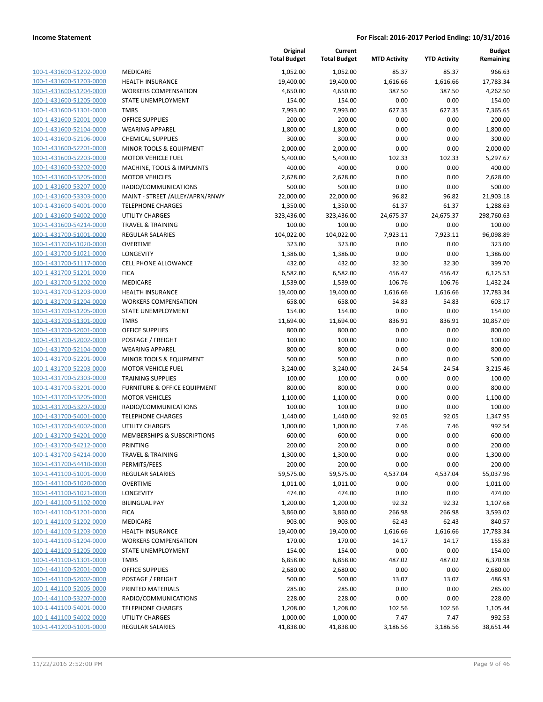| 100-1-431600-51202-0000                            |
|----------------------------------------------------|
| 100-1-431600-51203-0000                            |
| 100-1-431600-51204-0000                            |
| 100-1-431600-51205-0000                            |
| 100-1-431600-51301-0000                            |
| $100 - 1$<br>-431600-52001-0000                    |
| 100-1-431600-52104-0000                            |
| 100-1-431600-52106-0000                            |
| 100-1-431600-52201-0000                            |
| 100-1-431600-52203-0000                            |
| $100 - 1$<br>-431600-53202-0000                    |
| 100-1-431600-53205-0000                            |
| 100-1-431600-53207-0000                            |
| 100-1-431600-53303-0000                            |
| 100-1-431600-54001-0000                            |
| $100 - 1$<br>-431600-54002-0000                    |
| 100-1-431600-54214-0000                            |
| 100-1-431700-51001-0000                            |
| <u>100-1-431700-51020-0000</u>                     |
| 100-1-431700-51021-0000                            |
| -431700-51117-0000<br>$100 - 1$                    |
| 100-1-431700-51201-0000                            |
| 100-1-431700-51202-0000                            |
|                                                    |
| 100-1-431700-51203-0000<br>100-1-431700-51204-0000 |
| -431700-51205-0000                                 |
| $100 - 1$                                          |
| 100-1-431700-51301-0000                            |
| 100-1-431700-52001-0000                            |
| <u>100-1-431700-52002-0000</u>                     |
| 100-1-431700-52104-0000                            |
| -431700-52201-0000<br>$100 - 1$                    |
| 100-1-431700-52203-0000                            |
| 100-1-431700-52303-0000                            |
| <u>100-1-431700-53201-0000</u>                     |
| 100-1-431700-53205-0000                            |
| -431700-53207-0000<br>$100 - 1$                    |
| 100-1-431700-54001-0000                            |
| 100-1-431700-54002-0000                            |
| 100-1-431700-54201-0000                            |
| 100-1-431700-54212-0000                            |
| -431700-54214-0000<br>$100 - 1$                    |
| <u>100-1-431700-54410-0000</u>                     |
| 100-1-441100-51001-0000                            |
| <u>100-1-441100-51020-0000</u>                     |
| 100-1-441100-51021-0000                            |
| 100-1-441100-51102-0000                            |
| 100-1-441100-51201-0000                            |
| 100-1-441100-51202-0000                            |
| <u>100-1-441100-51203-0000</u>                     |
| 100-1-441100-51204-0000                            |
| 100-1-441100-51205-0000                            |
| 100-1-441100-51301-0000                            |
| 100-1-441100-52001-0000                            |
| <u>100-1-441100-52002-0000</u>                     |
| 100-1-441100-52005-0000                            |
| <u>100-1-441100-53207-0000</u>                     |
| 100-1-441100-54001-0000                            |
| 100-1-441100-54002-0000                            |
|                                                    |
| <u>100-1-441200-51001-0000</u>                     |

|                         |                                 | Original<br><b>Total Budget</b> | Current<br><b>Total Budget</b> | <b>MTD Activity</b> | <b>YTD Activity</b> | <b>Budget</b><br>Remaining |
|-------------------------|---------------------------------|---------------------------------|--------------------------------|---------------------|---------------------|----------------------------|
| 100-1-431600-51202-0000 | <b>MEDICARE</b>                 | 1,052.00                        | 1,052.00                       | 85.37               | 85.37               | 966.63                     |
| 100-1-431600-51203-0000 | <b>HEALTH INSURANCE</b>         | 19,400.00                       | 19,400.00                      | 1,616.66            | 1,616.66            | 17,783.34                  |
| 100-1-431600-51204-0000 | <b>WORKERS COMPENSATION</b>     | 4,650.00                        | 4,650.00                       | 387.50              | 387.50              | 4,262.50                   |
| 100-1-431600-51205-0000 | STATE UNEMPLOYMENT              | 154.00                          | 154.00                         | 0.00                | 0.00                | 154.00                     |
| 100-1-431600-51301-0000 | <b>TMRS</b>                     | 7,993.00                        | 7,993.00                       | 627.35              | 627.35              | 7,365.65                   |
| 100-1-431600-52001-0000 | <b>OFFICE SUPPLIES</b>          | 200.00                          | 200.00                         | 0.00                | 0.00                | 200.00                     |
| 100-1-431600-52104-0000 | <b>WEARING APPAREL</b>          | 1,800.00                        | 1,800.00                       | 0.00                | 0.00                | 1,800.00                   |
| 100-1-431600-52106-0000 | <b>CHEMICAL SUPPLIES</b>        | 300.00                          | 300.00                         | 0.00                | 0.00                | 300.00                     |
| 100-1-431600-52201-0000 | MINOR TOOLS & EQUIPMENT         | 2,000.00                        | 2,000.00                       | 0.00                | 0.00                | 2,000.00                   |
| 100-1-431600-52203-0000 | <b>MOTOR VEHICLE FUEL</b>       | 5,400.00                        | 5,400.00                       | 102.33              | 102.33              | 5,297.67                   |
| 100-1-431600-53202-0000 | MACHINE, TOOLS & IMPLMNTS       | 400.00                          | 400.00                         | 0.00                | 0.00                | 400.00                     |
| 100-1-431600-53205-0000 | <b>MOTOR VEHICLES</b>           | 2,628.00                        | 2,628.00                       | 0.00                | 0.00                | 2,628.00                   |
| 100-1-431600-53207-0000 | RADIO/COMMUNICATIONS            | 500.00                          | 500.00                         | 0.00                | 0.00                | 500.00                     |
| 100-1-431600-53303-0000 | MAINT - STREET /ALLEY/APRN/RNWY | 22,000.00                       | 22,000.00                      | 96.82               | 96.82               | 21,903.18                  |
| 100-1-431600-54001-0000 | <b>TELEPHONE CHARGES</b>        | 1,350.00                        | 1,350.00                       | 61.37               | 61.37               | 1,288.63                   |
| 100-1-431600-54002-0000 | <b>UTILITY CHARGES</b>          | 323,436.00                      | 323,436.00                     | 24,675.37           | 24,675.37           | 298,760.63                 |
| 100-1-431600-54214-0000 | <b>TRAVEL &amp; TRAINING</b>    | 100.00                          | 100.00                         | 0.00                | 0.00                | 100.00                     |
| 100-1-431700-51001-0000 | <b>REGULAR SALARIES</b>         | 104,022.00                      | 104,022.00                     | 7,923.11            | 7,923.11            | 96,098.89                  |
| 100-1-431700-51020-0000 | <b>OVERTIME</b>                 | 323.00                          | 323.00                         | 0.00                | 0.00                | 323.00                     |
| 100-1-431700-51021-0000 | LONGEVITY                       | 1,386.00                        | 1,386.00                       | 0.00                | 0.00                | 1,386.00                   |
| 100-1-431700-51117-0000 | <b>CELL PHONE ALLOWANCE</b>     | 432.00                          | 432.00                         | 32.30               | 32.30               | 399.70                     |
| 100-1-431700-51201-0000 | <b>FICA</b>                     | 6,582.00                        | 6,582.00                       | 456.47              | 456.47              | 6,125.53                   |
| 100-1-431700-51202-0000 | MEDICARE                        | 1,539.00                        | 1,539.00                       | 106.76              | 106.76              | 1,432.24                   |
| 100-1-431700-51203-0000 | <b>HEALTH INSURANCE</b>         | 19,400.00                       | 19,400.00                      | 1,616.66            | 1,616.66            | 17,783.34                  |
| 100-1-431700-51204-0000 | <b>WORKERS COMPENSATION</b>     | 658.00                          | 658.00                         | 54.83               | 54.83               | 603.17                     |
| 100-1-431700-51205-0000 | STATE UNEMPLOYMENT              | 154.00                          | 154.00                         | 0.00                | 0.00                | 154.00                     |
| 100-1-431700-51301-0000 | <b>TMRS</b>                     | 11,694.00                       | 11,694.00                      | 836.91              | 836.91              | 10,857.09                  |
| 100-1-431700-52001-0000 | <b>OFFICE SUPPLIES</b>          | 800.00                          | 800.00                         | 0.00                | 0.00                | 800.00                     |
| 100-1-431700-52002-0000 | POSTAGE / FREIGHT               | 100.00                          | 100.00                         | 0.00                | 0.00                | 100.00                     |
| 100-1-431700-52104-0000 | <b>WEARING APPAREL</b>          | 800.00                          | 800.00                         | 0.00                | 0.00                | 800.00                     |
| 100-1-431700-52201-0000 | MINOR TOOLS & EQUIPMENT         | 500.00                          | 500.00                         | 0.00                | 0.00                | 500.00                     |
| 100-1-431700-52203-0000 | <b>MOTOR VEHICLE FUEL</b>       | 3,240.00                        | 3,240.00                       | 24.54               | 24.54               | 3,215.46                   |
| 100-1-431700-52303-0000 | <b>TRAINING SUPPLIES</b>        | 100.00                          | 100.00                         | 0.00                | 0.00                | 100.00                     |
| 100-1-431700-53201-0000 | FURNITURE & OFFICE EQUIPMENT    | 800.00                          | 800.00                         | 0.00                | 0.00                | 800.00                     |
| 100-1-431700-53205-0000 | <b>MOTOR VEHICLES</b>           | 1,100.00                        | 1,100.00                       | 0.00                | 0.00                | 1,100.00                   |
| 100-1-431700-53207-0000 | RADIO/COMMUNICATIONS            | 100.00                          | 100.00                         | 0.00                | 0.00                | 100.00                     |
| 100-1-431700-54001-0000 | <b>TELEPHONE CHARGES</b>        | 1,440.00                        | 1,440.00                       | 92.05               | 92.05               | 1,347.95                   |
| 100-1-431700-54002-0000 | <b>UTILITY CHARGES</b>          | 1,000.00                        | 1,000.00                       | 7.46                | 7.46                | 992.54                     |
| 100-1-431700-54201-0000 | MEMBERSHIPS & SUBSCRIPTIONS     | 600.00                          | 600.00                         | 0.00                | 0.00                | 600.00                     |
| 100-1-431700-54212-0000 | PRINTING                        | 200.00                          | 200.00                         | 0.00                | 0.00                | 200.00                     |
| 100-1-431700-54214-0000 | <b>TRAVEL &amp; TRAINING</b>    | 1,300.00                        | 1,300.00                       | 0.00                | 0.00                | 1,300.00                   |
| 100-1-431700-54410-0000 | PERMITS/FEES                    | 200.00                          | 200.00                         | 0.00                | 0.00                | 200.00                     |
| 100-1-441100-51001-0000 | <b>REGULAR SALARIES</b>         | 59,575.00                       | 59,575.00                      | 4,537.04            | 4,537.04            | 55,037.96                  |
| 100-1-441100-51020-0000 | <b>OVERTIME</b>                 | 1,011.00                        | 1,011.00                       | 0.00                | 0.00                | 1,011.00                   |
| 100-1-441100-51021-0000 | LONGEVITY                       | 474.00                          | 474.00                         | 0.00                | 0.00                | 474.00                     |
| 100-1-441100-51102-0000 | <b>BILINGUAL PAY</b>            | 1,200.00                        | 1,200.00                       | 92.32               | 92.32               | 1,107.68                   |
| 100-1-441100-51201-0000 | <b>FICA</b>                     | 3,860.00                        | 3,860.00                       | 266.98              | 266.98              | 3,593.02                   |
| 100-1-441100-51202-0000 | MEDICARE                        | 903.00                          | 903.00                         | 62.43               | 62.43               | 840.57                     |
| 100-1-441100-51203-0000 | <b>HEALTH INSURANCE</b>         | 19,400.00                       | 19,400.00                      | 1,616.66            | 1,616.66            | 17,783.34                  |
| 100-1-441100-51204-0000 | <b>WORKERS COMPENSATION</b>     | 170.00                          | 170.00                         | 14.17               | 14.17               | 155.83                     |
| 100-1-441100-51205-0000 | STATE UNEMPLOYMENT              | 154.00                          | 154.00                         | 0.00                | 0.00                | 154.00                     |
| 100-1-441100-51301-0000 | <b>TMRS</b>                     | 6,858.00                        | 6,858.00                       | 487.02              | 487.02              | 6,370.98                   |
| 100-1-441100-52001-0000 | <b>OFFICE SUPPLIES</b>          | 2,680.00                        | 2,680.00                       | 0.00                | 0.00                | 2,680.00                   |
| 100-1-441100-52002-0000 | POSTAGE / FREIGHT               | 500.00                          | 500.00                         | 13.07               | 13.07               | 486.93                     |
| 100-1-441100-52005-0000 | PRINTED MATERIALS               | 285.00                          | 285.00                         | 0.00                | 0.00                | 285.00                     |
| 100-1-441100-53207-0000 | RADIO/COMMUNICATIONS            | 228.00                          | 228.00                         | 0.00                | 0.00                | 228.00                     |
| 100-1-441100-54001-0000 | <b>TELEPHONE CHARGES</b>        | 1,208.00                        | 1,208.00                       | 102.56              | 102.56              | 1,105.44                   |
| 100-1-441100-54002-0000 | <b>UTILITY CHARGES</b>          | 1,000.00                        | 1,000.00                       | 7.47                | 7.47                | 992.53                     |
| 100-1-441200-51001-0000 | <b>REGULAR SALARIES</b>         | 41,838.00                       | 41,838.00                      | 3,186.56            | 3,186.56            | 38,651.44                  |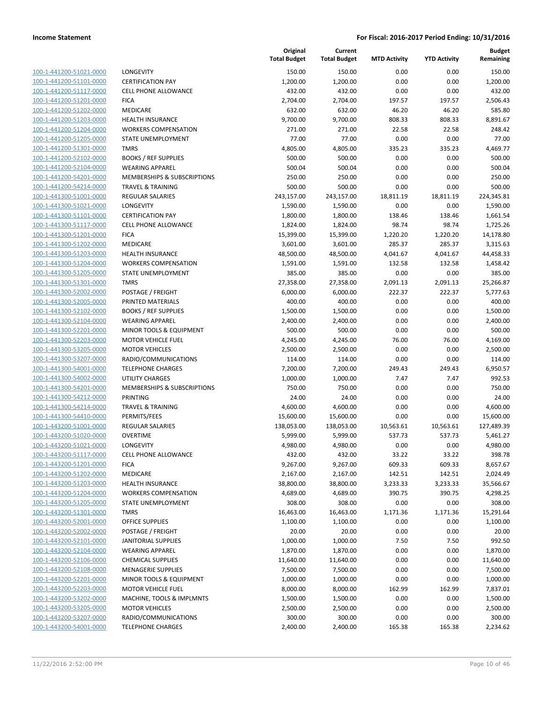| 100-1-441200-51021-0000         |
|---------------------------------|
| 100-1-441200-51101-0000         |
| 100-1-441200-51117-0000         |
| 100-1-441200-51201-0000         |
| 100-1-441200-51202-0000         |
| 100-1-441200-51203-0000         |
| 100-1-441200-51204-0000         |
| 100-1-441200-51205-0000         |
| 100-1-441200-51301-0000         |
| 100-1-441200-52102-0000         |
| 100-1-441200-52104-0000         |
| 100-1-441200-54201-0000         |
| 100-1-441200-54214-0000         |
| 100-1-441300-51001-0000         |
| 100-1-441300-51021-0000         |
| 100-1-441300-51101-0000         |
| 100-1-441300-51117-0000         |
| 100-1-441300-51201-0000         |
|                                 |
| 100-1-441300-51202-0000         |
| 100-1-441300-51203-0000         |
| 100-1-441300-51204-0000         |
| 100-1-441300-51205-0000         |
| 100-1-441300-51301-0000         |
| 100-1-441300-52002-0000         |
| 100-1-441300-52005-0000         |
| 100-1-441300-52102-0000         |
| 100-1-441300-52104-0000         |
| 100-1-441300-52201-0000         |
| 100-1-441300-52203-0000         |
| 100-1-441300-53205-0000         |
| 100-1-441300-53207-0000         |
| 100-1-441300-54001-0000         |
| 100-1-441300-54002-0000         |
| 100-1-441300-54201-0000         |
| 100-1-441300-54212-0000         |
| 100-1-441300-54214-0000         |
| 100-1-441300-54410-0000         |
| 100-1-443200-51001-0000         |
| 100-1-443200-51020-0000         |
| 100-1-443200-51021-0000         |
| $100 - 1$<br>-443200-51117-0000 |
| 100-1-443200-51201-0000         |
| 100-1-443200-51202-0000         |
| <u>100-1-443200-51203-0000</u>  |
| <u>100-1-443200-51204-0000</u>  |
| <u>100-1-443200-51205-0000</u>  |
| 100-1-443200-51301-0000         |
| 100-1-443200-52001-0000         |
| <u>100-1-443200-52002-0000</u>  |
| 100-1-443200-52101-0000         |
|                                 |
| <u>100-1-443200-52104-0000</u>  |
| 100-1-443200-52106-0000         |
| <u>100-1-443200-52108-0000</u>  |
| <u>100-1-443200-52201-0000</u>  |
| <u>100-1-443200-52203-0000</u>  |
| <u>100-1-443200-53202-0000</u>  |
| 100-1-443200-53205-0000         |
| <u>100-1-443200-53207-0000</u>  |
| <u>100-1-443200-54001-0000</u>  |

|                                                    |                                                    | Original<br><b>Total Budget</b> | Current<br><b>Total Budget</b> | <b>MTD Activity</b> | <b>YTD Activity</b> | <b>Budget</b><br>Remaining |
|----------------------------------------------------|----------------------------------------------------|---------------------------------|--------------------------------|---------------------|---------------------|----------------------------|
| 100-1-441200-51021-0000                            | LONGEVITY                                          | 150.00                          | 150.00                         | 0.00                | 0.00                | 150.00                     |
| 100-1-441200-51101-0000                            | <b>CERTIFICATION PAY</b>                           | 1,200.00                        | 1,200.00                       | 0.00                | 0.00                | 1,200.00                   |
| 100-1-441200-51117-0000                            | <b>CELL PHONE ALLOWANCE</b>                        | 432.00                          | 432.00                         | 0.00                | 0.00                | 432.00                     |
| 100-1-441200-51201-0000                            | <b>FICA</b>                                        | 2,704.00                        | 2,704.00                       | 197.57              | 197.57              | 2,506.43                   |
| 100-1-441200-51202-0000                            | <b>MEDICARE</b>                                    | 632.00                          | 632.00                         | 46.20               | 46.20               | 585.80                     |
| 100-1-441200-51203-0000                            | <b>HEALTH INSURANCE</b>                            | 9,700.00                        | 9,700.00                       | 808.33              | 808.33              | 8,891.67                   |
| 100-1-441200-51204-0000                            | <b>WORKERS COMPENSATION</b>                        | 271.00                          | 271.00                         | 22.58               | 22.58               | 248.42                     |
| 100-1-441200-51205-0000                            | STATE UNEMPLOYMENT                                 | 77.00                           | 77.00                          | 0.00                | 0.00                | 77.00                      |
| 100-1-441200-51301-0000                            | <b>TMRS</b>                                        | 4,805.00                        | 4,805.00                       | 335.23              | 335.23              | 4,469.77                   |
| 100-1-441200-52102-0000                            | <b>BOOKS / REF SUPPLIES</b>                        | 500.00                          | 500.00                         | 0.00                | 0.00                | 500.00                     |
| 100-1-441200-52104-0000                            | <b>WEARING APPAREL</b>                             | 500.04                          | 500.04                         | 0.00                | 0.00                | 500.04                     |
| 100-1-441200-54201-0000                            | MEMBERSHIPS & SUBSCRIPTIONS                        | 250.00                          | 250.00                         | 0.00                | 0.00                | 250.00                     |
| 100-1-441200-54214-0000                            | <b>TRAVEL &amp; TRAINING</b>                       | 500.00                          | 500.00                         | 0.00                | 0.00                | 500.00                     |
| 100-1-441300-51001-0000                            | <b>REGULAR SALARIES</b>                            | 243,157.00                      | 243,157.00                     | 18,811.19           | 18,811.19           | 224,345.81                 |
| 100-1-441300-51021-0000                            | LONGEVITY                                          | 1,590.00                        | 1,590.00                       | 0.00                | 0.00                | 1,590.00                   |
| 100-1-441300-51101-0000                            | <b>CERTIFICATION PAY</b>                           | 1,800.00                        | 1,800.00                       | 138.46              | 138.46              | 1,661.54                   |
| 100-1-441300-51117-0000                            | <b>CELL PHONE ALLOWANCE</b>                        | 1,824.00                        | 1,824.00                       | 98.74               | 98.74               | 1,725.26                   |
| 100-1-441300-51201-0000                            | <b>FICA</b>                                        | 15,399.00                       | 15,399.00                      | 1,220.20            | 1,220.20            | 14,178.80                  |
| 100-1-441300-51202-0000                            | MEDICARE                                           | 3,601.00                        | 3,601.00                       | 285.37              | 285.37              | 3,315.63                   |
| 100-1-441300-51203-0000                            | HEALTH INSURANCE                                   | 48,500.00                       | 48,500.00                      | 4,041.67            | 4,041.67            | 44,458.33                  |
| 100-1-441300-51204-0000                            | <b>WORKERS COMPENSATION</b>                        | 1,591.00                        | 1,591.00                       | 132.58              | 132.58              | 1,458.42                   |
| 100-1-441300-51205-0000                            | <b>STATE UNEMPLOYMENT</b>                          | 385.00                          | 385.00                         | 0.00                | 0.00                | 385.00                     |
| 100-1-441300-51301-0000                            | <b>TMRS</b>                                        | 27,358.00                       | 27,358.00                      | 2,091.13            | 2,091.13            | 25,266.87                  |
| 100-1-441300-52002-0000                            | POSTAGE / FREIGHT                                  | 6,000.00                        | 6,000.00                       | 222.37              | 222.37              | 5,777.63                   |
| 100-1-441300-52005-0000                            | PRINTED MATERIALS                                  | 400.00                          | 400.00                         | 0.00                | 0.00                | 400.00                     |
| 100-1-441300-52102-0000                            | <b>BOOKS / REF SUPPLIES</b>                        | 1,500.00                        | 1,500.00                       | 0.00                | 0.00                | 1,500.00                   |
| 100-1-441300-52104-0000                            | <b>WEARING APPAREL</b>                             | 2,400.00                        | 2,400.00                       | 0.00                | 0.00                | 2,400.00                   |
| 100-1-441300-52201-0000                            | MINOR TOOLS & EQUIPMENT                            | 500.00                          | 500.00                         | 0.00                | 0.00                | 500.00                     |
| 100-1-441300-52203-0000                            | <b>MOTOR VEHICLE FUEL</b>                          | 4,245.00                        | 4,245.00                       | 76.00               | 76.00               | 4,169.00                   |
| 100-1-441300-53205-0000<br>100-1-441300-53207-0000 | <b>MOTOR VEHICLES</b>                              | 2,500.00                        | 2,500.00                       | 0.00                | 0.00                | 2,500.00                   |
|                                                    | RADIO/COMMUNICATIONS                               | 114.00                          | 114.00                         | 0.00                | 0.00                | 114.00                     |
| 100-1-441300-54001-0000                            | <b>TELEPHONE CHARGES</b><br><b>UTILITY CHARGES</b> | 7,200.00                        | 7,200.00                       | 249.43<br>7.47      | 249.43<br>7.47      | 6,950.57<br>992.53         |
| 100-1-441300-54002-0000<br>100-1-441300-54201-0000 | MEMBERSHIPS & SUBSCRIPTIONS                        | 1,000.00<br>750.00              | 1,000.00<br>750.00             | 0.00                | 0.00                | 750.00                     |
| 100-1-441300-54212-0000                            | PRINTING                                           | 24.00                           | 24.00                          | 0.00                | 0.00                | 24.00                      |
| 100-1-441300-54214-0000                            | <b>TRAVEL &amp; TRAINING</b>                       | 4,600.00                        | 4,600.00                       | 0.00                | 0.00                | 4,600.00                   |
| 100-1-441300-54410-0000                            | PERMITS/FEES                                       | 15,600.00                       | 15,600.00                      | 0.00                | 0.00                | 15,600.00                  |
| 100-1-443200-51001-0000                            | <b>REGULAR SALARIES</b>                            | 138,053.00                      | 138,053.00                     | 10,563.61           | 10,563.61           | 127,489.39                 |
| 100-1-443200-51020-0000                            | <b>OVERTIME</b>                                    | 5,999.00                        | 5,999.00                       | 537.73              | 537.73              | 5,461.27                   |
| 100-1-443200-51021-0000                            | LONGEVITY                                          | 4,980.00                        | 4,980.00                       | 0.00                | 0.00                | 4,980.00                   |
| 100-1-443200-51117-0000                            | <b>CELL PHONE ALLOWANCE</b>                        | 432.00                          | 432.00                         | 33.22               | 33.22               | 398.78                     |
| 100-1-443200-51201-0000                            | <b>FICA</b>                                        | 9,267.00                        | 9,267.00                       | 609.33              | 609.33              | 8,657.67                   |
| 100-1-443200-51202-0000                            | MEDICARE                                           | 2,167.00                        | 2,167.00                       | 142.51              | 142.51              | 2,024.49                   |
| 100-1-443200-51203-0000                            | <b>HEALTH INSURANCE</b>                            | 38,800.00                       | 38,800.00                      | 3,233.33            | 3,233.33            | 35,566.67                  |
| 100-1-443200-51204-0000                            | <b>WORKERS COMPENSATION</b>                        | 4,689.00                        | 4,689.00                       | 390.75              | 390.75              | 4,298.25                   |
| 100-1-443200-51205-0000                            | STATE UNEMPLOYMENT                                 | 308.00                          | 308.00                         | 0.00                | 0.00                | 308.00                     |
| 100-1-443200-51301-0000                            | <b>TMRS</b>                                        | 16,463.00                       | 16,463.00                      | 1,171.36            | 1,171.36            | 15,291.64                  |
| 100-1-443200-52001-0000                            | <b>OFFICE SUPPLIES</b>                             | 1,100.00                        | 1,100.00                       | 0.00                | 0.00                | 1,100.00                   |
| 100-1-443200-52002-0000                            | POSTAGE / FREIGHT                                  | 20.00                           | 20.00                          | 0.00                | 0.00                | 20.00                      |
| 100-1-443200-52101-0000                            | JANITORIAL SUPPLIES                                | 1,000.00                        | 1,000.00                       | 7.50                | 7.50                | 992.50                     |
| 100-1-443200-52104-0000                            | <b>WEARING APPAREL</b>                             | 1,870.00                        | 1,870.00                       | 0.00                | 0.00                | 1,870.00                   |
| 100-1-443200-52106-0000                            | <b>CHEMICAL SUPPLIES</b>                           | 11,640.00                       | 11,640.00                      | 0.00                | 0.00                | 11,640.00                  |
| 100-1-443200-52108-0000                            | <b>MENAGERIE SUPPLIES</b>                          | 7,500.00                        | 7,500.00                       | 0.00                | 0.00                | 7,500.00                   |
| 100-1-443200-52201-0000                            | MINOR TOOLS & EQUIPMENT                            | 1,000.00                        | 1,000.00                       | 0.00                | 0.00                | 1,000.00                   |
| 100-1-443200-52203-0000                            | <b>MOTOR VEHICLE FUEL</b>                          | 8,000.00                        | 8,000.00                       | 162.99              | 162.99              | 7,837.01                   |
| 100-1-443200-53202-0000                            | MACHINE, TOOLS & IMPLMNTS                          | 1,500.00                        | 1,500.00                       | 0.00                | 0.00                | 1,500.00                   |
| 100-1-443200-53205-0000                            | <b>MOTOR VEHICLES</b>                              | 2,500.00                        | 2,500.00                       | 0.00                | 0.00                | 2,500.00                   |
| 100-1-443200-53207-0000                            | RADIO/COMMUNICATIONS                               | 300.00                          | 300.00                         | 0.00                | 0.00                | 300.00                     |
| 100-1-443200-54001-0000                            | <b>TELEPHONE CHARGES</b>                           | 2,400.00                        | 2,400.00                       | 165.38              | 165.38              | 2,234.62                   |
|                                                    |                                                    |                                 |                                |                     |                     |                            |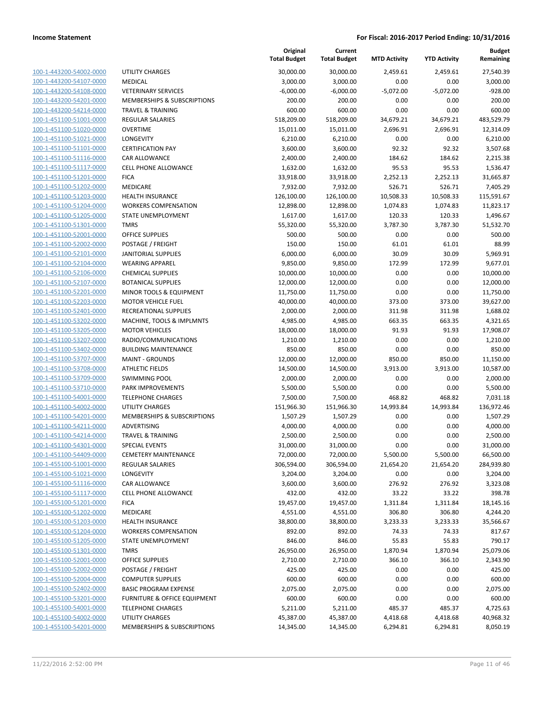| <u>100-1-443200-54002-0000</u> |
|--------------------------------|
| 100-1-443200-54107-0000        |
| 100-1-443200-54108-0000        |
| 100-1-443200-54201-0000        |
| <u>100-1-443200-54214-0000</u> |
| <u>100-1-451100-51001-0000</u> |
| 100-1-451100-51020-0000        |
| 100-1-451100-51021-0000        |
| 100-1-451100-51101-0000        |
| <u>100-1-451100-51116-0000</u> |
| <u>100-1-451100-51117-0000</u> |
| 100-1-451100-51201-0000        |
| 100-1-451100-51202-0000        |
| 100-1-451100-51203-0000        |
| <u>100-1-451100-51204-0000</u> |
| <u>100-1-451100-51205-0000</u> |
| 100-1-451100-51301-0000        |
| 100-1-451100-52001-0000        |
| 100-1-451100-52002-0000        |
| 100-1-451100-52101-0000        |
| 100-1-451100-52104-0000        |
| 100-1-451100-52106-0000        |
| 100-1-451100-52107-0000        |
| <u>100-1-451100-52201-0000</u> |
| 100-1-451100-52203-0000        |
| <u>100-1-451100-52401-0000</u> |
| 100-1-451100-53202-0000        |
| 100-1-451100-53205-0000        |
| 100-1-451100-53207-0000        |
| 100-1-451100-53402-0000        |
| <u>100-1-451100-53707-0000</u> |
| 100-1-451100-53708-0000        |
| 100-1-451100-53709-0000        |
| 100-1-451100-53710-0000        |
| <u>100-1-451100-54001-0000</u> |
| 100-1-451100-54002-0000        |
| 100-1-451100-54201-0000        |
| 100-1-451100-54211-0000        |
| 100-1-451100-54214-0000        |
| <u>100-1-451100-54301-0000</u> |
| 100-1-451100-54409-0000        |
| 455100-51001-<br>0000          |
| <u>100-1-455100-51021-0000</u> |
| <u>100-1-455100-51116-0000</u> |
| 100-1-455100-51117-0000        |
| 100-1-455100-51201-0000        |
| 100-1-455100-51202-0000        |
| 100-1-455100-51203-0000        |
| 100-1-455100-51204-0000        |
| <u>100-1-455100-51205-0000</u> |
| <u>100-1-455100-51301-0000</u> |
| 100-1-455100-52001-0000        |
| 100-1-455100-52002-0000        |
| 100-1-455100-52004-0000        |
| <u>100-1-455100-52402-0000</u> |
| <u>100-1-455100-53201-0000</u> |
|                                |
| 100-1-455100-54001-0000        |
| 100-1-455100-54002-0000        |
| 100-1-455100-54201-0000        |

|                         |                                                 | Original<br><b>Total Budget</b> | Current<br><b>Total Budget</b> | <b>MTD Activity</b> | <b>YTD Activity</b> | <b>Budget</b><br>Remaining |
|-------------------------|-------------------------------------------------|---------------------------------|--------------------------------|---------------------|---------------------|----------------------------|
| 100-1-443200-54002-0000 | <b>UTILITY CHARGES</b>                          | 30,000.00                       | 30,000.00                      | 2,459.61            | 2,459.61            | 27,540.39                  |
| 100-1-443200-54107-0000 | <b>MEDICAL</b>                                  | 3,000.00                        | 3,000.00                       | 0.00                | 0.00                | 3,000.00                   |
| 100-1-443200-54108-0000 | <b>VETERINARY SERVICES</b>                      | $-6,000.00$                     | $-6,000.00$                    | $-5,072.00$         | $-5,072.00$         | $-928.00$                  |
| 100-1-443200-54201-0000 | MEMBERSHIPS & SUBSCRIPTIONS                     | 200.00                          | 200.00                         | 0.00                | 0.00                | 200.00                     |
| 100-1-443200-54214-0000 | <b>TRAVEL &amp; TRAINING</b>                    | 600.00                          | 600.00                         | 0.00                | 0.00                | 600.00                     |
| 100-1-451100-51001-0000 | <b>REGULAR SALARIES</b>                         | 518,209.00                      | 518,209.00                     | 34,679.21           | 34,679.21           | 483,529.79                 |
| 100-1-451100-51020-0000 | <b>OVERTIME</b>                                 | 15,011.00                       | 15,011.00                      | 2,696.91            | 2,696.91            | 12,314.09                  |
| 100-1-451100-51021-0000 | LONGEVITY                                       | 6,210.00                        | 6,210.00                       | 0.00                | 0.00                | 6,210.00                   |
| 100-1-451100-51101-0000 | <b>CERTIFICATION PAY</b>                        | 3,600.00                        | 3,600.00                       | 92.32               | 92.32               | 3,507.68                   |
| 100-1-451100-51116-0000 | <b>CAR ALLOWANCE</b>                            | 2,400.00                        | 2,400.00                       | 184.62              | 184.62              | 2,215.38                   |
| 100-1-451100-51117-0000 | <b>CELL PHONE ALLOWANCE</b>                     | 1,632.00                        | 1,632.00                       | 95.53               | 95.53               | 1,536.47                   |
| 100-1-451100-51201-0000 | <b>FICA</b>                                     | 33,918.00                       | 33,918.00                      | 2,252.13            | 2,252.13            | 31,665.87                  |
| 100-1-451100-51202-0000 | MEDICARE                                        | 7,932.00                        | 7,932.00                       | 526.71              | 526.71              | 7,405.29                   |
| 100-1-451100-51203-0000 | <b>HEALTH INSURANCE</b>                         | 126,100.00                      | 126,100.00                     | 10,508.33           | 10,508.33           | 115,591.67                 |
| 100-1-451100-51204-0000 | <b>WORKERS COMPENSATION</b>                     | 12,898.00                       | 12,898.00                      | 1,074.83            | 1,074.83            | 11,823.17                  |
| 100-1-451100-51205-0000 | STATE UNEMPLOYMENT                              | 1,617.00                        | 1,617.00                       | 120.33              | 120.33              | 1,496.67                   |
| 100-1-451100-51301-0000 | <b>TMRS</b>                                     | 55,320.00                       | 55,320.00                      | 3,787.30            | 3,787.30            | 51,532.70                  |
| 100-1-451100-52001-0000 | <b>OFFICE SUPPLIES</b>                          | 500.00                          | 500.00                         | 0.00                | 0.00                | 500.00                     |
| 100-1-451100-52002-0000 |                                                 |                                 |                                |                     |                     | 88.99                      |
| 100-1-451100-52101-0000 | POSTAGE / FREIGHT<br><b>JANITORIAL SUPPLIES</b> | 150.00                          | 150.00                         | 61.01               | 61.01<br>30.09      |                            |
|                         |                                                 | 6,000.00                        | 6,000.00                       | 30.09               |                     | 5,969.91                   |
| 100-1-451100-52104-0000 | <b>WEARING APPAREL</b>                          | 9,850.00                        | 9,850.00                       | 172.99              | 172.99              | 9,677.01                   |
| 100-1-451100-52106-0000 | <b>CHEMICAL SUPPLIES</b>                        | 10,000.00                       | 10,000.00                      | 0.00                | 0.00                | 10,000.00                  |
| 100-1-451100-52107-0000 | <b>BOTANICAL SUPPLIES</b>                       | 12,000.00                       | 12,000.00                      | 0.00                | 0.00                | 12,000.00                  |
| 100-1-451100-52201-0000 | MINOR TOOLS & EQUIPMENT                         | 11,750.00                       | 11,750.00                      | 0.00                | 0.00                | 11,750.00                  |
| 100-1-451100-52203-0000 | <b>MOTOR VEHICLE FUEL</b>                       | 40,000.00                       | 40,000.00                      | 373.00              | 373.00              | 39,627.00                  |
| 100-1-451100-52401-0000 | RECREATIONAL SUPPLIES                           | 2,000.00                        | 2,000.00                       | 311.98              | 311.98              | 1,688.02                   |
| 100-1-451100-53202-0000 | MACHINE, TOOLS & IMPLMNTS                       | 4,985.00                        | 4,985.00                       | 663.35              | 663.35              | 4,321.65                   |
| 100-1-451100-53205-0000 | <b>MOTOR VEHICLES</b>                           | 18,000.00                       | 18,000.00                      | 91.93               | 91.93               | 17,908.07                  |
| 100-1-451100-53207-0000 | RADIO/COMMUNICATIONS                            | 1,210.00                        | 1,210.00                       | 0.00                | 0.00                | 1,210.00                   |
| 100-1-451100-53402-0000 | <b>BUILDING MAINTENANCE</b>                     | 850.00                          | 850.00                         | 0.00                | 0.00                | 850.00                     |
| 100-1-451100-53707-0000 | <b>MAINT - GROUNDS</b>                          | 12,000.00                       | 12,000.00                      | 850.00              | 850.00              | 11,150.00                  |
| 100-1-451100-53708-0000 | <b>ATHLETIC FIELDS</b>                          | 14,500.00                       | 14,500.00                      | 3,913.00            | 3,913.00            | 10,587.00                  |
| 100-1-451100-53709-0000 | <b>SWIMMING POOL</b>                            | 2,000.00                        | 2,000.00                       | 0.00                | 0.00                | 2,000.00                   |
| 100-1-451100-53710-0000 | PARK IMPROVEMENTS                               | 5,500.00                        | 5,500.00                       | 0.00                | 0.00                | 5,500.00                   |
| 100-1-451100-54001-0000 | <b>TELEPHONE CHARGES</b>                        | 7,500.00                        | 7,500.00                       | 468.82              | 468.82              | 7,031.18                   |
| 100-1-451100-54002-0000 | UTILITY CHARGES                                 | 151,966.30                      | 151,966.30                     | 14,993.84           | 14,993.84           | 136,972.46                 |
| 100-1-451100-54201-0000 | MEMBERSHIPS & SUBSCRIPTIONS                     | 1,507.29                        | 1,507.29                       | 0.00                | 0.00                | 1,507.29                   |
| 100-1-451100-54211-0000 | ADVERTISING                                     | 4,000.00                        | 4,000.00                       | 0.00                | 0.00                | 4,000.00                   |
| 100-1-451100-54214-0000 | <b>TRAVEL &amp; TRAINING</b>                    | 2,500.00                        | 2,500.00                       | 0.00                | 0.00                | 2,500.00                   |
| 100-1-451100-54301-0000 | <b>SPECIAL EVENTS</b>                           | 31,000.00                       | 31,000.00                      | 0.00                | 0.00                | 31,000.00                  |
| 100-1-451100-54409-0000 | <b>CEMETERY MAINTENANCE</b>                     | 72,000.00                       | 72,000.00                      | 5,500.00            | 5,500.00            | 66,500.00                  |
| 100-1-455100-51001-0000 | <b>REGULAR SALARIES</b>                         | 306,594.00                      | 306,594.00                     | 21,654.20           | 21,654.20           | 284,939.80                 |
| 100-1-455100-51021-0000 | LONGEVITY                                       | 3,204.00                        | 3,204.00                       | 0.00                | 0.00                | 3,204.00                   |
| 100-1-455100-51116-0000 | <b>CAR ALLOWANCE</b>                            | 3,600.00                        | 3,600.00                       | 276.92              | 276.92              | 3,323.08                   |
| 100-1-455100-51117-0000 | <b>CELL PHONE ALLOWANCE</b>                     | 432.00                          | 432.00                         | 33.22               | 33.22               | 398.78                     |
| 100-1-455100-51201-0000 | <b>FICA</b>                                     | 19,457.00                       | 19,457.00                      | 1,311.84            | 1,311.84            | 18,145.16                  |
| 100-1-455100-51202-0000 | MEDICARE                                        | 4,551.00                        | 4,551.00                       | 306.80              | 306.80              | 4,244.20                   |
| 100-1-455100-51203-0000 | HEALTH INSURANCE                                | 38,800.00                       | 38,800.00                      | 3,233.33            | 3,233.33            | 35,566.67                  |
| 100-1-455100-51204-0000 | <b>WORKERS COMPENSATION</b>                     | 892.00                          | 892.00                         | 74.33               | 74.33               | 817.67                     |
| 100-1-455100-51205-0000 | STATE UNEMPLOYMENT                              | 846.00                          | 846.00                         | 55.83               | 55.83               | 790.17                     |
| 100-1-455100-51301-0000 | <b>TMRS</b>                                     | 26,950.00                       | 26,950.00                      | 1,870.94            | 1,870.94            | 25,079.06                  |
| 100-1-455100-52001-0000 | <b>OFFICE SUPPLIES</b>                          | 2,710.00                        | 2,710.00                       | 366.10              | 366.10              | 2,343.90                   |
| 100-1-455100-52002-0000 | POSTAGE / FREIGHT                               | 425.00                          | 425.00                         | 0.00                | 0.00                | 425.00                     |
| 100-1-455100-52004-0000 | <b>COMPUTER SUPPLIES</b>                        | 600.00                          | 600.00                         | 0.00                | 0.00                | 600.00                     |
| 100-1-455100-52402-0000 | <b>BASIC PROGRAM EXPENSE</b>                    | 2,075.00                        | 2,075.00                       | 0.00                | 0.00                | 2,075.00                   |
| 100-1-455100-53201-0000 | FURNITURE & OFFICE EQUIPMENT                    | 600.00                          | 600.00                         | 0.00                | 0.00                | 600.00                     |
| 100-1-455100-54001-0000 | <b>TELEPHONE CHARGES</b>                        | 5,211.00                        | 5,211.00                       | 485.37              | 485.37              | 4,725.63                   |
| 100-1-455100-54002-0000 | UTILITY CHARGES                                 | 45,387.00                       | 45,387.00                      | 4,418.68            | 4,418.68            | 40,968.32                  |
| 100-1-455100-54201-0000 | MEMBERSHIPS & SUBSCRIPTIONS                     | 14,345.00                       | 14,345.00                      | 6,294.81            | 6,294.81            | 8,050.19                   |
|                         |                                                 |                                 |                                |                     |                     |                            |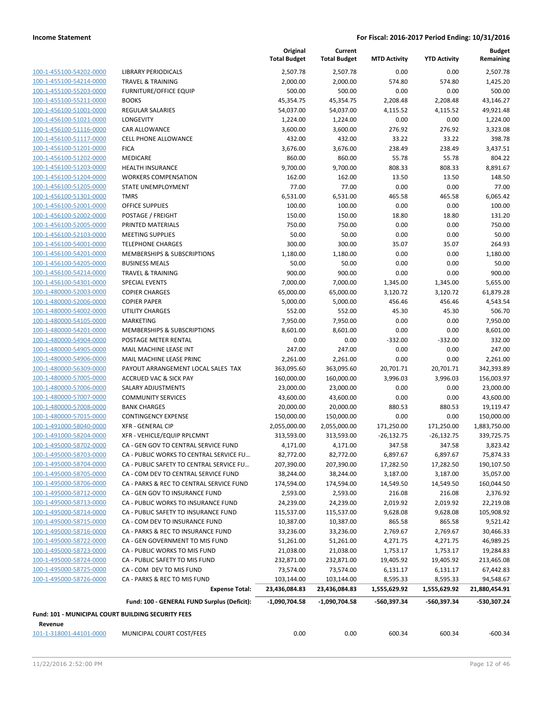| 100-1-455100-54202-0000                            | LIBI       |
|----------------------------------------------------|------------|
| 100-1-455100-54214-0000                            | TR/        |
| 100-1-455100-55203-0000                            | FUF        |
| 100-1-455100-55211-0000                            | <b>BO</b>  |
| 100-1-456100-51001-0000                            | REC        |
| 100-1-456100-51021-0000                            | LOI        |
| 100-1-456100-51116-0000                            | CAF        |
| 100-1-456100-51117-0000                            | <b>CEL</b> |
| 100-1-456100-51201-0000                            | FIC,       |
| 100-1-456100-51202-0000                            | ME         |
| 100-1-456100-51203-0000                            | HE/        |
| 100-1-456100-51204-0000                            | WC         |
| 100-1-456100-51205-0000                            | <b>STA</b> |
| 100-1-456100-51301-0000                            | TM         |
| 100-1-456100-52001-0000                            | OFF        |
| 100-1-456100-52002-0000                            | POS        |
| 100-1-456100-52005-0000                            | PRI        |
| 100-1-456100-52103-0000                            | ME         |
| 100-1-456100-54001-0000                            | TEL        |
| 100-1-456100-54201-0000                            | ME         |
| 100-1-456100-54205-0000                            | BUS        |
| 100-1-456100-54214-0000                            | TRA        |
| 100-1-456100-54301-0000                            | SPE        |
| 100-1-480000-52003-0000                            | COI        |
| 100-1-480000-52006-0000                            | COI        |
| 100-1-480000-54002-0000                            | UTI        |
| 100-1-480000-54105-0000                            | MA         |
| 100-1-480000-54201-0000                            | ME         |
| 100-1-480000-54904-0000                            | POS        |
| 100-1-480000-54905-0000                            | МA         |
| 100-1-480000-54906-0000                            | MA         |
| 100-1-480000-56309-0000                            | PA\        |
| 100-1-480000-57005-0000                            | AC(        |
| 100-1-480000-57006-0000                            | SAL        |
| 100-1-480000-57007-0000                            | COI        |
| 100-1-480000-57008-0000                            | BAI        |
| 100-1-480000-57015-0000                            | COI        |
| 100-1-491000-58040-0000                            | <b>XFR</b> |
| 100-1-491000-58204-0000                            | <b>XFR</b> |
| 100-1-495000-58702-0000                            | CA         |
| 100-1-495000-58703-0000                            | CA         |
| 100-1-495000-58704-0000                            | CA ·       |
| 100-1-495000-58705-0000                            | CA.        |
| 100-1-495000-58706-0000                            | CA -       |
| 100-1-495000-58712-0000                            | CA -       |
| 100-1-495000-58713-0000                            | CA -<br>CA |
| 100-1-495000-58714-0000<br>100-1-495000-58715-0000 | CA.        |
| 100-1-495000-58716-0000                            | CA.        |
| 100-1-495000-58722-0000                            | CA -       |
| 100-1-495000-58723-0000                            | CA -       |
| 100-1-495000-58724-0000                            | CA -       |
| 100-1-495000-58725-0000                            | CA.        |
| 100-1-495000-58726-0000                            | CA         |
|                                                    |            |
|                                                    |            |

|                                                               |                                             | Original<br><b>Total Budget</b> | Current<br><b>Total Budget</b> | <b>MTD Activity</b> | <b>YTD Activity</b> | <b>Budget</b><br>Remaining |
|---------------------------------------------------------------|---------------------------------------------|---------------------------------|--------------------------------|---------------------|---------------------|----------------------------|
| 100-1-455100-54202-0000                                       | <b>LIBRARY PERIODICALS</b>                  | 2,507.78                        | 2,507.78                       | 0.00                | 0.00                | 2,507.78                   |
| 100-1-455100-54214-0000                                       | <b>TRAVEL &amp; TRAINING</b>                | 2,000.00                        | 2,000.00                       | 574.80              | 574.80              | 1,425.20                   |
| 100-1-455100-55203-0000                                       | <b>FURNITURE/OFFICE EQUIP</b>               | 500.00                          | 500.00                         | 0.00                | 0.00                | 500.00                     |
| 100-1-455100-55211-0000                                       | <b>BOOKS</b>                                | 45,354.75                       | 45,354.75                      | 2,208.48            | 2,208.48            | 43,146.27                  |
| 100-1-456100-51001-0000                                       | <b>REGULAR SALARIES</b>                     | 54,037.00                       | 54,037.00                      | 4,115.52            | 4,115.52            | 49,921.48                  |
| 100-1-456100-51021-0000                                       | LONGEVITY                                   | 1,224.00                        | 1,224.00                       | 0.00                | 0.00                | 1,224.00                   |
| 100-1-456100-51116-0000                                       | CAR ALLOWANCE                               | 3,600.00                        | 3,600.00                       | 276.92              | 276.92              | 3,323.08                   |
| 100-1-456100-51117-0000                                       | <b>CELL PHONE ALLOWANCE</b>                 | 432.00                          | 432.00                         | 33.22               | 33.22               | 398.78                     |
| 100-1-456100-51201-0000                                       | <b>FICA</b>                                 | 3,676.00                        | 3,676.00                       | 238.49              | 238.49              | 3,437.51                   |
| 100-1-456100-51202-0000                                       | MEDICARE                                    | 860.00                          | 860.00                         | 55.78               | 55.78               | 804.22                     |
| 100-1-456100-51203-0000                                       | <b>HEALTH INSURANCE</b>                     | 9,700.00                        | 9,700.00                       | 808.33              | 808.33              | 8,891.67                   |
| 100-1-456100-51204-0000                                       | <b>WORKERS COMPENSATION</b>                 | 162.00                          | 162.00                         | 13.50               | 13.50               | 148.50                     |
| 100-1-456100-51205-0000                                       | STATE UNEMPLOYMENT                          | 77.00                           | 77.00                          | 0.00                | 0.00                | 77.00                      |
| 100-1-456100-51301-0000                                       | <b>TMRS</b>                                 | 6,531.00                        | 6,531.00                       | 465.58              | 465.58              | 6,065.42                   |
| 100-1-456100-52001-0000                                       | <b>OFFICE SUPPLIES</b>                      | 100.00                          | 100.00                         | 0.00                | 0.00                | 100.00                     |
| 100-1-456100-52002-0000                                       | POSTAGE / FREIGHT                           | 150.00                          | 150.00                         | 18.80               | 18.80               | 131.20                     |
| 100-1-456100-52005-0000                                       | PRINTED MATERIALS                           | 750.00                          | 750.00                         | 0.00                | 0.00                | 750.00                     |
| 100-1-456100-52103-0000                                       | <b>MEETING SUPPLIES</b>                     | 50.00                           | 50.00                          | 0.00                | 0.00                | 50.00                      |
| 100-1-456100-54001-0000                                       | <b>TELEPHONE CHARGES</b>                    | 300.00                          | 300.00                         | 35.07               | 35.07               | 264.93                     |
| 100-1-456100-54201-0000                                       | MEMBERSHIPS & SUBSCRIPTIONS                 | 1,180.00                        | 1,180.00                       | 0.00                | 0.00                | 1,180.00                   |
| 100-1-456100-54205-0000                                       | <b>BUSINESS MEALS</b>                       | 50.00                           | 50.00                          | 0.00                | 0.00                | 50.00                      |
| 100-1-456100-54214-0000                                       | <b>TRAVEL &amp; TRAINING</b>                | 900.00                          | 900.00                         | 0.00                | 0.00                | 900.00                     |
| 100-1-456100-54301-0000                                       | <b>SPECIAL EVENTS</b>                       | 7,000.00                        | 7,000.00                       | 1,345.00            | 1,345.00            | 5,655.00                   |
| 100-1-480000-52003-0000                                       | <b>COPIER CHARGES</b>                       | 65,000.00                       | 65,000.00                      | 3,120.72            | 3,120.72            | 61,879.28                  |
| 100-1-480000-52006-0000                                       | <b>COPIER PAPER</b>                         | 5,000.00                        | 5,000.00                       | 456.46              | 456.46              | 4,543.54                   |
| 100-1-480000-54002-0000                                       | <b>UTILITY CHARGES</b>                      | 552.00                          | 552.00                         | 45.30               | 45.30               | 506.70                     |
| 100-1-480000-54105-0000                                       | <b>MARKETING</b>                            | 7,950.00                        | 7,950.00                       | 0.00                | 0.00                | 7,950.00                   |
| 100-1-480000-54201-0000                                       | MEMBERSHIPS & SUBSCRIPTIONS                 | 8,601.00                        | 8,601.00                       | 0.00                | 0.00                | 8,601.00                   |
| 100-1-480000-54904-0000                                       | POSTAGE METER RENTAL                        | 0.00                            | 0.00                           | $-332.00$           | $-332.00$           | 332.00                     |
| 100-1-480000-54905-0000                                       | MAIL MACHINE LEASE INT                      | 247.00                          | 247.00                         | 0.00                | 0.00                | 247.00                     |
| 100-1-480000-54906-0000                                       | MAIL MACHINE LEASE PRINC                    | 2,261.00                        | 2,261.00                       | 0.00                | 0.00                | 2,261.00                   |
| 100-1-480000-56309-0000                                       | PAYOUT ARRANGEMENT LOCAL SALES TAX          | 363,095.60                      | 363,095.60                     | 20,701.71           | 20,701.71           | 342,393.89                 |
| 100-1-480000-57005-0000                                       | <b>ACCRUED VAC &amp; SICK PAY</b>           | 160,000.00                      | 160,000.00                     | 3,996.03            | 3,996.03            | 156,003.97                 |
| 100-1-480000-57006-0000                                       | SALARY ADJUSTMENTS                          | 23,000.00                       | 23,000.00                      | 0.00                | 0.00                | 23,000.00                  |
| 100-1-480000-57007-0000                                       | <b>COMMUNITY SERVICES</b>                   | 43,600.00                       | 43,600.00                      | 0.00                | 0.00                | 43,600.00                  |
| 100-1-480000-57008-0000                                       | <b>BANK CHARGES</b>                         | 20,000.00                       | 20,000.00                      | 880.53              | 880.53              | 19,119.47                  |
| 100-1-480000-57015-0000                                       | <b>CONTINGENCY EXPENSE</b>                  | 150,000.00                      | 150,000.00                     | 0.00                | 0.00                | 150,000.00                 |
| 100-1-491000-58040-0000                                       | <b>XFR - GENERAL CIP</b>                    | 2,055,000.00                    | 2,055,000.00                   | 171,250.00          | 171,250.00          | 1,883,750.00               |
| 100-1-491000-58204-0000                                       | XFR - VEHICLE/EQUIP RPLCMNT                 | 313,593.00                      | 313,593.00                     | $-26,132.75$        | $-26,132.75$        | 339,725.75                 |
| 100-1-495000-58702-0000                                       | CA - GEN GOV TO CENTRAL SERVICE FUND        | 4,171.00                        | 4,171.00                       | 347.58              | 347.58              | 3,823.42                   |
| 100-1-495000-58703-0000                                       | CA - PUBLIC WORKS TO CENTRAL SERVICE FU     | 82,772.00                       | 82,772.00                      | 6,897.67            | 6,897.67            | 75,874.33                  |
| 100-1-495000-58704-0000                                       | CA - PUBLIC SAFETY TO CENTRAL SERVICE FU    | 207,390.00                      | 207,390.00                     | 17,282.50           | 17,282.50           | 190,107.50                 |
| 100-1-495000-58705-0000                                       | CA - COM DEV TO CENTRAL SERVICE FUND        | 38,244.00                       | 38,244.00                      | 3,187.00            | 3,187.00            | 35,057.00                  |
| 100-1-495000-58706-0000                                       | CA - PARKS & REC TO CENTRAL SERVICE FUND    | 174,594.00                      | 174,594.00                     | 14,549.50           | 14,549.50           | 160,044.50                 |
| 100-1-495000-58712-0000                                       | CA - GEN GOV TO INSURANCE FUND              | 2,593.00                        | 2,593.00                       | 216.08              | 216.08              | 2,376.92                   |
| 100-1-495000-58713-0000                                       | CA - PUBLIC WORKS TO INSURANCE FUND         | 24,239.00                       | 24,239.00                      | 2,019.92            | 2,019.92            | 22,219.08                  |
| 100-1-495000-58714-0000                                       | CA - PUBLIC SAFETY TO INSURANCE FUND        | 115,537.00                      | 115,537.00                     | 9,628.08            | 9,628.08            | 105,908.92                 |
| 100-1-495000-58715-0000                                       | CA - COM DEV TO INSURANCE FUND              | 10,387.00                       | 10,387.00                      | 865.58              | 865.58              | 9,521.42                   |
| 100-1-495000-58716-0000                                       | CA - PARKS & REC TO INSURANCE FUND          | 33,236.00                       | 33,236.00                      | 2,769.67            | 2,769.67            | 30,466.33                  |
| 100-1-495000-58722-0000                                       | CA - GEN GOVERNMENT TO MIS FUND             | 51,261.00                       | 51,261.00                      | 4,271.75            | 4,271.75            | 46,989.25                  |
| 100-1-495000-58723-0000                                       | CA - PUBLIC WORKS TO MIS FUND               | 21,038.00                       | 21,038.00                      | 1,753.17            | 1,753.17            | 19,284.83                  |
| 100-1-495000-58724-0000                                       | CA - PUBLIC SAFETY TO MIS FUND              | 232,871.00                      | 232,871.00                     | 19,405.92           | 19,405.92           | 213,465.08                 |
| 100-1-495000-58725-0000                                       | CA - COM DEV TO MIS FUND                    | 73,574.00                       | 73,574.00                      | 6,131.17            | 6,131.17            | 67,442.83                  |
| 100-1-495000-58726-0000                                       | CA - PARKS & REC TO MIS FUND                | 103,144.00                      | 103,144.00                     | 8,595.33            | 8,595.33            | 94,548.67                  |
|                                                               | <b>Expense Total:</b>                       | 23,436,084.83                   | 23,436,084.83                  | 1,555,629.92        | 1,555,629.92        | 21,880,454.91              |
|                                                               | Fund: 100 - GENERAL FUND Surplus (Deficit): | $-1,090,704.58$                 | $-1,090,704.58$                | -560,397.34         | -560,397.34         | -530,307.24                |
| Fund: 101 - MUNICIPAL COURT BUILDING SECURITY FEES<br>Revenue |                                             |                                 |                                |                     |                     |                            |
| 101-1-318001-44101-0000                                       | MUNICIPAL COURT COST/FEES                   | 0.00                            | 0.00                           | 600.34              | 600.34              | $-600.34$                  |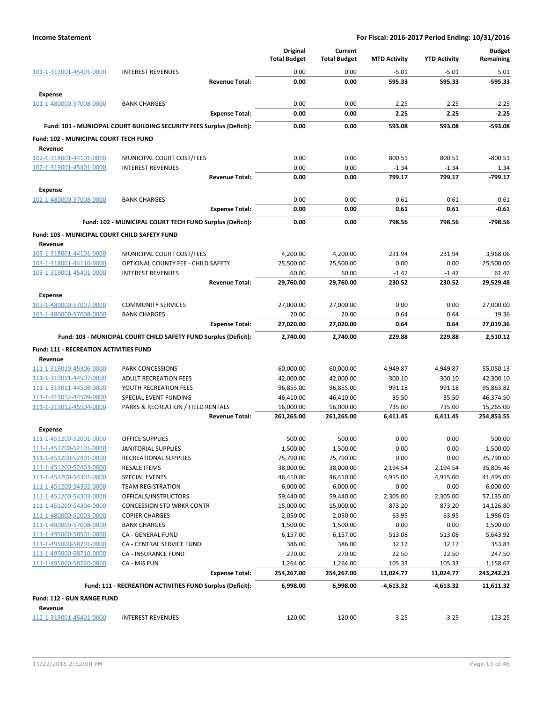|                                                    |                                                                       | Original<br><b>Total Budget</b> | Current<br><b>Total Budget</b> | <b>MTD Activity</b>   | <b>YTD Activity</b>   | <b>Budget</b><br>Remaining |
|----------------------------------------------------|-----------------------------------------------------------------------|---------------------------------|--------------------------------|-----------------------|-----------------------|----------------------------|
|                                                    | <b>INTEREST REVENUES</b>                                              | 0.00                            | 0.00                           | $-5.01$               | $-5.01$               | 5.01                       |
| 101-1-319001-45401-0000                            | <b>Revenue Total:</b>                                                 | 0.00                            | 0.00                           | 595.33                | 595.33                | $-595.33$                  |
| <b>Expense</b>                                     |                                                                       |                                 |                                |                       |                       |                            |
| 101-1-480000-57008-0000                            | <b>BANK CHARGES</b>                                                   | 0.00                            | 0.00                           | 2.25                  | 2.25                  | $-2.25$                    |
|                                                    | <b>Expense Total:</b>                                                 | 0.00                            | 0.00                           | 2.25                  | 2.25                  | $-2.25$                    |
|                                                    | Fund: 101 - MUNICIPAL COURT BUILDING SECURITY FEES Surplus (Deficit): | 0.00                            | 0.00                           | 593.08                | 593.08                | $-593.08$                  |
| Fund: 102 - MUNICIPAL COURT TECH FUND              |                                                                       |                                 |                                |                       |                       |                            |
| Revenue                                            |                                                                       |                                 |                                |                       |                       |                            |
| 102-1-318001-44101-0000                            | MUNICIPAL COURT COST/FEES                                             | 0.00                            | 0.00                           | 800.51                | 800.51                | $-800.51$                  |
| 102-1-319001-45401-0000                            | <b>INTEREST REVENUES</b>                                              | 0.00                            | 0.00                           | $-1.34$               | $-1.34$               | 1.34                       |
|                                                    | <b>Revenue Total:</b>                                                 | 0.00                            | 0.00                           | 799.17                | 799.17                | -799.17                    |
| <b>Expense</b>                                     |                                                                       |                                 |                                |                       |                       |                            |
| 102-1-480000-57008-0000                            | <b>BANK CHARGES</b>                                                   | 0.00                            | 0.00                           | 0.61                  | 0.61                  | $-0.61$                    |
|                                                    | <b>Expense Total:</b>                                                 | 0.00                            | 0.00                           | 0.61                  | 0.61                  | $-0.61$                    |
|                                                    | Fund: 102 - MUNICIPAL COURT TECH FUND Surplus (Deficit):              | 0.00                            | 0.00                           | 798.56                | 798.56                | $-798.56$                  |
| Fund: 103 - MUNICIPAL COURT CHILD SAFETY FUND      |                                                                       |                                 |                                |                       |                       |                            |
| Revenue                                            |                                                                       |                                 |                                |                       |                       |                            |
| 103-1-318001-44101-0000                            | MUNICIPAL COURT COST/FEES                                             | 4,200.00                        | 4,200.00                       | 231.94                | 231.94                | 3,968.06                   |
| 103-1-318001-44110-0000                            | OPTIONAL COUNTY FEE - CHILD SAFETY                                    | 25,500.00                       | 25,500.00                      | 0.00                  | 0.00                  | 25,500.00                  |
| 103-1-319001-45401-0000                            | <b>INTEREST REVENUES</b>                                              | 60.00                           | 60.00                          | $-1.42$               | $-1.42$               | 61.42                      |
|                                                    | <b>Revenue Total:</b>                                                 | 29.760.00                       | 29.760.00                      | 230.52                | 230.52                | 29,529.48                  |
| <b>Expense</b>                                     |                                                                       |                                 |                                |                       |                       |                            |
| 103-1-480000-57007-0000                            | <b>COMMUNITY SERVICES</b>                                             | 27,000.00                       | 27,000.00                      | 0.00                  | 0.00                  | 27,000.00                  |
| 103-1-480000-57008-0000                            | <b>BANK CHARGES</b><br><b>Expense Total:</b>                          | 20.00<br>27,020.00              | 20.00<br>27,020.00             | 0.64<br>0.64          | 0.64<br>0.64          | 19.36<br>27,019.36         |
|                                                    |                                                                       |                                 |                                |                       |                       |                            |
|                                                    | Fund: 103 - MUNICIPAL COURT CHILD SAFETY FUND Surplus (Deficit):      | 2,740.00                        | 2,740.00                       | 229.88                | 229.88                | 2,510.12                   |
| <b>Fund: 111 - RECREATION ACTIVITIES FUND</b>      |                                                                       |                                 |                                |                       |                       |                            |
| Revenue                                            |                                                                       |                                 |                                |                       |                       |                            |
| 111-1-319010-45306-0000<br>111-1-319011-44507-0000 | <b>PARK CONCESSIONS</b><br><b>ADULT RECREATION FEES</b>               | 60,000.00<br>42,000.00          | 60,000.00<br>42,000.00         | 4,949.87<br>$-300.10$ | 4,949.87<br>$-300.10$ | 55,050.13<br>42,300.10     |
| 111-1-319011-44508-0000                            | YOUTH RECREATION FEES                                                 | 96,855.00                       | 96,855.00                      | 991.18                | 991.18                | 95,863.82                  |
| 111-1-319012-44509-0000                            | SPECIAL EVENT FUNDING                                                 | 46,410.00                       | 46,410.00                      | 35.50                 | 35.50                 | 46,374.50                  |
| 111-1-319012-45504-0000                            | PARKS & RECREATION / FIELD RENTALS                                    | 16,000.00                       | 16,000.00                      | 735.00                | 735.00                | 15,265.00                  |
|                                                    | <b>Revenue Total:</b>                                                 | 261,265.00                      | 261,265.00                     | 6,411.45              | 6,411.45              | 254,853.55                 |
| <b>Expense</b>                                     |                                                                       |                                 |                                |                       |                       |                            |
| 111-1-451200-52001-0000                            | <b>OFFICE SUPPLIES</b>                                                | 500.00                          | 500.00                         | 0.00                  | 0.00                  | 500.00                     |
| 111-1-451200-52101-0000                            | <b>JANITORIAL SUPPLIES</b>                                            | 1,500.00                        | 1,500.00                       | 0.00                  | 0.00                  | 1,500.00                   |
| 111-1-451200-52401-0000                            | RECREATIONAL SUPPLIES                                                 | 75,790.00                       | 75,790.00                      | 0.00                  | 0.00                  | 75,790.00                  |
| 111-1-451200-52403-0000                            | RESALE ITEMS                                                          | 38,000.00                       | 38,000.00                      | 2,194.54              | 2,194.54              | 35,805.46                  |
| 111-1-451200-54301-0000                            | SPECIAL EVENTS                                                        | 46,410.00                       | 46,410.00                      | 4,915.00              | 4,915.00              | 41,495.00                  |
| 111-1-451200-54302-0000                            | <b>TEAM REGISTRATION</b>                                              | 6,000.00                        | 6,000.00                       | 0.00                  | 0.00                  | 6,000.00                   |
| 111-1-451200-54303-0000                            | OFFICALS/INSTRUCTORS                                                  | 59,440.00                       | 59,440.00                      | 2,305.00              | 2,305.00              | 57,135.00                  |
| 111-1-451200-54304-0000                            | <b>CONCESSION STD WRKR CONTR</b>                                      | 15,000.00                       | 15,000.00                      | 873.20                | 873.20                | 14,126.80                  |
| 111-1-480000-52003-0000<br>111-1-480000-57008-0000 | <b>COPIER CHARGES</b><br><b>BANK CHARGES</b>                          | 2,050.00<br>1,500.00            | 2,050.00<br>1,500.00           | 63.95<br>0.00         | 63.95<br>0.00         | 1,986.05<br>1,500.00       |
| 111-1-495000-58501-0000                            | CA - GENERAL FUND                                                     | 6,157.00                        | 6,157.00                       | 513.08                | 513.08                | 5,643.92                   |
| 111-1-495000-58701-0000                            | CA - CENTRAL SERVICE FUND                                             | 386.00                          | 386.00                         | 32.17                 | 32.17                 | 353.83                     |
| 111-1-495000-58710-0000                            | <b>CA - INSURANCE FUND</b>                                            | 270.00                          | 270.00                         | 22.50                 | 22.50                 | 247.50                     |
| 111-1-495000-58720-0000                            | CA - MIS FUN                                                          | 1,264.00                        | 1,264.00                       | 105.33                | 105.33                | 1,158.67                   |
|                                                    | <b>Expense Total:</b>                                                 | 254,267.00                      | 254,267.00                     | 11,024.77             | 11,024.77             | 243,242.23                 |
|                                                    | Fund: 111 - RECREATION ACTIVITIES FUND Surplus (Deficit):             | 6,998.00                        | 6,998.00                       | -4,613.32             | $-4,613.32$           | 11,611.32                  |
| Fund: 112 - GUN RANGE FUND                         |                                                                       |                                 |                                |                       |                       |                            |
| Revenue                                            |                                                                       |                                 |                                |                       |                       |                            |
| 112-1-319001-45401-0000                            | <b>INTEREST REVENUES</b>                                              | 120.00                          | 120.00                         | $-3.25$               | $-3.25$               | 123.25                     |
|                                                    |                                                                       |                                 |                                |                       |                       |                            |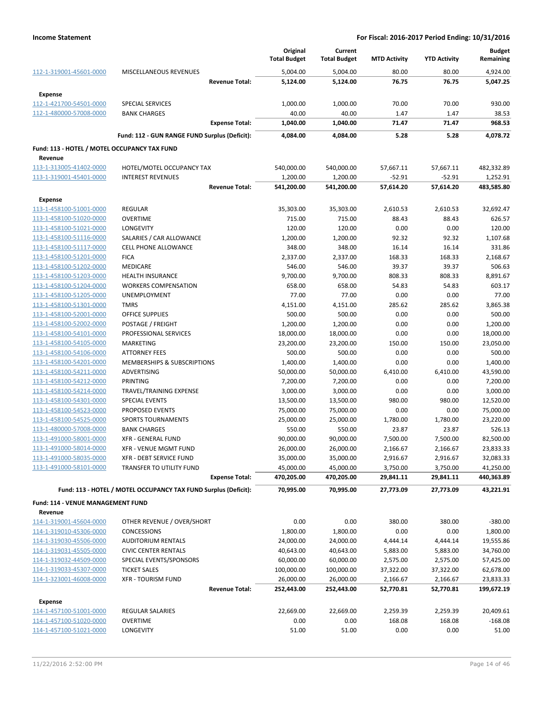|                                              |                                                                 |                       | Original            | Current                |                     |                     | <b>Budget</b> |
|----------------------------------------------|-----------------------------------------------------------------|-----------------------|---------------------|------------------------|---------------------|---------------------|---------------|
|                                              |                                                                 |                       | <b>Total Budget</b> | <b>Total Budget</b>    | <b>MTD Activity</b> | <b>YTD Activity</b> | Remaining     |
| 112-1-319001-45601-0000                      | MISCELLANEOUS REVENUES                                          |                       | 5,004.00            | 5,004.00               | 80.00               | 80.00               | 4,924.00      |
|                                              |                                                                 | <b>Revenue Total:</b> | 5,124.00            | 5,124.00               | 76.75               | 76.75               | 5,047.25      |
| Expense                                      |                                                                 |                       |                     |                        |                     |                     |               |
| 112-1-421700-54501-0000                      | <b>SPECIAL SERVICES</b>                                         |                       | 1,000.00            | 1,000.00               | 70.00               | 70.00               | 930.00        |
| 112-1-480000-57008-0000                      | <b>BANK CHARGES</b>                                             |                       | 40.00               | 40.00                  | 1.47                | 1.47                | 38.53         |
|                                              |                                                                 | <b>Expense Total:</b> | 1,040.00            | 1,040.00               | 71.47               | 71.47               | 968.53        |
|                                              | Fund: 112 - GUN RANGE FUND Surplus (Deficit):                   |                       | 4,084.00            | 4,084.00               | 5.28                | 5.28                | 4.078.72      |
| Fund: 113 - HOTEL / MOTEL OCCUPANCY TAX FUND |                                                                 |                       |                     |                        |                     |                     |               |
| Revenue                                      |                                                                 |                       |                     |                        |                     |                     |               |
| 113-1-313005-41402-0000                      | HOTEL/MOTEL OCCUPANCY TAX                                       |                       | 540,000.00          | 540,000.00             | 57,667.11           | 57,667.11           | 482,332.89    |
| 113-1-319001-45401-0000                      | <b>INTEREST REVENUES</b>                                        |                       | 1,200.00            | 1,200.00               | $-52.91$            | $-52.91$            | 1,252.91      |
|                                              |                                                                 | <b>Revenue Total:</b> | 541,200.00          | 541,200.00             | 57,614.20           | 57,614.20           | 483,585.80    |
| Expense                                      |                                                                 |                       |                     |                        |                     |                     |               |
| 113-1-458100-51001-0000                      | <b>REGULAR</b>                                                  |                       | 35,303.00           | 35,303.00              | 2,610.53            | 2,610.53            | 32,692.47     |
| 113-1-458100-51020-0000                      | <b>OVERTIME</b>                                                 |                       | 715.00              | 715.00                 | 88.43               | 88.43               | 626.57        |
| 113-1-458100-51021-0000                      | <b>LONGEVITY</b>                                                |                       | 120.00              | 120.00                 | 0.00                | 0.00                | 120.00        |
| 113-1-458100-51116-0000                      | SALARIES / CAR ALLOWANCE                                        |                       | 1,200.00            | 1,200.00               | 92.32               | 92.32               | 1,107.68      |
| 113-1-458100-51117-0000                      | <b>CELL PHONE ALLOWANCE</b>                                     |                       | 348.00              | 348.00                 | 16.14               | 16.14               | 331.86        |
| 113-1-458100-51201-0000                      | <b>FICA</b>                                                     |                       | 2,337.00            | 2,337.00               | 168.33              | 168.33              | 2,168.67      |
| 113-1-458100-51202-0000                      | <b>MEDICARE</b>                                                 |                       | 546.00              | 546.00                 | 39.37               | 39.37               | 506.63        |
| 113-1-458100-51203-0000                      | <b>HEALTH INSURANCE</b>                                         |                       | 9,700.00            | 9,700.00               | 808.33              | 808.33              | 8,891.67      |
| 113-1-458100-51204-0000                      | <b>WORKERS COMPENSATION</b>                                     |                       | 658.00              | 658.00                 | 54.83               | 54.83               | 603.17        |
| 113-1-458100-51205-0000                      | UNEMPLOYMENT                                                    |                       | 77.00               | 77.00                  | 0.00                | 0.00                | 77.00         |
| 113-1-458100-51301-0000                      | <b>TMRS</b>                                                     |                       | 4,151.00            | 4,151.00               | 285.62              | 285.62              | 3,865.38      |
| 113-1-458100-52001-0000                      | <b>OFFICE SUPPLIES</b>                                          |                       | 500.00              | 500.00                 | 0.00                | 0.00                | 500.00        |
| 113-1-458100-52002-0000                      | POSTAGE / FREIGHT                                               |                       | 1,200.00            | 1,200.00               | 0.00                | 0.00                | 1,200.00      |
| 113-1-458100-54101-0000                      | PROFESSIONAL SERVICES                                           |                       | 18,000.00           | 18,000.00              | 0.00                | 0.00                | 18,000.00     |
| 113-1-458100-54105-0000                      | <b>MARKETING</b>                                                |                       | 23,200.00           | 23,200.00              | 150.00              | 150.00              | 23,050.00     |
| 113-1-458100-54106-0000                      | <b>ATTORNEY FEES</b>                                            |                       | 500.00              | 500.00                 | 0.00                | 0.00                | 500.00        |
| 113-1-458100-54201-0000                      | MEMBERSHIPS & SUBSCRIPTIONS                                     |                       | 1,400.00            | 1,400.00               | 0.00                | 0.00                | 1,400.00      |
| 113-1-458100-54211-0000                      | <b>ADVERTISING</b>                                              |                       | 50,000.00           | 50,000.00              | 6,410.00            | 6,410.00            | 43,590.00     |
| 113-1-458100-54212-0000                      | PRINTING                                                        |                       | 7,200.00            | 7,200.00               | 0.00                | 0.00                | 7,200.00      |
| 113-1-458100-54214-0000                      | TRAVEL/TRAINING EXPENSE                                         |                       | 3,000.00            | 3,000.00               | 0.00                | 0.00                | 3,000.00      |
| 113-1-458100-54301-0000                      | <b>SPECIAL EVENTS</b>                                           |                       | 13,500.00           | 13,500.00              | 980.00              | 980.00              | 12,520.00     |
| 113-1-458100-54523-0000                      | PROPOSED EVENTS                                                 |                       | 75,000.00           | 75,000.00              | 0.00                | 0.00                | 75,000.00     |
| 113-1-458100-54525-0000                      | <b>SPORTS TOURNAMENTS</b>                                       |                       | 25,000.00           | 25,000.00              | 1,780.00            | 1,780.00            | 23,220.00     |
| 113-1-480000-57008-0000                      | <b>BANK CHARGES</b>                                             |                       | 550.00              | 550.00                 | 23.87               | 23.87               | 526.13        |
| 113-1-491000-58001-0000                      | <b>XFR - GENERAL FUND</b>                                       |                       | 90,000.00           | 90,000.00              | 7,500.00            | 7,500.00            | 82,500.00     |
| 113-1-491000-58014-0000                      | XFR - VENUE MGMT FUND                                           |                       | 26,000.00           | 26,000.00              | 2,166.67            | 2,166.67            | 23,833.33     |
| 113-1-491000-58035-0000                      | XFR - DEBT SERVICE FUND                                         |                       | 35,000.00           | 35,000.00              | 2,916.67            | 2,916.67            | 32,083.33     |
| 113-1-491000-58101-0000                      | TRANSFER TO UTILITY FUND                                        |                       | 45,000.00           | 45,000.00              | 3,750.00            | 3,750.00            | 41,250.00     |
|                                              |                                                                 | <b>Expense Total:</b> | 470,205.00          | 470,205.00             | 29,841.11           | 29,841.11           | 440,363.89    |
|                                              |                                                                 |                       |                     |                        |                     |                     |               |
|                                              | Fund: 113 - HOTEL / MOTEL OCCUPANCY TAX FUND Surplus (Deficit): |                       | 70,995.00           | 70,995.00              | 27,773.09           | 27,773.09           | 43,221.91     |
| Fund: 114 - VENUE MANAGEMENT FUND<br>Revenue |                                                                 |                       |                     |                        |                     |                     |               |
| 114-1-319001-45604-0000                      | OTHER REVENUE / OVER/SHORT                                      |                       | 0.00                | 0.00                   | 380.00              | 380.00              | $-380.00$     |
| 114-1-319010-45306-0000                      | <b>CONCESSIONS</b>                                              |                       | 1,800.00            | 1,800.00               | 0.00                | 0.00                | 1,800.00      |
| 114-1-319030-45506-0000                      | AUDITORIUM RENTALS                                              |                       |                     |                        |                     |                     | 19,555.86     |
|                                              | <b>CIVIC CENTER RENTALS</b>                                     |                       | 24,000.00           | 24,000.00<br>40,643.00 | 4,444.14            | 4,444.14            |               |
| 114-1-319031-45505-0000                      |                                                                 |                       | 40,643.00           |                        | 5,883.00            | 5,883.00            | 34,760.00     |
| 114-1-319032-44509-0000                      | SPECIAL EVENTS/SPONSORS                                         |                       | 60,000.00           | 60,000.00              | 2,575.00            | 2,575.00            | 57,425.00     |
| 114-1-319033-45307-0000                      | <b>TICKET SALES</b>                                             |                       | 100,000.00          | 100,000.00             | 37,322.00           | 37,322.00           | 62,678.00     |
| 114-1-323001-46008-0000                      | <b>XFR - TOURISM FUND</b>                                       |                       | 26,000.00           | 26,000.00              | 2,166.67            | 2,166.67            | 23,833.33     |
|                                              |                                                                 | <b>Revenue Total:</b> | 252,443.00          | 252,443.00             | 52,770.81           | 52,770.81           | 199,672.19    |
| <b>Expense</b>                               |                                                                 |                       |                     |                        |                     |                     |               |
| 114-1-457100-51001-0000                      | REGULAR SALARIES                                                |                       | 22,669.00           | 22,669.00              | 2,259.39            | 2,259.39            | 20,409.61     |
| 114-1-457100-51020-0000                      | <b>OVERTIME</b>                                                 |                       | 0.00                | 0.00                   | 168.08              | 168.08              | $-168.08$     |
| 114-1-457100-51021-0000                      | LONGEVITY                                                       |                       | 51.00               | 51.00                  | 0.00                | 0.00                | 51.00         |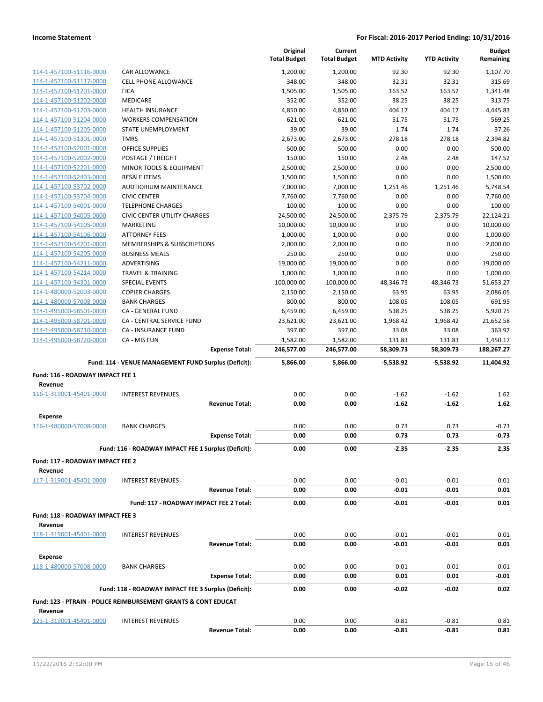|                                  |                                                                           |                       | Original<br><b>Total Budget</b> | Current<br><b>Total Budget</b> | <b>MTD Activity</b> | <b>YTD Activity</b> | <b>Budget</b><br>Remaining |
|----------------------------------|---------------------------------------------------------------------------|-----------------------|---------------------------------|--------------------------------|---------------------|---------------------|----------------------------|
| 114-1-457100-51116-0000          | CAR ALLOWANCE                                                             |                       | 1,200.00                        | 1,200.00                       | 92.30               | 92.30               | 1,107.70                   |
| 114-1-457100-51117-0000          | <b>CELL PHONE ALLOWANCE</b>                                               |                       | 348.00                          | 348.00                         | 32.31               | 32.31               | 315.69                     |
| 114-1-457100-51201-0000          | <b>FICA</b>                                                               |                       | 1,505.00                        | 1,505.00                       | 163.52              | 163.52              | 1,341.48                   |
| 114-1-457100-51202-0000          | <b>MEDICARE</b>                                                           |                       | 352.00                          | 352.00                         | 38.25               | 38.25               | 313.75                     |
| 114-1-457100-51203-0000          | <b>HEALTH INSURANCE</b>                                                   |                       | 4,850.00                        | 4,850.00                       | 404.17              | 404.17              | 4,445.83                   |
| 114-1-457100-51204-0000          | <b>WORKERS COMPENSATION</b>                                               |                       | 621.00                          | 621.00                         | 51.75               | 51.75               | 569.25                     |
| 114-1-457100-51205-0000          | STATE UNEMPLOYMENT                                                        |                       | 39.00                           | 39.00                          | 1.74                | 1.74                | 37.26                      |
| 114-1-457100-51301-0000          | <b>TMRS</b>                                                               |                       | 2,673.00                        | 2,673.00                       | 278.18              | 278.18              | 2,394.82                   |
| 114-1-457100-52001-0000          | <b>OFFICE SUPPLIES</b>                                                    |                       | 500.00                          | 500.00                         | 0.00                | 0.00                | 500.00                     |
| 114-1-457100-52002-0000          | POSTAGE / FREIGHT                                                         |                       | 150.00                          | 150.00                         | 2.48                | 2.48                | 147.52                     |
| 114-1-457100-52201-0000          | MINOR TOOLS & EQUIPMENT                                                   |                       | 2,500.00                        | 2,500.00                       | 0.00                | 0.00                | 2,500.00                   |
| 114-1-457100-52403-0000          | <b>RESALE ITEMS</b>                                                       |                       | 1,500.00                        | 1,500.00                       | 0.00                | 0.00                | 1,500.00                   |
| 114-1-457100-53702-0000          | AUDTIORIUM MAINTENANCE                                                    |                       | 7,000.00                        | 7,000.00                       | 1,251.46            | 1,251.46            | 5,748.54                   |
| 114-1-457100-53704-0000          | <b>CIVIC CENTER</b>                                                       |                       | 7,760.00                        | 7,760.00                       | 0.00                | 0.00                | 7,760.00                   |
| 114-1-457100-54001-0000          | <b>TELEPHONE CHARGES</b>                                                  |                       | 100.00                          | 100.00                         | 0.00                | 0.00                | 100.00                     |
| 114-1-457100-54005-0000          | <b>CIVIC CENTER UTILITY CHARGES</b>                                       |                       | 24,500.00                       | 24,500.00                      | 2,375.79            | 2,375.79            | 22,124.21                  |
| 114-1-457100-54105-0000          | <b>MARKETING</b>                                                          |                       | 10,000.00                       | 10,000.00                      | 0.00                | 0.00                | 10,000.00                  |
| 114-1-457100-54106-0000          | <b>ATTORNEY FEES</b>                                                      |                       | 1,000.00                        | 1,000.00                       | 0.00                | 0.00                | 1,000.00                   |
| 114-1-457100-54201-0000          | MEMBERSHIPS & SUBSCRIPTIONS                                               |                       | 2,000.00                        | 2,000.00                       | 0.00                | 0.00                | 2,000.00                   |
| 114-1-457100-54205-0000          | <b>BUSINESS MEALS</b>                                                     |                       | 250.00                          | 250.00                         | 0.00                | 0.00                | 250.00                     |
| 114-1-457100-54211-0000          | <b>ADVERTISING</b>                                                        |                       | 19,000.00                       | 19,000.00                      | 0.00                | 0.00                | 19,000.00                  |
| 114-1-457100-54214-0000          | <b>TRAVEL &amp; TRAINING</b>                                              |                       | 1,000.00                        | 1,000.00                       | 0.00                | 0.00                | 1,000.00                   |
| 114-1-457100-54301-0000          | SPECIAL EVENTS                                                            |                       | 100,000.00                      | 100,000.00                     | 48,346.73           | 48,346.73           | 51,653.27                  |
| 114-1-480000-52003-0000          | <b>COPIER CHARGES</b>                                                     |                       | 2,150.00                        | 2,150.00                       | 63.95               | 63.95               | 2,086.05                   |
| 114-1-480000-57008-0000          | <b>BANK CHARGES</b>                                                       |                       | 800.00                          | 800.00                         | 108.05              | 108.05              | 691.95                     |
| 114-1-495000-58501-0000          | CA - GENERAL FUND                                                         |                       | 6,459.00                        | 6,459.00                       | 538.25              | 538.25              | 5,920.75                   |
| 114-1-495000-58701-0000          | CA - CENTRAL SERVICE FUND                                                 |                       | 23,621.00                       | 23,621.00                      | 1,968.42            | 1,968.42            | 21,652.58                  |
| 114-1-495000-58710-0000          | CA - INSURANCE FUND                                                       |                       | 397.00                          | 397.00                         | 33.08               | 33.08               | 363.92                     |
| 114-1-495000-58720-0000          | CA - MIS FUN                                                              |                       | 1,582.00                        | 1,582.00                       | 131.83              | 131.83              | 1,450.17                   |
|                                  |                                                                           |                       |                                 |                                |                     |                     |                            |
|                                  |                                                                           | <b>Expense Total:</b> | 246,577.00                      | 246,577.00                     | 58,309.73           | 58,309.73           | 188,267.27                 |
|                                  | Fund: 114 - VENUE MANAGEMENT FUND Surplus (Deficit):                      |                       | 5,866.00                        | 5,866.00                       | $-5,538.92$         | -5,538.92           | 11,404.92                  |
| Fund: 116 - ROADWAY IMPACT FEE 1 |                                                                           |                       |                                 |                                |                     |                     |                            |
| Revenue                          |                                                                           |                       |                                 |                                |                     |                     |                            |
| 116-1-319001-45401-0000          | <b>INTEREST REVENUES</b>                                                  |                       | 0.00                            | 0.00                           | $-1.62$             | $-1.62$             | 1.62                       |
|                                  |                                                                           | <b>Revenue Total:</b> | 0.00                            | 0.00                           | $-1.62$             | $-1.62$             | 1.62                       |
| <b>Expense</b>                   |                                                                           |                       |                                 |                                |                     |                     |                            |
| 116-1-480000-57008-0000          | <b>BANK CHARGES</b>                                                       |                       | 0.00                            | 0.00                           | 0.73                | 0.73                | $-0.73$                    |
|                                  |                                                                           | <b>Expense Total:</b> | 0.00                            | 0.00                           | 0.73                | 0.73                | $-0.73$                    |
|                                  |                                                                           |                       |                                 |                                |                     |                     |                            |
|                                  | Fund: 116 - ROADWAY IMPACT FEE 1 Surplus (Deficit):                       |                       | 0.00                            | 0.00                           | $-2.35$             | -2.35               | 2.35                       |
| Fund: 117 - ROADWAY IMPACT FEE 2 |                                                                           |                       |                                 |                                |                     |                     |                            |
| Revenue                          |                                                                           |                       |                                 |                                |                     |                     |                            |
| 117-1-319001-45401-0000          | <b>INTEREST REVENUES</b>                                                  |                       | 0.00                            | 0.00                           | $-0.01$             | $-0.01$             | 0.01                       |
|                                  |                                                                           | <b>Revenue Total:</b> | 0.00                            | 0.00                           | $-0.01$             | $-0.01$             | 0.01                       |
|                                  | Fund: 117 - ROADWAY IMPACT FEE 2 Total:                                   |                       | 0.00                            | 0.00                           | $-0.01$             | $-0.01$             | 0.01                       |
| Fund: 118 - ROADWAY IMPACT FEE 3 |                                                                           |                       |                                 |                                |                     |                     |                            |
| Revenue                          |                                                                           |                       |                                 |                                |                     |                     |                            |
| 118-1-319001-45401-0000          | <b>INTEREST REVENUES</b>                                                  |                       | 0.00                            | 0.00                           | $-0.01$             | $-0.01$             | 0.01                       |
|                                  |                                                                           | <b>Revenue Total:</b> | 0.00                            | 0.00                           | $-0.01$             | $-0.01$             | 0.01                       |
| Expense                          |                                                                           |                       |                                 |                                |                     |                     |                            |
| 118-1-480000-57008-0000          | <b>BANK CHARGES</b>                                                       |                       | 0.00                            | 0.00                           | 0.01                | 0.01                | $-0.01$                    |
|                                  |                                                                           | <b>Expense Total:</b> | 0.00                            | 0.00                           | 0.01                | 0.01                | -0.01                      |
|                                  | Fund: 118 - ROADWAY IMPACT FEE 3 Surplus (Deficit):                       |                       | 0.00                            | 0.00                           | $-0.02$             | $-0.02$             | 0.02                       |
|                                  | <b>Fund: 123 - PTRAIN - POLICE REIMBURSEMENT GRANTS &amp; CONT EDUCAT</b> |                       |                                 |                                |                     |                     |                            |
| Revenue                          |                                                                           |                       |                                 |                                |                     |                     |                            |
| 123-1-319001-45401-0000          | <b>INTEREST REVENUES</b>                                                  | <b>Revenue Total:</b> | 0.00<br>0.00                    | 0.00<br>0.00                   | $-0.81$<br>$-0.81$  | $-0.81$<br>-0.81    | 0.81<br>0.81               |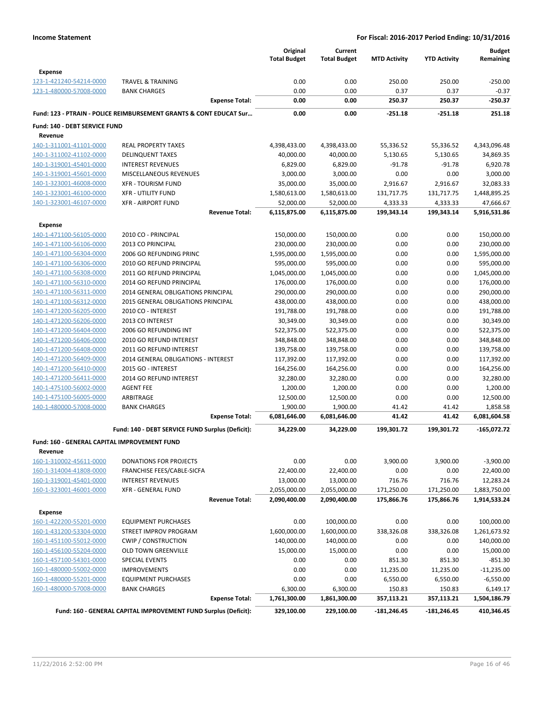|                                                                    | <b>Total Budget</b> | <b>Total Budget</b> | <b>MTD Activity</b> | <b>YTD Activity</b> | <b>Budget</b><br>Remaining |
|--------------------------------------------------------------------|---------------------|---------------------|---------------------|---------------------|----------------------------|
| <b>Expense</b>                                                     |                     |                     |                     |                     |                            |
| 123-1-421240-54214-0000<br><b>TRAVEL &amp; TRAINING</b>            | 0.00                | 0.00                | 250.00              | 250.00              | $-250.00$                  |
| 123-1-480000-57008-0000<br><b>BANK CHARGES</b>                     | 0.00                | 0.00                | 0.37                | 0.37                | $-0.37$                    |
| <b>Expense Total:</b>                                              | 0.00                | 0.00                | 250.37              | 250.37              | $-250.37$                  |
| Fund: 123 - PTRAIN - POLICE REIMBURSEMENT GRANTS & CONT EDUCAT Sur | 0.00                | 0.00                | $-251.18$           | $-251.18$           | 251.18                     |
| Fund: 140 - DEBT SERVICE FUND<br>Revenue                           |                     |                     |                     |                     |                            |
| 140-1-311001-41101-0000<br><b>REAL PROPERTY TAXES</b>              | 4,398,433.00        | 4,398,433.00        | 55,336.52           | 55,336.52           | 4,343,096.48               |
| <b>DELINQUENT TAXES</b><br>140-1-311002-41102-0000                 | 40,000.00           | 40,000.00           | 5,130.65            | 5,130.65            | 34,869.35                  |
| 140-1-319001-45401-0000<br><b>INTEREST REVENUES</b>                | 6,829.00            | 6,829.00            | $-91.78$            | $-91.78$            | 6,920.78                   |
| 140-1-319001-45601-0000<br>MISCELLANEOUS REVENUES                  | 3,000.00            | 3,000.00            | 0.00                | 0.00                | 3,000.00                   |
| 140-1-323001-46008-0000<br><b>XFR - TOURISM FUND</b>               | 35,000.00           | 35,000.00           | 2,916.67            | 2,916.67            | 32,083.33                  |
| 140-1-323001-46100-0000<br><b>XFR - UTILITY FUND</b>               | 1,580,613.00        | 1,580,613.00        | 131,717.75          | 131,717.75          | 1,448,895.25               |
| 140-1-323001-46107-0000<br><b>XFR - AIRPORT FUND</b>               | 52,000.00           | 52,000.00           | 4,333.33            | 4,333.33            | 47,666.67                  |
| <b>Revenue Total:</b>                                              | 6,115,875.00        | 6,115,875.00        | 199,343.14          | 199,343.14          | 5,916,531.86               |
| <b>Expense</b>                                                     |                     |                     |                     |                     |                            |
| 140-1-471100-56105-0000<br>2010 CO - PRINCIPAL                     | 150,000.00          | 150,000.00          | 0.00                | 0.00                | 150,000.00                 |
| 140-1-471100-56106-0000<br>2013 CO PRINCIPAL                       | 230,000.00          | 230,000.00          | 0.00                | 0.00                | 230,000.00                 |
| 140-1-471100-56304-0000<br>2006 GO REFUNDING PRINC                 | 1,595,000.00        | 1,595,000.00        | 0.00                | 0.00                | 1,595,000.00               |
| 140-1-471100-56306-0000<br>2010 GO REFUND PRINCIPAL                | 595,000.00          | 595,000.00          | 0.00                | 0.00                | 595,000.00                 |
| 2011 GO REFUND PRINCIPAL<br>140-1-471100-56308-0000                | 1,045,000.00        | 1,045,000.00        | 0.00                | 0.00                | 1,045,000.00               |
| 140-1-471100-56310-0000<br>2014 GO REFUND PRINCIPAL                | 176,000.00          | 176,000.00          | 0.00                | 0.00                | 176,000.00                 |
| 140-1-471100-56311-0000<br>2014 GENERAL OBLIGATIONS PRINCIPAL      | 290,000.00          | 290,000.00          | 0.00                | 0.00                | 290,000.00                 |
| 2015 GENERAL OBLIGATIONS PRINCIPAL<br>140-1-471100-56312-0000      | 438,000.00          | 438,000.00          | 0.00                | 0.00                | 438,000.00                 |
| 140-1-471200-56205-0000<br>2010 CO - INTEREST                      | 191,788.00          | 191,788.00          | 0.00                | 0.00                | 191,788.00                 |
| 140-1-471200-56206-0000<br>2013 CO INTEREST                        | 30,349.00           | 30,349.00           | 0.00                | 0.00                | 30,349.00                  |
| 140-1-471200-56404-0000<br>2006 GO REFUNDING INT                   | 522,375.00          | 522,375.00          | 0.00                | 0.00                | 522,375.00                 |
| 140-1-471200-56406-0000<br>2010 GO REFUND INTEREST                 | 348,848.00          | 348,848.00          | 0.00                | 0.00                | 348,848.00                 |
| 140-1-471200-56408-0000<br>2011 GO REFUND INTEREST                 | 139,758.00          | 139,758.00          | 0.00                | 0.00                | 139,758.00                 |
| 140-1-471200-56409-0000<br>2014 GENERAL OBLIGATIONS - INTEREST     | 117,392.00          | 117,392.00          | 0.00                | 0.00                | 117,392.00                 |
| 2015 GO - INTEREST<br>140-1-471200-56410-0000                      | 164,256.00          | 164,256.00          | 0.00                | 0.00                | 164,256.00                 |
| 2014 GO REFUND INTEREST<br>140-1-471200-56411-0000                 | 32,280.00           | 32,280.00           | 0.00                | 0.00                | 32,280.00                  |
| 140-1-475100-56002-0000<br><b>AGENT FEE</b>                        | 1,200.00            | 1,200.00            | 0.00                | 0.00                | 1,200.00                   |
| 140-1-475100-56005-0000<br>ARBITRAGE                               | 12,500.00           | 12,500.00           | 0.00                | 0.00                | 12,500.00                  |
| 140-1-480000-57008-0000<br><b>BANK CHARGES</b>                     | 1,900.00            | 1,900.00            | 41.42               | 41.42               | 1,858.58                   |
| <b>Expense Total:</b>                                              | 6,081,646.00        | 6,081,646.00        | 41.42               | 41.42               | 6,081,604.58               |
| Fund: 140 - DEBT SERVICE FUND Surplus (Deficit):                   | 34,229.00           | 34,229.00           | 199,301.72          | 199,301.72          | $-165,072.72$              |
| Fund: 160 - GENERAL CAPITAL IMPROVEMENT FUND<br>Revenue            |                     |                     |                     |                     |                            |
| 160-1-310002-45611-0000<br>DONATIONS FOR PROJECTS                  | 0.00                | 0.00                | 3,900.00            | 3,900.00            | $-3,900.00$                |
| 160-1-314004-41808-0000<br>FRANCHISE FEES/CABLE-SICFA              | 22,400.00           | 22,400.00           | 0.00                | 0.00                | 22,400.00                  |
| 160-1-319001-45401-0000<br><b>INTEREST REVENUES</b>                | 13,000.00           | 13,000.00           | 716.76              | 716.76              | 12,283.24                  |
| <b>XFR - GENERAL FUND</b><br>160-1-323001-46001-0000               | 2,055,000.00        | 2,055,000.00        | 171,250.00          | 171,250.00          | 1,883,750.00               |
| <b>Revenue Total:</b>                                              | 2,090,400.00        | 2,090,400.00        | 175,866.76          | 175,866.76          | 1,914,533.24               |
| <b>Expense</b>                                                     |                     |                     |                     |                     |                            |
| 160-1-422200-55201-0000<br><b>EQUIPMENT PURCHASES</b>              | 0.00                | 100,000.00          | 0.00                | 0.00                | 100,000.00                 |
| 160-1-431200-53304-0000<br>STREET IMPROV PROGRAM                   | 1,600,000.00        | 1,600,000.00        | 338,326.08          | 338,326.08          | 1,261,673.92               |
| 160-1-451100-55012-0000<br><b>CWIP / CONSTRUCTION</b>              | 140,000.00          | 140,000.00          | 0.00                | 0.00                | 140,000.00                 |
| 160-1-456100-55204-0000<br><b>OLD TOWN GREENVILLE</b>              | 15,000.00           | 15,000.00           | 0.00                | 0.00                | 15,000.00                  |
| <b>SPECIAL EVENTS</b><br>160-1-457100-54301-0000                   | 0.00                | 0.00                | 851.30              | 851.30              | $-851.30$                  |
| 160-1-480000-55002-0000<br><b>IMPROVEMENTS</b>                     | 0.00                | 0.00                | 11,235.00           | 11,235.00           | $-11,235.00$               |
| 160-1-480000-55201-0000<br><b>EQUIPMENT PURCHASES</b>              | 0.00                | 0.00                | 6,550.00            | 6,550.00            | $-6,550.00$                |
| 160-1-480000-57008-0000<br><b>BANK CHARGES</b>                     | 6,300.00            | 6,300.00            | 150.83              | 150.83              | 6,149.17                   |
| <b>Expense Total:</b>                                              | 1,761,300.00        | 1,861,300.00        | 357,113.21          | 357,113.21          | 1,504,186.79               |
| Fund: 160 - GENERAL CAPITAL IMPROVEMENT FUND Surplus (Deficit):    | 329,100.00          | 229,100.00          | $-181,246.45$       | $-181,246.45$       | 410,346.45                 |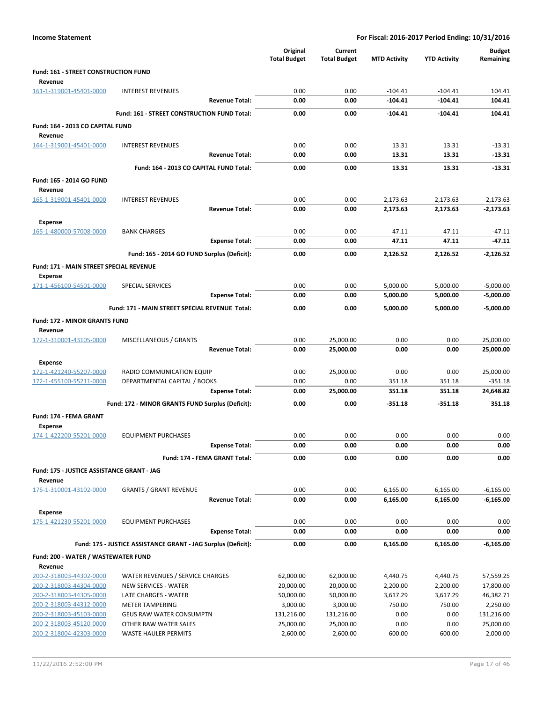|                                                           |                                                               | Original<br><b>Total Budget</b> | Current<br><b>Total Budget</b> | <b>MTD Activity</b> | <b>YTD Activity</b> | <b>Budget</b><br>Remaining |
|-----------------------------------------------------------|---------------------------------------------------------------|---------------------------------|--------------------------------|---------------------|---------------------|----------------------------|
| Fund: 161 - STREET CONSTRUCTION FUND<br>Revenue           |                                                               |                                 |                                |                     |                     |                            |
| 161-1-319001-45401-0000                                   | <b>INTEREST REVENUES</b>                                      | 0.00                            | 0.00                           | $-104.41$           | $-104.41$           | 104.41                     |
|                                                           | <b>Revenue Total:</b>                                         | 0.00                            | 0.00                           | $-104.41$           | $-104.41$           | 104.41                     |
|                                                           | Fund: 161 - STREET CONSTRUCTION FUND Total:                   | 0.00                            | 0.00                           | $-104.41$           | $-104.41$           | 104.41                     |
| Fund: 164 - 2013 CO CAPITAL FUND<br>Revenue               |                                                               |                                 |                                |                     |                     |                            |
| 164-1-319001-45401-0000                                   | <b>INTEREST REVENUES</b>                                      | 0.00                            | 0.00                           | 13.31               | 13.31               | $-13.31$                   |
|                                                           | Revenue Total:                                                | 0.00                            | 0.00                           | 13.31               | 13.31               | $-13.31$                   |
|                                                           | Fund: 164 - 2013 CO CAPITAL FUND Total:                       | 0.00                            | 0.00                           | 13.31               | 13.31               | $-13.31$                   |
| Fund: 165 - 2014 GO FUND<br>Revenue                       |                                                               |                                 |                                |                     |                     |                            |
| 165-1-319001-45401-0000                                   | <b>INTEREST REVENUES</b>                                      | 0.00                            | 0.00                           | 2,173.63            | 2,173.63            | $-2,173.63$                |
|                                                           | <b>Revenue Total:</b>                                         | 0.00                            | 0.00                           | 2,173.63            | 2,173.63            | $-2,173.63$                |
| <b>Expense</b>                                            |                                                               |                                 |                                |                     |                     |                            |
| 165-1-480000-57008-0000                                   | <b>BANK CHARGES</b>                                           | 0.00                            | 0.00                           | 47.11               | 47.11               | $-47.11$                   |
|                                                           | <b>Expense Total:</b>                                         | 0.00                            | 0.00                           | 47.11               | 47.11               | $-47.11$                   |
|                                                           | Fund: 165 - 2014 GO FUND Surplus (Deficit):                   | 0.00                            | 0.00                           | 2,126.52            | 2,126.52            | $-2,126.52$                |
| Fund: 171 - MAIN STREET SPECIAL REVENUE<br><b>Expense</b> |                                                               |                                 |                                |                     |                     |                            |
| 171-1-456100-54501-0000                                   | <b>SPECIAL SERVICES</b>                                       | 0.00                            | 0.00                           | 5,000.00            | 5,000.00            | $-5,000.00$                |
|                                                           | <b>Expense Total:</b>                                         | 0.00                            | 0.00                           | 5,000.00            | 5,000.00            | $-5,000.00$                |
|                                                           | Fund: 171 - MAIN STREET SPECIAL REVENUE Total:                | 0.00                            | 0.00                           | 5,000.00            | 5,000.00            | $-5,000.00$                |
| Fund: 172 - MINOR GRANTS FUND                             |                                                               |                                 |                                |                     |                     |                            |
| Revenue                                                   |                                                               |                                 |                                |                     |                     |                            |
| 172-1-310001-43105-0000                                   | MISCELLANEOUS / GRANTS<br><b>Revenue Total:</b>               | 0.00<br>0.00                    | 25,000.00<br>25,000.00         | 0.00<br>0.00        | 0.00<br>0.00        | 25,000.00<br>25,000.00     |
| <b>Expense</b>                                            |                                                               |                                 |                                |                     |                     |                            |
| 172-1-421240-55207-0000                                   | RADIO COMMUNICATION EQUIP                                     | 0.00                            | 25,000.00                      | 0.00                | 0.00                | 25,000.00                  |
| 172-1-455100-55211-0000                                   | DEPARTMENTAL CAPITAL / BOOKS<br><b>Expense Total:</b>         | 0.00<br>0.00                    | 0.00<br>25,000.00              | 351.18<br>351.18    | 351.18<br>351.18    | $-351.18$<br>24,648.82     |
|                                                           |                                                               |                                 |                                |                     |                     |                            |
| Fund: 174 - FEMA GRANT                                    | Fund: 172 - MINOR GRANTS FUND Surplus (Deficit):              | 0.00                            | 0.00                           | -351.18             | $-351.18$           | 351.18                     |
| <b>Expense</b>                                            |                                                               |                                 |                                |                     |                     |                            |
| 174-1-422200-55201-0000                                   | <b>EQUIPMENT PURCHASES</b>                                    | 0.00                            | 0.00                           | 0.00                | 0.00                | 0.00                       |
|                                                           | <b>Expense Total:</b>                                         | 0.00                            | 0.00                           | 0.00                | 0.00                | 0.00                       |
|                                                           | Fund: 174 - FEMA GRANT Total:                                 | 0.00                            | 0.00                           | 0.00                | 0.00                | 0.00                       |
| Fund: 175 - JUSTICE ASSISTANCE GRANT - JAG                |                                                               |                                 |                                |                     |                     |                            |
| Revenue<br>175-1-310001-43102-0000                        | <b>GRANTS / GRANT REVENUE</b>                                 | 0.00                            | 0.00                           | 6,165.00            | 6,165.00            | $-6,165.00$                |
|                                                           | <b>Revenue Total:</b>                                         | 0.00                            | 0.00                           | 6,165.00            | 6,165.00            | $-6,165.00$                |
| <b>Expense</b>                                            |                                                               |                                 |                                |                     |                     |                            |
| 175-1-421230-55201-0000                                   | <b>EQUIPMENT PURCHASES</b>                                    | 0.00                            | 0.00                           | 0.00                | 0.00                | 0.00                       |
|                                                           | <b>Expense Total:</b>                                         | 0.00                            | 0.00                           | 0.00                | 0.00                | 0.00                       |
|                                                           | Fund: 175 - JUSTICE ASSISTANCE GRANT - JAG Surplus (Deficit): | 0.00                            | 0.00                           | 6,165.00            | 6,165.00            | $-6,165.00$                |
| Fund: 200 - WATER / WASTEWATER FUND<br>Revenue            |                                                               |                                 |                                |                     |                     |                            |
| 200-2-318003-44302-0000                                   | WATER REVENUES / SERVICE CHARGES                              | 62,000.00                       | 62,000.00                      | 4,440.75            | 4,440.75            | 57,559.25                  |
| 200-2-318003-44304-0000                                   | <b>NEW SERVICES - WATER</b>                                   | 20,000.00                       | 20,000.00                      | 2,200.00            | 2,200.00            | 17,800.00                  |
| 200-2-318003-44305-0000                                   | LATE CHARGES - WATER                                          | 50,000.00                       | 50,000.00                      | 3,617.29            | 3,617.29            | 46,382.71                  |
| 200-2-318003-44312-0000<br>200-2-318003-45103-0000        | <b>METER TAMPERING</b><br><b>GEUS RAW WATER CONSUMPTN</b>     | 3,000.00<br>131,216.00          | 3,000.00<br>131,216.00         | 750.00<br>0.00      | 750.00<br>0.00      | 2,250.00<br>131,216.00     |
| 200-2-318003-45120-0000                                   | OTHER RAW WATER SALES                                         | 25,000.00                       | 25,000.00                      | 0.00                | 0.00                | 25,000.00                  |
| 200-2-318004-42303-0000                                   | <b>WASTE HAULER PERMITS</b>                                   | 2,600.00                        | 2,600.00                       | 600.00              | 600.00              | 2,000.00                   |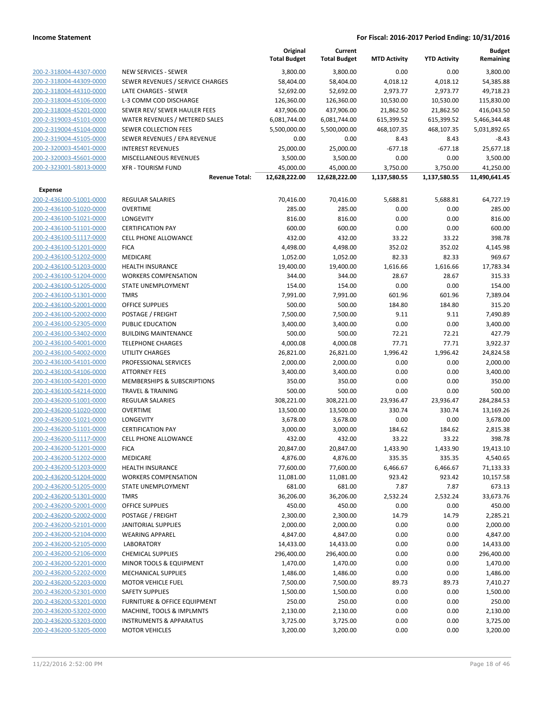|                                           |                                                    | Original<br><b>Total Budget</b> | Current<br><b>Total Budget</b> | <b>MTD Activity</b>      | <b>YTD Activity</b>      | <b>Budget</b><br>Remaining |
|-------------------------------------------|----------------------------------------------------|---------------------------------|--------------------------------|--------------------------|--------------------------|----------------------------|
| 200-2-318004-44307-0000                   | NEW SERVICES - SEWER                               | 3,800.00                        | 3,800.00                       | 0.00                     | 0.00                     | 3,800.00                   |
| 200-2-318004-44309-0000                   | SEWER REVENUES / SERVICE CHARGES                   | 58,404.00                       | 58,404.00                      | 4,018.12                 | 4,018.12                 | 54,385.88                  |
| 200-2-318004-44310-0000                   | LATE CHARGES - SEWER                               | 52,692.00                       | 52,692.00                      | 2,973.77                 | 2,973.77                 | 49,718.23                  |
| 200-2-318004-45106-0000                   | L-3 COMM COD DISCHARGE                             | 126,360.00                      | 126,360.00                     | 10,530.00                | 10,530.00                | 115,830.00                 |
| 200-2-318004-45201-0000                   | SEWER REV/ SEWER HAULER FEES                       | 437,906.00                      | 437,906.00                     | 21,862.50                | 21,862.50                | 416,043.50                 |
| 200-2-319003-45101-0000                   | WATER REVENUES / METERED SALES                     | 6,081,744.00                    | 6,081,744.00                   | 615,399.52               | 615,399.52               | 5,466,344.48               |
| 200-2-319004-45104-0000                   | SEWER COLLECTION FEES                              | 5,500,000.00                    | 5,500,000.00                   | 468,107.35               | 468,107.35               | 5,031,892.65               |
| 200-2-319004-45105-0000                   | SEWER REVENUES / EPA REVENUE                       | 0.00                            | 0.00                           | 8.43                     | 8.43                     | $-8.43$                    |
| 200-2-320003-45401-0000                   | <b>INTEREST REVENUES</b>                           | 25,000.00                       | 25,000.00                      | $-677.18$                | $-677.18$                | 25,677.18                  |
| 200-2-320003-45601-0000                   | MISCELLANEOUS REVENUES                             | 3,500.00                        | 3,500.00                       | 0.00                     | 0.00                     | 3,500.00                   |
| 200-2-323001-58013-0000                   | <b>XFR - TOURISM FUND</b><br><b>Revenue Total:</b> | 45,000.00<br>12,628,222.00      | 45,000.00<br>12,628,222.00     | 3,750.00<br>1,137,580.55 | 3,750.00<br>1,137,580.55 | 41,250.00<br>11,490,641.45 |
|                                           |                                                    |                                 |                                |                          |                          |                            |
| <b>Expense</b><br>200-2-436100-51001-0000 | REGULAR SALARIES                                   | 70,416.00                       | 70,416.00                      | 5,688.81                 | 5,688.81                 | 64,727.19                  |
| 200-2-436100-51020-0000                   | <b>OVERTIME</b>                                    | 285.00                          | 285.00                         | 0.00                     | 0.00                     | 285.00                     |
| 200-2-436100-51021-0000                   | LONGEVITY                                          | 816.00                          | 816.00                         | 0.00                     | 0.00                     | 816.00                     |
| 200-2-436100-51101-0000                   | <b>CERTIFICATION PAY</b>                           | 600.00                          | 600.00                         | 0.00                     | 0.00                     | 600.00                     |
| 200-2-436100-51117-0000                   | <b>CELL PHONE ALLOWANCE</b>                        | 432.00                          | 432.00                         | 33.22                    | 33.22                    | 398.78                     |
| 200-2-436100-51201-0000                   | <b>FICA</b>                                        | 4,498.00                        | 4,498.00                       | 352.02                   | 352.02                   | 4,145.98                   |
| 200-2-436100-51202-0000                   | MEDICARE                                           | 1,052.00                        | 1,052.00                       | 82.33                    | 82.33                    | 969.67                     |
| 200-2-436100-51203-0000                   | <b>HEALTH INSURANCE</b>                            | 19,400.00                       | 19,400.00                      | 1,616.66                 | 1,616.66                 | 17,783.34                  |
| 200-2-436100-51204-0000                   | <b>WORKERS COMPENSATION</b>                        | 344.00                          | 344.00                         | 28.67                    | 28.67                    | 315.33                     |
| 200-2-436100-51205-0000                   | STATE UNEMPLOYMENT                                 | 154.00                          | 154.00                         | 0.00                     | 0.00                     | 154.00                     |
| 200-2-436100-51301-0000                   | <b>TMRS</b>                                        | 7,991.00                        | 7,991.00                       | 601.96                   | 601.96                   | 7,389.04                   |
| 200-2-436100-52001-0000                   | <b>OFFICE SUPPLIES</b>                             | 500.00                          | 500.00                         | 184.80                   | 184.80                   | 315.20                     |
| 200-2-436100-52002-0000                   | POSTAGE / FREIGHT                                  | 7,500.00                        | 7,500.00                       | 9.11                     | 9.11                     | 7,490.89                   |
| 200-2-436100-52305-0000                   | PUBLIC EDUCATION                                   | 3,400.00                        | 3,400.00                       | 0.00                     | 0.00                     | 3,400.00                   |
| 200-2-436100-53402-0000                   | <b>BUILDING MAINTENANCE</b>                        | 500.00                          | 500.00                         | 72.21                    | 72.21                    | 427.79                     |
| 200-2-436100-54001-0000                   | <b>TELEPHONE CHARGES</b>                           | 4,000.08                        | 4,000.08                       | 77.71                    | 77.71                    | 3,922.37                   |
| 200-2-436100-54002-0000                   | UTILITY CHARGES                                    | 26,821.00                       | 26,821.00                      | 1,996.42                 | 1,996.42                 | 24,824.58                  |
| 200-2-436100-54101-0000                   | PROFESSIONAL SERVICES                              | 2,000.00                        | 2,000.00                       | 0.00                     | 0.00                     | 2,000.00                   |
| 200-2-436100-54106-0000                   | <b>ATTORNEY FEES</b>                               | 3,400.00                        | 3,400.00                       | 0.00                     | 0.00                     | 3,400.00                   |
| 200-2-436100-54201-0000                   | MEMBERSHIPS & SUBSCRIPTIONS                        | 350.00                          | 350.00                         | 0.00                     | 0.00                     | 350.00                     |
| 200-2-436100-54214-0000                   | <b>TRAVEL &amp; TRAINING</b>                       | 500.00                          | 500.00                         | 0.00                     | 0.00                     | 500.00                     |
| 200-2-436200-51001-0000                   | <b>REGULAR SALARIES</b>                            | 308,221.00                      | 308,221.00                     | 23,936.47                | 23,936.47                | 284,284.53                 |
| 200-2-436200-51020-0000                   | <b>OVERTIME</b>                                    | 13,500.00                       | 13,500.00                      | 330.74                   | 330.74                   | 13,169.26                  |
| 200-2-436200-51021-0000                   | LONGEVITY                                          | 3,678.00                        | 3,678.00                       | 0.00                     | 0.00                     | 3,678.00                   |
| 200-2-436200-51101-0000                   | <b>CERTIFICATION PAY</b>                           | 3,000.00                        | 3,000.00                       | 184.62                   | 184.62                   | 2,815.38                   |
| 200-2-436200-51117-0000                   | <b>CELL PHONE ALLOWANCE</b>                        | 432.00                          | 432.00                         | 33.22                    | 33.22                    | 398.78                     |
| <u>200-2-436200-51201-0000</u>            | <b>FICA</b>                                        | 20,847.00                       | 20,847.00                      | 1,433.90                 | 1,433.90                 | 19,413.10                  |
| 200-2-436200-51202-0000                   | MEDICARE                                           | 4,876.00                        | 4,876.00                       | 335.35                   | 335.35                   | 4,540.65                   |
| 200-2-436200-51203-0000                   | <b>HEALTH INSURANCE</b>                            | 77,600.00                       | 77,600.00                      | 6,466.67                 | 6,466.67                 | 71,133.33                  |
| 200-2-436200-51204-0000                   | <b>WORKERS COMPENSATION</b>                        | 11,081.00                       | 11,081.00                      | 923.42                   | 923.42                   | 10,157.58                  |
| 200-2-436200-51205-0000                   | <b>STATE UNEMPLOYMENT</b>                          | 681.00                          | 681.00                         | 7.87                     | 7.87                     | 673.13                     |
| 200-2-436200-51301-0000                   | <b>TMRS</b>                                        | 36,206.00                       | 36,206.00                      | 2,532.24                 | 2,532.24                 | 33,673.76                  |
| 200-2-436200-52001-0000                   | <b>OFFICE SUPPLIES</b>                             | 450.00                          | 450.00                         | 0.00                     | 0.00                     | 450.00                     |
| 200-2-436200-52002-0000                   | POSTAGE / FREIGHT                                  | 2,300.00                        | 2,300.00                       | 14.79                    | 14.79                    | 2,285.21                   |
| 200-2-436200-52101-0000                   | <b>JANITORIAL SUPPLIES</b>                         | 2,000.00                        | 2,000.00                       | 0.00                     | 0.00                     | 2,000.00                   |
| 200-2-436200-52104-0000                   | <b>WEARING APPAREL</b>                             | 4,847.00                        | 4,847.00                       | 0.00                     | 0.00                     | 4,847.00                   |
| 200-2-436200-52105-0000                   | <b>LABORATORY</b>                                  | 14,433.00                       | 14,433.00                      | 0.00                     | 0.00                     | 14,433.00                  |
| 200-2-436200-52106-0000                   | <b>CHEMICAL SUPPLIES</b>                           | 296,400.00                      | 296,400.00                     | 0.00                     | 0.00                     | 296,400.00                 |
| 200-2-436200-52201-0000                   | MINOR TOOLS & EQUIPMENT                            | 1,470.00                        | 1,470.00                       | 0.00                     | 0.00                     | 1,470.00                   |
| 200-2-436200-52202-0000                   | <b>MECHANICAL SUPPLIES</b>                         | 1,486.00                        | 1,486.00                       | 0.00                     | 0.00                     | 1,486.00                   |
| 200-2-436200-52203-0000                   | <b>MOTOR VEHICLE FUEL</b>                          | 7,500.00                        | 7,500.00                       | 89.73                    | 89.73                    | 7,410.27                   |
| 200-2-436200-52301-0000                   | <b>SAFETY SUPPLIES</b>                             | 1,500.00                        | 1,500.00                       | 0.00                     | 0.00                     | 1,500.00                   |
| 200-2-436200-53201-0000                   | <b>FURNITURE &amp; OFFICE EQUIPMENT</b>            | 250.00                          | 250.00                         | 0.00                     | 0.00                     | 250.00                     |
| 200-2-436200-53202-0000                   | MACHINE, TOOLS & IMPLMNTS                          | 2,130.00                        | 2,130.00                       | 0.00                     | 0.00                     | 2,130.00                   |
| 200-2-436200-53203-0000                   | <b>INSTRUMENTS &amp; APPARATUS</b>                 | 3,725.00                        | 3,725.00                       | 0.00                     | 0.00                     | 3,725.00                   |
| 200-2-436200-53205-0000                   | <b>MOTOR VEHICLES</b>                              | 3,200.00                        | 3,200.00                       | 0.00                     | 0.00                     | 3,200.00                   |
|                                           |                                                    |                                 |                                |                          |                          |                            |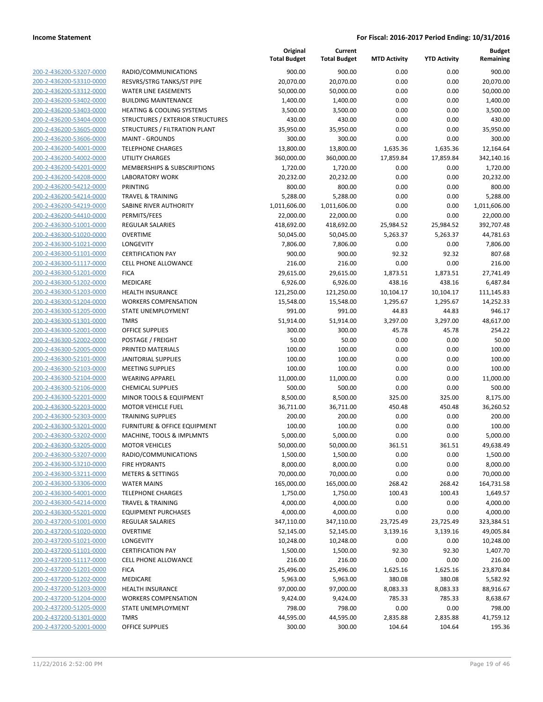|                         |                                         | Original<br><b>Total Budget</b> | Current<br><b>Total Budget</b> | <b>MTD Activity</b> | <b>YTD Activity</b> | <b>Budget</b><br>Remaining |
|-------------------------|-----------------------------------------|---------------------------------|--------------------------------|---------------------|---------------------|----------------------------|
| 200-2-436200-53207-0000 | RADIO/COMMUNICATIONS                    | 900.00                          | 900.00                         | 0.00                | 0.00                | 900.00                     |
| 200-2-436200-53310-0000 | RESVRS/STRG TANKS/ST PIPE               | 20,070.00                       | 20,070.00                      | 0.00                | 0.00                | 20,070.00                  |
| 200-2-436200-53312-0000 | <b>WATER LINE EASEMENTS</b>             | 50,000.00                       | 50,000.00                      | 0.00                | 0.00                | 50,000.00                  |
| 200-2-436200-53402-0000 | <b>BUILDING MAINTENANCE</b>             | 1,400.00                        | 1,400.00                       | 0.00                | 0.00                | 1,400.00                   |
| 200-2-436200-53403-0000 | <b>HEATING &amp; COOLING SYSTEMS</b>    | 3,500.00                        | 3,500.00                       | 0.00                | 0.00                | 3,500.00                   |
| 200-2-436200-53404-0000 | STRUCTURES / EXTERIOR STRUCTURES        | 430.00                          | 430.00                         | 0.00                | 0.00                | 430.00                     |
| 200-2-436200-53605-0000 | STRUCTURES / FILTRATION PLANT           | 35,950.00                       | 35,950.00                      | 0.00                | 0.00                | 35,950.00                  |
| 200-2-436200-53606-0000 | <b>MAINT - GROUNDS</b>                  | 300.00                          | 300.00                         | 0.00                | 0.00                | 300.00                     |
| 200-2-436200-54001-0000 | <b>TELEPHONE CHARGES</b>                | 13,800.00                       | 13,800.00                      | 1,635.36            | 1,635.36            | 12,164.64                  |
| 200-2-436200-54002-0000 | <b>UTILITY CHARGES</b>                  | 360,000.00                      | 360,000.00                     | 17,859.84           | 17,859.84           | 342,140.16                 |
| 200-2-436200-54201-0000 | MEMBERSHIPS & SUBSCRIPTIONS             | 1,720.00                        | 1,720.00                       | 0.00                | 0.00                | 1,720.00                   |
| 200-2-436200-54208-0000 | <b>LABORATORY WORK</b>                  | 20,232.00                       | 20,232.00                      | 0.00                | 0.00                | 20,232.00                  |
| 200-2-436200-54212-0000 | <b>PRINTING</b>                         | 800.00                          | 800.00                         | 0.00                | 0.00                | 800.00                     |
| 200-2-436200-54214-0000 | <b>TRAVEL &amp; TRAINING</b>            | 5,288.00                        | 5,288.00                       | 0.00                | 0.00                | 5,288.00                   |
| 200-2-436200-54219-0000 | SABINE RIVER AUTHORITY                  | 1,011,606.00                    | 1,011,606.00                   | 0.00                | 0.00                | 1,011,606.00               |
| 200-2-436200-54410-0000 | PERMITS/FEES                            | 22,000.00                       | 22,000.00                      | 0.00                | 0.00                | 22,000.00                  |
| 200-2-436300-51001-0000 | REGULAR SALARIES                        | 418,692.00                      | 418,692.00                     | 25,984.52           | 25,984.52           | 392,707.48                 |
| 200-2-436300-51020-0000 | <b>OVERTIME</b>                         | 50,045.00                       | 50,045.00                      | 5,263.37            | 5,263.37            | 44,781.63                  |
| 200-2-436300-51021-0000 | LONGEVITY                               | 7,806.00                        | 7,806.00                       | 0.00                | 0.00                | 7,806.00                   |
| 200-2-436300-51101-0000 | <b>CERTIFICATION PAY</b>                | 900.00                          | 900.00                         | 92.32               | 92.32               | 807.68                     |
| 200-2-436300-51117-0000 | <b>CELL PHONE ALLOWANCE</b>             | 216.00                          | 216.00                         | 0.00                | 0.00                | 216.00                     |
| 200-2-436300-51201-0000 | <b>FICA</b>                             | 29,615.00                       | 29,615.00                      | 1,873.51            | 1,873.51            | 27,741.49                  |
| 200-2-436300-51202-0000 | MEDICARE                                | 6,926.00                        | 6,926.00                       | 438.16              | 438.16              | 6,487.84                   |
| 200-2-436300-51203-0000 | <b>HEALTH INSURANCE</b>                 | 121,250.00                      | 121,250.00                     | 10,104.17           | 10,104.17           | 111,145.83                 |
| 200-2-436300-51204-0000 | <b>WORKERS COMPENSATION</b>             | 15,548.00                       | 15,548.00                      | 1,295.67            | 1,295.67            | 14,252.33                  |
| 200-2-436300-51205-0000 | STATE UNEMPLOYMENT                      | 991.00                          | 991.00                         | 44.83               | 44.83               | 946.17                     |
| 200-2-436300-51301-0000 | <b>TMRS</b>                             | 51,914.00                       | 51,914.00                      | 3,297.00            | 3,297.00            | 48,617.00                  |
| 200-2-436300-52001-0000 | <b>OFFICE SUPPLIES</b>                  | 300.00                          | 300.00                         | 45.78               | 45.78               | 254.22                     |
| 200-2-436300-52002-0000 | POSTAGE / FREIGHT                       | 50.00                           | 50.00                          | 0.00                | 0.00                | 50.00                      |
| 200-2-436300-52005-0000 | PRINTED MATERIALS                       | 100.00                          | 100.00                         | 0.00                | 0.00                | 100.00                     |
| 200-2-436300-52101-0000 | JANITORIAL SUPPLIES                     | 100.00                          | 100.00                         | 0.00                | 0.00                | 100.00                     |
| 200-2-436300-52103-0000 | <b>MEETING SUPPLIES</b>                 | 100.00                          | 100.00                         | 0.00                | 0.00                | 100.00                     |
| 200-2-436300-52104-0000 | <b>WEARING APPAREL</b>                  | 11,000.00                       | 11,000.00                      | 0.00                | 0.00                | 11,000.00                  |
| 200-2-436300-52106-0000 | <b>CHEMICAL SUPPLIES</b>                | 500.00                          | 500.00                         | 0.00                | 0.00                | 500.00                     |
| 200-2-436300-52201-0000 | MINOR TOOLS & EQUIPMENT                 | 8,500.00                        | 8,500.00                       | 325.00              | 325.00              | 8,175.00                   |
| 200-2-436300-52203-0000 | <b>MOTOR VEHICLE FUEL</b>               | 36,711.00                       | 36,711.00                      | 450.48              | 450.48              | 36,260.52                  |
| 200-2-436300-52303-0000 | <b>TRAINING SUPPLIES</b>                | 200.00                          | 200.00                         | 0.00                | 0.00                | 200.00                     |
| 200-2-436300-53201-0000 | <b>FURNITURE &amp; OFFICE EQUIPMENT</b> | 100.00                          | 100.00                         | 0.00                | 0.00                | 100.00                     |
| 200-2-436300-53202-0000 | MACHINE, TOOLS & IMPLMNTS               | 5,000.00                        | 5,000.00                       | 0.00                | 0.00                | 5,000.00                   |
| 200-2-436300-53205-0000 | <b>MOTOR VEHICLES</b>                   | 50,000.00                       | 50,000.00                      | 361.51              | 361.51              | 49,638.49                  |
| 200-2-436300-53207-0000 | RADIO/COMMUNICATIONS                    | 1,500.00                        | 1,500.00                       | 0.00                | 0.00                | 1,500.00                   |
| 200-2-436300-53210-0000 | <b>FIRE HYDRANTS</b>                    | 8,000.00                        | 8,000.00                       | 0.00                | 0.00                | 8,000.00                   |
| 200-2-436300-53211-0000 | <b>METERS &amp; SETTINGS</b>            | 70,000.00                       | 70,000.00                      | 0.00                | 0.00                | 70,000.00                  |
| 200-2-436300-53306-0000 | <b>WATER MAINS</b>                      | 165,000.00                      | 165,000.00                     | 268.42              | 268.42              | 164,731.58                 |
| 200-2-436300-54001-0000 | <b>TELEPHONE CHARGES</b>                | 1,750.00                        | 1,750.00                       | 100.43              | 100.43              | 1,649.57                   |
| 200-2-436300-54214-0000 | TRAVEL & TRAINING                       | 4,000.00                        | 4,000.00                       | 0.00                | 0.00                | 4,000.00                   |
| 200-2-436300-55201-0000 | <b>EQUIPMENT PURCHASES</b>              | 4,000.00                        | 4,000.00                       | 0.00                | 0.00                | 4,000.00                   |
| 200-2-437200-51001-0000 | <b>REGULAR SALARIES</b>                 | 347,110.00                      | 347,110.00                     | 23,725.49           | 23,725.49           | 323,384.51                 |
| 200-2-437200-51020-0000 | <b>OVERTIME</b>                         | 52,145.00                       | 52,145.00                      | 3,139.16            | 3,139.16            | 49,005.84                  |
| 200-2-437200-51021-0000 | LONGEVITY                               | 10,248.00                       | 10,248.00                      | 0.00                | 0.00                | 10,248.00                  |
| 200-2-437200-51101-0000 | <b>CERTIFICATION PAY</b>                | 1,500.00                        | 1,500.00                       | 92.30               | 92.30               | 1,407.70                   |
| 200-2-437200-51117-0000 | <b>CELL PHONE ALLOWANCE</b>             | 216.00                          | 216.00                         | 0.00                | 0.00                | 216.00                     |
| 200-2-437200-51201-0000 | <b>FICA</b>                             | 25,496.00                       | 25,496.00                      | 1,625.16            | 1,625.16            | 23,870.84                  |
| 200-2-437200-51202-0000 | MEDICARE                                | 5,963.00                        | 5,963.00                       | 380.08              | 380.08              | 5,582.92                   |
| 200-2-437200-51203-0000 | <b>HEALTH INSURANCE</b>                 | 97,000.00                       | 97,000.00                      | 8,083.33            | 8,083.33            | 88,916.67                  |
| 200-2-437200-51204-0000 | <b>WORKERS COMPENSATION</b>             | 9,424.00                        | 9,424.00                       | 785.33              | 785.33              | 8,638.67                   |
| 200-2-437200-51205-0000 | STATE UNEMPLOYMENT                      | 798.00                          | 798.00                         | 0.00                | 0.00                | 798.00                     |
| 200-2-437200-51301-0000 | <b>TMRS</b>                             | 44,595.00                       | 44,595.00                      | 2,835.88            | 2,835.88            | 41,759.12                  |
| 200-2-437200-52001-0000 | <b>OFFICE SUPPLIES</b>                  | 300.00                          | 300.00                         | 104.64              | 104.64              | 195.36                     |
|                         |                                         |                                 |                                |                     |                     |                            |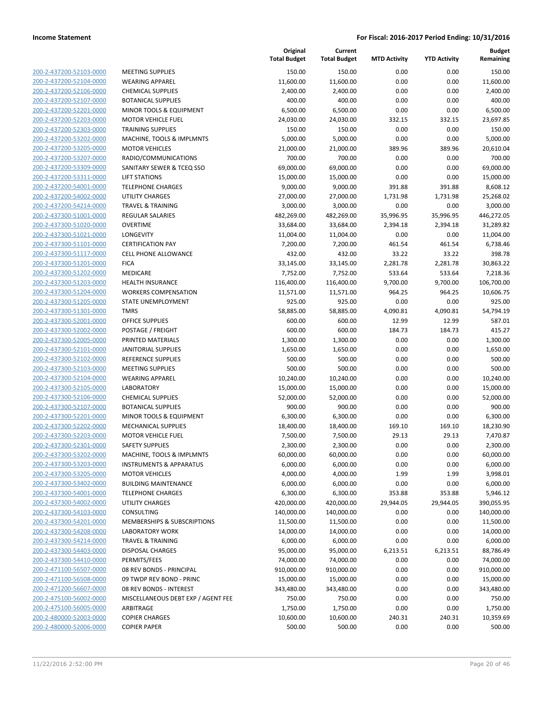**Current**

**Original**

**Budget Remaining**

| 200-2-437200-52103-0000                                          |
|------------------------------------------------------------------|
| 200-2-437200-52104-0000                                          |
| 200-2-437200-52106-0000                                          |
| 200-2-437200-52107-0000                                          |
| 200-2-437200-52201-0000                                          |
|                                                                  |
| 200-2-437200-52203-0000                                          |
| 200-2-437200-52303-0000                                          |
| 200-2-437200-53202-0000                                          |
| 200-2-437200-53205-0000                                          |
| 200-2-437200-53207-0000                                          |
| 200-2-437200-53309-0000                                          |
| 200-2-437200-53311-0000                                          |
| 200-2-437200-54001-0000                                          |
| 200-2-437200-54002-0000                                          |
|                                                                  |
| 200-2-437200-54214-0000                                          |
| 200-2-437300-51001-0000                                          |
| 200-2-437300-51020-0000                                          |
| 200-2-437300-51021-0000                                          |
| 200-2-437300-51101-0000                                          |
| 200-2-437300-51117-0000                                          |
| 200-2-437300-51201-0000                                          |
| 200-2-437300-51202-0000                                          |
| 200-2-437300-51203-0000                                          |
|                                                                  |
| 200-2-437300-51204-0000                                          |
| 200-2-437300-51205-0000                                          |
| 200-2-437300-51301-0000                                          |
| 200-2-437300-52001-0000                                          |
| 200-2-437300-52002-0000                                          |
| 200-2-437300-52005-0000                                          |
| 200-2-437300-52101·<br>-0000                                     |
| 200-2-437300-52102-0000                                          |
| 200-2-437300-52103-0000                                          |
|                                                                  |
| 200-2-437300-52104-0000                                          |
| 200-2-437300-52105-0000                                          |
| 200-2-437300-52106-0000                                          |
| 200-2-437300-52107-0000                                          |
| 200-2-437300-52201-0000                                          |
| 200-2-437300-52202-0000                                          |
| 200-2-437300-52203-0000                                          |
| 200-2-437300-52301-0000                                          |
| 200-2-437300-53202-0000                                          |
|                                                                  |
| 200-2-437300-53203-0000                                          |
| 200-2-437300-53205-0000                                          |
| 200-2-437300-53402-0000                                          |
| 200-2-437300-54001-0000                                          |
| 200-2-437300-54002-0000                                          |
| 200-2-437300-54103-0000                                          |
| 200-2-437300-54201-0000                                          |
| 200-2-437300-54208-0000                                          |
|                                                                  |
|                                                                  |
| 200-2-437300-54214-0000                                          |
| 200-2-437300-54403-0000                                          |
| 200-2-437300-54410-0000                                          |
| 200-2-471100-56507-0000                                          |
| 200-2-471100-56508-0000                                          |
| 200-2-471200-56607-0000                                          |
| 200-2-475100-56002-0000                                          |
| 200-2-475100-56005-0000                                          |
|                                                                  |
| <u>200-2-480000-52003-0000</u><br><u>200-2-480000-52006-0000</u> |

|                         |                                    | <b>Total Budget</b> | <b>Total Budget</b> | <b>MTD Activity</b> | <b>YTD Activity</b> | Remaining  |
|-------------------------|------------------------------------|---------------------|---------------------|---------------------|---------------------|------------|
| 200-2-437200-52103-0000 | <b>MEETING SUPPLIES</b>            | 150.00              | 150.00              | 0.00                | 0.00                | 150.00     |
| 200-2-437200-52104-0000 | <b>WEARING APPAREL</b>             | 11,600.00           | 11,600.00           | 0.00                | 0.00                | 11,600.00  |
| 200-2-437200-52106-0000 | <b>CHEMICAL SUPPLIES</b>           | 2,400.00            | 2,400.00            | 0.00                | 0.00                | 2,400.00   |
| 200-2-437200-52107-0000 | <b>BOTANICAL SUPPLIES</b>          | 400.00              | 400.00              | 0.00                | 0.00                | 400.00     |
| 200-2-437200-52201-0000 | MINOR TOOLS & EQUIPMENT            | 6,500.00            | 6,500.00            | 0.00                | 0.00                | 6,500.00   |
| 200-2-437200-52203-0000 | <b>MOTOR VEHICLE FUEL</b>          | 24,030.00           | 24,030.00           | 332.15              | 332.15              | 23,697.85  |
| 200-2-437200-52303-0000 | <b>TRAINING SUPPLIES</b>           | 150.00              | 150.00              | 0.00                | 0.00                | 150.00     |
| 200-2-437200-53202-0000 | MACHINE, TOOLS & IMPLMNTS          | 5,000.00            | 5,000.00            | 0.00                | 0.00                | 5,000.00   |
| 200-2-437200-53205-0000 | <b>MOTOR VEHICLES</b>              | 21,000.00           | 21,000.00           | 389.96              | 389.96              | 20,610.04  |
| 200-2-437200-53207-0000 | RADIO/COMMUNICATIONS               | 700.00              | 700.00              | 0.00                | 0.00                | 700.00     |
| 200-2-437200-53309-0000 | SANITARY SEWER & TCEQ SSO          | 69,000.00           | 69,000.00           | 0.00                | 0.00                | 69,000.00  |
| 200-2-437200-53311-0000 | <b>LIFT STATIONS</b>               | 15,000.00           | 15,000.00           | 0.00                | 0.00                | 15,000.00  |
| 200-2-437200-54001-0000 | <b>TELEPHONE CHARGES</b>           | 9,000.00            | 9,000.00            | 391.88              | 391.88              | 8,608.12   |
| 200-2-437200-54002-0000 | <b>UTILITY CHARGES</b>             | 27,000.00           | 27,000.00           | 1,731.98            | 1,731.98            | 25,268.02  |
| 200-2-437200-54214-0000 | <b>TRAVEL &amp; TRAINING</b>       | 3,000.00            | 3,000.00            | 0.00                | 0.00                | 3,000.00   |
| 200-2-437300-51001-0000 | <b>REGULAR SALARIES</b>            | 482,269.00          | 482,269.00          | 35,996.95           | 35,996.95           | 446,272.05 |
| 200-2-437300-51020-0000 | <b>OVERTIME</b>                    | 33,684.00           | 33,684.00           | 2,394.18            | 2,394.18            | 31,289.82  |
| 200-2-437300-51021-0000 | LONGEVITY                          | 11,004.00           | 11,004.00           | 0.00                | 0.00                | 11,004.00  |
| 200-2-437300-51101-0000 | <b>CERTIFICATION PAY</b>           | 7,200.00            | 7,200.00            | 461.54              | 461.54              | 6,738.46   |
| 200-2-437300-51117-0000 | CELL PHONE ALLOWANCE               | 432.00              | 432.00              | 33.22               | 33.22               | 398.78     |
| 200-2-437300-51201-0000 | <b>FICA</b>                        | 33,145.00           | 33,145.00           | 2,281.78            | 2,281.78            | 30,863.22  |
| 200-2-437300-51202-0000 | MEDICARE                           | 7,752.00            | 7,752.00            | 533.64              | 533.64              | 7,218.36   |
| 200-2-437300-51203-0000 | HEALTH INSURANCE                   | 116,400.00          | 116,400.00          | 9,700.00            | 9,700.00            | 106,700.00 |
| 200-2-437300-51204-0000 | <b>WORKERS COMPENSATION</b>        | 11,571.00           | 11,571.00           | 964.25              | 964.25              | 10,606.75  |
| 200-2-437300-51205-0000 | STATE UNEMPLOYMENT                 | 925.00              | 925.00              | 0.00                | 0.00                | 925.00     |
| 200-2-437300-51301-0000 | <b>TMRS</b>                        | 58,885.00           | 58,885.00           | 4,090.81            | 4,090.81            | 54,794.19  |
| 200-2-437300-52001-0000 | <b>OFFICE SUPPLIES</b>             | 600.00              | 600.00              | 12.99               | 12.99               | 587.01     |
| 200-2-437300-52002-0000 | POSTAGE / FREIGHT                  | 600.00              | 600.00              | 184.73              | 184.73              | 415.27     |
| 200-2-437300-52005-0000 | PRINTED MATERIALS                  | 1,300.00            | 1,300.00            | 0.00                | 0.00                | 1,300.00   |
| 200-2-437300-52101-0000 | <b>JANITORIAL SUPPLIES</b>         | 1,650.00            | 1,650.00            | 0.00                | 0.00                | 1,650.00   |
| 200-2-437300-52102-0000 | REFERENCE SUPPLIES                 | 500.00              | 500.00              | 0.00                | 0.00                | 500.00     |
| 200-2-437300-52103-0000 | <b>MEETING SUPPLIES</b>            | 500.00              | 500.00              | 0.00                | 0.00                | 500.00     |
| 200-2-437300-52104-0000 | <b>WEARING APPAREL</b>             | 10,240.00           | 10,240.00           | 0.00                | 0.00                | 10,240.00  |
| 200-2-437300-52105-0000 | <b>LABORATORY</b>                  | 15,000.00           | 15,000.00           | 0.00                | 0.00                | 15,000.00  |
| 200-2-437300-52106-0000 | <b>CHEMICAL SUPPLIES</b>           | 52,000.00           | 52,000.00           | 0.00                | 0.00                | 52,000.00  |
| 200-2-437300-52107-0000 | <b>BOTANICAL SUPPLIES</b>          | 900.00              | 900.00              | 0.00                | 0.00                | 900.00     |
| 200-2-437300-52201-0000 | MINOR TOOLS & EQUIPMENT            | 6,300.00            | 6,300.00            | 0.00                | 0.00                | 6,300.00   |
| 200-2-437300-52202-0000 | <b>MECHANICAL SUPPLIES</b>         | 18,400.00           | 18,400.00           | 169.10              | 169.10              | 18,230.90  |
| 200-2-437300-52203-0000 | <b>MOTOR VEHICLE FUEL</b>          | 7,500.00            | 7,500.00            | 29.13               | 29.13               | 7,470.87   |
| 200-2-437300-52301-0000 | <b>SAFETY SUPPLIES</b>             | 2,300.00            | 2,300.00            | 0.00                | 0.00                | 2,300.00   |
| 200-2-437300-53202-0000 | MACHINE, TOOLS & IMPLMNTS          | 60,000.00           | 60,000.00           | 0.00                | 0.00                | 60,000.00  |
| 200-2-437300-53203-0000 | <b>INSTRUMENTS &amp; APPARATUS</b> | 6,000.00            | 6,000.00            | 0.00                | 0.00                | 6,000.00   |
| 200-2-437300-53205-0000 | <b>MOTOR VEHICLES</b>              | 4,000.00            | 4,000.00            | 1.99                | 1.99                | 3,998.01   |
| 200-2-437300-53402-0000 | <b>BUILDING MAINTENANCE</b>        | 6,000.00            | 6,000.00            | 0.00                | 0.00                | 6,000.00   |
| 200-2-437300-54001-0000 | <b>TELEPHONE CHARGES</b>           | 6,300.00            | 6,300.00            | 353.88              | 353.88              | 5,946.12   |
| 200-2-437300-54002-0000 | UTILITY CHARGES                    | 420,000.00          | 420,000.00          | 29,944.05           | 29,944.05           | 390,055.95 |
| 200-2-437300-54103-0000 | <b>CONSULTING</b>                  | 140,000.00          | 140,000.00          | 0.00                | 0.00                | 140,000.00 |
| 200-2-437300-54201-0000 | MEMBERSHIPS & SUBSCRIPTIONS        | 11,500.00           | 11,500.00           | 0.00                | 0.00                | 11,500.00  |
| 200-2-437300-54208-0000 | <b>LABORATORY WORK</b>             | 14,000.00           | 14,000.00           | 0.00                | 0.00                | 14,000.00  |
| 200-2-437300-54214-0000 | TRAVEL & TRAINING                  | 6,000.00            | 6,000.00            | 0.00                | 0.00                | 6,000.00   |
| 200-2-437300-54403-0000 | DISPOSAL CHARGES                   | 95,000.00           | 95,000.00           | 6,213.51            | 6,213.51            | 88,786.49  |
| 200-2-437300-54410-0000 | PERMITS/FEES                       | 74,000.00           | 74,000.00           | 0.00                | 0.00                | 74,000.00  |
| 200-2-471100-56507-0000 | 08 REV BONDS - PRINCIPAL           | 910,000.00          | 910,000.00          | 0.00                | 0.00                | 910,000.00 |
| 200-2-471100-56508-0000 | 09 TWDP REV BOND - PRINC           | 15,000.00           | 15,000.00           | 0.00                | 0.00                | 15,000.00  |
| 200-2-471200-56607-0000 | 08 REV BONDS - INTEREST            | 343,480.00          | 343,480.00          | 0.00                | 0.00                | 343,480.00 |
| 200-2-475100-56002-0000 | MISCELLANEOUS DEBT EXP / AGENT FEE | 750.00              | 750.00              | 0.00                | 0.00                | 750.00     |
| 200-2-475100-56005-0000 | ARBITRAGE                          | 1,750.00            | 1,750.00            | 0.00                | 0.00                | 1,750.00   |
| 200-2-480000-52003-0000 | <b>COPIER CHARGES</b>              | 10,600.00           | 10,600.00           | 240.31              | 240.31              | 10,359.69  |
| 200-2-480000-52006-0000 | <b>COPIER PAPER</b>                | 500.00              | 500.00              | 0.00                | 0.00                | 500.00     |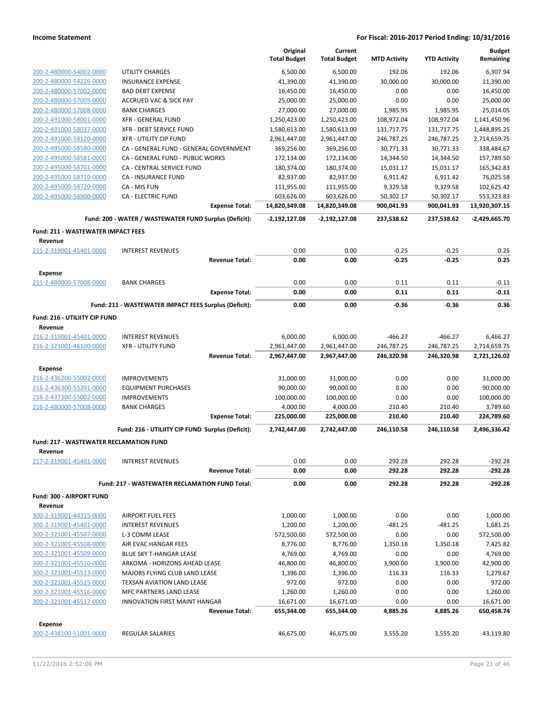|                                                    |                                                               | Original<br><b>Total Budget</b> | Current<br><b>Total Budget</b> | <b>MTD Activity</b>     | <b>YTD Activity</b> | <b>Budget</b><br>Remaining |
|----------------------------------------------------|---------------------------------------------------------------|---------------------------------|--------------------------------|-------------------------|---------------------|----------------------------|
| 200-2-480000-54002-0000                            | UTILITY CHARGES                                               | 6,500.00                        | 6,500.00                       | 192.06                  | 192.06              | 6,307.94                   |
| 200-2-480000-54226-0000                            | <b>INSURANCE EXPENSE</b>                                      | 41,390.00                       | 41,390.00                      | 30,000.00               | 30,000.00           | 11,390.00                  |
| 200-2-480000-57002-0000                            | <b>BAD DEBT EXPENSE</b>                                       | 16,450.00                       | 16,450.00                      | 0.00                    | 0.00                | 16,450.00                  |
| 200-2-480000-57005-0000                            | <b>ACCRUED VAC &amp; SICK PAY</b>                             | 25,000.00                       | 25,000.00                      | 0.00                    | 0.00                | 25,000.00                  |
| 200-2-480000-57008-0000                            | <b>BANK CHARGES</b>                                           | 27,000.00                       | 27,000.00                      | 1,985.95                | 1,985.95            | 25,014.05                  |
| 200-2-491000-58001-0000                            | <b>XFR - GENERAL FUND</b>                                     | 1,250,423.00                    | 1,250,423.00                   | 108,972.04              | 108,972.04          | 1,141,450.96               |
| 200-2-491000-58037-0000                            | <b>XFR - DEBT SERVICE FUND</b>                                | 1,580,613.00                    | 1,580,613.00                   | 131,717.75              | 131,717.75          | 1,448,895.25               |
| 200-2-491000-58120-0000                            | <b>XFR - UTILITY CIP FUND</b>                                 | 2,961,447.00                    | 2,961,447.00                   | 246,787.25              | 246,787.25          | 2,714,659.75               |
| 200-2-495000-58580-0000                            | CA - GENERAL FUND - GENERAL GOVERNMENT                        | 369,256.00                      | 369,256.00                     | 30,771.33               | 30,771.33           | 338,484.67                 |
| 200-2-495000-58581-0000                            | CA - GENERAL FUND - PUBLIC WORKS                              | 172,134.00                      | 172,134.00                     | 14,344.50               | 14,344.50           | 157,789.50                 |
| 200-2-495000-58701-0000                            | CA - CENTRAL SERVICE FUND                                     | 180,374.00                      | 180,374.00                     | 15,031.17               | 15,031.17           | 165,342.83                 |
| 200-2-495000-58710-0000                            | CA - INSURANCE FUND                                           | 82,937.00                       | 82,937.00                      | 6,911.42                | 6,911.42            | 76,025.58                  |
| 200-2-495000-58720-0000                            | CA - MIS FUN                                                  | 111,955.00                      | 111,955.00                     | 9,329.58                | 9,329.58            | 102,625.42                 |
| 200-2-495000-58900-0000                            | <b>CA - ELECTRIC FUND</b>                                     | 603,626.00                      | 603,626.00                     | 50,302.17               | 50,302.17           | 553,323.83                 |
|                                                    | <b>Expense Total:</b>                                         | 14,820,349.08                   | 14,820,349.08                  | 900,041.93              | 900,041.93          | 13,920,307.15              |
|                                                    | Fund: 200 - WATER / WASTEWATER FUND Surplus (Deficit):        | $-2,192,127.08$                 | -2,192,127.08                  | 237,538.62              | 237,538.62          | -2,429,665.70              |
| <b>Fund: 211 - WASTEWATER IMPACT FEES</b>          |                                                               |                                 |                                |                         |                     |                            |
| Revenue                                            |                                                               |                                 |                                |                         |                     |                            |
| 211-2-319001-45401-0000                            | <b>INTEREST REVENUES</b>                                      | 0.00                            | 0.00                           | $-0.25$                 | $-0.25$             | 0.25                       |
|                                                    | <b>Revenue Total:</b>                                         | 0.00                            | 0.00                           | $-0.25$                 | $-0.25$             | 0.25                       |
| <b>Expense</b>                                     |                                                               |                                 |                                |                         |                     |                            |
| 211-2-480000-57008-0000                            | <b>BANK CHARGES</b>                                           | 0.00                            | 0.00                           | 0.11                    | 0.11                | $-0.11$                    |
|                                                    | <b>Expense Total:</b>                                         | 0.00                            | 0.00                           | 0.11                    | 0.11                | $-0.11$                    |
|                                                    | Fund: 211 - WASTEWATER IMPACT FEES Surplus (Deficit):         | 0.00                            | 0.00                           | $-0.36$                 | $-0.36$             | 0.36                       |
| Fund: 216 - UTILIITY CIP FUND                      |                                                               |                                 |                                |                         |                     |                            |
| Revenue                                            |                                                               |                                 |                                |                         | $-466.27$           |                            |
| 216-2-319001-45401-0000<br>216-2-323001-46100-0000 | <b>INTEREST REVENUES</b><br><b>XFR - UTILITY FUND</b>         | 6,000.00<br>2,961,447.00        | 6,000.00<br>2,961,447.00       | $-466.27$<br>246,787.25 | 246,787.25          | 6,466.27<br>2,714,659.75   |
|                                                    | <b>Revenue Total:</b>                                         | 2,967,447.00                    | 2,967,447.00                   | 246,320.98              | 246,320.98          | 2,721,126.02               |
|                                                    |                                                               |                                 |                                |                         |                     |                            |
| <b>Expense</b>                                     |                                                               |                                 |                                |                         |                     |                            |
| 216-2-436200-55002-0000<br>216-2-436300-55201-0000 | <b>IMPROVEMENTS</b>                                           | 31,000.00                       | 31,000.00                      | 0.00<br>0.00            | 0.00<br>0.00        | 31,000.00<br>90,000.00     |
| 216-2-437300-55002-0000                            | <b>EQUIPMENT PURCHASES</b><br><b>IMPROVEMENTS</b>             | 90,000.00<br>100,000.00         | 90,000.00<br>100,000.00        | 0.00                    | 0.00                | 100,000.00                 |
| 216-2-480000-57008-0000                            | <b>BANK CHARGES</b>                                           | 4,000.00                        | 4,000.00                       | 210.40                  | 210.40              | 3,789.60                   |
|                                                    | <b>Expense Total:</b>                                         | 225,000.00                      | 225,000.00                     | 210.40                  | 210.40              | 224,789.60                 |
|                                                    | Fund: 216 - UTILIITY CIP FUND Surplus (Deficit):              | 2,742,447.00                    | 2,742,447.00                   | 246,110.58              | 246,110.58          | 2,496,336.42               |
| Fund: 217 - WASTEWATER RECLAMATION FUND            |                                                               |                                 |                                |                         |                     |                            |
| Revenue                                            |                                                               |                                 |                                |                         |                     |                            |
| 217-2-319001-45401-0000                            | <b>INTEREST REVENUES</b>                                      | 0.00                            | 0.00                           | 292.28                  | 292.28              | $-292.28$                  |
|                                                    | <b>Revenue Total:</b>                                         | 0.00                            | 0.00                           | 292.28                  | 292.28              | $-292.28$                  |
|                                                    | Fund: 217 - WASTEWATER RECLAMATION FUND Total:                | 0.00                            | 0.00                           | 292.28                  | 292.28              | -292.28                    |
| <b>Fund: 300 - AIRPORT FUND</b>                    |                                                               |                                 |                                |                         |                     |                            |
| Revenue                                            |                                                               |                                 |                                |                         |                     |                            |
| 300-2-319001-44315-0000                            | <b>AIRPORT FUEL FEES</b>                                      | 1,000.00                        | 1,000.00                       | 0.00                    | 0.00                | 1,000.00                   |
| 300-2-319001-45401-0000                            | <b>INTEREST REVENUES</b>                                      | 1,200.00                        | 1,200.00                       | $-481.25$               | $-481.25$           | 1,681.25                   |
| 300-2-321001-45507-0000                            | L-3 COMM LEASE                                                | 572,500.00                      | 572,500.00                     | 0.00                    | 0.00                | 572,500.00                 |
| 300-2-321001-45508-0000                            | AIR EVAC HANGAR FEES                                          | 8,776.00                        | 8,776.00                       | 1,350.18                | 1,350.18            | 7,425.82                   |
| 300-2-321001-45509-0000                            | BLUE SKY T-HANGAR LEASE                                       | 4,769.00                        | 4,769.00                       | 0.00                    | 0.00                | 4,769.00                   |
| 300-2-321001-45510-0000                            | ARKOMA - HORIZONS AHEAD LEASE                                 | 46,800.00                       | 46,800.00                      | 3,900.00                | 3,900.00            | 42,900.00                  |
| 300-2-321001-45513-0000                            | MAJORS FLYING CLUB LAND LEASE                                 | 1,396.00                        | 1,396.00                       | 116.33                  | 116.33              | 1,279.67                   |
| 300-2-321001-45515-0000                            | <b>TEXSAN AVIATION LAND LEASE</b>                             | 972.00                          | 972.00                         | 0.00                    | 0.00                | 972.00                     |
| 300-2-321001-45516-0000                            | MFC PARTNERS LAND LEASE                                       | 1,260.00                        | 1,260.00                       | 0.00                    | 0.00                | 1,260.00                   |
| 300-2-321001-45517-0000                            | <b>INNOVATION FIRST MAINT HANGAR</b><br><b>Revenue Total:</b> | 16,671.00<br>655,344.00         | 16,671.00<br>655,344.00        | 0.00<br>4,885.26        | 0.00<br>4,885.26    | 16,671.00<br>650,458.74    |
|                                                    |                                                               |                                 |                                |                         |                     |                            |
| <b>Expense</b><br>300-2-438100-51001-0000          | REGULAR SALARIES                                              | 46,675.00                       | 46,675.00                      | 3,555.20                | 3,555.20            | 43,119.80                  |
|                                                    |                                                               |                                 |                                |                         |                     |                            |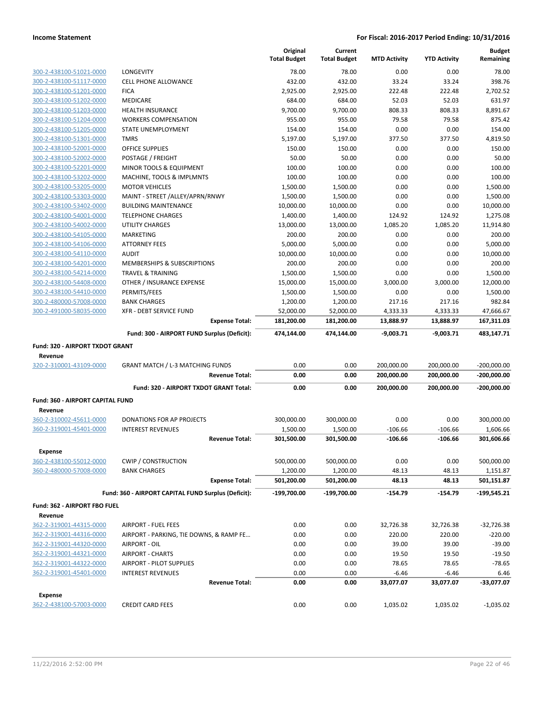|                                  |                                                     | Original<br><b>Total Budget</b> | Current<br><b>Total Budget</b> | <b>MTD Activity</b> | <b>YTD Activity</b> | <b>Budget</b><br>Remaining |
|----------------------------------|-----------------------------------------------------|---------------------------------|--------------------------------|---------------------|---------------------|----------------------------|
| 300-2-438100-51021-0000          | LONGEVITY                                           | 78.00                           | 78.00                          | 0.00                | 0.00                | 78.00                      |
| 300-2-438100-51117-0000          | <b>CELL PHONE ALLOWANCE</b>                         | 432.00                          | 432.00                         | 33.24               | 33.24               | 398.76                     |
| 300-2-438100-51201-0000          | <b>FICA</b>                                         | 2,925.00                        | 2,925.00                       | 222.48              | 222.48              | 2,702.52                   |
| 300-2-438100-51202-0000          | <b>MEDICARE</b>                                     | 684.00                          | 684.00                         | 52.03               | 52.03               | 631.97                     |
| 300-2-438100-51203-0000          | <b>HEALTH INSURANCE</b>                             | 9,700.00                        | 9,700.00                       | 808.33              | 808.33              | 8,891.67                   |
| 300-2-438100-51204-0000          | <b>WORKERS COMPENSATION</b>                         | 955.00                          | 955.00                         | 79.58               | 79.58               | 875.42                     |
| 300-2-438100-51205-0000          | STATE UNEMPLOYMENT                                  | 154.00                          | 154.00                         | 0.00                | 0.00                | 154.00                     |
| 300-2-438100-51301-0000          | <b>TMRS</b>                                         | 5,197.00                        | 5,197.00                       | 377.50              | 377.50              | 4,819.50                   |
| 300-2-438100-52001-0000          | OFFICE SUPPLIES                                     | 150.00                          | 150.00                         | 0.00                | 0.00                | 150.00                     |
| 300-2-438100-52002-0000          | POSTAGE / FREIGHT                                   | 50.00                           | 50.00                          | 0.00                | 0.00                | 50.00                      |
| 300-2-438100-52201-0000          | MINOR TOOLS & EQUIPMENT                             | 100.00                          | 100.00                         | 0.00                | 0.00                | 100.00                     |
| 300-2-438100-53202-0000          | MACHINE, TOOLS & IMPLMNTS                           | 100.00                          | 100.00                         | 0.00                | 0.00                | 100.00                     |
| 300-2-438100-53205-0000          | <b>MOTOR VEHICLES</b>                               | 1,500.00                        | 1,500.00                       | 0.00                | 0.00                | 1,500.00                   |
| 300-2-438100-53303-0000          | MAINT - STREET /ALLEY/APRN/RNWY                     | 1,500.00                        | 1,500.00                       | 0.00                | 0.00                | 1,500.00                   |
| 300-2-438100-53402-0000          | <b>BUILDING MAINTENANCE</b>                         | 10,000.00                       | 10,000.00                      | 0.00                | 0.00                | 10,000.00                  |
| 300-2-438100-54001-0000          | <b>TELEPHONE CHARGES</b>                            | 1,400.00                        | 1,400.00                       | 124.92              | 124.92              | 1,275.08                   |
| 300-2-438100-54002-0000          | <b>UTILITY CHARGES</b>                              | 13,000.00                       | 13,000.00                      | 1,085.20            | 1,085.20            | 11,914.80                  |
| 300-2-438100-54105-0000          | <b>MARKETING</b>                                    | 200.00                          | 200.00                         | 0.00                | 0.00                | 200.00                     |
| 300-2-438100-54106-0000          | <b>ATTORNEY FEES</b>                                | 5,000.00                        | 5,000.00                       | 0.00                | 0.00                | 5,000.00                   |
| 300-2-438100-54110-0000          | <b>AUDIT</b>                                        | 10,000.00                       | 10,000.00                      | 0.00                | 0.00                | 10,000.00                  |
| 300-2-438100-54201-0000          | MEMBERSHIPS & SUBSCRIPTIONS                         | 200.00                          | 200.00                         | 0.00                | 0.00                | 200.00                     |
| 300-2-438100-54214-0000          | <b>TRAVEL &amp; TRAINING</b>                        | 1,500.00                        | 1,500.00                       | 0.00                | 0.00                | 1,500.00                   |
| 300-2-438100-54408-0000          | OTHER / INSURANCE EXPENSE                           | 15,000.00                       | 15,000.00                      | 3,000.00            | 3,000.00            | 12,000.00                  |
| 300-2-438100-54410-0000          | PERMITS/FEES                                        | 1,500.00                        | 1,500.00                       | 0.00                | 0.00                | 1,500.00                   |
| 300-2-480000-57008-0000          | <b>BANK CHARGES</b>                                 | 1,200.00                        | 1,200.00                       | 217.16              | 217.16              | 982.84                     |
| 300-2-491000-58035-0000          | <b>XFR - DEBT SERVICE FUND</b>                      | 52,000.00                       | 52,000.00                      | 4,333.33            | 4,333.33            | 47,666.67                  |
|                                  | <b>Expense Total:</b>                               | 181,200.00                      | 181,200.00                     | 13,888.97           | 13,888.97           | 167,311.03                 |
|                                  | Fund: 300 - AIRPORT FUND Surplus (Deficit):         | 474,144.00                      | 474,144.00                     | $-9,003.71$         | $-9,003.71$         | 483,147.71                 |
| Fund: 320 - AIRPORT TXDOT GRANT  |                                                     |                                 |                                |                     |                     |                            |
| Revenue                          |                                                     |                                 |                                |                     |                     |                            |
| 320-2-310001-43109-0000          | <b>GRANT MATCH / L-3 MATCHING FUNDS</b>             | 0.00                            | 0.00                           | 200,000.00          | 200,000.00          | $-200,000.00$              |
|                                  | <b>Revenue Total:</b>                               | 0.00                            | 0.00                           | 200,000.00          | 200,000.00          | $-200,000.00$              |
|                                  | Fund: 320 - AIRPORT TXDOT GRANT Total:              | 0.00                            | 0.00                           | 200,000.00          | 200,000.00          | $-200,000.00$              |
| Fund: 360 - AIRPORT CAPITAL FUND |                                                     |                                 |                                |                     |                     |                            |
| Revenue                          |                                                     |                                 |                                |                     |                     |                            |
| 360-2-310002-45611-0000          | DONATIONS FOR AP PROJECTS                           | 300,000.00                      | 300,000.00                     | 0.00                | 0.00                | 300,000.00                 |
| 360-2-319001-45401-0000          | <b>INTEREST REVENUES</b>                            | 1,500.00                        | 1,500.00                       | $-106.66$           | $-106.66$           | 1,606.66                   |
|                                  | <b>Revenue Total:</b>                               | 301,500.00                      | 301,500.00                     | $-106.66$           | $-106.66$           | 301,606.66                 |
|                                  |                                                     |                                 |                                |                     |                     |                            |
| <b>Expense</b>                   |                                                     |                                 |                                |                     |                     |                            |
| 360-2-438100-55012-0000          | <b>CWIP / CONSTRUCTION</b>                          | 500,000.00                      | 500,000.00                     | 0.00                | 0.00                | 500,000.00                 |
| 360-2-480000-57008-0000          | <b>BANK CHARGES</b>                                 | 1,200.00                        | 1,200.00                       | 48.13               | 48.13               | 1,151.87                   |
|                                  | <b>Expense Total:</b>                               | 501,200.00                      | 501,200.00                     | 48.13               | 48.13               | 501,151.87                 |
|                                  | Fund: 360 - AIRPORT CAPITAL FUND Surplus (Deficit): | $-199,700.00$                   | -199,700.00                    | $-154.79$           | -154.79             | $-199,545.21$              |
| Fund: 362 - AIRPORT FBO FUEL     |                                                     |                                 |                                |                     |                     |                            |
| Revenue                          |                                                     |                                 |                                |                     |                     |                            |
| 362-2-319001-44315-0000          | <b>AIRPORT - FUEL FEES</b>                          | 0.00                            | 0.00                           | 32,726.38           | 32,726.38           | $-32,726.38$               |
| 362-2-319001-44316-0000          | AIRPORT - PARKING, TIE DOWNS, & RAMP FE             | 0.00                            | 0.00                           | 220.00              | 220.00              | $-220.00$                  |
| 362-2-319001-44320-0000          | AIRPORT - OIL                                       | 0.00                            | 0.00                           | 39.00               | 39.00               | $-39.00$                   |
| 362-2-319001-44321-0000          | <b>AIRPORT - CHARTS</b>                             | 0.00                            | 0.00                           | 19.50               | 19.50               | $-19.50$                   |
| 362-2-319001-44322-0000          | AIRPORT - PILOT SUPPLIES                            | 0.00                            | 0.00                           | 78.65               | 78.65               | $-78.65$                   |
| 362-2-319001-45401-0000          | <b>INTEREST REVENUES</b>                            | 0.00                            | 0.00                           | $-6.46$             | $-6.46$             | 6.46                       |
|                                  | <b>Revenue Total:</b>                               | 0.00                            | 0.00                           | 33,077.07           | 33,077.07           | -33,077.07                 |
| <b>Expense</b>                   |                                                     |                                 |                                |                     |                     |                            |
| 362-2-438100-57003-0000          | <b>CREDIT CARD FEES</b>                             | 0.00                            | 0.00                           | 1,035.02            | 1,035.02            | $-1,035.02$                |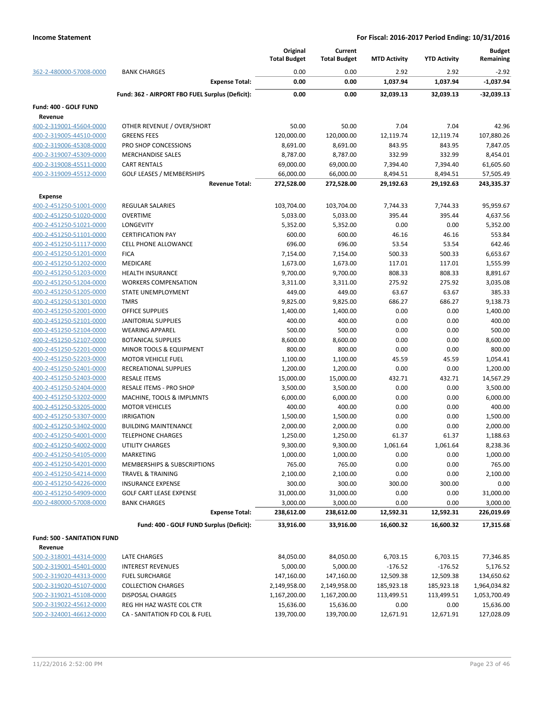|                             |                                                 | Original<br><b>Total Budget</b> | Current<br><b>Total Budget</b> | <b>MTD Activity</b> | <b>YTD Activity</b> | <b>Budget</b><br>Remaining |
|-----------------------------|-------------------------------------------------|---------------------------------|--------------------------------|---------------------|---------------------|----------------------------|
| 362-2-480000-57008-0000     | <b>BANK CHARGES</b>                             | 0.00                            | 0.00                           | 2.92                | 2.92                | $-2.92$                    |
|                             | <b>Expense Total:</b>                           | 0.00                            | 0.00                           | 1,037.94            | 1,037.94            | $-1,037.94$                |
|                             | Fund: 362 - AIRPORT FBO FUEL Surplus (Deficit): | 0.00                            | 0.00                           | 32,039.13           | 32,039.13           | $-32,039.13$               |
| Fund: 400 - GOLF FUND       |                                                 |                                 |                                |                     |                     |                            |
| Revenue                     |                                                 |                                 |                                |                     |                     |                            |
| 400-2-319001-45604-0000     | OTHER REVENUE / OVER/SHORT                      | 50.00                           | 50.00                          | 7.04                | 7.04                | 42.96                      |
| 400-2-319005-44510-0000     | <b>GREENS FEES</b>                              | 120,000.00                      | 120,000.00                     | 12,119.74           | 12,119.74           | 107,880.26                 |
| 400-2-319006-45308-0000     | PRO SHOP CONCESSIONS                            | 8,691.00                        | 8,691.00                       | 843.95              | 843.95              | 7,847.05                   |
| 400-2-319007-45309-0000     | <b>MERCHANDISE SALES</b>                        | 8,787.00                        | 8,787.00                       | 332.99              | 332.99              | 8,454.01                   |
| 400-2-319008-45511-0000     | <b>CART RENTALS</b>                             | 69,000.00                       | 69,000.00                      | 7,394.40            | 7,394.40            | 61,605.60                  |
| 400-2-319009-45512-0000     | <b>GOLF LEASES / MEMBERSHIPS</b>                | 66,000.00                       | 66,000.00                      | 8,494.51            | 8,494.51            | 57,505.49                  |
|                             | <b>Revenue Total:</b>                           | 272,528.00                      | 272,528.00                     | 29,192.63           | 29,192.63           | 243,335.37                 |
| <b>Expense</b>              |                                                 |                                 |                                |                     |                     |                            |
| 400-2-451250-51001-0000     | <b>REGULAR SALARIES</b>                         | 103,704.00                      | 103,704.00                     | 7,744.33            | 7,744.33            | 95,959.67                  |
| 400-2-451250-51020-0000     | <b>OVERTIME</b>                                 | 5,033.00                        | 5,033.00                       | 395.44              | 395.44              | 4,637.56                   |
| 400-2-451250-51021-0000     | LONGEVITY                                       | 5,352.00                        | 5,352.00                       | 0.00                | 0.00                | 5,352.00                   |
| 400-2-451250-51101-0000     | <b>CERTIFICATION PAY</b>                        | 600.00                          | 600.00                         | 46.16               | 46.16               | 553.84                     |
| 400-2-451250-51117-0000     | <b>CELL PHONE ALLOWANCE</b>                     | 696.00                          | 696.00                         | 53.54               | 53.54               | 642.46                     |
| 400-2-451250-51201-0000     | <b>FICA</b>                                     | 7,154.00                        | 7,154.00                       | 500.33              | 500.33              | 6,653.67                   |
| 400-2-451250-51202-0000     | MEDICARE                                        | 1,673.00                        | 1,673.00                       | 117.01              | 117.01              | 1,555.99                   |
| 400-2-451250-51203-0000     | <b>HEALTH INSURANCE</b>                         | 9,700.00                        | 9,700.00                       | 808.33              | 808.33              | 8,891.67                   |
| 400-2-451250-51204-0000     | <b>WORKERS COMPENSATION</b>                     | 3,311.00                        | 3,311.00                       | 275.92              | 275.92              | 3,035.08                   |
| 400-2-451250-51205-0000     | STATE UNEMPLOYMENT                              | 449.00                          | 449.00                         | 63.67               | 63.67               | 385.33                     |
| 400-2-451250-51301-0000     | <b>TMRS</b>                                     | 9,825.00                        | 9,825.00                       | 686.27              | 686.27              | 9,138.73                   |
| 400-2-451250-52001-0000     | <b>OFFICE SUPPLIES</b>                          | 1,400.00                        | 1,400.00                       | 0.00                | 0.00                | 1,400.00                   |
| 400-2-451250-52101-0000     | <b>JANITORIAL SUPPLIES</b>                      | 400.00                          | 400.00                         | 0.00                | 0.00                | 400.00                     |
| 400-2-451250-52104-0000     | <b>WEARING APPAREL</b>                          | 500.00                          | 500.00                         | 0.00                | 0.00                | 500.00                     |
| 400-2-451250-52107-0000     | <b>BOTANICAL SUPPLIES</b>                       | 8,600.00                        | 8,600.00                       | 0.00                | 0.00                | 8,600.00                   |
| 400-2-451250-52201-0000     | MINOR TOOLS & EQUIPMENT                         | 800.00                          | 800.00                         | 0.00                | 0.00                | 800.00                     |
| 400-2-451250-52203-0000     | <b>MOTOR VEHICLE FUEL</b>                       | 1,100.00                        | 1,100.00                       | 45.59               | 45.59               | 1,054.41                   |
| 400-2-451250-52401-0000     | RECREATIONAL SUPPLIES                           | 1,200.00                        | 1,200.00                       | 0.00                | 0.00                | 1,200.00                   |
| 400-2-451250-52403-0000     | <b>RESALE ITEMS</b>                             | 15,000.00                       | 15,000.00                      | 432.71              | 432.71              | 14,567.29                  |
| 400-2-451250-52404-0000     | RESALE ITEMS - PRO SHOP                         | 3,500.00                        | 3,500.00                       | 0.00                | 0.00                | 3,500.00                   |
| 400-2-451250-53202-0000     | MACHINE, TOOLS & IMPLMNTS                       | 6,000.00                        | 6,000.00                       | 0.00                | 0.00                | 6,000.00                   |
| 400-2-451250-53205-0000     | <b>MOTOR VEHICLES</b>                           | 400.00                          | 400.00                         | 0.00                | 0.00                | 400.00                     |
| 400-2-451250-53307-0000     | <b>IRRIGATION</b>                               | 1,500.00                        | 1,500.00                       | 0.00                | 0.00                | 1,500.00                   |
| 400-2-451250-53402-0000     | <b>BUILDING MAINTENANCE</b>                     | 2,000.00                        | 2,000.00                       | 0.00                | 0.00                | 2,000.00                   |
| 400-2-451250-54001-0000     | <b>TELEPHONE CHARGES</b>                        | 1,250.00                        | 1,250.00                       | 61.37               | 61.37               | 1,188.63                   |
| 400-2-451250-54002-0000     | UTILITY CHARGES                                 | 9,300.00                        | 9,300.00                       | 1,061.64            | 1,061.64            | 8,238.36                   |
| 400-2-451250-54105-0000     | <b>MARKETING</b>                                | 1,000.00                        | 1,000.00                       | 0.00                | 0.00                | 1,000.00                   |
| 400-2-451250-54201-0000     | MEMBERSHIPS & SUBSCRIPTIONS                     | 765.00                          | 765.00                         | 0.00                | 0.00                | 765.00                     |
| 400-2-451250-54214-0000     | TRAVEL & TRAINING                               | 2,100.00                        | 2,100.00                       | 0.00                | 0.00                | 2,100.00                   |
| 400-2-451250-54226-0000     | <b>INSURANCE EXPENSE</b>                        | 300.00                          | 300.00                         | 300.00              | 300.00              | 0.00                       |
| 400-2-451250-54909-0000     | <b>GOLF CART LEASE EXPENSE</b>                  | 31,000.00                       | 31,000.00                      | 0.00                | 0.00                | 31,000.00                  |
| 400-2-480000-57008-0000     | <b>BANK CHARGES</b>                             | 3,000.00                        | 3,000.00                       | 0.00                | 0.00                | 3,000.00                   |
|                             | <b>Expense Total:</b>                           | 238,612.00                      | 238,612.00                     | 12,592.31           | 12,592.31           | 226,019.69                 |
|                             | Fund: 400 - GOLF FUND Surplus (Deficit):        | 33,916.00                       | 33,916.00                      | 16,600.32           | 16,600.32           | 17,315.68                  |
| Fund: 500 - SANITATION FUND |                                                 |                                 |                                |                     |                     |                            |
| Revenue                     |                                                 |                                 |                                |                     |                     |                            |
| 500-2-318001-44314-0000     | LATE CHARGES                                    | 84,050.00                       | 84,050.00                      | 6,703.15            | 6,703.15            | 77,346.85                  |
| 500-2-319001-45401-0000     | <b>INTEREST REVENUES</b>                        | 5,000.00                        | 5,000.00                       | $-176.52$           | $-176.52$           | 5,176.52                   |
| 500-2-319020-44313-0000     | <b>FUEL SURCHARGE</b>                           | 147,160.00                      | 147,160.00                     | 12,509.38           | 12,509.38           | 134,650.62                 |
| 500-2-319020-45107-0000     | <b>COLLECTION CHARGES</b>                       | 2,149,958.00                    | 2,149,958.00                   | 185,923.18          | 185,923.18          | 1,964,034.82               |
| 500-2-319021-45108-0000     | DISPOSAL CHARGES                                | 1,167,200.00                    | 1,167,200.00                   | 113,499.51          | 113,499.51          | 1,053,700.49               |
| 500-2-319022-45612-0000     | REG HH HAZ WASTE COL CTR                        | 15,636.00                       | 15,636.00                      | 0.00                | 0.00                | 15,636.00                  |
| 500-2-324001-46612-0000     | CA - SANITATION FD COL & FUEL                   | 139,700.00                      | 139,700.00                     | 12,671.91           | 12,671.91           | 127,028.09                 |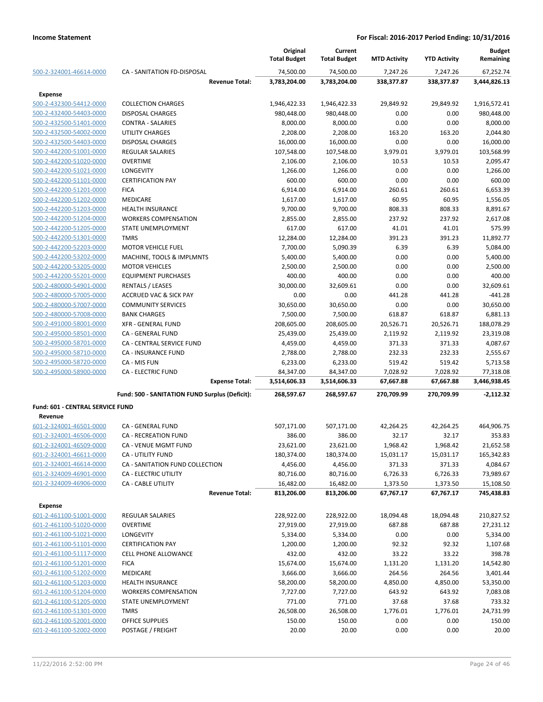|                                                    |                                                | Original              | Current               |                     |                     | <b>Budget</b>      |
|----------------------------------------------------|------------------------------------------------|-----------------------|-----------------------|---------------------|---------------------|--------------------|
|                                                    |                                                | <b>Total Budget</b>   | <b>Total Budget</b>   | <b>MTD Activity</b> | <b>YTD Activity</b> | Remaining          |
| 500-2-324001-46614-0000                            | CA - SANITATION FD-DISPOSAL                    | 74,500.00             | 74,500.00             | 7,247.26            | 7,247.26            | 67,252.74          |
|                                                    | <b>Revenue Total:</b>                          | 3,783,204.00          | 3,783,204.00          | 338,377.87          | 338,377.87          | 3,444,826.13       |
| <b>Expense</b>                                     |                                                |                       |                       |                     |                     |                    |
| 500-2-432300-54412-0000                            | <b>COLLECTION CHARGES</b>                      | 1,946,422.33          | 1,946,422.33          | 29,849.92           | 29,849.92           | 1,916,572.41       |
| 500-2-432400-54403-0000                            | <b>DISPOSAL CHARGES</b>                        | 980,448.00            | 980,448.00            | 0.00                | 0.00                | 980,448.00         |
| 500-2-432500-51401-0000                            | <b>CONTRA - SALARIES</b>                       | 8,000.00              | 8,000.00              | 0.00                | 0.00                | 8,000.00           |
| 500-2-432500-54002-0000                            | UTILITY CHARGES                                | 2,208.00              | 2,208.00              | 163.20              | 163.20              | 2,044.80           |
| 500-2-432500-54403-0000                            | <b>DISPOSAL CHARGES</b>                        | 16,000.00             | 16,000.00             | 0.00                | 0.00                | 16,000.00          |
| 500-2-442200-51001-0000                            | <b>REGULAR SALARIES</b>                        | 107,548.00            | 107,548.00            | 3,979.01            | 3,979.01            | 103,568.99         |
| 500-2-442200-51020-0000                            | <b>OVERTIME</b>                                | 2,106.00              | 2,106.00              | 10.53               | 10.53               | 2,095.47           |
| 500-2-442200-51021-0000                            | LONGEVITY                                      | 1,266.00              | 1,266.00              | 0.00                | 0.00                | 1,266.00           |
| 500-2-442200-51101-0000                            | <b>CERTIFICATION PAY</b>                       | 600.00                | 600.00                | 0.00                | 0.00                | 600.00             |
| 500-2-442200-51201-0000                            | <b>FICA</b>                                    | 6,914.00              | 6,914.00              | 260.61              | 260.61              | 6,653.39           |
| 500-2-442200-51202-0000                            | <b>MEDICARE</b>                                | 1,617.00              | 1,617.00              | 60.95               | 60.95               | 1,556.05           |
| 500-2-442200-51203-0000                            | <b>HEALTH INSURANCE</b>                        | 9,700.00              | 9,700.00              | 808.33              | 808.33              | 8,891.67           |
| 500-2-442200-51204-0000                            | <b>WORKERS COMPENSATION</b>                    | 2,855.00<br>617.00    | 2,855.00<br>617.00    | 237.92              | 237.92              | 2,617.08<br>575.99 |
| 500-2-442200-51205-0000<br>500-2-442200-51301-0000 | STATE UNEMPLOYMENT<br><b>TMRS</b>              |                       |                       | 41.01<br>391.23     | 41.01<br>391.23     | 11,892.77          |
| 500-2-442200-52203-0000                            | <b>MOTOR VEHICLE FUEL</b>                      | 12,284.00<br>7,700.00 | 12,284.00<br>5,090.39 | 6.39                | 6.39                | 5,084.00           |
| 500-2-442200-53202-0000                            | MACHINE, TOOLS & IMPLMNTS                      | 5,400.00              | 5,400.00              | 0.00                | 0.00                | 5,400.00           |
| 500-2-442200-53205-0000                            | <b>MOTOR VEHICLES</b>                          | 2,500.00              | 2,500.00              | 0.00                | 0.00                | 2,500.00           |
| 500-2-442200-55201-0000                            | <b>EQUIPMENT PURCHASES</b>                     | 400.00                | 400.00                | 0.00                | 0.00                | 400.00             |
| 500-2-480000-54901-0000                            | <b>RENTALS / LEASES</b>                        | 30,000.00             | 32,609.61             | 0.00                | 0.00                | 32,609.61          |
| 500-2-480000-57005-0000                            | <b>ACCRUED VAC &amp; SICK PAY</b>              | 0.00                  | 0.00                  | 441.28              | 441.28              | -441.28            |
| 500-2-480000-57007-0000                            | <b>COMMUNITY SERVICES</b>                      | 30,650.00             | 30,650.00             | 0.00                | 0.00                | 30,650.00          |
| 500-2-480000-57008-0000                            | <b>BANK CHARGES</b>                            | 7,500.00              | 7,500.00              | 618.87              | 618.87              | 6,881.13           |
| 500-2-491000-58001-0000                            | <b>XFR - GENERAL FUND</b>                      | 208,605.00            | 208,605.00            | 20,526.71           | 20,526.71           | 188,078.29         |
| 500-2-495000-58501-0000                            | CA - GENERAL FUND                              | 25,439.00             | 25,439.00             | 2,119.92            | 2,119.92            | 23,319.08          |
| 500-2-495000-58701-0000                            | CA - CENTRAL SERVICE FUND                      | 4,459.00              | 4,459.00              | 371.33              | 371.33              | 4,087.67           |
| 500-2-495000-58710-0000                            | <b>CA - INSURANCE FUND</b>                     | 2,788.00              | 2,788.00              | 232.33              | 232.33              | 2,555.67           |
| 500-2-495000-58720-0000                            | CA - MIS FUN                                   | 6,233.00              | 6,233.00              | 519.42              | 519.42              | 5,713.58           |
| 500-2-495000-58900-0000                            | <b>CA - ELECTRIC FUND</b>                      | 84,347.00             | 84,347.00             | 7,028.92            | 7,028.92            | 77,318.08          |
|                                                    | <b>Expense Total:</b>                          | 3,514,606.33          | 3,514,606.33          | 67,667.88           | 67,667.88           | 3,446,938.45       |
|                                                    | Fund: 500 - SANITATION FUND Surplus (Deficit): | 268,597.67            | 268,597.67            | 270,709.99          | 270,709.99          | $-2,112.32$        |
| Fund: 601 - CENTRAL SERVICE FUND                   |                                                |                       |                       |                     |                     |                    |
| Revenue                                            |                                                |                       |                       |                     |                     |                    |
| 601-2-324001-46501-0000                            | CA - GENERAL FUND                              | 507,171.00            | 507,171.00            | 42,264.25           | 42,264.25           | 464,906.75         |
| 601-2-324001-46506-0000                            | <b>CA - RECREATION FUND</b>                    | 386.00                | 386.00                | 32.17               | 32.17               | 353.83             |
| 601-2-324001-46509-0000                            | CA - VENUE MGMT FUND                           | 23,621.00             | 23,621.00             | 1,968.42            | 1,968.42            | 21,652.58          |
| 601-2-324001-46611-0000                            | <b>CA - UTILITY FUND</b>                       | 180,374.00            | 180,374.00            | 15,031.17           | 15,031.17           | 165,342.83         |
| 601-2-324001-46614-0000                            | CA - SANITATION FUND COLLECTION                | 4,456.00              | 4,456.00              | 371.33              | 371.33              | 4,084.67           |
| 601-2-324009-46901-0000                            | CA - ELECTRIC UTILITY                          | 80,716.00             | 80,716.00             | 6,726.33            | 6,726.33            | 73,989.67          |
| 601-2-324009-46906-0000                            | CA - CABLE UTILITY                             | 16,482.00             | 16,482.00             | 1,373.50            | 1,373.50            | 15,108.50          |
|                                                    | <b>Revenue Total:</b>                          | 813,206.00            | 813,206.00            | 67,767.17           | 67,767.17           | 745,438.83         |
| <b>Expense</b>                                     |                                                |                       |                       |                     |                     |                    |
| 601-2-461100-51001-0000                            | <b>REGULAR SALARIES</b>                        | 228,922.00            | 228,922.00            | 18,094.48           | 18,094.48           | 210,827.52         |
| 601-2-461100-51020-0000                            | <b>OVERTIME</b>                                | 27,919.00             | 27,919.00             | 687.88              | 687.88              | 27,231.12          |
| 601-2-461100-51021-0000                            | LONGEVITY                                      | 5,334.00              | 5,334.00              | 0.00                | 0.00                | 5,334.00           |
| 601-2-461100-51101-0000                            | <b>CERTIFICATION PAY</b>                       | 1,200.00              | 1,200.00              | 92.32               | 92.32               | 1,107.68           |
| 601-2-461100-51117-0000                            | <b>CELL PHONE ALLOWANCE</b>                    | 432.00                | 432.00                | 33.22               | 33.22               | 398.78             |
| 601-2-461100-51201-0000                            | <b>FICA</b>                                    | 15,674.00             | 15,674.00             | 1,131.20            | 1,131.20            | 14,542.80          |
| 601-2-461100-51202-0000                            | MEDICARE                                       | 3,666.00              | 3,666.00              | 264.56              | 264.56              | 3,401.44           |
| 601-2-461100-51203-0000                            | <b>HEALTH INSURANCE</b>                        | 58,200.00             | 58,200.00             | 4,850.00            | 4,850.00            | 53,350.00          |
| 601-2-461100-51204-0000                            | <b>WORKERS COMPENSATION</b>                    | 7,727.00              | 7,727.00              | 643.92              | 643.92              | 7,083.08           |
| 601-2-461100-51205-0000                            | STATE UNEMPLOYMENT                             | 771.00                | 771.00                | 37.68               | 37.68               | 733.32             |
| 601-2-461100-51301-0000                            | <b>TMRS</b>                                    | 26,508.00             | 26,508.00             | 1,776.01            | 1,776.01            | 24,731.99          |
| 601-2-461100-52001-0000                            | OFFICE SUPPLIES                                | 150.00                | 150.00                | 0.00                | 0.00                | 150.00             |
| 601-2-461100-52002-0000                            | POSTAGE / FREIGHT                              | 20.00                 | 20.00                 | 0.00                | 0.00                | 20.00              |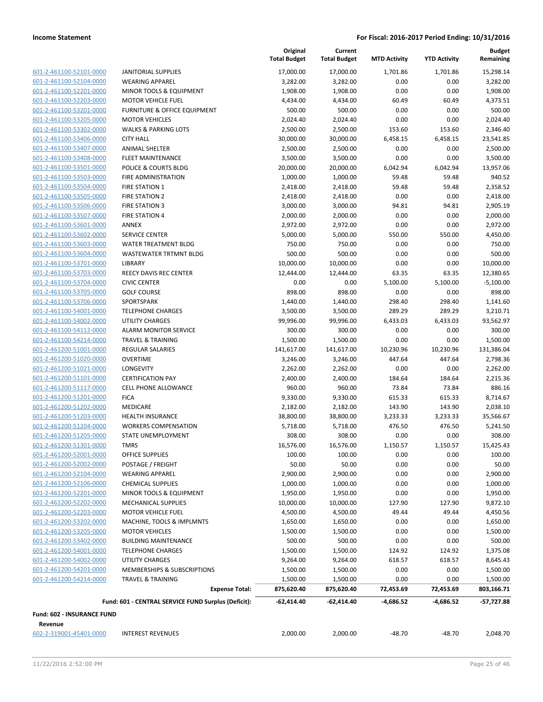|                                                    |                                                      | Original<br><b>Total Budget</b> | Current<br><b>Total Budget</b> | <b>MTD Activity</b> | <b>YTD Activity</b> | <b>Budget</b><br>Remaining |
|----------------------------------------------------|------------------------------------------------------|---------------------------------|--------------------------------|---------------------|---------------------|----------------------------|
| 601-2-461100-52101-0000                            | <b>JANITORIAL SUPPLIES</b>                           | 17,000.00                       | 17,000.00                      | 1,701.86            | 1,701.86            | 15,298.14                  |
| 601-2-461100-52104-0000                            | <b>WEARING APPAREL</b>                               | 3,282.00                        | 3,282.00                       | 0.00                | 0.00                | 3,282.00                   |
| 601-2-461100-52201-0000                            | <b>MINOR TOOLS &amp; EQUIPMENT</b>                   | 1,908.00                        | 1,908.00                       | 0.00                | 0.00                | 1,908.00                   |
| 601-2-461100-52203-0000                            | <b>MOTOR VEHICLE FUEL</b>                            | 4,434.00                        | 4,434.00                       | 60.49               | 60.49               | 4,373.51                   |
| 601-2-461100-53201-0000                            | <b>FURNITURE &amp; OFFICE EQUIPMENT</b>              | 500.00                          | 500.00                         | 0.00                | 0.00                | 500.00                     |
| 601-2-461100-53205-0000                            | <b>MOTOR VEHICLES</b>                                | 2,024.40                        | 2,024.40                       | 0.00                | 0.00                | 2,024.40                   |
| 601-2-461100-53302-0000                            | <b>WALKS &amp; PARKING LOTS</b>                      | 2,500.00                        | 2,500.00                       | 153.60              | 153.60              | 2,346.40                   |
| 601-2-461100-53406-0000                            | <b>CITY HALL</b>                                     | 30,000.00                       | 30,000.00                      | 6,458.15            | 6,458.15            | 23,541.85                  |
| 601-2-461100-53407-0000                            | <b>ANIMAL SHELTER</b>                                | 2,500.00                        | 2,500.00                       | 0.00                | 0.00                | 2,500.00                   |
| 601-2-461100-53408-0000                            | <b>FLEET MAINTENANCE</b>                             | 3,500.00                        | 3,500.00                       | 0.00                | 0.00                | 3,500.00                   |
| 601-2-461100-53501-0000                            | POLICE & COURTS BLDG                                 | 20,000.00                       | 20,000.00                      | 6,042.94            | 6,042.94            | 13,957.06                  |
| 601-2-461100-53503-0000                            | FIRE ADMINISTRATION                                  | 1,000.00                        | 1,000.00                       | 59.48               | 59.48               | 940.52                     |
| 601-2-461100-53504-0000                            | <b>FIRE STATION 1</b>                                | 2,418.00                        | 2,418.00                       | 59.48               | 59.48               | 2,358.52                   |
| 601-2-461100-53505-0000                            | <b>FIRE STATION 2</b>                                | 2,418.00                        | 2,418.00                       | 0.00                | 0.00                | 2,418.00                   |
| 601-2-461100-53506-0000                            | <b>FIRE STATION 3</b>                                | 3,000.00                        | 3,000.00                       | 94.81               | 94.81               | 2,905.19                   |
| 601-2-461100-53507-0000<br>601-2-461100-53601-0000 | <b>FIRE STATION 4</b>                                | 2,000.00                        | 2,000.00                       | 0.00                | 0.00                | 2,000.00                   |
|                                                    | ANNEX<br><b>SERVICE CENTER</b>                       | 2,972.00                        | 2,972.00                       | 0.00                | 0.00                | 2,972.00                   |
| 601-2-461100-53602-0000<br>601-2-461100-53603-0000 | <b>WATER TREATMENT BLDG</b>                          | 5,000.00<br>750.00              | 5,000.00<br>750.00             | 550.00<br>0.00      | 550.00<br>0.00      | 4,450.00<br>750.00         |
| 601-2-461100-53604-0000                            | <b>WASTEWATER TRTMNT BLDG</b>                        | 500.00                          | 500.00                         | 0.00                | 0.00                | 500.00                     |
| 601-2-461100-53701-0000                            | LIBRARY                                              | 10,000.00                       | 10,000.00                      | 0.00                | 0.00                | 10,000.00                  |
| 601-2-461100-53703-0000                            | <b>REECY DAVIS REC CENTER</b>                        | 12,444.00                       | 12,444.00                      | 63.35               | 63.35               | 12,380.65                  |
| 601-2-461100-53704-0000                            | <b>CIVIC CENTER</b>                                  | 0.00                            | 0.00                           | 5,100.00            | 5,100.00            | $-5,100.00$                |
| 601-2-461100-53705-0000                            | <b>GOLF COURSE</b>                                   | 898.00                          | 898.00                         | 0.00                | 0.00                | 898.00                     |
| 601-2-461100-53706-0000                            | SPORTSPARK                                           | 1,440.00                        | 1,440.00                       | 298.40              | 298.40              | 1,141.60                   |
| 601-2-461100-54001-0000                            | <b>TELEPHONE CHARGES</b>                             | 3,500.00                        | 3,500.00                       | 289.29              | 289.29              | 3,210.71                   |
| 601-2-461100-54002-0000                            | <b>UTILITY CHARGES</b>                               | 99,996.00                       | 99,996.00                      | 6,433.03            | 6,433.03            | 93,562.97                  |
| 601-2-461100-54112-0000                            | <b>ALARM MONITOR SERVICE</b>                         | 300.00                          | 300.00                         | 0.00                | 0.00                | 300.00                     |
| 601-2-461100-54214-0000                            | <b>TRAVEL &amp; TRAINING</b>                         | 1,500.00                        | 1,500.00                       | 0.00                | 0.00                | 1,500.00                   |
| 601-2-461200-51001-0000                            | <b>REGULAR SALARIES</b>                              | 141,617.00                      | 141,617.00                     | 10,230.96           | 10,230.96           | 131,386.04                 |
| 601-2-461200-51020-0000                            | <b>OVERTIME</b>                                      | 3,246.00                        | 3,246.00                       | 447.64              | 447.64              | 2,798.36                   |
| 601-2-461200-51021-0000                            | <b>LONGEVITY</b>                                     | 2,262.00                        | 2,262.00                       | 0.00                | 0.00                | 2,262.00                   |
| 601-2-461200-51101-0000                            | <b>CERTIFICATION PAY</b>                             | 2,400.00                        | 2,400.00                       | 184.64              | 184.64              | 2,215.36                   |
| 601-2-461200-51117-0000                            | <b>CELL PHONE ALLOWANCE</b>                          | 960.00                          | 960.00                         | 73.84               | 73.84               | 886.16                     |
| 601-2-461200-51201-0000                            | <b>FICA</b>                                          | 9,330.00                        | 9,330.00                       | 615.33              | 615.33              | 8,714.67                   |
| 601-2-461200-51202-0000                            | <b>MEDICARE</b>                                      | 2,182.00                        | 2,182.00                       | 143.90              | 143.90              | 2,038.10                   |
| 601-2-461200-51203-0000                            | <b>HEALTH INSURANCE</b>                              | 38,800.00                       | 38,800.00                      | 3,233.33            | 3,233.33            | 35,566.67                  |
| 601-2-461200-51204-0000                            | <b>WORKERS COMPENSATION</b>                          | 5,718.00                        | 5,718.00                       | 476.50              | 476.50              | 5,241.50                   |
| 601-2-461200-51205-0000                            | <b>STATE UNEMPLOYMENT</b>                            | 308.00                          | 308.00                         | 0.00                | 0.00                | 308.00                     |
| 601-2-461200-51301-0000                            | TMRS                                                 | 16,576.00                       | 16,576.00                      | 1,150.57            | 1,150.57            | 15,425.43                  |
| 601-2-461200-52001-0000                            | OFFICE SUPPLIES                                      | 100.00                          | 100.00                         | 0.00                | 0.00                | 100.00                     |
| 601-2-461200-52002-0000                            | POSTAGE / FREIGHT                                    | 50.00                           | 50.00                          | 0.00                | 0.00                | 50.00                      |
| 601-2-461200-52104-0000                            | <b>WEARING APPAREL</b>                               | 2,900.00                        | 2,900.00                       | 0.00                | 0.00                | 2,900.00                   |
| 601-2-461200-52106-0000                            | <b>CHEMICAL SUPPLIES</b>                             | 1,000.00                        | 1,000.00                       | 0.00                | 0.00                | 1,000.00                   |
| 601-2-461200-52201-0000                            | MINOR TOOLS & EQUIPMENT                              | 1,950.00                        | 1,950.00                       | 0.00                | 0.00                | 1,950.00                   |
| 601-2-461200-52202-0000                            | MECHANICAL SUPPLIES                                  | 10,000.00                       | 10,000.00                      | 127.90              | 127.90              | 9,872.10                   |
| 601-2-461200-52203-0000                            | <b>MOTOR VEHICLE FUEL</b>                            | 4,500.00                        | 4,500.00                       | 49.44               | 49.44               | 4,450.56                   |
| 601-2-461200-53202-0000<br>601-2-461200-53205-0000 | MACHINE, TOOLS & IMPLMNTS                            | 1,650.00                        | 1,650.00                       | 0.00                | 0.00                | 1,650.00                   |
| 601-2-461200-53402-0000                            | <b>MOTOR VEHICLES</b><br><b>BUILDING MAINTENANCE</b> | 1,500.00<br>500.00              | 1,500.00<br>500.00             | 0.00<br>0.00        | 0.00<br>0.00        | 1,500.00<br>500.00         |
| 601-2-461200-54001-0000                            | <b>TELEPHONE CHARGES</b>                             |                                 |                                |                     | 124.92              |                            |
| 601-2-461200-54002-0000                            | UTILITY CHARGES                                      | 1,500.00<br>9,264.00            | 1,500.00<br>9,264.00           | 124.92<br>618.57    | 618.57              | 1,375.08<br>8,645.43       |
| 601-2-461200-54201-0000                            | MEMBERSHIPS & SUBSCRIPTIONS                          | 1,500.00                        | 1,500.00                       | 0.00                | 0.00                | 1,500.00                   |
| 601-2-461200-54214-0000                            | TRAVEL & TRAINING                                    | 1,500.00                        | 1,500.00                       | 0.00                | 0.00                | 1,500.00                   |
|                                                    | <b>Expense Total:</b>                                | 875,620.40                      | 875,620.40                     | 72,453.69           | 72,453.69           | 803,166.71                 |
|                                                    |                                                      |                                 |                                |                     |                     |                            |
| <b>Fund: 602 - INSURANCE FUND</b>                  | Fund: 601 - CENTRAL SERVICE FUND Surplus (Deficit):  | $-62,414.40$                    | $-62,414.40$                   | -4,686.52           | -4,686.52           | -57,727.88                 |
| Revenue                                            |                                                      |                                 |                                |                     |                     |                            |
| 602-2-319001-45401-0000                            | <b>INTEREST REVENUES</b>                             | 2,000.00                        | 2,000.00                       | -48.70              | $-48.70$            | 2,048.70                   |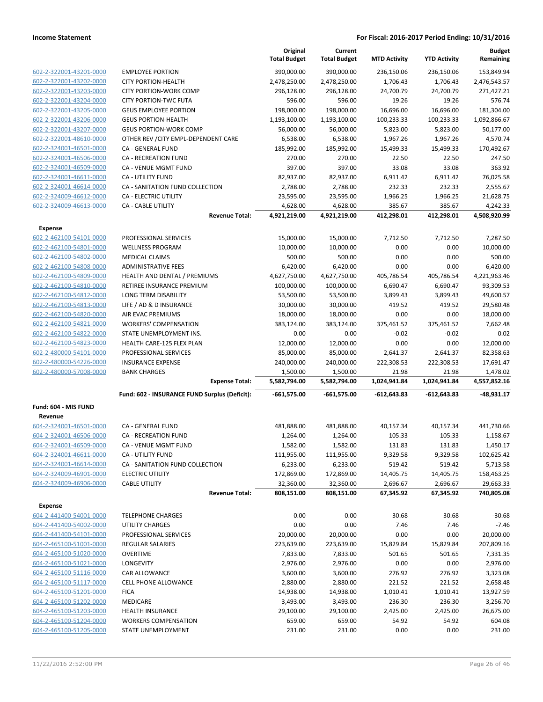|                                |                                               | Original<br><b>Total Budget</b> | Current<br><b>Total Budget</b> | <b>MTD Activity</b>   | <b>YTD Activity</b>   | <b>Budget</b><br>Remaining |
|--------------------------------|-----------------------------------------------|---------------------------------|--------------------------------|-----------------------|-----------------------|----------------------------|
| 602-2-322001-43201-0000        | <b>EMPLOYEE PORTION</b>                       | 390,000.00                      | 390,000.00                     | 236,150.06            | 236,150.06            | 153,849.94                 |
| 602-2-322001-43202-0000        | <b>CITY PORTION-HEALTH</b>                    | 2,478,250.00                    | 2,478,250.00                   | 1,706.43              | 1,706.43              | 2,476,543.57               |
| 602-2-322001-43203-0000        | <b>CITY PORTION-WORK COMP</b>                 | 296,128.00                      | 296,128.00                     | 24,700.79             | 24,700.79             | 271,427.21                 |
| 602-2-322001-43204-0000        | <b>CITY PORTION-TWC FUTA</b>                  | 596.00                          | 596.00                         | 19.26                 | 19.26                 | 576.74                     |
| 602-2-322001-43205-0000        | <b>GEUS EMPLOYEE PORTION</b>                  | 198,000.00                      | 198,000.00                     | 16,696.00             | 16,696.00             | 181,304.00                 |
| 602-2-322001-43206-0000        | <b>GEUS PORTION-HEALTH</b>                    | 1,193,100.00                    | 1,193,100.00                   | 100,233.33            | 100,233.33            | 1,092,866.67               |
| 602-2-322001-43207-0000        | <b>GEUS PORTION-WORK COMP</b>                 | 56,000.00                       | 56,000.00                      | 5,823.00              | 5,823.00              | 50,177.00                  |
| 602-2-322001-48610-0000        | OTHER REV / CITY EMPL-DEPENDENT CARE          | 6,538.00                        | 6,538.00                       | 1,967.26              | 1,967.26              | 4,570.74                   |
| 602-2-324001-46501-0000        | CA - GENERAL FUND                             | 185,992.00                      | 185,992.00                     | 15,499.33             | 15,499.33             | 170,492.67                 |
| 602-2-324001-46506-0000        | CA - RECREATION FUND                          | 270.00                          | 270.00                         | 22.50                 | 22.50                 | 247.50                     |
| 602-2-324001-46509-0000        | CA - VENUE MGMT FUND                          | 397.00                          | 397.00                         | 33.08                 | 33.08                 | 363.92                     |
| 602-2-324001-46611-0000        | CA - UTILITY FUND                             | 82,937.00                       | 82,937.00                      | 6,911.42              | 6,911.42              | 76,025.58                  |
| 602-2-324001-46614-0000        | CA - SANITATION FUND COLLECTION               | 2,788.00                        | 2,788.00                       | 232.33                | 232.33                | 2,555.67                   |
| 602-2-324009-46612-0000        | CA - ELECTRIC UTILITY                         | 23,595.00                       | 23,595.00                      | 1,966.25              | 1,966.25              | 21,628.75                  |
| 602-2-324009-46613-0000        | CA - CABLE UTILITY<br><b>Revenue Total:</b>   | 4,628.00<br>4,921,219.00        | 4,628.00<br>4,921,219.00       | 385.67<br>412,298.01  | 385.67<br>412,298.01  | 4,242.33<br>4,508,920.99   |
| <b>Expense</b>                 |                                               |                                 |                                |                       |                       |                            |
| 602-2-462100-54101-0000        | PROFESSIONAL SERVICES                         | 15,000.00                       | 15,000.00                      | 7,712.50              | 7,712.50              | 7,287.50                   |
| 602-2-462100-54801-0000        | <b>WELLNESS PROGRAM</b>                       | 10,000.00                       | 10,000.00                      | 0.00                  | 0.00                  | 10,000.00                  |
| 602-2-462100-54802-0000        | MEDICAL CLAIMS                                | 500.00                          | 500.00                         | 0.00                  | 0.00                  | 500.00                     |
| 602-2-462100-54808-0000        | <b>ADMINISTRATIVE FEES</b>                    | 6,420.00                        | 6,420.00                       | 0.00                  | 0.00                  | 6,420.00                   |
| 602-2-462100-54809-0000        | HEALTH AND DENTAL / PREMIUMS                  | 4,627,750.00                    | 4,627,750.00                   | 405,786.54            | 405,786.54            | 4,221,963.46               |
| 602-2-462100-54810-0000        | RETIREE INSURANCE PREMIUM                     | 100,000.00                      | 100,000.00                     | 6,690.47              | 6,690.47              | 93,309.53                  |
| 602-2-462100-54812-0000        | LONG TERM DISABILITY                          | 53,500.00                       | 53,500.00                      | 3,899.43              | 3,899.43              | 49,600.57                  |
| 602-2-462100-54813-0000        | LIFE / AD & D INSURANCE                       | 30,000.00                       | 30,000.00                      | 419.52                | 419.52                | 29,580.48                  |
| 602-2-462100-54820-0000        | AIR EVAC PREMIUMS                             | 18,000.00                       | 18,000.00                      | 0.00                  | 0.00                  | 18,000.00                  |
| 602-2-462100-54821-0000        | <b>WORKERS' COMPENSATION</b>                  | 383,124.00                      | 383,124.00                     | 375,461.52            | 375,461.52            | 7,662.48                   |
| 602-2-462100-54822-0000        | STATE UNEMPLOYMENT INS.                       | 0.00                            | 0.00                           | $-0.02$               | $-0.02$               | 0.02                       |
| 602-2-462100-54823-0000        | HEALTH CARE-125 FLEX PLAN                     | 12,000.00                       | 12,000.00                      | 0.00                  | 0.00                  | 12,000.00                  |
| 602-2-480000-54101-0000        | PROFESSIONAL SERVICES                         | 85,000.00                       | 85,000.00                      | 2,641.37              | 2,641.37              | 82,358.63                  |
| 602-2-480000-54226-0000        | <b>INSURANCE EXPENSE</b>                      | 240,000.00                      | 240,000.00                     | 222,308.53            | 222,308.53            | 17,691.47                  |
| 602-2-480000-57008-0000        | <b>BANK CHARGES</b><br><b>Expense Total:</b>  | 1,500.00<br>5,582,794.00        | 1,500.00<br>5,582,794.00       | 21.98<br>1,024,941.84 | 21.98<br>1,024,941.84 | 1,478.02<br>4,557,852.16   |
|                                | Fund: 602 - INSURANCE FUND Surplus (Deficit): | $-661,575.00$                   | $-661,575.00$                  | $-612,643.83$         | $-612,643.83$         | -48,931.17                 |
| Fund: 604 - MIS FUND           |                                               |                                 |                                |                       |                       |                            |
| Revenue                        |                                               |                                 |                                |                       |                       |                            |
| 604-2-324001-46501-0000        | CA - GENERAL FUND                             | 481,888.00                      | 481,888.00                     | 40,157.34             | 40,157.34             | 441,730.66                 |
| 604-2-324001-46506-0000        | <b>CA - RECREATION FUND</b>                   | 1,264.00                        | 1,264.00                       | 105.33                | 105.33                | 1,158.67                   |
| <u>604-2-324001-46509-0000</u> | CA - VENUE MGMT FUND                          | 1,582.00                        | 1,582.00                       | 131.83                | 131.83                | 1,450.17                   |
| 604-2-324001-46611-0000        | CA - UTILITY FUND                             | 111,955.00                      | 111,955.00                     | 9,329.58              | 9,329.58              | 102,625.42                 |
| 604-2-324001-46614-0000        | CA - SANITATION FUND COLLECTION               | 6,233.00                        | 6,233.00                       | 519.42                | 519.42                | 5,713.58                   |
| 604-2-324009-46901-0000        | <b>ELECTRIC UTILITY</b>                       | 172,869.00                      | 172,869.00                     | 14,405.75             | 14,405.75             | 158,463.25                 |
| 604-2-324009-46906-0000        | <b>CABLE UTILITY</b><br><b>Revenue Total:</b> | 32,360.00<br>808,151.00         | 32,360.00<br>808,151.00        | 2,696.67<br>67,345.92 | 2,696.67<br>67,345.92 | 29,663.33<br>740,805.08    |
| <b>Expense</b>                 |                                               |                                 |                                |                       |                       |                            |
| 604-2-441400-54001-0000        | <b>TELEPHONE CHARGES</b>                      | 0.00                            | 0.00                           | 30.68                 | 30.68                 | $-30.68$                   |
| 604-2-441400-54002-0000        | UTILITY CHARGES                               | 0.00                            | 0.00                           | 7.46                  | 7.46                  | $-7.46$                    |
| 604-2-441400-54101-0000        | PROFESSIONAL SERVICES                         | 20,000.00                       | 20,000.00                      | 0.00                  | 0.00                  | 20,000.00                  |
| 604-2-465100-51001-0000        | <b>REGULAR SALARIES</b>                       | 223,639.00                      | 223,639.00                     | 15,829.84             | 15,829.84             | 207,809.16                 |
| 604-2-465100-51020-0000        | <b>OVERTIME</b>                               | 7,833.00                        | 7,833.00                       | 501.65                | 501.65                | 7,331.35                   |
| 604-2-465100-51021-0000        | <b>LONGEVITY</b>                              | 2,976.00                        | 2,976.00                       | 0.00                  | 0.00                  | 2,976.00                   |
| 604-2-465100-51116-0000        | CAR ALLOWANCE                                 | 3,600.00                        | 3,600.00                       | 276.92                | 276.92                | 3,323.08                   |
| 604-2-465100-51117-0000        | CELL PHONE ALLOWANCE                          | 2,880.00                        | 2,880.00                       | 221.52                | 221.52                | 2,658.48                   |
| 604-2-465100-51201-0000        | <b>FICA</b>                                   | 14,938.00                       | 14,938.00                      | 1,010.41              | 1,010.41              | 13,927.59                  |
| 604-2-465100-51202-0000        | MEDICARE                                      | 3,493.00                        | 3,493.00                       | 236.30                | 236.30                | 3,256.70                   |
| 604-2-465100-51203-0000        | HEALTH INSURANCE                              | 29,100.00                       | 29,100.00                      | 2,425.00              | 2,425.00              | 26,675.00                  |
| 604-2-465100-51204-0000        | <b>WORKERS COMPENSATION</b>                   | 659.00                          | 659.00                         | 54.92                 | 54.92                 | 604.08                     |
| 604-2-465100-51205-0000        | STATE UNEMPLOYMENT                            | 231.00                          | 231.00                         | 0.00                  | 0.00                  | 231.00                     |
|                                |                                               |                                 |                                |                       |                       |                            |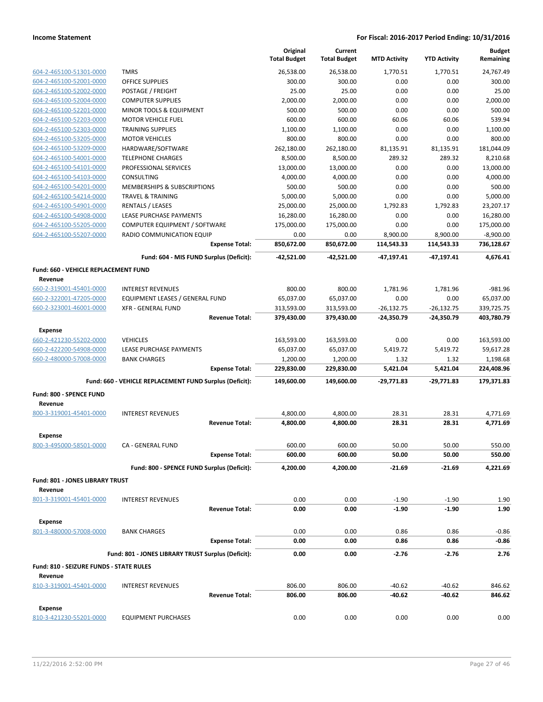|                                         |                                                         | Original            | Current             |                     |                     | <b>Budget</b> |
|-----------------------------------------|---------------------------------------------------------|---------------------|---------------------|---------------------|---------------------|---------------|
|                                         |                                                         | <b>Total Budget</b> | <b>Total Budget</b> | <b>MTD Activity</b> | <b>YTD Activity</b> | Remaining     |
| 604-2-465100-51301-0000                 | <b>TMRS</b>                                             | 26,538.00           | 26,538.00           | 1,770.51            | 1,770.51            | 24,767.49     |
| 604-2-465100-52001-0000                 | <b>OFFICE SUPPLIES</b>                                  | 300.00              | 300.00              | 0.00                | 0.00                | 300.00        |
| 604-2-465100-52002-0000                 | POSTAGE / FREIGHT                                       | 25.00               | 25.00               | 0.00                | 0.00                | 25.00         |
| 604-2-465100-52004-0000                 | <b>COMPUTER SUPPLIES</b>                                | 2,000.00            | 2,000.00            | 0.00                | 0.00                | 2,000.00      |
| 604-2-465100-52201-0000                 | MINOR TOOLS & EQUIPMENT                                 | 500.00              | 500.00              | 0.00                | 0.00                | 500.00        |
| 604-2-465100-52203-0000                 | <b>MOTOR VEHICLE FUEL</b>                               | 600.00              | 600.00              | 60.06               | 60.06               | 539.94        |
| 604-2-465100-52303-0000                 | <b>TRAINING SUPPLIES</b>                                | 1,100.00            | 1,100.00            | 0.00                | 0.00                | 1,100.00      |
| 604-2-465100-53205-0000                 | <b>MOTOR VEHICLES</b>                                   | 800.00              | 800.00              | 0.00                | 0.00                | 800.00        |
| 604-2-465100-53209-0000                 | HARDWARE/SOFTWARE                                       | 262,180.00          | 262,180.00          | 81,135.91           | 81,135.91           | 181,044.09    |
| 604-2-465100-54001-0000                 | <b>TELEPHONE CHARGES</b>                                | 8,500.00            | 8,500.00            | 289.32              | 289.32              | 8,210.68      |
| 604-2-465100-54101-0000                 | PROFESSIONAL SERVICES                                   | 13,000.00           | 13,000.00           | 0.00                | 0.00                | 13,000.00     |
| 604-2-465100-54103-0000                 | CONSULTING                                              | 4,000.00            | 4,000.00            | 0.00                | 0.00                | 4,000.00      |
| 604-2-465100-54201-0000                 | <b>MEMBERSHIPS &amp; SUBSCRIPTIONS</b>                  | 500.00              | 500.00              | 0.00                | 0.00                | 500.00        |
| 604-2-465100-54214-0000                 | <b>TRAVEL &amp; TRAINING</b>                            | 5,000.00            | 5,000.00            | 0.00                | 0.00                | 5,000.00      |
| 604-2-465100-54901-0000                 | RENTALS / LEASES                                        | 25,000.00           | 25,000.00           | 1,792.83            | 1,792.83            | 23,207.17     |
| 604-2-465100-54908-0000                 | LEASE PURCHASE PAYMENTS                                 | 16,280.00           | 16,280.00           | 0.00                | 0.00                | 16,280.00     |
| 604-2-465100-55205-0000                 | COMPUTER EQUIPMENT / SOFTWARE                           | 175,000.00          | 175,000.00          | 0.00                | 0.00                | 175,000.00    |
| 604-2-465100-55207-0000                 | RADIO COMMUNICATION EQUIP                               | 0.00                | 0.00                | 8,900.00            | 8,900.00            | $-8,900.00$   |
|                                         | <b>Expense Total:</b>                                   | 850,672.00          | 850,672.00          | 114,543.33          | 114,543.33          | 736,128.67    |
|                                         | Fund: 604 - MIS FUND Surplus (Deficit):                 | $-42,521.00$        | -42,521.00          | $-47,197.41$        | $-47.197.41$        | 4,676.41      |
| Fund: 660 - VEHICLE REPLACEMENT FUND    |                                                         |                     |                     |                     |                     |               |
| Revenue                                 |                                                         |                     |                     |                     |                     |               |
| 660-2-319001-45401-0000                 | <b>INTEREST REVENUES</b>                                | 800.00              | 800.00              | 1.781.96            | 1.781.96            | $-981.96$     |
| 660-2-322001-47205-0000                 | EQUIPMENT LEASES / GENERAL FUND                         | 65,037.00           | 65,037.00           | 0.00                | 0.00                | 65,037.00     |
| 660-2-323001-46001-0000                 | <b>XFR - GENERAL FUND</b>                               | 313,593.00          | 313,593.00          | $-26,132.75$        | $-26,132.75$        | 339,725.75    |
|                                         | <b>Revenue Total:</b>                                   | 379,430.00          | 379,430.00          | $-24,350.79$        | $-24,350.79$        | 403,780.79    |
| <b>Expense</b>                          |                                                         |                     |                     |                     |                     |               |
| 660-2-421230-55202-0000                 | <b>VEHICLES</b>                                         | 163,593.00          | 163,593.00          | 0.00                | 0.00                | 163,593.00    |
| 660-2-422200-54908-0000                 | LEASE PURCHASE PAYMENTS                                 | 65,037.00           | 65,037.00           | 5,419.72            | 5,419.72            | 59,617.28     |
| 660-2-480000-57008-0000                 | <b>BANK CHARGES</b>                                     | 1,200.00            | 1,200.00            | 1.32                | 1.32                | 1,198.68      |
|                                         | <b>Expense Total:</b>                                   | 229,830.00          | 229,830.00          | 5,421.04            | 5,421.04            | 224,408.96    |
|                                         | Fund: 660 - VEHICLE REPLACEMENT FUND Surplus (Deficit): | 149,600.00          | 149,600.00          | $-29,771.83$        | $-29,771.83$        | 179,371.83    |
|                                         |                                                         |                     |                     |                     |                     |               |
| Fund: 800 - SPENCE FUND                 |                                                         |                     |                     |                     |                     |               |
| Revenue<br>800-3-319001-45401-0000      | <b>INTEREST REVENUES</b>                                | 4,800.00            | 4,800.00            | 28.31               | 28.31               | 4,771.69      |
|                                         | <b>Revenue Total:</b>                                   | 4,800.00            | 4,800.00            | 28.31               | 28.31               | 4,771.69      |
|                                         |                                                         |                     |                     |                     |                     |               |
| <b>Expense</b>                          |                                                         |                     |                     |                     |                     |               |
| 800-3-495000-58501-0000                 | CA - GENERAL FUND                                       | 600.00              | 600.00              | 50.00               | 50.00               | 550.00        |
|                                         | <b>Expense Total:</b>                                   | 600.00              | 600.00              | 50.00               | 50.00               | 550.00        |
|                                         | Fund: 800 - SPENCE FUND Surplus (Deficit):              | 4,200.00            | 4,200.00            | $-21.69$            | -21.69              | 4,221.69      |
| Fund: 801 - JONES LIBRARY TRUST         |                                                         |                     |                     |                     |                     |               |
| Revenue                                 |                                                         |                     |                     |                     |                     |               |
| 801-3-319001-45401-0000                 | <b>INTEREST REVENUES</b>                                | 0.00                | 0.00                | $-1.90$             | $-1.90$             | 1.90          |
|                                         | <b>Revenue Total:</b>                                   | 0.00                | 0.00                | $-1.90$             | $-1.90$             | 1.90          |
| <b>Expense</b>                          |                                                         |                     |                     |                     |                     |               |
| 801-3-480000-57008-0000                 | <b>BANK CHARGES</b>                                     | 0.00                | 0.00                | 0.86                | 0.86                | $-0.86$       |
|                                         | <b>Expense Total:</b>                                   | 0.00                | 0.00                | 0.86                | 0.86                | $-0.86$       |
|                                         |                                                         |                     |                     |                     |                     |               |
|                                         | Fund: 801 - JONES LIBRARY TRUST Surplus (Deficit):      | 0.00                | 0.00                | $-2.76$             | $-2.76$             | 2.76          |
| Fund: 810 - SEIZURE FUNDS - STATE RULES |                                                         |                     |                     |                     |                     |               |
| Revenue                                 |                                                         |                     |                     |                     |                     |               |
| 810-3-319001-45401-0000                 | <b>INTEREST REVENUES</b>                                | 806.00              | 806.00              | $-40.62$            | -40.62              | 846.62        |
|                                         | <b>Revenue Total:</b>                                   | 806.00              | 806.00              | $-40.62$            | -40.62              | 846.62        |
| <b>Expense</b>                          |                                                         |                     |                     |                     |                     |               |
| 810-3-421230-55201-0000                 | <b>EQUIPMENT PURCHASES</b>                              | 0.00                | 0.00                | 0.00                | 0.00                | 0.00          |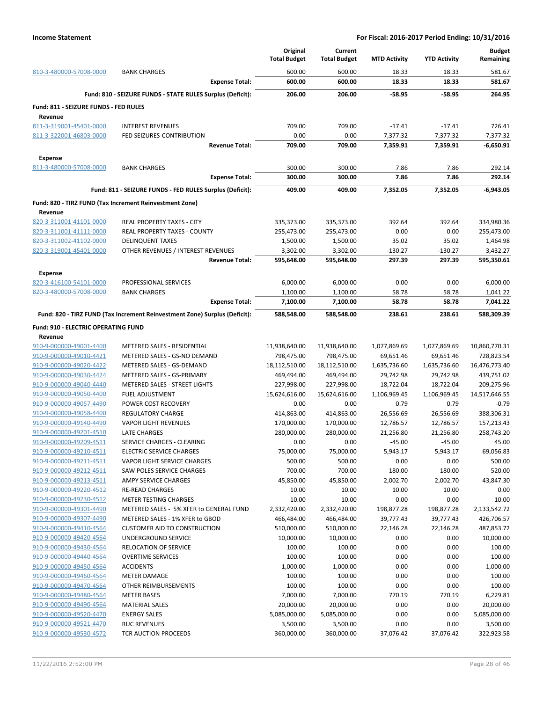|                                                    |                                                                            | Original                  | Current                  |                        |                        | <b>Budget</b>             |
|----------------------------------------------------|----------------------------------------------------------------------------|---------------------------|--------------------------|------------------------|------------------------|---------------------------|
|                                                    |                                                                            | <b>Total Budget</b>       | <b>Total Budget</b>      | <b>MTD Activity</b>    | <b>YTD Activity</b>    | Remaining                 |
| 810-3-480000-57008-0000                            | <b>BANK CHARGES</b>                                                        | 600.00                    | 600.00                   | 18.33                  | 18.33                  | 581.67                    |
|                                                    | <b>Expense Total:</b>                                                      | 600.00                    | 600.00                   | 18.33                  | 18.33                  | 581.67                    |
|                                                    | Fund: 810 - SEIZURE FUNDS - STATE RULES Surplus (Deficit):                 | 206.00                    | 206.00                   | -58.95                 | $-58.95$               | 264.95                    |
| Fund: 811 - SEIZURE FUNDS - FED RULES              |                                                                            |                           |                          |                        |                        |                           |
| Revenue<br>811-3-319001-45401-0000                 | <b>INTEREST REVENUES</b>                                                   | 709.00                    | 709.00                   | $-17.41$               | $-17.41$               | 726.41                    |
| 811-3-322001-46803-0000                            | FED SEIZURES-CONTRIBUTION                                                  | 0.00                      | 0.00                     | 7,377.32               | 7,377.32               | $-7,377.32$               |
|                                                    | <b>Revenue Total:</b>                                                      | 709.00                    | 709.00                   | 7,359.91               | 7,359.91               | $-6,650.91$               |
| <b>Expense</b>                                     |                                                                            |                           |                          |                        |                        |                           |
| 811-3-480000-57008-0000                            | <b>BANK CHARGES</b>                                                        | 300.00                    | 300.00                   | 7.86                   | 7.86                   | 292.14                    |
|                                                    | <b>Expense Total:</b>                                                      | 300.00                    | 300.00                   | 7.86                   | 7.86                   | 292.14                    |
|                                                    | Fund: 811 - SEIZURE FUNDS - FED RULES Surplus (Deficit):                   | 409.00                    | 409.00                   | 7,352.05               | 7,352.05               | $-6,943.05$               |
|                                                    | Fund: 820 - TIRZ FUND (Tax Increment Reinvestment Zone)                    |                           |                          |                        |                        |                           |
| Revenue                                            |                                                                            |                           |                          |                        |                        |                           |
| 820-3-311001-41101-0000                            | REAL PROPERTY TAXES - CITY                                                 | 335,373.00                | 335,373.00               | 392.64                 | 392.64                 | 334,980.36                |
| 820-3-311001-41111-0000                            | REAL PROPERTY TAXES - COUNTY                                               | 255,473.00                | 255,473.00               | 0.00                   | 0.00                   | 255,473.00                |
| 820-3-311002-41102-0000                            | <b>DELINQUENT TAXES</b>                                                    | 1,500.00                  | 1,500.00                 | 35.02                  | 35.02                  | 1,464.98                  |
| 820-3-319001-45401-0000                            | OTHER REVENUES / INTEREST REVENUES                                         | 3,302.00                  | 3,302.00                 | $-130.27$              | $-130.27$              | 3,432.27                  |
|                                                    | <b>Revenue Total:</b>                                                      | 595,648.00                | 595,648.00               | 297.39                 | 297.39                 | 595,350.61                |
| <b>Expense</b>                                     |                                                                            |                           |                          |                        |                        |                           |
| 820-3-416100-54101-0000                            | PROFESSIONAL SERVICES                                                      | 6,000.00                  | 6,000.00                 | 0.00                   | 0.00                   | 6,000.00                  |
| 820-3-480000-57008-0000                            | <b>BANK CHARGES</b>                                                        | 1,100.00                  | 1,100.00                 | 58.78                  | 58.78                  | 1,041.22                  |
|                                                    | <b>Expense Total:</b>                                                      | 7,100.00                  | 7,100.00                 | 58.78                  | 58.78                  | 7,041.22                  |
|                                                    | Fund: 820 - TIRZ FUND (Tax Increment Reinvestment Zone) Surplus (Deficit): | 588,548.00                | 588,548.00               | 238.61                 | 238.61                 | 588,309.39                |
| Fund: 910 - ELECTRIC OPERATING FUND                |                                                                            |                           |                          |                        |                        |                           |
| Revenue                                            |                                                                            |                           |                          |                        |                        |                           |
| 910-9-000000-49001-4400                            | METERED SALES - RESIDENTIAL                                                | 11,938,640.00             | 11,938,640.00            | 1,077,869.69           | 1,077,869.69           | 10,860,770.31             |
| 910-9-000000-49010-4421                            | METERED SALES - GS-NO DEMAND                                               | 798,475.00                | 798,475.00               | 69,651.46              | 69,651.46              | 728,823.54                |
| 910-9-000000-49020-4422                            | METERED SALES - GS-DEMAND                                                  | 18,112,510.00             | 18,112,510.00            | 1,635,736.60           | 1,635,736.60           | 16,476,773.40             |
| 910-9-000000-49030-4424                            | METERED SALES - GS-PRIMARY                                                 | 469,494.00                | 469,494.00               | 29,742.98              | 29,742.98              | 439,751.02                |
| 910-9-000000-49040-4440                            | METERED SALES - STREET LIGHTS                                              | 227,998.00                | 227,998.00               | 18,722.04              | 18,722.04              | 209,275.96                |
| 910-9-000000-49050-4400                            | FUEL ADJUSTMENT                                                            | 15,624,616.00             | 15,624,616.00            | 1,106,969.45           | 1,106,969.45           | 14,517,646.55             |
| 910-9-000000-49057-4490                            | POWER COST RECOVERY                                                        | 0.00                      | 0.00                     | 0.79                   | 0.79                   | $-0.79$                   |
| 910-9-000000-49058-4400<br>910-9-000000-49140-4490 | <b>REGULATORY CHARGE</b><br><b>VAPOR LIGHT REVENUES</b>                    | 414,863.00<br>170,000.00  | 414,863.00<br>170,000.00 | 26,556.69<br>12,786.57 | 26,556.69<br>12,786.57 | 388,306.31<br>157,213.43  |
| 910-9-000000-49201-4510                            | LATE CHARGES                                                               | 280,000.00                | 280,000.00               | 21,256.80              | 21,256.80              | 258,743.20                |
| 910-9-000000-49209-4511                            | SERVICE CHARGES - CLEARING                                                 | 0.00                      | 0.00                     | $-45.00$               | $-45.00$               | 45.00                     |
| 910-9-000000-49210-4511                            | ELECTRIC SERVICE CHARGES                                                   | 75,000.00                 | 75,000.00                | 5,943.17               | 5,943.17               | 69,056.83                 |
| 910-9-000000-49211-4511                            | VAPOR LIGHT SERVICE CHARGES                                                | 500.00                    | 500.00                   | 0.00                   | 0.00                   | 500.00                    |
| 910-9-000000-49212-4511                            | SAW POLES SERVICE CHARGES                                                  | 700.00                    | 700.00                   | 180.00                 | 180.00                 | 520.00                    |
| 910-9-000000-49213-4511                            | AMPY SERVICE CHARGES                                                       | 45,850.00                 | 45,850.00                | 2,002.70               | 2,002.70               | 43,847.30                 |
| 910-9-000000-49220-4512                            | <b>RE-READ CHARGES</b>                                                     | 10.00                     | 10.00                    | 10.00                  | 10.00                  | 0.00                      |
| 910-9-000000-49230-4512                            | <b>METER TESTING CHARGES</b>                                               | 10.00                     | 10.00                    | 0.00                   | 0.00                   | 10.00                     |
| 910-9-000000-49301-4490                            | METERED SALES - 5% XFER to GENERAL FUND                                    | 2,332,420.00              | 2,332,420.00             | 198,877.28             | 198,877.28             | 2,133,542.72              |
| 910-9-000000-49307-4490                            | METERED SALES - 1% XFER to GBOD                                            | 466,484.00                | 466,484.00               | 39,777.43              | 39,777.43              | 426,706.57                |
| 910-9-000000-49410-4564                            | <b>CUSTOMER AID TO CONSTRUCTION</b>                                        | 510,000.00                | 510,000.00               | 22,146.28              | 22,146.28              | 487,853.72                |
| 910-9-000000-49420-4564                            | UNDERGROUND SERVICE                                                        | 10,000.00                 | 10,000.00                | 0.00                   | 0.00                   | 10,000.00                 |
| 910-9-000000-49430-4564                            | <b>RELOCATION OF SERVICE</b>                                               | 100.00                    | 100.00                   | 0.00                   | 0.00                   | 100.00                    |
| 910-9-000000-49440-4564                            | <b>OVERTIME SERVICES</b>                                                   | 100.00                    | 100.00                   | 0.00                   | 0.00                   | 100.00                    |
| 910-9-000000-49450-4564                            | <b>ACCIDENTS</b>                                                           | 1,000.00                  | 1,000.00                 | 0.00                   | 0.00                   | 1,000.00                  |
| 910-9-000000-49460-4564                            | <b>METER DAMAGE</b>                                                        | 100.00                    | 100.00                   | 0.00                   | 0.00                   | 100.00                    |
| 910-9-000000-49470-4564                            | OTHER REIMBURSEMENTS                                                       | 100.00                    | 100.00                   | 0.00                   | 0.00                   | 100.00                    |
| 910-9-000000-49480-4564                            | <b>METER BASES</b>                                                         | 7,000.00                  | 7,000.00                 | 770.19                 | 770.19                 | 6,229.81                  |
| 910-9-000000-49490-4564<br>910-9-000000-49520-4470 | <b>MATERIAL SALES</b><br><b>ENERGY SALES</b>                               | 20,000.00<br>5,085,000.00 | 20,000.00                | 0.00<br>0.00           | 0.00                   | 20,000.00<br>5,085,000.00 |
| 910-9-000000-49521-4470                            | <b>RUC REVENUES</b>                                                        | 3,500.00                  | 5,085,000.00<br>3,500.00 | 0.00                   | 0.00<br>0.00           | 3,500.00                  |
| 910-9-000000-49530-4572                            | TCR AUCTION PROCEEDS                                                       | 360,000.00                | 360,000.00               | 37,076.42              | 37,076.42              | 322,923.58                |
|                                                    |                                                                            |                           |                          |                        |                        |                           |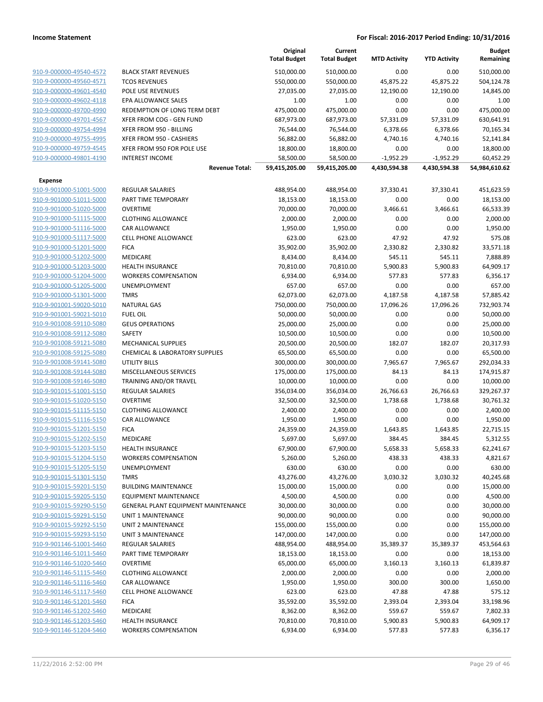|                         |                                            | Original<br><b>Total Budget</b> | Current<br><b>Total Budget</b> | <b>MTD Activity</b> | <b>YTD Activity</b> | <b>Budget</b><br>Remaining |
|-------------------------|--------------------------------------------|---------------------------------|--------------------------------|---------------------|---------------------|----------------------------|
| 910-9-000000-49540-4572 | <b>BLACK START REVENUES</b>                | 510,000.00                      | 510,000.00                     | 0.00                | 0.00                | 510,000.00                 |
| 910-9-000000-49560-4571 | <b>TCOS REVENUES</b>                       | 550,000.00                      | 550,000.00                     | 45,875.22           | 45,875.22           | 504,124.78                 |
| 910-9-000000-49601-4540 | POLE USE REVENUES                          | 27,035.00                       | 27,035.00                      | 12,190.00           | 12,190.00           | 14,845.00                  |
| 910-9-000000-49602-4118 | EPA ALLOWANCE SALES                        | 1.00                            | 1.00                           | 0.00                | 0.00                | 1.00                       |
| 910-9-000000-49700-4990 | REDEMPTION OF LONG TERM DEBT               | 475,000.00                      | 475,000.00                     | 0.00                | 0.00                | 475,000.00                 |
| 910-9-000000-49701-4567 | XFER FROM COG - GEN FUND                   | 687,973.00                      | 687,973.00                     | 57,331.09           | 57,331.09           | 630,641.91                 |
| 910-9-000000-49754-4994 | XFER FROM 950 - BILLING                    | 76,544.00                       | 76,544.00                      | 6,378.66            | 6,378.66            | 70,165.34                  |
| 910-9-000000-49755-4995 | XFER FROM 950 - CASHIERS                   | 56,882.00                       | 56,882.00                      | 4,740.16            | 4,740.16            | 52,141.84                  |
| 910-9-000000-49759-4545 | XFER FROM 950 FOR POLE USE                 | 18,800.00                       | 18,800.00                      | 0.00                | 0.00                | 18,800.00                  |
| 910-9-000000-49801-4190 | <b>INTEREST INCOME</b>                     | 58,500.00                       | 58,500.00                      | $-1,952.29$         | $-1,952.29$         | 60,452.29                  |
|                         | <b>Revenue Total:</b>                      | 59,415,205.00                   | 59,415,205.00                  | 4,430,594.38        | 4,430,594.38        | 54,984,610.62              |
| Expense                 |                                            |                                 |                                |                     |                     |                            |
| 910-9-901000-51001-5000 | <b>REGULAR SALARIES</b>                    | 488,954.00                      | 488,954.00                     | 37,330.41           | 37,330.41           | 451,623.59                 |
| 910-9-901000-51011-5000 | PART TIME TEMPORARY                        | 18,153.00                       | 18,153.00                      | 0.00                | 0.00                | 18,153.00                  |
| 910-9-901000-51020-5000 | <b>OVERTIME</b>                            | 70,000.00                       | 70,000.00                      | 3,466.61            | 3,466.61            | 66,533.39                  |
| 910-9-901000-51115-5000 | <b>CLOTHING ALLOWANCE</b>                  | 2,000.00                        | 2,000.00                       | 0.00                | 0.00                | 2,000.00                   |
| 910-9-901000-51116-5000 | <b>CAR ALLOWANCE</b>                       | 1,950.00                        | 1,950.00                       | 0.00                | 0.00                | 1,950.00                   |
| 910-9-901000-51117-5000 | <b>CELL PHONE ALLOWANCE</b>                | 623.00                          | 623.00                         | 47.92               | 47.92               | 575.08                     |
| 910-9-901000-51201-5000 | <b>FICA</b>                                | 35,902.00                       | 35,902.00                      | 2,330.82            | 2,330.82            | 33,571.18                  |
| 910-9-901000-51202-5000 | <b>MEDICARE</b>                            | 8,434.00                        | 8,434.00                       | 545.11              | 545.11              | 7,888.89                   |
| 910-9-901000-51203-5000 | <b>HEALTH INSURANCE</b>                    | 70,810.00                       | 70,810.00                      | 5,900.83            | 5,900.83            | 64,909.17                  |
| 910-9-901000-51204-5000 | <b>WORKERS COMPENSATION</b>                | 6,934.00                        | 6,934.00                       | 577.83              | 577.83              | 6,356.17                   |
| 910-9-901000-51205-5000 | <b>UNEMPLOYMENT</b>                        | 657.00                          | 657.00                         | 0.00                | 0.00                | 657.00                     |
| 910-9-901000-51301-5000 | <b>TMRS</b>                                | 62,073.00                       | 62,073.00                      | 4,187.58            | 4,187.58            | 57,885.42                  |
| 910-9-901001-59020-5010 | <b>NATURAL GAS</b>                         | 750,000.00                      | 750,000.00                     | 17,096.26           | 17,096.26           | 732,903.74                 |
| 910-9-901001-59021-5010 | <b>FUEL OIL</b>                            | 50,000.00                       | 50,000.00                      | 0.00                | 0.00                | 50,000.00                  |
| 910-9-901008-59110-5080 | <b>GEUS OPERATIONS</b>                     | 25,000.00                       | 25,000.00                      | 0.00                | 0.00                | 25,000.00                  |
| 910-9-901008-59112-5080 | SAFETY                                     | 10,500.00                       | 10,500.00                      | 0.00                | 0.00                | 10,500.00                  |
| 910-9-901008-59121-5080 | <b>MECHANICAL SUPPLIES</b>                 | 20,500.00                       | 20,500.00                      | 182.07              | 182.07              | 20,317.93                  |
| 910-9-901008-59125-5080 | <b>CHEMICAL &amp; LABORATORY SUPPLIES</b>  | 65,500.00                       | 65,500.00                      | 0.00                | 0.00                | 65,500.00                  |
| 910-9-901008-59141-5080 | <b>UTILITY BILLS</b>                       | 300,000.00                      | 300,000.00                     | 7,965.67            | 7,965.67            | 292,034.33                 |
| 910-9-901008-59144-5080 | MISCELLANEOUS SERVICES                     | 175,000.00                      | 175,000.00                     | 84.13               | 84.13               | 174,915.87                 |
| 910-9-901008-59146-5080 | <b>TRAINING AND/OR TRAVEL</b>              | 10,000.00                       | 10,000.00                      | 0.00                | 0.00                | 10,000.00                  |
| 910-9-901015-51001-5150 | <b>REGULAR SALARIES</b>                    | 356,034.00                      | 356,034.00                     | 26,766.63           | 26,766.63           | 329,267.37                 |
| 910-9-901015-51020-5150 | <b>OVERTIME</b>                            | 32,500.00                       | 32,500.00                      | 1,738.68            | 1,738.68            | 30,761.32                  |
| 910-9-901015-51115-5150 | <b>CLOTHING ALLOWANCE</b>                  | 2,400.00                        | 2,400.00                       | 0.00                | 0.00                | 2,400.00                   |
| 910-9-901015-51116-5150 | <b>CAR ALLOWANCE</b>                       | 1,950.00                        | 1,950.00                       | 0.00                | 0.00                | 1,950.00                   |
| 910-9-901015-51201-5150 | <b>FICA</b>                                | 24,359.00                       | 24,359.00                      | 1,643.85            | 1,643.85            | 22,715.15                  |
| 910-9-901015-51202-5150 | <b>MEDICARE</b>                            | 5,697.00                        | 5,697.00                       | 384.45              | 384.45              | 5,312.55                   |
| 910-9-901015-51203-5150 | <b>HEALTH INSURANCE</b>                    | 67,900.00                       | 67,900.00                      | 5,658.33            | 5,658.33            | 62,241.67                  |
| 910-9-901015-51204-5150 | <b>WORKERS COMPENSATION</b>                | 5,260.00                        | 5,260.00                       | 438.33              | 438.33              | 4,821.67                   |
| 910-9-901015-51205-5150 | UNEMPLOYMENT                               | 630.00                          | 630.00                         | 0.00                | 0.00                | 630.00                     |
| 910-9-901015-51301-5150 | <b>TMRS</b>                                | 43,276.00                       | 43,276.00                      | 3,030.32            | 3,030.32            | 40,245.68                  |
| 910-9-901015-59201-5150 | <b>BUILDING MAINTENANCE</b>                | 15,000.00                       | 15,000.00                      | 0.00                | 0.00                | 15,000.00                  |
| 910-9-901015-59205-5150 | <b>EQUIPMENT MAINTENANCE</b>               | 4,500.00                        | 4,500.00                       | 0.00                | 0.00                | 4,500.00                   |
| 910-9-901015-59290-5150 | <b>GENERAL PLANT EQUIPMENT MAINTENANCE</b> | 30,000.00                       | 30,000.00                      | 0.00                | 0.00                | 30,000.00                  |
| 910-9-901015-59291-5150 | UNIT 1 MAINTENANCE                         | 90,000.00                       | 90,000.00                      | 0.00                | 0.00                | 90,000.00                  |
| 910-9-901015-59292-5150 | UNIT 2 MAINTENANCE                         | 155,000.00                      | 155,000.00                     | 0.00                | 0.00                | 155,000.00                 |
| 910-9-901015-59293-5150 | UNIT 3 MAINTENANCE                         | 147,000.00                      | 147,000.00                     | 0.00                | 0.00                | 147,000.00                 |
| 910-9-901146-51001-5460 | <b>REGULAR SALARIES</b>                    | 488,954.00                      | 488,954.00                     | 35,389.37           | 35,389.37           | 453,564.63                 |
| 910-9-901146-51011-5460 | PART TIME TEMPORARY                        | 18,153.00                       | 18,153.00                      | 0.00                | 0.00                | 18,153.00                  |
| 910-9-901146-51020-5460 | <b>OVERTIME</b>                            | 65,000.00                       | 65,000.00                      | 3,160.13            | 3,160.13            | 61,839.87                  |
| 910-9-901146-51115-5460 | <b>CLOTHING ALLOWANCE</b>                  | 2,000.00                        | 2,000.00                       | 0.00                | 0.00                | 2,000.00                   |
| 910-9-901146-51116-5460 | CAR ALLOWANCE                              | 1,950.00                        | 1,950.00                       | 300.00              | 300.00              | 1,650.00                   |
| 910-9-901146-51117-5460 | <b>CELL PHONE ALLOWANCE</b>                | 623.00                          | 623.00                         | 47.88               | 47.88               | 575.12                     |
| 910-9-901146-51201-5460 | <b>FICA</b>                                | 35,592.00                       | 35,592.00                      | 2,393.04            | 2,393.04            | 33,198.96                  |
| 910-9-901146-51202-5460 | <b>MEDICARE</b>                            | 8,362.00                        | 8,362.00                       | 559.67              | 559.67              | 7,802.33                   |
| 910-9-901146-51203-5460 | <b>HEALTH INSURANCE</b>                    | 70,810.00                       | 70,810.00                      | 5,900.83            | 5,900.83            | 64,909.17                  |
| 910-9-901146-51204-5460 | <b>WORKERS COMPENSATION</b>                | 6,934.00                        | 6,934.00                       | 577.83              | 577.83              | 6,356.17                   |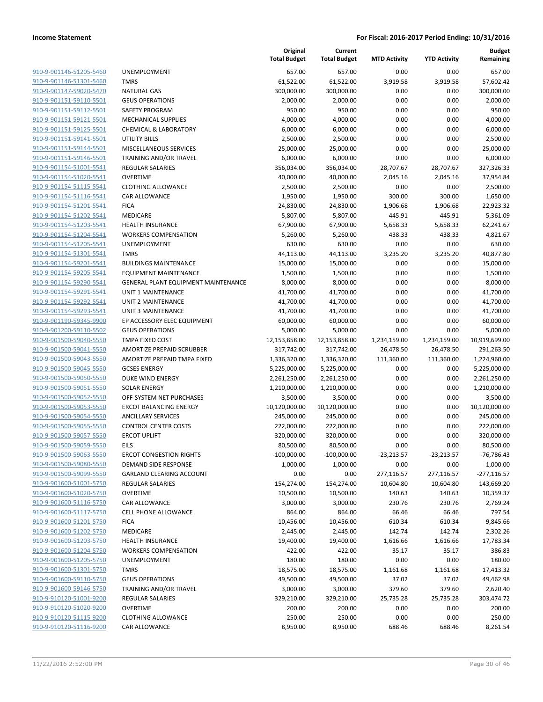| 910-9-901146-51205-5460 | <b>UNEMPLOYM</b>    |
|-------------------------|---------------------|
| 910-9-901146-51301-5460 | TMRS                |
| 910-9-901147-59020-5470 | <b>NATURAL GAS</b>  |
| 910-9-901151-59110-5501 | <b>GEUS OPERAT</b>  |
| 910-9-901151-59112-5501 | SAFETY PROGI        |
| 910-9-901151-59121-5501 | MECHANICAL          |
| 910-9-901151-59125-5501 | CHEMICAL & I        |
| 910-9-901151-59141-5501 | UTILITY BILLS       |
| 910-9-901151-59144-5501 | MISCELLANEC         |
| 910-9-901151-59146-5501 | <b>TRAINING ANI</b> |
| 910-9-901154-51001-5541 | REGULAR SAL         |
| 910-9-901154-51020-5541 | OVERTIME            |
|                         | <b>CLOTHING ALI</b> |
| 910-9-901154-51115-5541 |                     |
| 910-9-901154-51116-5541 | CAR ALLOWAI         |
| 910-9-901154-51201-5541 | FICA                |
| 910-9-901154-51202-5541 | MEDICARE            |
| 910-9-901154-51203-5541 | <b>HEALTH INSUR</b> |
| 910-9-901154-51204-5541 | <b>WORKERS COI</b>  |
| 910-9-901154-51205-5541 | <b>UNEMPLOYM</b>    |
| 910-9-901154-51301-5541 | <b>TMRS</b>         |
| 910-9-901154-59201-5541 | <b>BUILDINGS M</b>  |
| 910-9-901154-59205-5541 | <b>EQUIPMENT N</b>  |
| 910-9-901154-59290-5541 | <b>GENERAL PLA</b>  |
| 910-9-901154-59291-5541 | <b>UNIT 1 MAINT</b> |
| 910-9-901154-59292-5541 | <b>UNIT 2 MAINT</b> |
| 910-9-901154-59293-5541 | <b>UNIT 3 MAINT</b> |
| 910-9-901190-59345-9900 | EP ACCESSORY        |
| 910-9-901200-59110-5502 | <b>GEUS OPERAT</b>  |
| 910-9-901500-59040-5550 | TMPA FIXED C        |
| 910-9-901500-59041-5550 | AMORTIZE PR         |
| 910-9-901500-59043-5550 | AMORTIZE PR         |
| 910-9-901500-59045-5550 | <b>GCSES ENERG</b>  |
| 910-9-901500-59050-5550 | DUKE WIND E         |
| 910-9-901500-59051-5550 | SOLAR ENERG         |
| 910-9-901500-59052-5550 | OFF-SYSTEM N        |
| 910-9-901500-59053-5550 | <b>ERCOT BALAN</b>  |
| 910-9-901500-59054-5550 | <b>ANCILLARY SE</b> |
| 910-9-901500-59055-5550 | <b>CONTROL CEN</b>  |
| 910-9-901500-59057-5550 | <b>ERCOT UPLIFT</b> |
| 910-9-901500-59059-5550 | EILS                |
| 910-9-901500-59063-5550 | <b>ERCOT CONGE</b>  |
| 910-9-901500-59080-5550 | <b>DEMAND SIDE</b>  |
| 910-9-901500-59099-5550 | <b>GARLAND CLE</b>  |
| 910-9-901600-51001-5750 | REGULAR SAL         |
| 910-9-901600-51020-5750 | <b>OVERTIME</b>     |
| 910-9-901600-51116-5750 | CAR ALLOWAI         |
| 910-9-901600-51117-5750 | <b>CELL PHONE A</b> |
| 910-9-901600-51201-5750 | <b>FICA</b>         |
| 910-9-901600-51202-5750 | <b>MEDICARE</b>     |
| 910-9-901600-51203-5750 | <b>HEALTH INSUR</b> |
| 910-9-901600-51204-5750 | <b>WORKERS COI</b>  |
| 910-9-901600-51205-5750 | <b>UNEMPLOYM</b>    |
| 910-9-901600-51301-5750 | <b>TMRS</b>         |
|                         |                     |
| 910-9-901600-59110-5750 | <b>GEUS OPERAT</b>  |
| 910-9-901600-59146-5750 | <b>TRAINING ANI</b> |
| 910-9-910120-51001-9200 | REGULAR SAL         |
| 910-9-910120-51020-9200 | <b>OVERTIME</b>     |
| 910-9-910120-51115-9200 | <b>CLOTHING ALI</b> |
| 910-9-910120-51116-9200 | CAR ALLOWAI         |
|                         |                     |

|                         |                                     | Original<br><b>Total Budget</b> | Current<br><b>Total Budget</b> | <b>MTD Activity</b> | <b>YTD Activity</b> | <b>Budget</b><br>Remaining |
|-------------------------|-------------------------------------|---------------------------------|--------------------------------|---------------------|---------------------|----------------------------|
| 910-9-901146-51205-5460 | UNEMPLOYMENT                        | 657.00                          | 657.00                         | 0.00                | 0.00                | 657.00                     |
| 910-9-901146-51301-5460 | <b>TMRS</b>                         | 61,522.00                       | 61,522.00                      | 3,919.58            | 3,919.58            | 57,602.42                  |
| 910-9-901147-59020-5470 | <b>NATURAL GAS</b>                  | 300,000.00                      | 300,000.00                     | 0.00                | 0.00                | 300,000.00                 |
| 910-9-901151-59110-5501 | <b>GEUS OPERATIONS</b>              | 2,000.00                        | 2,000.00                       | 0.00                | 0.00                | 2,000.00                   |
| 910-9-901151-59112-5501 | SAFETY PROGRAM                      | 950.00                          | 950.00                         | 0.00                | 0.00                | 950.00                     |
| 910-9-901151-59121-5501 | <b>MECHANICAL SUPPLIES</b>          | 4,000.00                        | 4,000.00                       | 0.00                | 0.00                | 4,000.00                   |
| 910-9-901151-59125-5501 | <b>CHEMICAL &amp; LABORATORY</b>    | 6,000.00                        | 6,000.00                       | 0.00                | 0.00                | 6,000.00                   |
| 910-9-901151-59141-5501 | <b>UTILITY BILLS</b>                | 2,500.00                        | 2,500.00                       | 0.00                | 0.00                | 2,500.00                   |
| 910-9-901151-59144-5501 | MISCELLANEOUS SERVICES              | 25,000.00                       | 25,000.00                      | 0.00                | 0.00                | 25,000.00                  |
| 910-9-901151-59146-5501 | TRAINING AND/OR TRAVEL              | 6,000.00                        | 6,000.00                       | 0.00                | 0.00                | 6,000.00                   |
| 910-9-901154-51001-5541 | REGULAR SALARIES                    | 356,034.00                      | 356,034.00                     | 28,707.67           | 28,707.67           | 327,326.33                 |
| 910-9-901154-51020-5541 | <b>OVERTIME</b>                     | 40,000.00                       | 40,000.00                      | 2,045.16            | 2,045.16            | 37,954.84                  |
| 910-9-901154-51115-5541 | <b>CLOTHING ALLOWANCE</b>           | 2,500.00                        | 2,500.00                       | 0.00                | 0.00                | 2,500.00                   |
| 910-9-901154-51116-5541 | CAR ALLOWANCE                       | 1,950.00                        | 1,950.00                       | 300.00              | 300.00              | 1,650.00                   |
| 910-9-901154-51201-5541 | <b>FICA</b>                         | 24,830.00                       | 24,830.00                      | 1,906.68            | 1,906.68            | 22,923.32                  |
| 910-9-901154-51202-5541 | MEDICARE                            | 5,807.00                        | 5,807.00                       | 445.91              | 445.91              | 5,361.09                   |
| 910-9-901154-51203-5541 | <b>HEALTH INSURANCE</b>             | 67,900.00                       | 67,900.00                      | 5,658.33            | 5,658.33            | 62,241.67                  |
| 910-9-901154-51204-5541 | <b>WORKERS COMPENSATION</b>         | 5,260.00                        | 5,260.00                       | 438.33              | 438.33              | 4,821.67                   |
| 910-9-901154-51205-5541 | UNEMPLOYMENT                        | 630.00                          | 630.00                         | 0.00                | 0.00                | 630.00                     |
| 910-9-901154-51301-5541 | <b>TMRS</b>                         | 44,113.00                       | 44,113.00                      | 3,235.20            | 3,235.20            | 40,877.80                  |
| 910-9-901154-59201-5541 | <b>BUILDINGS MAINTENANCE</b>        | 15,000.00                       | 15,000.00                      | 0.00                | 0.00                | 15,000.00                  |
| 910-9-901154-59205-5541 | <b>EQUIPMENT MAINTENANCE</b>        | 1,500.00                        | 1,500.00                       | 0.00                | 0.00                | 1,500.00                   |
| 910-9-901154-59290-5541 | GENERAL PLANT EQUIPMENT MAINTENANCE | 8,000.00                        | 8,000.00                       | 0.00                | 0.00                | 8,000.00                   |
| 910-9-901154-59291-5541 | <b>UNIT 1 MAINTENANCE</b>           | 41,700.00                       | 41,700.00                      | 0.00                | 0.00                | 41,700.00                  |
| 910-9-901154-59292-5541 | UNIT 2 MAINTENANCE                  | 41,700.00                       | 41,700.00                      | 0.00                | 0.00                | 41,700.00                  |
| 910-9-901154-59293-5541 | <b>UNIT 3 MAINTENANCE</b>           | 41,700.00                       | 41,700.00                      | 0.00                | 0.00                | 41,700.00                  |
| 910-9-901190-59345-9900 | EP ACCESSORY ELEC EQUIPMENT         | 60,000.00                       | 60,000.00                      | 0.00                | 0.00                | 60,000.00                  |
| 910-9-901200-59110-5502 | <b>GEUS OPERATIONS</b>              | 5,000.00                        | 5,000.00                       | 0.00                | 0.00                | 5,000.00                   |
| 910-9-901500-59040-5550 | TMPA FIXED COST                     | 12,153,858.00                   | 12,153,858.00                  | 1,234,159.00        | 1,234,159.00        | 10,919,699.00              |
| 910-9-901500-59041-5550 | AMORTIZE PREPAID SCRUBBER           | 317,742.00                      | 317,742.00                     | 26,478.50           | 26,478.50           | 291,263.50                 |
| 910-9-901500-59043-5550 | AMORTIZE PREPAID TMPA FIXED         | 1,336,320.00                    | 1,336,320.00                   | 111,360.00          | 111,360.00          | 1,224,960.00               |
| 910-9-901500-59045-5550 | <b>GCSES ENERGY</b>                 | 5,225,000.00                    | 5,225,000.00                   | 0.00                | 0.00                | 5,225,000.00               |
| 910-9-901500-59050-5550 | DUKE WIND ENERGY                    | 2,261,250.00                    | 2,261,250.00                   | 0.00                | 0.00                | 2,261,250.00               |
| 910-9-901500-59051-5550 | <b>SOLAR ENERGY</b>                 | 1,210,000.00                    | 1,210,000.00                   | 0.00                | 0.00                | 1,210,000.00               |
| 910-9-901500-59052-5550 | OFF-SYSTEM NET PURCHASES            | 3,500.00                        | 3,500.00                       | 0.00                | 0.00                | 3,500.00                   |
| 910-9-901500-59053-5550 | <b>ERCOT BALANCING ENERGY</b>       | 10,120,000.00                   | 10,120,000.00                  | 0.00                | 0.00                | 10,120,000.00              |
| 910-9-901500-59054-5550 | <b>ANCILLARY SERVICES</b>           | 245,000.00                      | 245,000.00                     | 0.00                | 0.00                | 245,000.00                 |
| 910-9-901500-59055-5550 | <b>CONTROL CENTER COSTS</b>         | 222,000.00                      | 222,000.00                     | 0.00                | 0.00                | 222,000.00                 |
| 910-9-901500-59057-5550 | <b>ERCOT UPLIFT</b>                 | 320,000.00                      | 320,000.00                     | 0.00                | 0.00                | 320,000.00                 |
| 910-9-901500-59059-5550 | FII S                               | 80,500.00                       | 80,500.00                      | 0.00                | 0.00                | 80,500.00                  |
| 910-9-901500-59063-5550 | <b>ERCOT CONGESTION RIGHTS</b>      | $-100,000.00$                   | $-100,000.00$                  | $-23,213.57$        | -23,213.57          | $-76,786.43$               |
| 910-9-901500-59080-5550 | DEMAND SIDE RESPONSE                | 1,000.00                        | 1,000.00                       | 0.00                | 0.00                | 1,000.00                   |
| 910-9-901500-59099-5550 | <b>GARLAND CLEARING ACCOUNT</b>     | 0.00                            | 0.00                           | 277,116.57          | 277,116.57          | $-277,116.57$              |
| 910-9-901600-51001-5750 | <b>REGULAR SALARIES</b>             | 154,274.00                      | 154,274.00                     | 10,604.80           | 10,604.80           | 143,669.20                 |
| 910-9-901600-51020-5750 | <b>OVERTIME</b>                     | 10,500.00                       | 10,500.00                      | 140.63              | 140.63              | 10,359.37                  |
| 910-9-901600-51116-5750 | CAR ALLOWANCE                       | 3,000.00                        | 3,000.00                       | 230.76              | 230.76              | 2,769.24                   |
| 910-9-901600-51117-5750 | <b>CELL PHONE ALLOWANCE</b>         | 864.00                          | 864.00                         | 66.46               | 66.46               | 797.54                     |
| 910-9-901600-51201-5750 | <b>FICA</b>                         | 10,456.00                       | 10,456.00                      | 610.34              | 610.34              | 9,845.66                   |
| 910-9-901600-51202-5750 | <b>MEDICARE</b>                     | 2,445.00                        | 2,445.00                       | 142.74              | 142.74              | 2,302.26                   |
| 910-9-901600-51203-5750 | <b>HEALTH INSURANCE</b>             | 19,400.00                       | 19,400.00                      | 1,616.66            | 1,616.66            | 17,783.34                  |
| 910-9-901600-51204-5750 | <b>WORKERS COMPENSATION</b>         | 422.00                          | 422.00                         | 35.17               | 35.17               | 386.83                     |
| 910-9-901600-51205-5750 | <b>UNEMPLOYMENT</b>                 | 180.00                          | 180.00                         | 0.00                | 0.00                | 180.00                     |
| 910-9-901600-51301-5750 | <b>TMRS</b>                         | 18,575.00                       | 18,575.00                      | 1,161.68            | 1,161.68            | 17,413.32                  |
| 910-9-901600-59110-5750 | <b>GEUS OPERATIONS</b>              | 49,500.00                       | 49,500.00                      | 37.02               | 37.02               | 49,462.98                  |
| 910-9-901600-59146-5750 | TRAINING AND/OR TRAVEL              | 3,000.00                        | 3,000.00                       | 379.60              | 379.60              | 2,620.40                   |
| 910-9-910120-51001-9200 | REGULAR SALARIES                    | 329,210.00                      | 329,210.00                     | 25,735.28           | 25,735.28           | 303,474.72                 |
| 910-9-910120-51020-9200 | <b>OVERTIME</b>                     | 200.00                          | 200.00                         | 0.00                | 0.00                | 200.00                     |
| 910-9-910120-51115-9200 | <b>CLOTHING ALLOWANCE</b>           | 250.00                          | 250.00                         | 0.00                | 0.00                | 250.00                     |
| 910-9-910120-51116-9200 | CAR ALLOWANCE                       | 8,950.00                        | 8,950.00                       | 688.46              | 688.46              | 8,261.54                   |
|                         |                                     |                                 |                                |                     |                     |                            |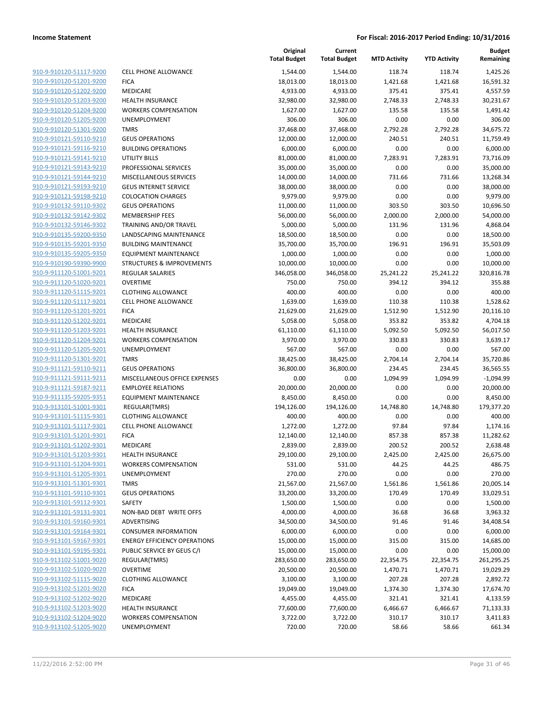|                                                    |                                      | Original<br><b>Total Budget</b> | Current<br><b>Total Budget</b> | <b>MTD Activity</b> | <b>YTD Activity</b> | <b>Budget</b><br>Remaining |
|----------------------------------------------------|--------------------------------------|---------------------------------|--------------------------------|---------------------|---------------------|----------------------------|
| 910-9-910120-51117-9200                            | <b>CELL PHONE ALLOWANCE</b>          | 1,544.00                        | 1,544.00                       | 118.74              | 118.74              | 1,425.26                   |
| 910-9-910120-51201-9200                            | <b>FICA</b>                          | 18,013.00                       | 18,013.00                      | 1,421.68            | 1,421.68            | 16,591.32                  |
| 910-9-910120-51202-9200                            | MEDICARE                             | 4,933.00                        | 4,933.00                       | 375.41              | 375.41              | 4,557.59                   |
| 910-9-910120-51203-9200                            | <b>HEALTH INSURANCE</b>              | 32,980.00                       | 32,980.00                      | 2,748.33            | 2,748.33            | 30,231.67                  |
| 910-9-910120-51204-9200                            | <b>WORKERS COMPENSATION</b>          | 1,627.00                        | 1,627.00                       | 135.58              | 135.58              | 1,491.42                   |
| 910-9-910120-51205-9200                            | UNEMPLOYMENT                         | 306.00                          | 306.00                         | 0.00                | 0.00                | 306.00                     |
| 910-9-910120-51301-9200                            | <b>TMRS</b>                          | 37,468.00                       | 37,468.00                      | 2,792.28            | 2,792.28            | 34,675.72                  |
| 910-9-910121-59110-9210                            | <b>GEUS OPERATIONS</b>               | 12,000.00                       | 12,000.00                      | 240.51              | 240.51              | 11,759.49                  |
| 910-9-910121-59116-9210                            | <b>BUILDING OPERATIONS</b>           | 6,000.00                        | 6,000.00                       | 0.00                | 0.00                | 6,000.00                   |
| 910-9-910121-59141-9210                            | UTILITY BILLS                        | 81,000.00                       | 81,000.00                      | 7,283.91            | 7,283.91            | 73,716.09                  |
| 910-9-910121-59143-9210                            | PROFESSIONAL SERVICES                | 35,000.00                       | 35,000.00                      | 0.00                | 0.00                | 35,000.00                  |
| 910-9-910121-59144-9210                            | MISCELLANEOUS SERVICES               | 14,000.00                       | 14,000.00                      | 731.66              | 731.66              | 13,268.34                  |
| 910-9-910121-59193-9210                            | <b>GEUS INTERNET SERVICE</b>         | 38,000.00                       | 38,000.00                      | 0.00                | 0.00                | 38,000.00                  |
| 910-9-910121-59198-9210                            | <b>COLOCATION CHARGES</b>            | 9,979.00                        | 9,979.00                       | 0.00                | 0.00                | 9,979.00                   |
| 910-9-910132-59110-9302                            | <b>GEUS OPERATIONS</b>               | 11,000.00                       | 11,000.00                      | 303.50              | 303.50              | 10,696.50                  |
| 910-9-910132-59142-9302                            | <b>MEMBERSHIP FEES</b>               | 56,000.00                       | 56,000.00                      | 2,000.00            | 2,000.00            | 54,000.00                  |
| 910-9-910132-59146-9302                            | TRAINING AND/OR TRAVEL               | 5,000.00                        | 5,000.00                       | 131.96              | 131.96              | 4,868.04                   |
| 910-9-910135-59200-9350                            | LANDSCAPING MAINTENANCE              | 18,500.00                       | 18,500.00                      | 0.00                | 0.00                | 18,500.00                  |
| 910-9-910135-59201-9350                            | <b>BUILDING MAINTENANCE</b>          | 35,700.00                       | 35,700.00                      | 196.91              | 196.91              | 35,503.09                  |
| 910-9-910135-59205-9350                            | <b>EQUIPMENT MAINTENANCE</b>         | 1,000.00                        | 1,000.00                       | 0.00                | 0.00                | 1,000.00                   |
| 910-9-910190-59390-9900                            | <b>STRUCTURES &amp; IMPROVEMENTS</b> | 10,000.00                       | 10,000.00                      | 0.00                | 0.00                | 10,000.00                  |
| 910-9-911120-51001-9201                            | REGULAR SALARIES                     | 346,058.00                      | 346,058.00                     | 25,241.22           | 25,241.22           | 320,816.78                 |
| 910-9-911120-51020-9201                            | <b>OVERTIME</b>                      | 750.00                          | 750.00                         | 394.12              | 394.12              | 355.88                     |
| 910-9-911120-51115-9201                            | <b>CLOTHING ALLOWANCE</b>            | 400.00                          | 400.00                         | 0.00                | 0.00                | 400.00                     |
| 910-9-911120-51117-9201                            | <b>CELL PHONE ALLOWANCE</b>          | 1,639.00                        | 1,639.00                       | 110.38              | 110.38              | 1,528.62                   |
| 910-9-911120-51201-9201<br>910-9-911120-51202-9201 | <b>FICA</b><br>MEDICARE              | 21,629.00                       | 21,629.00                      | 1,512.90            | 1,512.90            | 20,116.10                  |
| 910-9-911120-51203-9201                            | <b>HEALTH INSURANCE</b>              | 5,058.00                        | 5,058.00                       | 353.82              | 353.82              | 4,704.18                   |
| 910-9-911120-51204-9201                            | <b>WORKERS COMPENSATION</b>          | 61,110.00<br>3,970.00           | 61,110.00<br>3,970.00          | 5,092.50<br>330.83  | 5,092.50<br>330.83  | 56,017.50<br>3,639.17      |
| 910-9-911120-51205-9201                            | UNEMPLOYMENT                         | 567.00                          | 567.00                         | 0.00                | 0.00                | 567.00                     |
| 910-9-911120-51301-9201                            | <b>TMRS</b>                          | 38,425.00                       | 38,425.00                      | 2,704.14            | 2,704.14            | 35,720.86                  |
| 910-9-911121-59110-9211                            | <b>GEUS OPERATIONS</b>               | 36,800.00                       | 36,800.00                      | 234.45              | 234.45              | 36,565.55                  |
| 910-9-911121-59111-9211                            | MISCELLANEOUS OFFICE EXPENSES        | 0.00                            | 0.00                           | 1,094.99            | 1,094.99            | $-1,094.99$                |
| 910-9-911121-59187-9211                            | <b>EMPLOYEE RELATIONS</b>            | 20,000.00                       | 20,000.00                      | 0.00                | 0.00                | 20,000.00                  |
| 910-9-911135-59205-9351                            | <b>EQUIPMENT MAINTENANCE</b>         | 8,450.00                        | 8,450.00                       | 0.00                | 0.00                | 8,450.00                   |
| 910-9-913101-51001-9301                            | REGULAR(TMRS)                        | 194,126.00                      | 194,126.00                     | 14,748.80           | 14,748.80           | 179,377.20                 |
| 910-9-913101-51115-9301                            | <b>CLOTHING ALLOWANCE</b>            | 400.00                          | 400.00                         | 0.00                | 0.00                | 400.00                     |
| 910-9-913101-51117-9301                            | <b>CELL PHONE ALLOWANCE</b>          | 1,272.00                        | 1,272.00                       | 97.84               | 97.84               | 1,174.16                   |
| 910-9-913101-51201-9301                            | <b>FICA</b>                          | 12,140.00                       | 12,140.00                      | 857.38              | 857.38              | 11,282.62                  |
| 910-9-913101-51202-9301                            | MEDICARE                             | 2,839.00                        | 2,839.00                       | 200.52              | 200.52              | 2,638.48                   |
| 910-9-913101-51203-9301                            | <b>HEALTH INSURANCE</b>              | 29,100.00                       | 29,100.00                      | 2,425.00            | 2,425.00            | 26,675.00                  |
| 910-9-913101-51204-9301                            | <b>WORKERS COMPENSATION</b>          | 531.00                          | 531.00                         | 44.25               | 44.25               | 486.75                     |
| 910-9-913101-51205-9301                            | UNEMPLOYMENT                         | 270.00                          | 270.00                         | 0.00                | 0.00                | 270.00                     |
| 910-9-913101-51301-9301                            | <b>TMRS</b>                          | 21,567.00                       | 21,567.00                      | 1,561.86            | 1,561.86            | 20,005.14                  |
| 910-9-913101-59110-9301                            | <b>GEUS OPERATIONS</b>               | 33,200.00                       | 33,200.00                      | 170.49              | 170.49              | 33,029.51                  |
| 910-9-913101-59112-9301                            | <b>SAFETY</b>                        | 1,500.00                        | 1,500.00                       | 0.00                | 0.00                | 1,500.00                   |
| 910-9-913101-59131-9301                            | NON-BAD DEBT WRITE OFFS              | 4,000.00                        | 4,000.00                       | 36.68               | 36.68               | 3,963.32                   |
| 910-9-913101-59160-9301                            | ADVERTISING                          | 34,500.00                       | 34,500.00                      | 91.46               | 91.46               | 34,408.54                  |
| 910-9-913101-59164-9301                            | <b>CONSUMER INFORMATION</b>          | 6,000.00                        | 6,000.00                       | 0.00                | 0.00                | 6,000.00                   |
| 910-9-913101-59167-9301                            | <b>ENERGY EFFICIENCY OPERATIONS</b>  | 15,000.00                       | 15,000.00                      | 315.00              | 315.00              | 14,685.00                  |
| 910-9-913101-59195-9301                            | PUBLIC SERVICE BY GEUS C/I           | 15,000.00                       | 15,000.00                      | 0.00                | 0.00                | 15,000.00                  |
| 910-9-913102-51001-9020                            | REGULAR(TMRS)                        | 283,650.00                      | 283,650.00                     | 22,354.75           | 22,354.75           | 261,295.25                 |
| 910-9-913102-51020-9020                            | <b>OVERTIME</b>                      | 20,500.00                       | 20,500.00                      | 1,470.71            | 1,470.71            | 19,029.29                  |
| 910-9-913102-51115-9020                            | <b>CLOTHING ALLOWANCE</b>            | 3,100.00                        | 3,100.00                       | 207.28              | 207.28              | 2,892.72                   |
| 910-9-913102-51201-9020                            | <b>FICA</b>                          | 19,049.00                       | 19,049.00                      | 1,374.30            | 1,374.30            | 17,674.70                  |
| 910-9-913102-51202-9020                            | MEDICARE                             | 4,455.00                        | 4,455.00                       | 321.41              | 321.41              | 4,133.59                   |
| 910-9-913102-51203-9020                            | <b>HEALTH INSURANCE</b>              | 77,600.00                       | 77,600.00                      | 6,466.67            | 6,466.67            | 71,133.33                  |
| 910-9-913102-51204-9020                            | <b>WORKERS COMPENSATION</b>          | 3,722.00                        | 3,722.00                       | 310.17              | 310.17              | 3,411.83                   |
| 910-9-913102-51205-9020                            | UNEMPLOYMENT                         | 720.00                          | 720.00                         | 58.66               | 58.66               | 661.34                     |
|                                                    |                                      |                                 |                                |                     |                     |                            |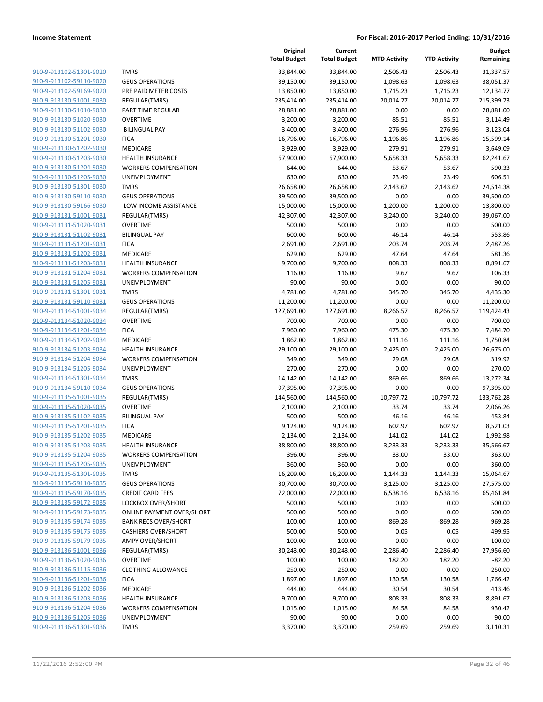| 910-9-913102-51301-9020                                   |
|-----------------------------------------------------------|
| 910-9-913102-59110-9020                                   |
| 910-9-913102-59169-9020                                   |
| 910-9-913130-51001-9030                                   |
| 910-9-913130-51010-9030                                   |
| 910-9-913130-51020-9030                                   |
| 910-9-913130-51102-9030                                   |
| <u>910-9-913130-51201-9030</u>                            |
| 910-9-913130-51202-9030                                   |
| 910-9-913130-51203-9030                                   |
| 910-9-913130-51204-9030                                   |
| 910-9-913130-51205-9030                                   |
| 910-9-913130-51301-9030                                   |
| <u>910-9-913130-59110-9030</u>                            |
| 910-9-913130-59166-9030                                   |
| 910-9-913131-51001-9031                                   |
| 910-9-913131-51020-9031                                   |
|                                                           |
| <u>910-9-913131-51102-9031</u>                            |
| <u>910-9-913131-51201-9031</u><br>910-9-913131-51202-9031 |
| 910-9-913131-51203-9031                                   |
|                                                           |
| 910-9-913131-51204-9031                                   |
| <u>910-9-913131-51205-9031</u>                            |
| <u>910-9-913131-51301-9031</u>                            |
| 910-9-913131-59110-9031                                   |
| 910-9-913134-51001-9034                                   |
| 910-9-913134-51020-9034                                   |
| 910-9-913134-51201-9034                                   |
| 910-9-913134-51202-9034                                   |
| 910-9-913134-51203-9034                                   |
| 910-9-913134-51204-9034                                   |
| 910-9-913134-51205-9034                                   |
| <u>910-9-913134-51301-9034</u>                            |
| 910-9-913134-59110-9034                                   |
| 910-9-913135-51001-9035                                   |
| 910-9-913135-51020-9035                                   |
| 910-9-913135-51102-9035                                   |
| 910-9-913135-51201-9035                                   |
| 910-9-913135-51202-9035                                   |
| 910-9-913135-51203-9035                                   |
| 910-9-913135-51204-9035                                   |
| 910-9-913135-51205-9035                                   |
| 910-9-913135-51301-9035                                   |
| 910-9-913135-59110-9035                                   |
| 910-9-913135-59170-9035                                   |
| 910-9-913135-59172-9035                                   |
| 910-9-913135-59173-9035                                   |
| 910-9-913135-59174-9035                                   |
| 910-9-913135-59175-9035                                   |
| 910-9-913135-59179-9035                                   |
| 910-9-913136-51001-9036                                   |
| 910-9-913136-51020-9036                                   |
| <u>910-9-913136-51115-9036</u>                            |
| <u>910-9-913136-51201-9036</u>                            |
| 910-9-913136-51202-9036                                   |
| 910-9-913136-51203-9036                                   |
| 910-9-913136-51204-9036                                   |
| <u>910-9-913136-51205-9036</u>                            |
| 910-9-913136-51301-9036                                   |
|                                                           |

|                         |                                  | Original<br><b>Total Budget</b> | Current<br><b>Total Budget</b> | <b>MTD Activity</b> | <b>YTD Activity</b> | <b>Budget</b><br>Remaining |
|-------------------------|----------------------------------|---------------------------------|--------------------------------|---------------------|---------------------|----------------------------|
| 910-9-913102-51301-9020 | <b>TMRS</b>                      | 33,844.00                       | 33,844.00                      | 2,506.43            | 2,506.43            | 31,337.57                  |
| 910-9-913102-59110-9020 | <b>GEUS OPERATIONS</b>           | 39,150.00                       | 39,150.00                      | 1,098.63            | 1,098.63            | 38,051.37                  |
| 910-9-913102-59169-9020 | PRE PAID METER COSTS             | 13,850.00                       | 13,850.00                      | 1,715.23            | 1,715.23            | 12,134.77                  |
| 910-9-913130-51001-9030 | REGULAR(TMRS)                    | 235,414.00                      | 235,414.00                     | 20,014.27           | 20,014.27           | 215,399.73                 |
| 910-9-913130-51010-9030 | PART TIME REGULAR                | 28,881.00                       | 28,881.00                      | 0.00                | 0.00                | 28,881.00                  |
| 910-9-913130-51020-9030 | <b>OVERTIME</b>                  | 3,200.00                        | 3,200.00                       | 85.51               | 85.51               | 3,114.49                   |
| 910-9-913130-51102-9030 | <b>BILINGUAL PAY</b>             | 3,400.00                        | 3,400.00                       | 276.96              | 276.96              | 3,123.04                   |
| 910-9-913130-51201-9030 | <b>FICA</b>                      | 16,796.00                       | 16,796.00                      | 1,196.86            | 1,196.86            | 15,599.14                  |
| 910-9-913130-51202-9030 | <b>MEDICARE</b>                  | 3,929.00                        | 3,929.00                       | 279.91              | 279.91              | 3,649.09                   |
| 910-9-913130-51203-9030 | <b>HEALTH INSURANCE</b>          | 67,900.00                       | 67,900.00                      | 5,658.33            | 5,658.33            | 62,241.67                  |
| 910-9-913130-51204-9030 | <b>WORKERS COMPENSATION</b>      | 644.00                          | 644.00                         | 53.67               | 53.67               | 590.33                     |
| 910-9-913130-51205-9030 | UNEMPLOYMENT                     | 630.00                          | 630.00                         | 23.49               | 23.49               | 606.51                     |
| 910-9-913130-51301-9030 | <b>TMRS</b>                      | 26,658.00                       | 26,658.00                      | 2,143.62            | 2,143.62            | 24,514.38                  |
| 910-9-913130-59110-9030 | <b>GEUS OPERATIONS</b>           | 39,500.00                       | 39,500.00                      | 0.00                | 0.00                | 39,500.00                  |
| 910-9-913130-59166-9030 | LOW INCOME ASSISTANCE            | 15,000.00                       | 15,000.00                      | 1,200.00            | 1,200.00            | 13,800.00                  |
| 910-9-913131-51001-9031 | REGULAR(TMRS)                    | 42,307.00                       | 42,307.00                      | 3,240.00            | 3,240.00            | 39,067.00                  |
| 910-9-913131-51020-9031 | <b>OVERTIME</b>                  | 500.00                          | 500.00                         | 0.00                | 0.00                | 500.00                     |
| 910-9-913131-51102-9031 | <b>BILINGUAL PAY</b>             | 600.00                          | 600.00                         | 46.14               | 46.14               | 553.86                     |
| 910-9-913131-51201-9031 | <b>FICA</b>                      | 2,691.00                        | 2,691.00                       | 203.74              | 203.74              | 2,487.26                   |
| 910-9-913131-51202-9031 | <b>MEDICARE</b>                  | 629.00                          | 629.00                         | 47.64               | 47.64               | 581.36                     |
| 910-9-913131-51203-9031 | <b>HEALTH INSURANCE</b>          | 9,700.00                        | 9,700.00                       | 808.33              | 808.33              | 8,891.67                   |
| 910-9-913131-51204-9031 | <b>WORKERS COMPENSATION</b>      | 116.00                          | 116.00                         | 9.67                | 9.67                | 106.33                     |
| 910-9-913131-51205-9031 | UNEMPLOYMENT                     | 90.00                           | 90.00                          | 0.00                | 0.00                | 90.00                      |
| 910-9-913131-51301-9031 | <b>TMRS</b>                      | 4,781.00                        | 4,781.00                       | 345.70              | 345.70              | 4,435.30                   |
| 910-9-913131-59110-9031 | <b>GEUS OPERATIONS</b>           | 11,200.00                       | 11,200.00                      | 0.00                | 0.00                | 11,200.00                  |
| 910-9-913134-51001-9034 | REGULAR(TMRS)                    | 127,691.00                      | 127,691.00                     | 8,266.57            | 8,266.57            | 119,424.43                 |
| 910-9-913134-51020-9034 | <b>OVERTIME</b>                  | 700.00                          | 700.00                         | 0.00                | 0.00                | 700.00                     |
| 910-9-913134-51201-9034 | <b>FICA</b>                      | 7,960.00                        | 7,960.00                       | 475.30              | 475.30              | 7,484.70                   |
| 910-9-913134-51202-9034 | MEDICARE                         | 1,862.00                        | 1,862.00                       | 111.16              | 111.16              | 1,750.84                   |
| 910-9-913134-51203-9034 | <b>HEALTH INSURANCE</b>          | 29,100.00                       | 29,100.00                      | 2,425.00            | 2,425.00            | 26,675.00                  |
| 910-9-913134-51204-9034 | <b>WORKERS COMPENSATION</b>      | 349.00                          | 349.00                         | 29.08               | 29.08               | 319.92                     |
| 910-9-913134-51205-9034 | UNEMPLOYMENT                     | 270.00                          | 270.00                         | 0.00                | 0.00                | 270.00                     |
| 910-9-913134-51301-9034 | <b>TMRS</b>                      | 14,142.00                       | 14,142.00                      | 869.66              | 869.66              | 13,272.34                  |
| 910-9-913134-59110-9034 | <b>GEUS OPERATIONS</b>           | 97,395.00                       | 97,395.00                      | 0.00                | 0.00                | 97,395.00                  |
| 910-9-913135-51001-9035 | REGULAR(TMRS)                    | 144,560.00                      | 144,560.00                     | 10,797.72           | 10,797.72           | 133,762.28                 |
| 910-9-913135-51020-9035 | <b>OVERTIME</b>                  | 2,100.00                        | 2,100.00                       | 33.74               | 33.74               | 2,066.26                   |
| 910-9-913135-51102-9035 | <b>BILINGUAL PAY</b>             | 500.00                          | 500.00                         | 46.16               | 46.16               | 453.84                     |
| 910-9-913135-51201-9035 | <b>FICA</b>                      | 9,124.00                        | 9,124.00                       | 602.97              | 602.97              | 8,521.03                   |
| 910-9-913135-51202-9035 | MEDICARE                         | 2,134.00                        | 2,134.00                       | 141.02              | 141.02              | 1,992.98                   |
| 910-9-913135-51203-9035 | <b>HEALTH INSURANCE</b>          | 38,800.00                       | 38,800.00                      | 3,233.33            | 3,233.33            | 35,566.67                  |
| 910-9-913135-51204-9035 | <b>WORKERS COMPENSATION</b>      | 396.00                          | 396.00                         | 33.00               | 33.00               | 363.00                     |
| 910-9-913135-51205-9035 | <b>UNEMPLOYMENT</b>              | 360.00                          | 360.00                         | 0.00                | 0.00                | 360.00                     |
| 910-9-913135-51301-9035 | <b>TMRS</b>                      | 16,209.00                       | 16,209.00                      | 1,144.33            | 1,144.33            | 15,064.67                  |
| 910-9-913135-59110-9035 | <b>GEUS OPERATIONS</b>           | 30,700.00                       | 30,700.00                      | 3,125.00            | 3,125.00            | 27,575.00                  |
| 910-9-913135-59170-9035 | <b>CREDIT CARD FEES</b>          | 72,000.00                       | 72,000.00                      | 6,538.16            | 6,538.16            | 65,461.84                  |
| 910-9-913135-59172-9035 | LOCKBOX OVER/SHORT               | 500.00                          | 500.00                         | 0.00                | 0.00                | 500.00                     |
| 910-9-913135-59173-9035 | <b>ONLINE PAYMENT OVER/SHORT</b> | 500.00                          | 500.00                         | 0.00                | 0.00                | 500.00                     |
| 910-9-913135-59174-9035 | <b>BANK RECS OVER/SHORT</b>      | 100.00                          | 100.00                         | $-869.28$           | $-869.28$           | 969.28                     |
| 910-9-913135-59175-9035 | <b>CASHIERS OVER/SHORT</b>       | 500.00                          | 500.00                         | 0.05                | 0.05                | 499.95                     |
| 910-9-913135-59179-9035 | <b>AMPY OVER/SHORT</b>           | 100.00                          | 100.00                         | 0.00                | 0.00                | 100.00                     |
| 910-9-913136-51001-9036 | REGULAR(TMRS)                    | 30,243.00                       | 30,243.00                      | 2,286.40            | 2,286.40            | 27,956.60                  |
| 910-9-913136-51020-9036 | <b>OVERTIME</b>                  | 100.00                          | 100.00                         | 182.20              | 182.20              | $-82.20$                   |
| 910-9-913136-51115-9036 | <b>CLOTHING ALLOWANCE</b>        | 250.00                          | 250.00                         | 0.00                | 0.00                | 250.00                     |
| 910-9-913136-51201-9036 | <b>FICA</b>                      | 1,897.00                        | 1,897.00                       | 130.58              | 130.58              | 1,766.42                   |
| 910-9-913136-51202-9036 | MEDICARE                         | 444.00                          | 444.00                         | 30.54               | 30.54               | 413.46                     |
| 910-9-913136-51203-9036 | <b>HEALTH INSURANCE</b>          | 9,700.00                        | 9,700.00                       | 808.33              | 808.33              | 8,891.67                   |
| 910-9-913136-51204-9036 | <b>WORKERS COMPENSATION</b>      | 1,015.00                        | 1,015.00                       | 84.58               | 84.58               | 930.42                     |
| 910-9-913136-51205-9036 | UNEMPLOYMENT                     | 90.00                           | 90.00                          | 0.00                | 0.00                | 90.00                      |
| 910-9-913136-51301-9036 | <b>TMRS</b>                      | 3,370.00                        | 3,370.00                       | 259.69              | 259.69              | 3,110.31                   |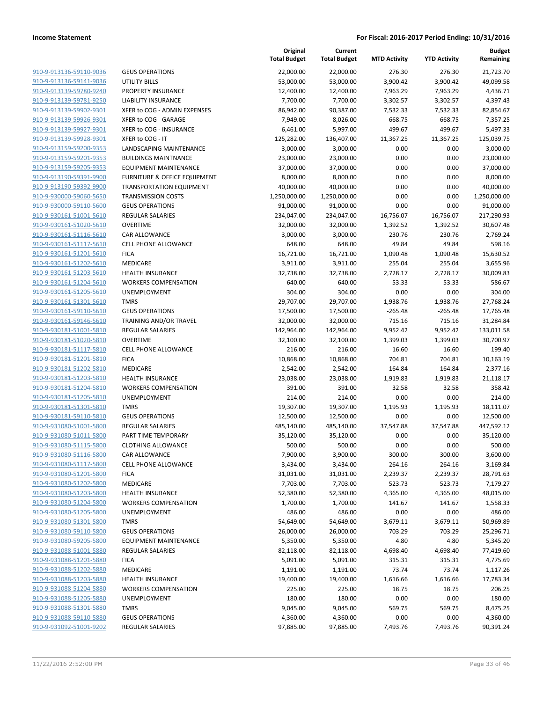|                                                    |                                                   | Original<br><b>Total Budget</b> | Current<br><b>Total Budget</b> | <b>MTD Activity</b> | <b>YTD Activity</b> | <b>Budget</b><br>Remaining |
|----------------------------------------------------|---------------------------------------------------|---------------------------------|--------------------------------|---------------------|---------------------|----------------------------|
| 910-9-913136-59110-9036                            | <b>GEUS OPERATIONS</b>                            | 22,000.00                       | 22,000.00                      | 276.30              | 276.30              | 21,723.70                  |
| 910-9-913136-59141-9036                            | UTILITY BILLS                                     | 53,000.00                       | 53,000.00                      | 3,900.42            | 3,900.42            | 49,099.58                  |
| 910-9-913139-59780-9240                            | PROPERTY INSURANCE                                | 12,400.00                       | 12,400.00                      | 7,963.29            | 7,963.29            | 4,436.71                   |
| 910-9-913139-59781-9250                            | <b>LIABILITY INSURANCE</b>                        | 7,700.00                        | 7,700.00                       | 3,302.57            | 3,302.57            | 4,397.43                   |
| 910-9-913139-59902-9301                            | XFER to COG - ADMIN EXPENSES                      | 86,942.00                       | 90,387.00                      | 7,532.33            | 7,532.33            | 82,854.67                  |
| 910-9-913139-59926-9301                            | XFER to COG - GARAGE                              | 7,949.00                        | 8,026.00                       | 668.75              | 668.75              | 7,357.25                   |
| 910-9-913139-59927-9301                            | XFER to COG - INSURANCE                           | 6,461.00                        | 5,997.00                       | 499.67              | 499.67              | 5,497.33                   |
| 910-9-913139-59928-9301                            | XFER to COG - IT                                  | 125,282.00                      | 136,407.00                     | 11,367.25           | 11,367.25           | 125,039.75                 |
| 910-9-913159-59200-9353                            | <b>LANDSCAPING MAINTENANCE</b>                    | 3,000.00                        | 3,000.00                       | 0.00                | 0.00                | 3,000.00                   |
| 910-9-913159-59201-9353                            | <b>BUILDINGS MAINTNANCE</b>                       | 23,000.00                       | 23,000.00                      | 0.00                | 0.00                | 23,000.00                  |
| 910-9-913159-59205-9353                            | <b>EQUIPMENT MAINTENANCE</b>                      | 37,000.00                       | 37,000.00                      | 0.00                | 0.00                | 37,000.00                  |
| 910-9-913190-59391-9900                            | <b>FURNITURE &amp; OFFICE EQUIPMENT</b>           | 8,000.00                        | 8,000.00                       | 0.00                | 0.00                | 8,000.00                   |
| 910-9-913190-59392-9900                            | <b>TRANSPORTATION EQUIPMENT</b>                   | 40,000.00                       | 40,000.00                      | 0.00                | 0.00                | 40,000.00                  |
| 910-9-930000-59060-5650                            | <b>TRANSMISSION COSTS</b>                         | 1,250,000.00                    | 1,250,000.00                   | 0.00                | 0.00                | 1,250,000.00               |
| 910-9-930000-59110-5600                            | <b>GEUS OPERATIONS</b>                            | 91,000.00                       | 91,000.00                      | 0.00                | 0.00                | 91,000.00                  |
| 910-9-930161-51001-5610                            | REGULAR SALARIES                                  | 234,047.00                      | 234,047.00                     | 16,756.07           | 16,756.07           | 217,290.93                 |
| 910-9-930161-51020-5610                            | <b>OVERTIME</b>                                   | 32,000.00                       | 32,000.00                      | 1,392.52            | 1,392.52            | 30,607.48                  |
| 910-9-930161-51116-5610                            | <b>CAR ALLOWANCE</b>                              | 3,000.00                        | 3,000.00                       | 230.76              | 230.76              | 2,769.24                   |
| 910-9-930161-51117-5610                            | <b>CELL PHONE ALLOWANCE</b>                       | 648.00                          | 648.00                         | 49.84               | 49.84               | 598.16                     |
| 910-9-930161-51201-5610                            | <b>FICA</b>                                       | 16,721.00                       | 16,721.00                      | 1,090.48            | 1,090.48            | 15,630.52                  |
| 910-9-930161-51202-5610                            | MEDICARE                                          | 3,911.00                        | 3,911.00                       | 255.04              | 255.04              | 3,655.96                   |
| 910-9-930161-51203-5610                            | <b>HEALTH INSURANCE</b>                           | 32,738.00                       | 32,738.00                      | 2,728.17            | 2,728.17            | 30,009.83                  |
| 910-9-930161-51204-5610                            | <b>WORKERS COMPENSATION</b>                       | 640.00                          | 640.00                         | 53.33               | 53.33               | 586.67                     |
| 910-9-930161-51205-5610                            | UNEMPLOYMENT                                      | 304.00                          | 304.00                         | 0.00                | 0.00                | 304.00                     |
| 910-9-930161-51301-5610                            | <b>TMRS</b>                                       | 29,707.00                       | 29,707.00                      | 1,938.76            | 1,938.76            | 27,768.24                  |
| 910-9-930161-59110-5610                            | <b>GEUS OPERATIONS</b>                            | 17,500.00                       | 17,500.00                      | $-265.48$           | $-265.48$           | 17,765.48                  |
| 910-9-930161-59146-5610                            | TRAINING AND/OR TRAVEL                            | 32,000.00                       | 32,000.00                      | 715.16              | 715.16              | 31,284.84                  |
| 910-9-930181-51001-5810                            | <b>REGULAR SALARIES</b>                           | 142,964.00                      | 142,964.00                     | 9,952.42            | 9,952.42            | 133,011.58                 |
| 910-9-930181-51020-5810                            | <b>OVERTIME</b>                                   | 32,100.00                       | 32,100.00                      | 1,399.03            | 1,399.03            | 30,700.97                  |
| 910-9-930181-51117-5810                            | CELL PHONE ALLOWANCE                              | 216.00                          | 216.00                         | 16.60               | 16.60               | 199.40                     |
| 910-9-930181-51201-5810                            | <b>FICA</b>                                       | 10,868.00                       | 10,868.00                      | 704.81              | 704.81              | 10,163.19                  |
| 910-9-930181-51202-5810                            | MEDICARE                                          | 2,542.00                        | 2,542.00                       | 164.84              | 164.84              | 2,377.16                   |
| 910-9-930181-51203-5810                            | <b>HEALTH INSURANCE</b>                           | 23,038.00                       | 23,038.00                      | 1,919.83            | 1,919.83            | 21,118.17                  |
| 910-9-930181-51204-5810                            | <b>WORKERS COMPENSATION</b>                       | 391.00                          | 391.00                         | 32.58               | 32.58               | 358.42                     |
| 910-9-930181-51205-5810                            | UNEMPLOYMENT                                      | 214.00                          | 214.00                         | 0.00                | 0.00                | 214.00                     |
| 910-9-930181-51301-5810                            | <b>TMRS</b>                                       | 19,307.00                       | 19,307.00                      | 1,195.93            | 1,195.93            | 18,111.07                  |
| 910-9-930181-59110-5810                            | <b>GEUS OPERATIONS</b>                            | 12,500.00                       | 12,500.00                      | 0.00                | 0.00                | 12,500.00                  |
| 910-9-931080-51001-5800                            | REGULAR SALARIES                                  | 485,140.00                      | 485,140.00                     | 37,547.88           | 37,547.88           | 447,592.12                 |
| 910-9-931080-51011-5800                            | PART TIME TEMPORARY                               | 35,120.00                       | 35,120.00                      | 0.00                | 0.00                | 35,120.00                  |
| 910-9-931080-51115-5800<br>910-9-931080-51116-5800 | <b>CLOTHING ALLOWANCE</b><br><b>CAR ALLOWANCE</b> | 500.00<br>7,900.00              | 500.00<br>3,900.00             | 0.00<br>300.00      | 0.00<br>300.00      | 500.00<br>3,600.00         |
| 910-9-931080-51117-5800                            | <b>CELL PHONE ALLOWANCE</b>                       | 3,434.00                        | 3,434.00                       | 264.16              | 264.16              | 3,169.84                   |
| 910-9-931080-51201-5800                            | <b>FICA</b>                                       | 31,031.00                       | 31,031.00                      | 2,239.37            | 2,239.37            | 28,791.63                  |
| 910-9-931080-51202-5800                            | MEDICARE                                          | 7,703.00                        | 7,703.00                       | 523.73              | 523.73              | 7,179.27                   |
| 910-9-931080-51203-5800                            | <b>HEALTH INSURANCE</b>                           | 52,380.00                       | 52,380.00                      | 4,365.00            | 4,365.00            | 48,015.00                  |
| 910-9-931080-51204-5800                            | <b>WORKERS COMPENSATION</b>                       | 1,700.00                        | 1,700.00                       | 141.67              | 141.67              | 1,558.33                   |
| 910-9-931080-51205-5800                            | UNEMPLOYMENT                                      | 486.00                          | 486.00                         | 0.00                | 0.00                | 486.00                     |
| 910-9-931080-51301-5800                            | <b>TMRS</b>                                       | 54,649.00                       | 54,649.00                      | 3,679.11            | 3,679.11            | 50,969.89                  |
| 910-9-931080-59110-5800                            | <b>GEUS OPERATIONS</b>                            | 26,000.00                       | 26,000.00                      | 703.29              | 703.29              | 25,296.71                  |
| 910-9-931080-59205-5800                            | <b>EQUIPMENT MAINTENANCE</b>                      | 5,350.00                        | 5,350.00                       | 4.80                | 4.80                | 5,345.20                   |
| 910-9-931088-51001-5880                            | <b>REGULAR SALARIES</b>                           | 82,118.00                       | 82,118.00                      | 4,698.40            | 4,698.40            | 77,419.60                  |
| 910-9-931088-51201-5880                            | <b>FICA</b>                                       | 5,091.00                        | 5,091.00                       | 315.31              | 315.31              | 4,775.69                   |
| 910-9-931088-51202-5880                            | MEDICARE                                          | 1,191.00                        | 1,191.00                       | 73.74               | 73.74               | 1,117.26                   |
| 910-9-931088-51203-5880                            | <b>HEALTH INSURANCE</b>                           | 19,400.00                       | 19,400.00                      | 1,616.66            | 1,616.66            | 17,783.34                  |
| 910-9-931088-51204-5880                            | <b>WORKERS COMPENSATION</b>                       | 225.00                          | 225.00                         | 18.75               | 18.75               | 206.25                     |
| 910-9-931088-51205-5880                            | UNEMPLOYMENT                                      | 180.00                          | 180.00                         | 0.00                | 0.00                | 180.00                     |
| 910-9-931088-51301-5880                            | <b>TMRS</b>                                       | 9,045.00                        | 9,045.00                       | 569.75              | 569.75              | 8,475.25                   |
| 910-9-931088-59110-5880                            | <b>GEUS OPERATIONS</b>                            | 4,360.00                        | 4,360.00                       | 0.00                | 0.00                | 4,360.00                   |
| 910-9-931092-51001-9202                            | REGULAR SALARIES                                  | 97,885.00                       | 97,885.00                      | 7,493.76            | 7,493.76            | 90,391.24                  |
|                                                    |                                                   |                                 |                                |                     |                     |                            |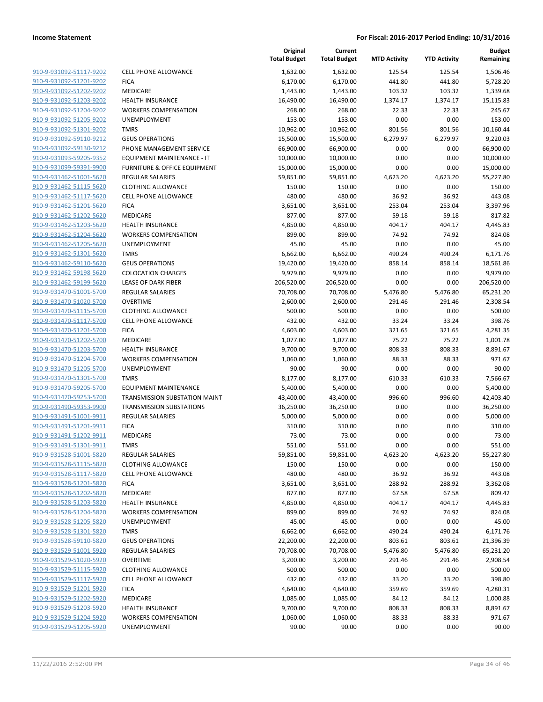|                                                    |                                      | Original<br><b>Total Budget</b> | Current<br><b>Total Budget</b> | <b>MTD Activity</b> | <b>YTD Activity</b> | <b>Budget</b><br>Remaining |
|----------------------------------------------------|--------------------------------------|---------------------------------|--------------------------------|---------------------|---------------------|----------------------------|
| 910-9-931092-51117-9202                            | <b>CELL PHONE ALLOWANCE</b>          | 1,632.00                        | 1,632.00                       | 125.54              | 125.54              | 1,506.46                   |
| 910-9-931092-51201-9202                            | <b>FICA</b>                          | 6,170.00                        | 6,170.00                       | 441.80              | 441.80              | 5,728.20                   |
| 910-9-931092-51202-9202                            | <b>MEDICARE</b>                      | 1,443.00                        | 1,443.00                       | 103.32              | 103.32              | 1,339.68                   |
| 910-9-931092-51203-9202                            | <b>HEALTH INSURANCE</b>              | 16,490.00                       | 16,490.00                      | 1,374.17            | 1,374.17            | 15,115.83                  |
| 910-9-931092-51204-9202                            | <b>WORKERS COMPENSATION</b>          | 268.00                          | 268.00                         | 22.33               | 22.33               | 245.67                     |
| 910-9-931092-51205-9202                            | UNEMPLOYMENT                         | 153.00                          | 153.00                         | 0.00                | 0.00                | 153.00                     |
| 910-9-931092-51301-9202                            | <b>TMRS</b>                          | 10,962.00                       | 10,962.00                      | 801.56              | 801.56              | 10,160.44                  |
| 910-9-931092-59110-9212                            | <b>GEUS OPERATIONS</b>               | 15,500.00                       | 15,500.00                      | 6,279.97            | 6,279.97            | 9,220.03                   |
| 910-9-931092-59130-9212                            | PHONE MANAGEMENT SERVICE             | 66,900.00                       | 66,900.00                      | 0.00                | 0.00                | 66,900.00                  |
| 910-9-931093-59205-9352                            | EQUIPMENT MAINTENANCE - IT           | 10,000.00                       | 10,000.00                      | 0.00                | 0.00                | 10,000.00                  |
| 910-9-931099-59391-9900                            | FURNITURE & OFFICE EQUIPMENT         | 15,000.00                       | 15,000.00                      | 0.00                | 0.00                | 15,000.00                  |
| 910-9-931462-51001-5620                            | <b>REGULAR SALARIES</b>              | 59,851.00                       | 59,851.00                      | 4,623.20            | 4,623.20            | 55,227.80                  |
| 910-9-931462-51115-5620                            | <b>CLOTHING ALLOWANCE</b>            | 150.00                          | 150.00                         | 0.00                | 0.00                | 150.00                     |
| 910-9-931462-51117-5620                            | <b>CELL PHONE ALLOWANCE</b>          | 480.00                          | 480.00                         | 36.92               | 36.92               | 443.08                     |
| 910-9-931462-51201-5620                            | <b>FICA</b>                          | 3,651.00                        | 3,651.00                       | 253.04              | 253.04              | 3,397.96                   |
| 910-9-931462-51202-5620<br>910-9-931462-51203-5620 | MEDICARE<br><b>HEALTH INSURANCE</b>  | 877.00                          | 877.00                         | 59.18<br>404.17     | 59.18<br>404.17     | 817.82<br>4,445.83         |
| 910-9-931462-51204-5620                            | <b>WORKERS COMPENSATION</b>          | 4,850.00<br>899.00              | 4,850.00<br>899.00             | 74.92               | 74.92               | 824.08                     |
| 910-9-931462-51205-5620                            | <b>UNEMPLOYMENT</b>                  |                                 |                                | 0.00                | 0.00                | 45.00                      |
| 910-9-931462-51301-5620                            | <b>TMRS</b>                          | 45.00<br>6,662.00               | 45.00<br>6,662.00              | 490.24              | 490.24              | 6,171.76                   |
| 910-9-931462-59110-5620                            | <b>GEUS OPERATIONS</b>               | 19,420.00                       | 19,420.00                      | 858.14              | 858.14              | 18,561.86                  |
| 910-9-931462-59198-5620                            | <b>COLOCATION CHARGES</b>            | 9,979.00                        | 9,979.00                       | 0.00                | 0.00                | 9,979.00                   |
| 910-9-931462-59199-5620                            | <b>LEASE OF DARK FIBER</b>           | 206,520.00                      | 206,520.00                     | 0.00                | 0.00                | 206,520.00                 |
| 910-9-931470-51001-5700                            | <b>REGULAR SALARIES</b>              | 70,708.00                       | 70,708.00                      | 5,476.80            | 5,476.80            | 65,231.20                  |
| 910-9-931470-51020-5700                            | <b>OVERTIME</b>                      | 2,600.00                        | 2,600.00                       | 291.46              | 291.46              | 2,308.54                   |
| 910-9-931470-51115-5700                            | <b>CLOTHING ALLOWANCE</b>            | 500.00                          | 500.00                         | 0.00                | 0.00                | 500.00                     |
| 910-9-931470-51117-5700                            | <b>CELL PHONE ALLOWANCE</b>          | 432.00                          | 432.00                         | 33.24               | 33.24               | 398.76                     |
| 910-9-931470-51201-5700                            | <b>FICA</b>                          | 4,603.00                        | 4,603.00                       | 321.65              | 321.65              | 4,281.35                   |
| 910-9-931470-51202-5700                            | MEDICARE                             | 1,077.00                        | 1,077.00                       | 75.22               | 75.22               | 1,001.78                   |
| 910-9-931470-51203-5700                            | <b>HEALTH INSURANCE</b>              | 9,700.00                        | 9,700.00                       | 808.33              | 808.33              | 8,891.67                   |
| 910-9-931470-51204-5700                            | <b>WORKERS COMPENSATION</b>          | 1,060.00                        | 1,060.00                       | 88.33               | 88.33               | 971.67                     |
| 910-9-931470-51205-5700                            | UNEMPLOYMENT                         | 90.00                           | 90.00                          | 0.00                | 0.00                | 90.00                      |
| 910-9-931470-51301-5700                            | <b>TMRS</b>                          | 8,177.00                        | 8,177.00                       | 610.33              | 610.33              | 7,566.67                   |
| 910-9-931470-59205-5700                            | <b>EQUIPMENT MAINTENANCE</b>         | 5,400.00                        | 5,400.00                       | 0.00                | 0.00                | 5,400.00                   |
| 910-9-931470-59253-5700                            | <b>TRANSMISSION SUBSTATION MAINT</b> | 43,400.00                       | 43,400.00                      | 996.60              | 996.60              | 42,403.40                  |
| 910-9-931490-59353-9900                            | <b>TRANSMISSION SUBSTATIONS</b>      | 36,250.00                       | 36,250.00                      | 0.00                | 0.00                | 36,250.00                  |
| 910-9-931491-51001-9911                            | <b>REGULAR SALARIES</b>              | 5,000.00                        | 5,000.00                       | 0.00                | 0.00                | 5,000.00                   |
| 910-9-931491-51201-9911                            | <b>FICA</b>                          | 310.00                          | 310.00                         | 0.00                | 0.00                | 310.00                     |
| 910-9-931491-51202-9911                            | MEDICARE                             | 73.00                           | 73.00                          | 0.00                | 0.00                | 73.00                      |
| 910-9-931491-51301-9911                            | TMRS                                 | 551.00                          | 551.00                         | 0.00                | 0.00                | 551.00                     |
| 910-9-931528-51001-5820                            | REGULAR SALARIES                     | 59,851.00                       | 59,851.00                      | 4,623.20            | 4,623.20            | 55,227.80                  |
| 910-9-931528-51115-5820                            | <b>CLOTHING ALLOWANCE</b>            | 150.00                          | 150.00                         | 0.00                | 0.00                | 150.00                     |
| 910-9-931528-51117-5820                            | <b>CELL PHONE ALLOWANCE</b>          | 480.00                          | 480.00                         | 36.92               | 36.92               | 443.08                     |
| 910-9-931528-51201-5820                            | <b>FICA</b>                          | 3,651.00                        | 3,651.00                       | 288.92              | 288.92              | 3,362.08                   |
| 910-9-931528-51202-5820                            | MEDICARE                             | 877.00                          | 877.00                         | 67.58               | 67.58               | 809.42                     |
| 910-9-931528-51203-5820                            | <b>HEALTH INSURANCE</b>              | 4,850.00                        | 4,850.00                       | 404.17              | 404.17              | 4,445.83                   |
| 910-9-931528-51204-5820                            | <b>WORKERS COMPENSATION</b>          | 899.00                          | 899.00                         | 74.92               | 74.92               | 824.08                     |
| 910-9-931528-51205-5820                            | UNEMPLOYMENT                         | 45.00                           | 45.00                          | 0.00                | 0.00                | 45.00                      |
| 910-9-931528-51301-5820                            | <b>TMRS</b>                          | 6,662.00                        | 6,662.00                       | 490.24              | 490.24              | 6,171.76                   |
| 910-9-931528-59110-5820                            | <b>GEUS OPERATIONS</b>               | 22,200.00                       | 22,200.00                      | 803.61              | 803.61              | 21,396.39                  |
| 910-9-931529-51001-5920                            | <b>REGULAR SALARIES</b>              | 70,708.00                       | 70,708.00                      | 5,476.80            | 5,476.80            | 65,231.20                  |
| 910-9-931529-51020-5920                            | <b>OVERTIME</b>                      | 3,200.00                        | 3,200.00                       | 291.46              | 291.46              | 2,908.54                   |
| 910-9-931529-51115-5920                            | <b>CLOTHING ALLOWANCE</b>            | 500.00                          | 500.00                         | 0.00                | 0.00                | 500.00                     |
| 910-9-931529-51117-5920                            | <b>CELL PHONE ALLOWANCE</b>          | 432.00                          | 432.00                         | 33.20               | 33.20               | 398.80                     |
| 910-9-931529-51201-5920                            | <b>FICA</b>                          | 4,640.00                        | 4,640.00                       | 359.69              | 359.69              | 4,280.31                   |
| 910-9-931529-51202-5920                            | MEDICARE                             | 1,085.00                        | 1,085.00                       | 84.12               | 84.12               | 1,000.88                   |
| 910-9-931529-51203-5920                            | <b>HEALTH INSURANCE</b>              | 9,700.00                        | 9,700.00                       | 808.33              | 808.33              | 8,891.67                   |
| 910-9-931529-51204-5920<br>910-9-931529-51205-5920 | <b>WORKERS COMPENSATION</b>          | 1,060.00                        | 1,060.00                       | 88.33               | 88.33               | 971.67                     |
|                                                    | UNEMPLOYMENT                         | 90.00                           | 90.00                          | 0.00                | 0.00                | 90.00                      |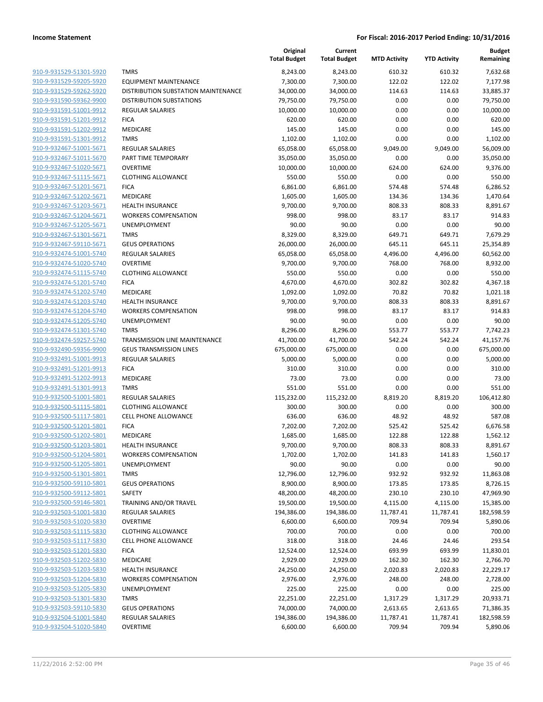|                                                    |                                                                 | Original<br><b>Total Budget</b> | Current<br><b>Total Budget</b> | <b>MTD Activity</b> | <b>YTD Activity</b> | <b>Budget</b><br>Remaining |
|----------------------------------------------------|-----------------------------------------------------------------|---------------------------------|--------------------------------|---------------------|---------------------|----------------------------|
| 910-9-931529-51301-5920                            | <b>TMRS</b>                                                     | 8,243.00                        | 8,243.00                       | 610.32              | 610.32              | 7,632.68                   |
| 910-9-931529-59205-5920                            | <b>EQUIPMENT MAINTENANCE</b>                                    | 7,300.00                        | 7,300.00                       | 122.02              | 122.02              | 7,177.98                   |
| 910-9-931529-59262-5920                            | DISTRIBUTION SUBSTATION MAINTENANCE                             | 34,000.00                       | 34,000.00                      | 114.63              | 114.63              | 33,885.37                  |
| 910-9-931590-59362-9900                            | <b>DISTRIBUTION SUBSTATIONS</b>                                 | 79,750.00                       | 79,750.00                      | 0.00                | 0.00                | 79,750.00                  |
| 910-9-931591-51001-9912                            | <b>REGULAR SALARIES</b>                                         | 10,000.00                       | 10,000.00                      | 0.00                | 0.00                | 10,000.00                  |
| 910-9-931591-51201-9912                            | <b>FICA</b>                                                     | 620.00                          | 620.00                         | 0.00                | 0.00                | 620.00                     |
| 910-9-931591-51202-9912                            | MEDICARE                                                        | 145.00                          | 145.00                         | 0.00                | 0.00                | 145.00                     |
| 910-9-931591-51301-9912                            | <b>TMRS</b>                                                     | 1,102.00                        | 1,102.00                       | 0.00                | 0.00                | 1,102.00                   |
| 910-9-932467-51001-5671                            | <b>REGULAR SALARIES</b>                                         | 65,058.00                       | 65,058.00                      | 9,049.00            | 9,049.00            | 56,009.00                  |
| 910-9-932467-51011-5670                            | PART TIME TEMPORARY                                             | 35,050.00                       | 35,050.00                      | 0.00                | 0.00                | 35,050.00                  |
| 910-9-932467-51020-5671                            | <b>OVERTIME</b>                                                 | 10,000.00                       | 10,000.00                      | 624.00              | 624.00              | 9,376.00                   |
| 910-9-932467-51115-5671                            | <b>CLOTHING ALLOWANCE</b>                                       | 550.00                          | 550.00                         | 0.00                | 0.00                | 550.00                     |
| 910-9-932467-51201-5671                            | <b>FICA</b>                                                     | 6,861.00                        | 6,861.00                       | 574.48              | 574.48              | 6,286.52                   |
| 910-9-932467-51202-5671                            | MEDICARE                                                        | 1,605.00                        | 1,605.00                       | 134.36              | 134.36              | 1,470.64                   |
| 910-9-932467-51203-5671                            | <b>HEALTH INSURANCE</b>                                         | 9,700.00                        | 9,700.00                       | 808.33              | 808.33              | 8,891.67                   |
| 910-9-932467-51204-5671                            | <b>WORKERS COMPENSATION</b>                                     | 998.00                          | 998.00                         | 83.17               | 83.17               | 914.83                     |
| 910-9-932467-51205-5671                            | UNEMPLOYMENT                                                    | 90.00                           | 90.00                          | 0.00                | 0.00                | 90.00                      |
| 910-9-932467-51301-5671                            | <b>TMRS</b>                                                     | 8,329.00                        | 8,329.00                       | 649.71              | 649.71              | 7,679.29                   |
| 910-9-932467-59110-5671                            | <b>GEUS OPERATIONS</b>                                          | 26,000.00                       | 26,000.00                      | 645.11              | 645.11              | 25,354.89                  |
| 910-9-932474-51001-5740                            | <b>REGULAR SALARIES</b>                                         | 65,058.00                       | 65,058.00                      | 4,496.00            | 4,496.00            | 60,562.00                  |
| 910-9-932474-51020-5740                            | <b>OVERTIME</b>                                                 | 9,700.00                        | 9,700.00                       | 768.00              | 768.00              | 8,932.00                   |
| 910-9-932474-51115-5740                            | <b>CLOTHING ALLOWANCE</b>                                       | 550.00                          | 550.00                         | 0.00                | 0.00                | 550.00                     |
| 910-9-932474-51201-5740                            | <b>FICA</b>                                                     | 4,670.00                        | 4,670.00                       | 302.82              | 302.82              | 4,367.18                   |
| 910-9-932474-51202-5740                            | MEDICARE                                                        | 1,092.00                        | 1,092.00                       | 70.82               | 70.82               | 1,021.18                   |
| 910-9-932474-51203-5740                            | <b>HEALTH INSURANCE</b>                                         | 9,700.00                        | 9,700.00                       | 808.33              | 808.33              | 8,891.67                   |
| 910-9-932474-51204-5740                            | <b>WORKERS COMPENSATION</b>                                     | 998.00                          | 998.00                         | 83.17               | 83.17               | 914.83                     |
| 910-9-932474-51205-5740                            | UNEMPLOYMENT                                                    | 90.00                           | 90.00                          | 0.00                | 0.00                | 90.00                      |
| 910-9-932474-51301-5740                            | <b>TMRS</b>                                                     | 8,296.00                        | 8,296.00                       | 553.77              | 553.77              | 7,742.23                   |
| 910-9-932474-59257-5740<br>910-9-932490-59356-9900 | TRANSMISSION LINE MAINTENANCE<br><b>GEUS TRANSMISSION LINES</b> | 41,700.00                       | 41,700.00                      | 542.24<br>0.00      | 542.24<br>0.00      | 41,157.76                  |
| 910-9-932491-51001-9913                            | <b>REGULAR SALARIES</b>                                         | 675,000.00<br>5,000.00          | 675,000.00<br>5,000.00         | 0.00                | 0.00                | 675,000.00<br>5,000.00     |
| 910-9-932491-51201-9913                            | <b>FICA</b>                                                     | 310.00                          | 310.00                         | 0.00                | 0.00                | 310.00                     |
| 910-9-932491-51202-9913                            | MEDICARE                                                        | 73.00                           | 73.00                          | 0.00                | 0.00                | 73.00                      |
| 910-9-932491-51301-9913                            | <b>TMRS</b>                                                     | 551.00                          | 551.00                         | 0.00                | 0.00                | 551.00                     |
| 910-9-932500-51001-5801                            | <b>REGULAR SALARIES</b>                                         | 115,232.00                      | 115,232.00                     | 8,819.20            | 8,819.20            | 106,412.80                 |
| 910-9-932500-51115-5801                            | <b>CLOTHING ALLOWANCE</b>                                       | 300.00                          | 300.00                         | 0.00                | 0.00                | 300.00                     |
| 910-9-932500-51117-5801                            | <b>CELL PHONE ALLOWANCE</b>                                     | 636.00                          | 636.00                         | 48.92               | 48.92               | 587.08                     |
| 910-9-932500-51201-5801                            | <b>FICA</b>                                                     | 7,202.00                        | 7,202.00                       | 525.42              | 525.42              | 6,676.58                   |
| 910-9-932500-51202-5801                            | MEDICARE                                                        | 1,685.00                        | 1,685.00                       | 122.88              | 122.88              | 1,562.12                   |
| 910-9-932500-51203-5801                            | <b>HEALTH INSURANCE</b>                                         | 9,700.00                        | 9,700.00                       | 808.33              | 808.33              | 8,891.67                   |
| 910-9-932500-51204-5801                            | <b>WORKERS COMPENSATION</b>                                     | 1,702.00                        | 1,702.00                       | 141.83              | 141.83              | 1,560.17                   |
| 910-9-932500-51205-5801                            | UNEMPLOYMENT                                                    | 90.00                           | 90.00                          | 0.00                | 0.00                | 90.00                      |
| 910-9-932500-51301-5801                            | <b>TMRS</b>                                                     | 12,796.00                       | 12,796.00                      | 932.92              | 932.92              | 11,863.08                  |
| 910-9-932500-59110-5801                            | <b>GEUS OPERATIONS</b>                                          | 8,900.00                        | 8,900.00                       | 173.85              | 173.85              | 8,726.15                   |
| 910-9-932500-59112-5801                            | SAFETY                                                          | 48,200.00                       | 48,200.00                      | 230.10              | 230.10              | 47,969.90                  |
| 910-9-932500-59146-5801                            | TRAINING AND/OR TRAVEL                                          | 19,500.00                       | 19,500.00                      | 4,115.00            | 4,115.00            | 15,385.00                  |
| 910-9-932503-51001-5830                            | REGULAR SALARIES                                                | 194,386.00                      | 194,386.00                     | 11,787.41           | 11,787.41           | 182,598.59                 |
| 910-9-932503-51020-5830                            | <b>OVERTIME</b>                                                 | 6,600.00                        | 6,600.00                       | 709.94              | 709.94              | 5,890.06                   |
| 910-9-932503-51115-5830                            | <b>CLOTHING ALLOWANCE</b>                                       | 700.00                          | 700.00                         | 0.00                | 0.00                | 700.00                     |
| 910-9-932503-51117-5830                            | <b>CELL PHONE ALLOWANCE</b>                                     | 318.00                          | 318.00                         | 24.46               | 24.46               | 293.54                     |
| 910-9-932503-51201-5830                            | <b>FICA</b>                                                     | 12,524.00                       | 12,524.00                      | 693.99              | 693.99              | 11,830.01                  |
| 910-9-932503-51202-5830                            | MEDICARE                                                        | 2,929.00                        | 2,929.00                       | 162.30              | 162.30              | 2,766.70                   |
| 910-9-932503-51203-5830                            | <b>HEALTH INSURANCE</b>                                         | 24,250.00                       | 24,250.00                      | 2,020.83            | 2,020.83            | 22,229.17                  |
| 910-9-932503-51204-5830                            | <b>WORKERS COMPENSATION</b>                                     | 2,976.00                        | 2,976.00                       | 248.00              | 248.00              | 2,728.00                   |
| 910-9-932503-51205-5830                            | <b>UNEMPLOYMENT</b>                                             | 225.00                          | 225.00                         | 0.00                | 0.00                | 225.00                     |
| 910-9-932503-51301-5830                            | <b>TMRS</b>                                                     | 22,251.00                       | 22,251.00                      | 1,317.29            | 1,317.29            | 20,933.71                  |
| 910-9-932503-59110-5830                            | <b>GEUS OPERATIONS</b>                                          | 74,000.00                       | 74,000.00                      | 2,613.65            | 2,613.65            | 71,386.35                  |
| 910-9-932504-51001-5840                            | REGULAR SALARIES                                                | 194,386.00                      | 194,386.00                     | 11,787.41           | 11,787.41           | 182,598.59                 |
| 910-9-932504-51020-5840                            | <b>OVERTIME</b>                                                 | 6,600.00                        | 6,600.00                       | 709.94              | 709.94              | 5,890.06                   |
|                                                    |                                                                 |                                 |                                |                     |                     |                            |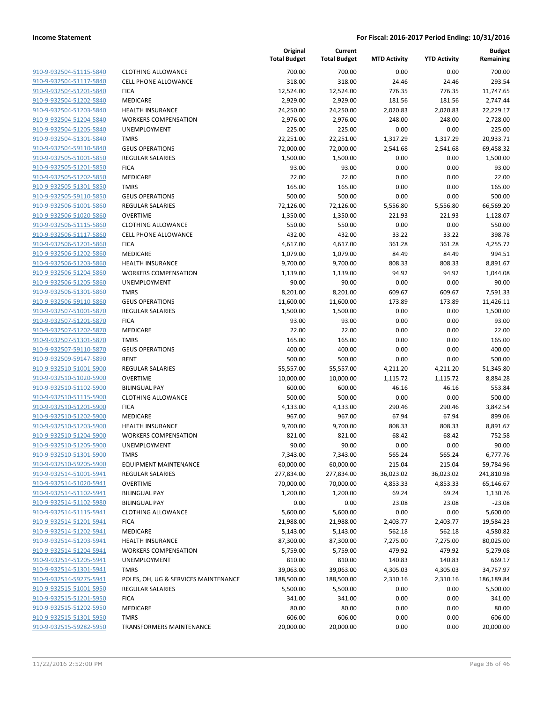| 910-9-932504-51115-5840        |
|--------------------------------|
| 910-9-932504-51117-5840        |
| 910-9-932504-51201-5840        |
| 910-9-932504-51202-5840        |
| 910-9-932504-51203-5840        |
| 910-9-932504-51204-5840        |
| 910-9-932504-51205-5840        |
| 910-9-932504-51301-5840        |
| 910-9-932504-59110-5840        |
| 910-9-932505-51001-5850        |
| 910-9-932505-51201-5850        |
| 910-9-932505-51202-5850        |
| 910-9-932505-51301-5850        |
| 910-9-932505-59110-5850        |
|                                |
| 910-9-932506-51001-5860        |
| <u>910-9-932506-51020-5860</u> |
| 910-9-932506-51115-5860        |
| 910-9-932506-51117-5860        |
| 910-9-932506-51201-5860        |
| 910-9-932506-51202-5860        |
| 910-9-932506-51203-5860        |
| 910-9-932506-51204-5860        |
| 910-9-932506-51205-5860        |
| 910-9-932506-51301-5860        |
| 910-9-932506-59110-5860        |
| 910-9-932507-51001-5870        |
| 910-9-932507-51201-5870        |
| 910-9-932507-51202-5870        |
| 910-9-932507-51301-5870        |
| 910-9-932507-59110-5870        |
|                                |
| 910-9-932509-59147-5890        |
| 910-9-932510-51001-5900        |
| 910-9-932510-51020-5900        |
| 910-9-932510-51102-5900        |
| 910-9-932510-51115-5900        |
| 910-9-932510-51201-5900        |
| 910-9-932510-51202-5900        |
| 910-9-932510-51203-5900        |
| 910-9-932510-51204-5900        |
| 910-9-932510-51205-5900        |
| 910-9-932510-51301-5900        |
| 910-9-932510-59205-5900        |
| <u>910-9-932514-51001-5941</u> |
| 910-9-932514-51020-5941        |
| 910-9-932514-51102-5941        |
| 910-9-932514-51102-5980        |
| 910-9-932514-51115-5941        |
| 910-9-932514-51201-5941        |
|                                |
| 910-9-932514-51202-5941        |
| 910-9-932514-51203-5941        |
| <u>910-9-932514-51204-5941</u> |
| <u>910-9-932514-51205-5941</u> |
| 910-9-932514-51301-5941        |
| 910-9-932514-59275-5941        |
| 910-9-932515-51001-5950        |
| 910-9-932515-51201-5950        |
| <u>910-9-932515-51202-5950</u> |
| 910-9-932515-51301-5950        |
| 910-9-932515-59282-5950        |
|                                |

|                                                    |                                                        | Original<br><b>Total Budget</b> | Current<br><b>Total Budget</b> | <b>MTD Activity</b> | <b>YTD Activity</b> | <b>Budget</b><br>Remaining |
|----------------------------------------------------|--------------------------------------------------------|---------------------------------|--------------------------------|---------------------|---------------------|----------------------------|
| 910-9-932504-51115-5840                            | <b>CLOTHING ALLOWANCE</b>                              | 700.00                          | 700.00                         | 0.00                | 0.00                | 700.00                     |
| 910-9-932504-51117-5840                            | <b>CELL PHONE ALLOWANCE</b>                            | 318.00                          | 318.00                         | 24.46               | 24.46               | 293.54                     |
| 910-9-932504-51201-5840                            | <b>FICA</b>                                            | 12,524.00                       | 12,524.00                      | 776.35              | 776.35              | 11,747.65                  |
| 910-9-932504-51202-5840                            | MEDICARE                                               | 2,929.00                        | 2,929.00                       | 181.56              | 181.56              | 2,747.44                   |
| 910-9-932504-51203-5840                            | <b>HEALTH INSURANCE</b>                                | 24,250.00                       | 24,250.00                      | 2,020.83            | 2,020.83            | 22,229.17                  |
| 910-9-932504-51204-5840                            | <b>WORKERS COMPENSATION</b>                            | 2,976.00                        | 2,976.00                       | 248.00              | 248.00              | 2,728.00                   |
| 910-9-932504-51205-5840                            | <b>UNEMPLOYMENT</b>                                    | 225.00                          | 225.00                         | 0.00                | 0.00                | 225.00                     |
| 910-9-932504-51301-5840                            | <b>TMRS</b>                                            | 22,251.00                       | 22,251.00                      | 1,317.29            | 1,317.29            | 20,933.71                  |
| 910-9-932504-59110-5840                            | <b>GEUS OPERATIONS</b>                                 | 72,000.00                       | 72,000.00                      | 2,541.68            | 2,541.68            | 69,458.32                  |
| 910-9-932505-51001-5850                            | REGULAR SALARIES                                       | 1,500.00                        | 1,500.00                       | 0.00                | 0.00                | 1,500.00                   |
| 910-9-932505-51201-5850                            | <b>FICA</b>                                            | 93.00                           | 93.00                          | 0.00                | 0.00                | 93.00                      |
| 910-9-932505-51202-5850                            | <b>MEDICARE</b>                                        | 22.00                           | 22.00                          | 0.00                | 0.00                | 22.00                      |
| 910-9-932505-51301-5850                            | <b>TMRS</b>                                            | 165.00                          | 165.00                         | 0.00                | 0.00                | 165.00                     |
| 910-9-932505-59110-5850                            | <b>GEUS OPERATIONS</b>                                 | 500.00                          | 500.00                         | 0.00                | 0.00                | 500.00                     |
| 910-9-932506-51001-5860                            | REGULAR SALARIES                                       | 72,126.00                       | 72,126.00                      | 5,556.80            | 5,556.80            | 66,569.20                  |
| 910-9-932506-51020-5860                            | <b>OVERTIME</b>                                        | 1,350.00                        | 1,350.00                       | 221.93              | 221.93              | 1,128.07                   |
| 910-9-932506-51115-5860                            | <b>CLOTHING ALLOWANCE</b>                              | 550.00                          | 550.00                         | 0.00                | 0.00                | 550.00                     |
| 910-9-932506-51117-5860                            | <b>CELL PHONE ALLOWANCE</b>                            | 432.00                          | 432.00                         | 33.22               | 33.22               | 398.78                     |
| 910-9-932506-51201-5860                            | <b>FICA</b>                                            | 4,617.00                        | 4,617.00                       | 361.28              | 361.28              | 4,255.72                   |
| 910-9-932506-51202-5860                            | MEDICARE                                               | 1,079.00                        | 1,079.00                       | 84.49               | 84.49               | 994.51                     |
| 910-9-932506-51203-5860                            | <b>HEALTH INSURANCE</b>                                | 9,700.00                        | 9,700.00                       | 808.33              | 808.33              | 8,891.67                   |
| 910-9-932506-51204-5860                            | <b>WORKERS COMPENSATION</b>                            | 1,139.00                        | 1,139.00                       | 94.92               | 94.92               | 1,044.08                   |
| 910-9-932506-51205-5860                            | <b>UNEMPLOYMENT</b>                                    | 90.00                           | 90.00                          | 0.00                | 0.00                | 90.00                      |
| 910-9-932506-51301-5860                            | <b>TMRS</b>                                            | 8,201.00                        | 8,201.00                       | 609.67              | 609.67              | 7,591.33                   |
| 910-9-932506-59110-5860                            | <b>GEUS OPERATIONS</b>                                 | 11,600.00                       | 11,600.00                      | 173.89              | 173.89              | 11,426.11                  |
| 910-9-932507-51001-5870                            | <b>REGULAR SALARIES</b>                                | 1,500.00                        | 1,500.00                       | 0.00                | 0.00                | 1,500.00                   |
| 910-9-932507-51201-5870                            | <b>FICA</b>                                            | 93.00                           | 93.00                          | 0.00                | 0.00                | 93.00                      |
| 910-9-932507-51202-5870                            | MEDICARE                                               | 22.00                           | 22.00                          | 0.00                | 0.00                | 22.00                      |
| 910-9-932507-51301-5870                            | <b>TMRS</b>                                            | 165.00                          | 165.00                         | 0.00                | 0.00                | 165.00                     |
| 910-9-932507-59110-5870                            | <b>GEUS OPERATIONS</b>                                 | 400.00                          | 400.00                         | 0.00                | 0.00                | 400.00                     |
| 910-9-932509-59147-5890                            | <b>RENT</b>                                            | 500.00                          | 500.00                         | 0.00                | 0.00                | 500.00                     |
| 910-9-932510-51001-5900                            | <b>REGULAR SALARIES</b>                                | 55,557.00                       | 55,557.00                      | 4,211.20            | 4,211.20            | 51,345.80                  |
| 910-9-932510-51020-5900                            | <b>OVERTIME</b>                                        | 10,000.00                       | 10,000.00                      | 1,115.72            | 1,115.72            | 8,884.28                   |
| 910-9-932510-51102-5900                            | <b>BILINGUAL PAY</b>                                   | 600.00                          | 600.00                         | 46.16               | 46.16               | 553.84                     |
| 910-9-932510-51115-5900                            | <b>CLOTHING ALLOWANCE</b>                              | 500.00                          | 500.00                         | 0.00                | 0.00                | 500.00                     |
| 910-9-932510-51201-5900                            | <b>FICA</b>                                            | 4,133.00                        | 4,133.00                       | 290.46              | 290.46              | 3,842.54                   |
| 910-9-932510-51202-5900                            | <b>MEDICARE</b>                                        | 967.00                          | 967.00                         | 67.94               | 67.94               | 899.06                     |
| 910-9-932510-51203-5900                            | <b>HEALTH INSURANCE</b>                                | 9,700.00                        | 9,700.00                       | 808.33              | 808.33              | 8,891.67                   |
| 910-9-932510-51204-5900                            | <b>WORKERS COMPENSATION</b>                            | 821.00                          | 821.00                         | 68.42               | 68.42               | 752.58                     |
| 910-9-932510-51205-5900                            | UNEMPLOYMENT                                           | 90.00                           | 90.00                          | 0.00                | 0.00                | 90.00                      |
| 910-9-932510-51301-5900                            | <b>TMRS</b>                                            | 7,343.00                        | 7,343.00                       | 565.24              | 565.24              | 6,777.76                   |
| 910-9-932510-59205-5900                            | EQUIPMENT MAINTENANCE                                  | 60,000.00                       | 60,000.00                      | 215.04              | 215.04              | 59,784.96                  |
| 910-9-932514-51001-5941                            | <b>REGULAR SALARIES</b>                                | 277,834.00                      | 277,834.00                     | 36,023.02           | 36,023.02           | 241,810.98                 |
| 910-9-932514-51020-5941                            | <b>OVERTIME</b>                                        | 70,000.00                       | 70,000.00                      | 4,853.33            | 4,853.33            | 65,146.67                  |
| 910-9-932514-51102-5941                            | <b>BILINGUAL PAY</b>                                   | 1,200.00                        | 1,200.00                       | 69.24               | 69.24               | 1,130.76                   |
| 910-9-932514-51102-5980                            | <b>BILINGUAL PAY</b>                                   | 0.00                            | 0.00                           | 23.08               | 23.08               | $-23.08$                   |
| 910-9-932514-51115-5941                            | <b>CLOTHING ALLOWANCE</b>                              | 5,600.00                        | 5,600.00                       | 0.00                | 0.00                | 5,600.00                   |
| 910-9-932514-51201-5941<br>910-9-932514-51202-5941 | <b>FICA</b>                                            | 21,988.00                       | 21,988.00                      | 2,403.77            | 2,403.77            | 19,584.23                  |
| 910-9-932514-51203-5941                            | MEDICARE                                               | 5,143.00                        | 5,143.00                       | 562.18              | 562.18<br>7,275.00  | 4,580.82<br>80,025.00      |
|                                                    | <b>HEALTH INSURANCE</b><br><b>WORKERS COMPENSATION</b> | 87,300.00                       | 87,300.00<br>5,759.00          | 7,275.00            |                     |                            |
| 910-9-932514-51204-5941<br>910-9-932514-51205-5941 | UNEMPLOYMENT                                           | 5,759.00                        |                                | 479.92              | 479.92              | 5,279.08                   |
|                                                    |                                                        | 810.00                          | 810.00                         | 140.83              | 140.83              | 669.17                     |
| 910-9-932514-51301-5941<br>910-9-932514-59275-5941 | <b>TMRS</b>                                            | 39,063.00                       | 39,063.00                      | 4,305.03            | 4,305.03            | 34,757.97                  |
|                                                    | POLES, OH, UG & SERVICES MAINTENANCE                   | 188,500.00                      | 188,500.00                     | 2,310.16            | 2,310.16            | 186,189.84                 |
| 910-9-932515-51001-5950                            | REGULAR SALARIES<br><b>FICA</b>                        | 5,500.00                        | 5,500.00                       | 0.00                | 0.00                | 5,500.00                   |
| 910-9-932515-51201-5950                            |                                                        | 341.00                          | 341.00                         | 0.00                | 0.00                | 341.00                     |
| 910-9-932515-51202-5950                            | MEDICARE                                               | 80.00                           | 80.00                          | 0.00                | 0.00                | 80.00                      |
| 910-9-932515-51301-5950<br>910-9-932515-59282-5950 | <b>TMRS</b>                                            | 606.00                          | 606.00                         | 0.00                | 0.00                | 606.00                     |
|                                                    | <b>TRANSFORMERS MAINTENANCE</b>                        | 20,000.00                       | 20,000.00                      | 0.00                | 0.00                | 20,000.00                  |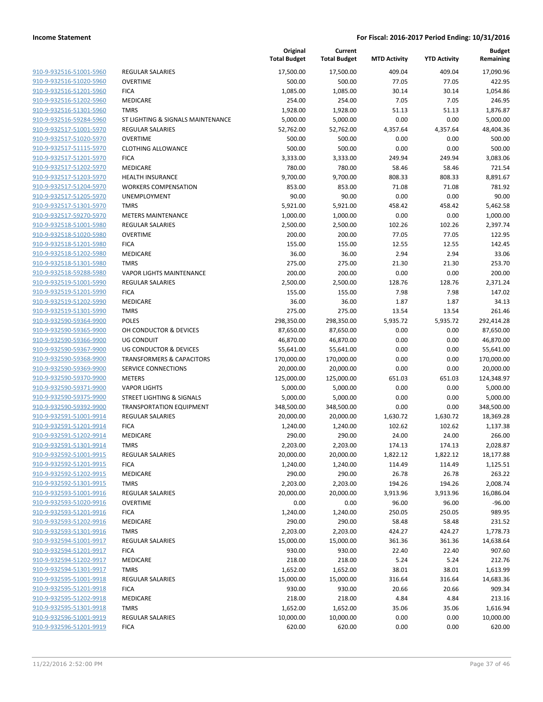| 910-9-932516-51001-5960        |
|--------------------------------|
| 910-9-932516-51020-5960        |
| 910-9-932516-51201-5960        |
| 910-9-932516-51202-5960        |
| 910-9-932516-51301-5960        |
| 910-9-932516-59284-5960        |
| <u>910-9-932517-51001-5970</u> |
| 910-9-932517-51020-5970        |
| 910-9-932517-51115-5970        |
| 910-9-932517-51201-5970        |
| 910-9-932517-51202-5970        |
|                                |
| 910-9-932517-51203-5970        |
| 910-9-932517-51204-5970        |
| 910-9-932517-51205-5970        |
| 910-9-932517-51301-5970        |
| 910-9-932517-59270-5970        |
| <u>910-9-932518-51001-5980</u> |
| 910-9-932518-51020-5980        |
| 910-9-932518-51201-5980        |
| 910-9-932518-51202-5980        |
| 910-9-932518-51301-5980        |
| 910-9-932518-59288-5980        |
| 910-9-932519-51001-5990        |
| 910-9-932519-51201-5990        |
| 910-9-932519-51202-5990        |
| 910-9-932519-51301-5990        |
| <u>910-9-932590-59364-9900</u> |
| 910-9-932590-59365-9900        |
| 910-9-932590-59366-9900        |
| 910-9-932590-59367-9900        |
| <u>910-9-932590-59368-9900</u> |
| <u>910-9-932590-59369-9900</u> |
| 910-9-932590-59370-9900        |
| 910-9-932590-59371-9900        |
| 910-9-932590-59375-9900        |
| 910-9-932590-59392-9900        |
| 910-9-932591-51001-9914        |
| 910-9-932591-51201-9914        |
| 910-9-932591-51202-9914        |
| 910-9-932591-51301-9914        |
| 910-9-932592-51001-9915        |
| <u>910-9-932592-51201-9915</u> |
| 910-9-932592-51202-9915        |
| 910-9-932592-51301-9915        |
| 910-9-932593-51001-9916        |
|                                |
| 910-9-932593-51020-9916        |
| <u>910-9-932593-51201-9916</u> |
| 910-9-932593-51202-9916        |
| 910-9-932593-51301-9916        |
| 910-9-932594-51001-9917        |
| 910-9-932594-51201-9917        |
| <u>910-9-932594-51202-9917</u> |
| 910-9-932594-51301-9917        |
| 910-9-932595-51001-9918        |
| 910-9-932595-51201-9918        |
| 910-9-932595-51202-9918        |
| 910-9-932595-51301-9918        |
| 910-9-932596-51001-9919        |
| 910-9-932596-51201-9919        |
|                                |

|                         |                                      | Original<br><b>Total Budget</b> | Current<br><b>Total Budget</b> | <b>MTD Activity</b> | <b>YTD Activity</b> | <b>Budget</b><br>Remaining |
|-------------------------|--------------------------------------|---------------------------------|--------------------------------|---------------------|---------------------|----------------------------|
| 910-9-932516-51001-5960 | <b>REGULAR SALARIES</b>              | 17,500.00                       | 17,500.00                      | 409.04              | 409.04              | 17,090.96                  |
| 910-9-932516-51020-5960 | <b>OVERTIME</b>                      | 500.00                          | 500.00                         | 77.05               | 77.05               | 422.95                     |
| 910-9-932516-51201-5960 | <b>FICA</b>                          | 1,085.00                        | 1,085.00                       | 30.14               | 30.14               | 1,054.86                   |
| 910-9-932516-51202-5960 | <b>MEDICARE</b>                      | 254.00                          | 254.00                         | 7.05                | 7.05                | 246.95                     |
| 910-9-932516-51301-5960 | <b>TMRS</b>                          | 1,928.00                        | 1,928.00                       | 51.13               | 51.13               | 1,876.87                   |
| 910-9-932516-59284-5960 | ST LIGHTING & SIGNALS MAINTENANCE    | 5,000.00                        | 5,000.00                       | 0.00                | 0.00                | 5,000.00                   |
| 910-9-932517-51001-5970 | <b>REGULAR SALARIES</b>              | 52,762.00                       | 52,762.00                      | 4,357.64            | 4,357.64            | 48,404.36                  |
| 910-9-932517-51020-5970 | <b>OVERTIME</b>                      | 500.00                          | 500.00                         | 0.00                | 0.00                | 500.00                     |
| 910-9-932517-51115-5970 | <b>CLOTHING ALLOWANCE</b>            | 500.00                          | 500.00                         | 0.00                | 0.00                | 500.00                     |
| 910-9-932517-51201-5970 | <b>FICA</b>                          | 3,333.00                        | 3,333.00                       | 249.94              | 249.94              | 3,083.06                   |
| 910-9-932517-51202-5970 | MEDICARE                             | 780.00                          | 780.00                         | 58.46               | 58.46               | 721.54                     |
| 910-9-932517-51203-5970 | <b>HEALTH INSURANCE</b>              | 9,700.00                        | 9,700.00                       | 808.33              | 808.33              | 8,891.67                   |
| 910-9-932517-51204-5970 | <b>WORKERS COMPENSATION</b>          | 853.00                          | 853.00                         | 71.08               | 71.08               | 781.92                     |
| 910-9-932517-51205-5970 | UNEMPLOYMENT                         | 90.00                           | 90.00                          | 0.00                | 0.00                | 90.00                      |
| 910-9-932517-51301-5970 | <b>TMRS</b>                          | 5,921.00                        | 5,921.00                       | 458.42              | 458.42              | 5,462.58                   |
| 910-9-932517-59270-5970 | <b>METERS MAINTENANCE</b>            | 1,000.00                        | 1,000.00                       | 0.00                | 0.00                | 1,000.00                   |
| 910-9-932518-51001-5980 | <b>REGULAR SALARIES</b>              | 2,500.00                        | 2,500.00                       | 102.26              | 102.26              | 2,397.74                   |
| 910-9-932518-51020-5980 | <b>OVERTIME</b>                      | 200.00                          | 200.00                         | 77.05               | 77.05               | 122.95                     |
| 910-9-932518-51201-5980 | <b>FICA</b>                          | 155.00                          | 155.00                         | 12.55               | 12.55               | 142.45                     |
| 910-9-932518-51202-5980 | <b>MEDICARE</b>                      | 36.00                           | 36.00                          | 2.94                | 2.94                | 33.06                      |
| 910-9-932518-51301-5980 | <b>TMRS</b>                          | 275.00                          | 275.00                         | 21.30               | 21.30               | 253.70                     |
| 910-9-932518-59288-5980 | <b>VAPOR LIGHTS MAINTENANCE</b>      | 200.00                          | 200.00                         | 0.00                | 0.00                | 200.00                     |
| 910-9-932519-51001-5990 | <b>REGULAR SALARIES</b>              | 2,500.00                        | 2,500.00                       | 128.76              | 128.76              | 2,371.24                   |
| 910-9-932519-51201-5990 | <b>FICA</b>                          | 155.00                          | 155.00                         | 7.98                | 7.98                | 147.02                     |
| 910-9-932519-51202-5990 | <b>MEDICARE</b>                      | 36.00                           | 36.00                          | 1.87                | 1.87                | 34.13                      |
| 910-9-932519-51301-5990 | <b>TMRS</b>                          | 275.00                          | 275.00                         | 13.54               | 13.54               | 261.46                     |
| 910-9-932590-59364-9900 | <b>POLES</b>                         | 298,350.00                      | 298,350.00                     | 5,935.72            | 5,935.72            | 292,414.28                 |
| 910-9-932590-59365-9900 | OH CONDUCTOR & DEVICES               | 87,650.00                       | 87,650.00                      | 0.00                | 0.00                | 87,650.00                  |
| 910-9-932590-59366-9900 | <b>UG CONDUIT</b>                    | 46,870.00                       | 46,870.00                      | 0.00                | 0.00                | 46,870.00                  |
| 910-9-932590-59367-9900 | UG CONDUCTOR & DEVICES               | 55,641.00                       | 55,641.00                      | 0.00                | 0.00                | 55,641.00                  |
| 910-9-932590-59368-9900 | <b>TRANSFORMERS &amp; CAPACITORS</b> | 170,000.00                      | 170,000.00                     | 0.00                | 0.00                | 170,000.00                 |
| 910-9-932590-59369-9900 | SERVICE CONNECTIONS                  | 20,000.00                       | 20,000.00                      | 0.00                | 0.00                | 20,000.00                  |
| 910-9-932590-59370-9900 | <b>METERS</b>                        | 125,000.00                      | 125,000.00                     | 651.03              | 651.03              | 124,348.97                 |
| 910-9-932590-59371-9900 | <b>VAPOR LIGHTS</b>                  | 5,000.00                        | 5,000.00                       | 0.00                | 0.00                | 5,000.00                   |
| 910-9-932590-59375-9900 | STREET LIGHTING & SIGNALS            | 5,000.00                        | 5,000.00                       | 0.00                | 0.00                | 5,000.00                   |
| 910-9-932590-59392-9900 | <b>TRANSPORTATION EQUIPMENT</b>      | 348,500.00                      | 348,500.00                     | 0.00                | 0.00                | 348,500.00                 |
| 910-9-932591-51001-9914 | <b>REGULAR SALARIES</b>              | 20,000.00                       | 20,000.00                      | 1,630.72            | 1,630.72            | 18,369.28                  |
| 910-9-932591-51201-9914 | <b>FICA</b>                          | 1,240.00                        | 1,240.00                       | 102.62              | 102.62              | 1,137.38                   |
| 910-9-932591-51202-9914 | MEDICARE                             | 290.00                          | 290.00                         | 24.00               | 24.00               | 266.00                     |
| 910-9-932591-51301-9914 | <b>TMRS</b>                          | 2,203.00                        | 2,203.00                       | 174.13              | 174.13              | 2,028.87                   |
| 910-9-932592-51001-9915 | <b>REGULAR SALARIES</b>              | 20,000.00                       | 20,000.00                      | 1,822.12            | 1,822.12            | 18,177.88                  |
| 910-9-932592-51201-9915 | <b>FICA</b>                          | 1,240.00                        | 1,240.00                       | 114.49              | 114.49              | 1,125.51                   |
| 910-9-932592-51202-9915 | MEDICARE                             | 290.00                          | 290.00                         | 26.78               | 26.78               | 263.22                     |
| 910-9-932592-51301-9915 | <b>TMRS</b>                          | 2,203.00                        | 2,203.00                       | 194.26              | 194.26              | 2,008.74                   |
| 910-9-932593-51001-9916 | REGULAR SALARIES                     | 20,000.00                       | 20,000.00                      | 3,913.96            | 3,913.96            | 16,086.04                  |
| 910-9-932593-51020-9916 | <b>OVERTIME</b>                      | 0.00                            | 0.00                           | 96.00               | 96.00               | $-96.00$                   |
| 910-9-932593-51201-9916 | <b>FICA</b>                          | 1,240.00                        | 1,240.00                       | 250.05              | 250.05              | 989.95                     |
| 910-9-932593-51202-9916 | <b>MEDICARE</b>                      | 290.00                          | 290.00                         | 58.48               | 58.48               | 231.52                     |
| 910-9-932593-51301-9916 | <b>TMRS</b>                          | 2,203.00                        | 2,203.00                       | 424.27              | 424.27              | 1,778.73                   |
| 910-9-932594-51001-9917 | <b>REGULAR SALARIES</b>              | 15,000.00                       | 15,000.00                      | 361.36              | 361.36              | 14,638.64                  |
| 910-9-932594-51201-9917 | <b>FICA</b>                          | 930.00                          | 930.00                         | 22.40               | 22.40               | 907.60                     |
| 910-9-932594-51202-9917 | MEDICARE                             | 218.00                          | 218.00                         | 5.24                | 5.24                | 212.76                     |
| 910-9-932594-51301-9917 | <b>TMRS</b>                          | 1,652.00                        | 1,652.00                       | 38.01               | 38.01               | 1,613.99                   |
| 910-9-932595-51001-9918 | REGULAR SALARIES                     | 15,000.00                       | 15,000.00                      | 316.64              | 316.64              | 14,683.36                  |
| 910-9-932595-51201-9918 | <b>FICA</b>                          | 930.00                          | 930.00                         | 20.66               | 20.66               | 909.34                     |
| 910-9-932595-51202-9918 | MEDICARE                             | 218.00                          | 218.00                         | 4.84                | 4.84                | 213.16                     |
| 910-9-932595-51301-9918 | <b>TMRS</b>                          | 1,652.00                        | 1,652.00                       | 35.06               | 35.06               | 1,616.94                   |
| 910-9-932596-51001-9919 | <b>REGULAR SALARIES</b>              | 10,000.00                       | 10,000.00                      | 0.00                | 0.00                | 10,000.00                  |
| 910-9-932596-51201-9919 | <b>FICA</b>                          | 620.00                          | 620.00                         | 0.00                | 0.00                | 620.00                     |
|                         |                                      |                                 |                                |                     |                     |                            |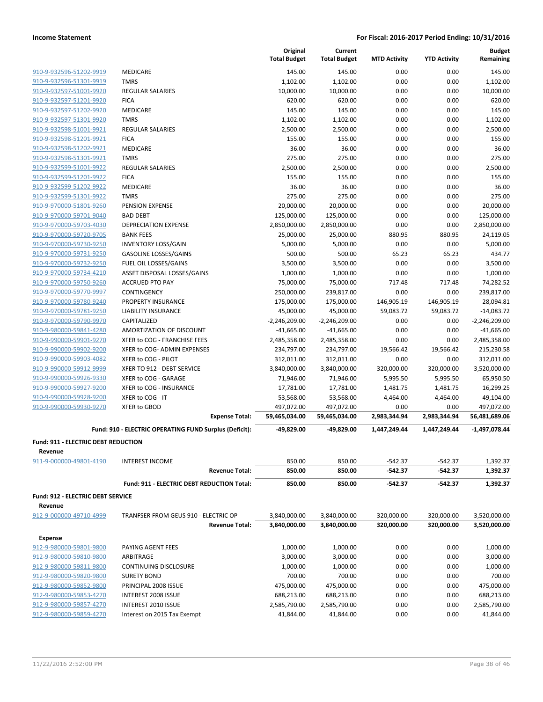|                                                    |                                                        | Original<br><b>Total Budget</b> | Current<br><b>Total Budget</b> | <b>MTD Activity</b> | <b>YTD Activity</b> | <b>Budget</b><br>Remaining |
|----------------------------------------------------|--------------------------------------------------------|---------------------------------|--------------------------------|---------------------|---------------------|----------------------------|
|                                                    |                                                        |                                 |                                |                     |                     |                            |
| 910-9-932596-51202-9919                            | MEDICARE                                               | 145.00                          | 145.00                         | 0.00                | 0.00                | 145.00                     |
| 910-9-932596-51301-9919                            | <b>TMRS</b>                                            | 1,102.00                        | 1,102.00                       | 0.00                | 0.00                | 1,102.00                   |
| 910-9-932597-51001-9920                            | <b>REGULAR SALARIES</b>                                | 10,000.00                       | 10,000.00                      | 0.00                | 0.00                | 10,000.00                  |
| 910-9-932597-51201-9920                            | <b>FICA</b>                                            | 620.00                          | 620.00                         | 0.00                | 0.00                | 620.00                     |
| 910-9-932597-51202-9920                            | <b>MEDICARE</b>                                        | 145.00                          | 145.00                         | 0.00                | 0.00                | 145.00                     |
| 910-9-932597-51301-9920                            | <b>TMRS</b>                                            | 1,102.00                        | 1,102.00                       | 0.00                | 0.00                | 1,102.00                   |
| 910-9-932598-51001-9921                            | <b>REGULAR SALARIES</b>                                | 2,500.00                        | 2,500.00                       | 0.00                | 0.00                | 2,500.00                   |
| 910-9-932598-51201-9921                            | <b>FICA</b>                                            | 155.00                          | 155.00                         | 0.00                | 0.00                | 155.00                     |
| 910-9-932598-51202-9921<br>910-9-932598-51301-9921 | MEDICARE                                               | 36.00                           | 36.00                          | 0.00                | 0.00                | 36.00<br>275.00            |
|                                                    | <b>TMRS</b><br><b>REGULAR SALARIES</b>                 | 275.00<br>2,500.00              | 275.00<br>2,500.00             | 0.00<br>0.00        | 0.00<br>0.00        | 2,500.00                   |
| 910-9-932599-51001-9922<br>910-9-932599-51201-9922 | <b>FICA</b>                                            | 155.00                          | 155.00                         | 0.00                | 0.00                | 155.00                     |
| 910-9-932599-51202-9922                            | MEDICARE                                               | 36.00                           | 36.00                          | 0.00                | 0.00                | 36.00                      |
| 910-9-932599-51301-9922                            | <b>TMRS</b>                                            | 275.00                          | 275.00                         | 0.00                | 0.00                | 275.00                     |
| 910-9-970000-51801-9260                            | PENSION EXPENSE                                        | 20,000.00                       | 20,000.00                      | 0.00                | 0.00                | 20,000.00                  |
| 910-9-970000-59701-9040                            | <b>BAD DEBT</b>                                        | 125,000.00                      | 125,000.00                     | 0.00                | 0.00                | 125,000.00                 |
| 910-9-970000-59703-4030                            | <b>DEPRECIATION EXPENSE</b>                            | 2,850,000.00                    | 2,850,000.00                   | 0.00                | 0.00                | 2,850,000.00               |
| 910-9-970000-59720-9705                            | <b>BANK FEES</b>                                       | 25,000.00                       | 25,000.00                      | 880.95              | 880.95              | 24,119.05                  |
| 910-9-970000-59730-9250                            | <b>INVENTORY LOSS/GAIN</b>                             | 5,000.00                        | 5,000.00                       | 0.00                | 0.00                | 5,000.00                   |
| 910-9-970000-59731-9250                            | <b>GASOLINE LOSSES/GAINS</b>                           | 500.00                          | 500.00                         | 65.23               | 65.23               | 434.77                     |
| 910-9-970000-59732-9250                            | FUEL OIL LOSSES/GAINS                                  | 3,500.00                        | 3,500.00                       | 0.00                | 0.00                | 3,500.00                   |
| 910-9-970000-59734-4210                            | ASSET DISPOSAL LOSSES/GAINS                            | 1,000.00                        | 1,000.00                       | 0.00                | 0.00                | 1,000.00                   |
| 910-9-970000-59750-9260                            | <b>ACCRUED PTO PAY</b>                                 | 75,000.00                       | 75,000.00                      | 717.48              | 717.48              | 74,282.52                  |
| 910-9-970000-59770-9997                            | CONTINGENCY                                            | 250,000.00                      | 239,817.00                     | 0.00                | 0.00                | 239,817.00                 |
| 910-9-970000-59780-9240                            | PROPERTY INSURANCE                                     | 175,000.00                      | 175,000.00                     | 146,905.19          | 146,905.19          | 28,094.81                  |
| 910-9-970000-59781-9250                            | <b>LIABILITY INSURANCE</b>                             | 45,000.00                       | 45,000.00                      | 59,083.72           | 59,083.72           | $-14,083.72$               |
| 910-9-970000-59790-9970                            | CAPITALIZED                                            | $-2,246,209.00$                 | $-2,246,209.00$                | 0.00                | 0.00                | $-2,246,209.00$            |
| 910-9-980000-59841-4280                            | AMORTIZATION OF DISCOUNT                               | $-41,665.00$                    | $-41,665.00$                   | 0.00                | 0.00                | $-41,665.00$               |
| 910-9-990000-59901-9270                            | XFER to COG - FRANCHISE FEES                           | 2,485,358.00                    | 2,485,358.00                   | 0.00                | 0.00                | 2,485,358.00               |
| 910-9-990000-59902-9200                            | XFER to COG- ADMIN EXPENSES                            | 234,797.00                      | 234,797.00                     | 19,566.42           | 19,566.42           | 215,230.58                 |
| 910-9-990000-59903-4082                            | XFER to COG - PILOT                                    | 312,011.00                      | 312,011.00                     | 0.00                | 0.00                | 312,011.00                 |
| 910-9-990000-59912-9999                            | XFER TO 912 - DEBT SERVICE                             | 3,840,000.00                    | 3,840,000.00                   | 320,000.00          | 320,000.00          | 3,520,000.00               |
| 910-9-990000-59926-9330                            | XFER to COG - GARAGE                                   | 71,946.00                       | 71,946.00                      | 5,995.50            | 5,995.50            | 65,950.50                  |
| 910-9-990000-59927-9200                            | XFER to COG - INSURANCE                                | 17,781.00                       | 17,781.00                      | 1,481.75            | 1,481.75            | 16,299.25                  |
| 910-9-990000-59928-9200                            | XFER to COG - IT                                       | 53,568.00                       | 53,568.00                      | 4,464.00            | 4,464.00            | 49,104.00                  |
| 910-9-990000-59930-9270                            | <b>XFER to GBOD</b>                                    | 497,072.00                      | 497,072.00                     | 0.00                | 0.00                | 497,072.00                 |
|                                                    | <b>Expense Total:</b>                                  | 59,465,034.00                   | 59,465,034.00                  | 2,983,344.94        | 2,983,344.94        | 56,481,689.06              |
|                                                    | Fund: 910 - ELECTRIC OPERATING FUND Surplus (Deficit): | -49,829.00                      | -49,829.00                     | 1,447,249.44        | 1,447,249.44        | $-1,497,078.44$            |
| <b>Fund: 911 - ELECTRIC DEBT REDUCTION</b>         |                                                        |                                 |                                |                     |                     |                            |
| Revenue                                            |                                                        |                                 |                                |                     |                     |                            |
| 911-9-000000-49801-4190                            | <b>INTEREST INCOME</b>                                 | 850.00                          | 850.00                         | $-542.37$           | $-542.37$           | 1,392.37                   |
|                                                    | <b>Revenue Total:</b>                                  | 850.00                          | 850.00                         | $-542.37$           | $-542.37$           | 1,392.37                   |
|                                                    | Fund: 911 - ELECTRIC DEBT REDUCTION Total:             | 850.00                          | 850.00                         | $-542.37$           | $-542.37$           | 1,392.37                   |
| <b>Fund: 912 - ELECTRIC DEBT SERVICE</b>           |                                                        |                                 |                                |                     |                     |                            |
| Revenue                                            |                                                        |                                 |                                |                     |                     |                            |
| 912-9-000000-49710-4999                            | TRANFSER FROM GEUS 910 - ELECTRIC OP                   | 3,840,000.00                    | 3,840,000.00                   | 320,000.00          | 320,000.00          | 3,520,000.00               |
|                                                    | <b>Revenue Total:</b>                                  | 3,840,000.00                    | 3,840,000.00                   | 320,000.00          | 320,000.00          | 3,520,000.00               |
|                                                    |                                                        |                                 |                                |                     |                     |                            |
| <b>Expense</b>                                     |                                                        |                                 |                                |                     |                     |                            |
| 912-9-980000-59801-9800                            | PAYING AGENT FEES                                      | 1,000.00                        | 1,000.00                       | 0.00                | 0.00                | 1,000.00                   |
| 912-9-980000-59810-9800                            | ARBITRAGE                                              | 3,000.00                        | 3,000.00                       | 0.00                | 0.00                | 3,000.00                   |
| 912-9-980000-59811-9800                            | <b>CONTINUING DISCLOSURE</b>                           | 1,000.00                        | 1,000.00                       | 0.00                | 0.00                | 1,000.00                   |
| 912-9-980000-59820-9800                            | <b>SURETY BOND</b>                                     | 700.00                          | 700.00                         | 0.00                | 0.00                | 700.00                     |
| 912-9-980000-59852-9800                            | PRINCIPAL 2008 ISSUE                                   | 475,000.00                      | 475,000.00                     | 0.00                | 0.00                | 475,000.00                 |
| 912-9-980000-59853-4270                            | <b>INTEREST 2008 ISSUE</b>                             | 688,213.00                      | 688,213.00                     | 0.00                | 0.00                | 688,213.00                 |
| 912-9-980000-59857-4270                            | <b>INTEREST 2010 ISSUE</b>                             | 2,585,790.00                    | 2,585,790.00                   | 0.00                | 0.00                | 2,585,790.00               |
| 912-9-980000-59859-4270                            | Interest on 2015 Tax Exempt                            | 41,844.00                       | 41,844.00                      | 0.00                | 0.00                | 41,844.00                  |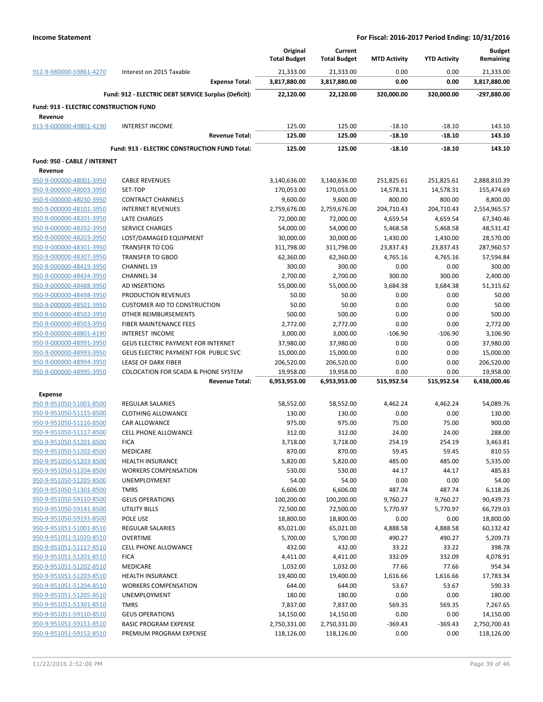|                                               |                                                      | Original<br><b>Total Budget</b> | Current<br><b>Total Budget</b> | <b>MTD Activity</b> | <b>YTD Activity</b> | <b>Budget</b><br>Remaining |
|-----------------------------------------------|------------------------------------------------------|---------------------------------|--------------------------------|---------------------|---------------------|----------------------------|
| 912-9-980000-59861-4270                       | Interest on 2015 Taxable                             | 21,333.00                       | 21,333.00                      | 0.00                | 0.00                | 21,333.00                  |
|                                               | <b>Expense Total:</b>                                | 3,817,880.00                    | 3,817,880.00                   | 0.00                | 0.00                | 3,817,880.00               |
|                                               | Fund: 912 - ELECTRIC DEBT SERVICE Surplus (Deficit): | 22,120.00                       | 22,120.00                      | 320,000.00          | 320,000.00          | -297,880.00                |
| <b>Fund: 913 - ELECTRIC CONSTRUCTION FUND</b> |                                                      |                                 |                                |                     |                     |                            |
| Revenue<br>913-9-000000-49801-4190            | <b>INTEREST INCOME</b>                               | 125.00                          | 125.00                         | $-18.10$            | $-18.10$            | 143.10                     |
|                                               | <b>Revenue Total:</b>                                | 125.00                          | 125.00                         | $-18.10$            | $-18.10$            | 143.10                     |
|                                               | Fund: 913 - ELECTRIC CONSTRUCTION FUND Total:        | 125.00                          | 125.00                         | $-18.10$            | $-18.10$            | 143.10                     |
| Fund: 950 - CABLE / INTERNET                  |                                                      |                                 |                                |                     |                     |                            |
| Revenue                                       |                                                      |                                 |                                |                     |                     |                            |
| 950-9-000000-48001-3950                       | <b>CABLE REVENUES</b>                                | 3,140,636.00                    | 3,140,636.00                   | 251,825.61          | 251,825.61          | 2,888,810.39               |
| 950-9-000000-48003-3950                       | SET-TOP                                              | 170,053.00                      | 170,053.00                     | 14,578.31           | 14,578.31           | 155,474.69                 |
| 950-9-000000-48030-3950                       | <b>CONTRACT CHANNELS</b>                             | 9,600.00                        | 9,600.00                       | 800.00              | 800.00              | 8,800.00                   |
| 950-9-000000-48101-3950                       | <b>INTERNET REVENUES</b>                             | 2,759,676.00                    | 2,759,676.00                   | 204,710.43          | 204,710.43          | 2,554,965.57               |
| 950-9-000000-48201-3950                       | <b>LATE CHARGES</b>                                  | 72,000.00                       | 72,000.00                      | 4,659.54            | 4,659.54            | 67,340.46                  |
| 950-9-000000-48202-3950                       | <b>SERVICE CHARGES</b>                               | 54,000.00                       | 54,000.00                      | 5,468.58            | 5,468.58            | 48,531.42                  |
| 950-9-000000-48203-3950                       | LOST/DAMAGED EQUIPMENT                               | 30,000.00                       | 30,000.00                      | 1,430.00            | 1,430.00            | 28,570.00                  |
| 950-9-000000-48301-3950                       | <b>TRANSFER TO COG</b>                               | 311,798.00                      | 311,798.00                     | 23,837.43           | 23,837.43           |                            |
|                                               | <b>TRANSFER TO GBOD</b>                              |                                 |                                |                     |                     | 287,960.57                 |
| 950-9-000000-48307-3950                       |                                                      | 62,360.00                       | 62,360.00                      | 4,765.16            | 4,765.16            | 57,594.84                  |
| 950-9-000000-48419-3950                       | <b>CHANNEL 19</b>                                    | 300.00                          | 300.00                         | 0.00                | 0.00                | 300.00                     |
| 950-9-000000-48434-3950                       | <b>CHANNEL 34</b>                                    | 2,700.00                        | 2,700.00                       | 300.00              | 300.00              | 2,400.00                   |
| 950-9-000000-48488-3950                       | AD INSERTIONS                                        | 55,000.00                       | 55,000.00                      | 3,684.38            | 3,684.38            | 51,315.62                  |
| 950-9-000000-48498-3950                       | PRODUCTION REVENUES                                  | 50.00                           | 50.00                          | 0.00                | 0.00                | 50.00                      |
| 950-9-000000-48501-3950                       | <b>CUSTOMER AID TO CONSTRUCTION</b>                  | 50.00                           | 50.00                          | 0.00                | 0.00                | 50.00                      |
| 950-9-000000-48502-3950                       | OTHER REIMBURSEMENTS                                 | 500.00                          | 500.00                         | 0.00                | 0.00                | 500.00                     |
| 950-9-000000-48503-3950                       | FIBER MAINTENANCE FEES                               | 2,772.00                        | 2,772.00                       | 0.00                | 0.00                | 2,772.00                   |
| 950-9-000000-48801-4190                       | <b>INTEREST INCOME</b>                               | 3,000.00                        | 3,000.00                       | $-106.90$           | $-106.90$           | 3,106.90                   |
| 950-9-000000-48991-3950                       | GEUS ELECTRIC PAYMENT FOR INTERNET                   | 37,980.00                       | 37,980.00                      | 0.00                | 0.00                | 37,980.00                  |
| 950-9-000000-48993-3950                       | GEUS ELECTRIC PAYMENT FOR PUBLIC SVC                 | 15,000.00                       | 15,000.00                      | 0.00                | 0.00                | 15,000.00                  |
| 950-9-000000-48994-3950                       | LEASE OF DARK FIBER                                  | 206,520.00                      | 206,520.00                     | 0.00                | 0.00                | 206,520.00                 |
| 950-9-000000-48995-3950                       | <b>COLOCATION FOR SCADA &amp; PHONE SYSTEM</b>       | 19,958.00                       | 19,958.00                      | 0.00                | 0.00                | 19,958.00                  |
|                                               | <b>Revenue Total:</b>                                | 6,953,953.00                    | 6,953,953.00                   | 515,952.54          | 515,952.54          | 6,438,000.46               |
| <b>Expense</b>                                |                                                      |                                 |                                |                     |                     |                            |
| 950-9-951050-51001-8500                       | <b>REGULAR SALARIES</b>                              | 58,552.00                       | 58,552.00                      | 4,462.24            | 4,462.24            | 54,089.76                  |
| 950-9-951050-51115-8500                       | <b>CLOTHING ALLOWANCE</b>                            | 130.00                          | 130.00                         | 0.00                | 0.00                | 130.00                     |
| 950-9-951050-51116-8500                       | CAR ALLOWANCE                                        | 975.00                          | 975.00                         | 75.00               | 75.00               | 900.00                     |
| 950-9-951050-51117-8500                       | <b>CELL PHONE ALLOWANCE</b>                          | 312.00                          | 312.00                         | 24.00               | 24.00               | 288.00                     |
| 950-9-951050-51201-8500                       | <b>FICA</b>                                          | 3,718.00                        | 3,718.00                       | 254.19              | 254.19              | 3,463.81                   |
| 950-9-951050-51202-8500                       | MEDICARE                                             | 870.00                          | 870.00                         | 59.45               | 59.45               | 810.55                     |
| 950-9-951050-51203-8500                       | <b>HEALTH INSURANCE</b>                              | 5,820.00                        | 5,820.00                       | 485.00              | 485.00              | 5,335.00                   |
| 950-9-951050-51204-8500                       | <b>WORKERS COMPENSATION</b>                          | 530.00                          | 530.00                         | 44.17               | 44.17               | 485.83                     |
| 950-9-951050-51205-8500                       | UNEMPLOYMENT                                         | 54.00                           | 54.00                          | 0.00                | 0.00                | 54.00                      |
| 950-9-951050-51301-8500                       | <b>TMRS</b>                                          | 6,606.00                        | 6,606.00                       | 487.74              | 487.74              | 6,118.26                   |
| 950-9-951050-59110-8500                       | <b>GEUS OPERATIONS</b>                               | 100,200.00                      | 100,200.00                     | 9,760.27            | 9,760.27            | 90,439.73                  |
| 950-9-951050-59141-8500                       | UTILITY BILLS                                        | 72,500.00                       | 72,500.00                      | 5,770.97            | 5,770.97            | 66,729.03                  |
| 950-9-951050-59191-8500                       | POLE USE                                             | 18,800.00                       | 18,800.00                      | 0.00                | 0.00                | 18,800.00                  |
| 950-9-951051-51001-8510                       | <b>REGULAR SALARIES</b>                              | 65,021.00                       | 65,021.00                      | 4,888.58            | 4,888.58            | 60,132.42                  |
| 950-9-951051-51020-8510                       | <b>OVERTIME</b>                                      | 5,700.00                        | 5,700.00                       | 490.27              | 490.27              | 5,209.73                   |
| 950-9-951051-51117-8510                       | CELL PHONE ALLOWANCE                                 | 432.00                          | 432.00                         | 33.22               | 33.22               | 398.78                     |
| 950-9-951051-51201-8510                       | <b>FICA</b>                                          | 4,411.00                        | 4,411.00                       | 332.09              | 332.09              | 4,078.91                   |
| 950-9-951051-51202-8510                       | MEDICARE                                             | 1,032.00                        | 1,032.00                       | 77.66               | 77.66               | 954.34                     |
| 950-9-951051-51203-8510                       | <b>HEALTH INSURANCE</b>                              | 19,400.00                       | 19,400.00                      | 1,616.66            | 1,616.66            | 17,783.34                  |
| 950-9-951051-51204-8510                       | <b>WORKERS COMPENSATION</b>                          | 644.00                          | 644.00                         | 53.67               | 53.67               | 590.33                     |
| 950-9-951051-51205-8510                       | UNEMPLOYMENT                                         | 180.00                          | 180.00                         | 0.00                | 0.00                | 180.00                     |
|                                               |                                                      |                                 |                                |                     |                     |                            |
| 950-9-951051-51301-8510                       | <b>TMRS</b>                                          | 7,837.00                        | 7,837.00                       | 569.35              | 569.35              | 7,267.65                   |
| 950-9-951051-59110-8510                       | <b>GEUS OPERATIONS</b>                               | 14,150.00                       | 14,150.00                      | 0.00                | 0.00                | 14,150.00                  |
| 950-9-951051-59151-8510                       | <b>BASIC PROGRAM EXPENSE</b>                         | 2,750,331.00                    | 2,750,331.00                   | $-369.43$           | $-369.43$           | 2,750,700.43               |
| 950-9-951051-59152-8510                       | PREMIUM PROGRAM EXPENSE                              | 118,126.00                      | 118,126.00                     | 0.00                | 0.00                | 118,126.00                 |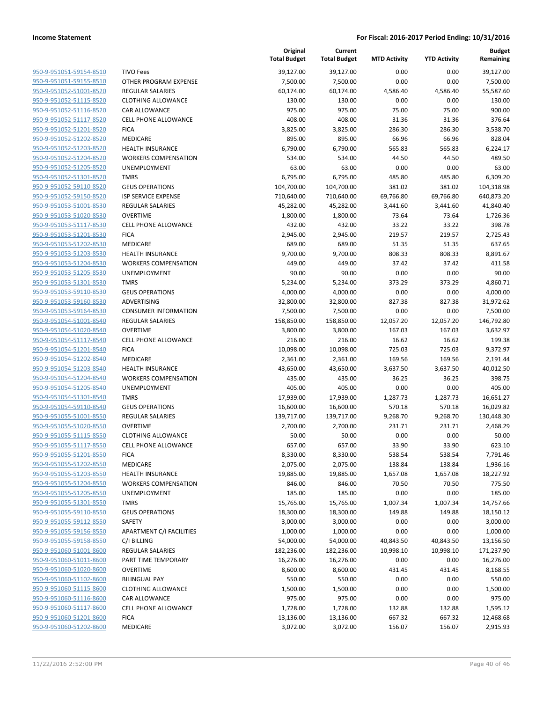| 950-9-951051-59154-8510                                   |
|-----------------------------------------------------------|
| 950-9-951051-59155-8510                                   |
| 950-9-951052-51001-8520                                   |
| <u>950-9-951052-51115-8520</u>                            |
| 950-9-951052-51116-8520                                   |
| 950-9-951052-51117-8520                                   |
| 950-9-951052-51201-8520                                   |
| 950-9-951052-51202-8520                                   |
| <u>950-9-951052-51203-8520</u>                            |
| 950-9-951052-51204-8520                                   |
| 950-9-951052-51205-8520                                   |
| 950-9-951052-51301-8520                                   |
| 950-9-951052-59110-8520                                   |
| <u>950-9-951052-59150-8520</u>                            |
|                                                           |
| <u>950-9-951053-51001-8530</u>                            |
| 950-9-951053-51020-8530                                   |
| 950-9-951053-51117-8530                                   |
| 950-9-951053-51201-8530                                   |
| 950-9-951053-51202-8530                                   |
| <u>950-9-951053-51203-8530</u>                            |
| 950-9-951053-51204-8530                                   |
| 950-9-951053-51205-8530                                   |
| 950-9-951053-51301-8530                                   |
| <u>950-9-951053-59110-8530</u>                            |
| 950-9-951053-59160-8530                                   |
| 950-9-951053-59164-8530                                   |
| 950-9-951054-51001-8540                                   |
| 950-9-951054-51020-8540                                   |
| 950-9-951054-51117-8540                                   |
| 950-9-951054-51201-8540                                   |
| 950-9-951054-51202-8540                                   |
| 950-9-951054-51203-8540                                   |
| 950-9-951054-51204-8540                                   |
| 950-9-951054-51205-8540                                   |
| <u>950-9-951054-51301-8540</u>                            |
| 950-9-951054-59110-8540                                   |
| 950-9-951055-51001-8550                                   |
| 950-9-951055-51020-8550                                   |
|                                                           |
| <u>950-9-951055-51115-8550</u>                            |
| 950-9-951055-51117-8550                                   |
| 950-9-951055-51201-8550                                   |
| <u>950-9-951055-51202-8550</u>                            |
| 950-9-951055-51203-8550                                   |
| 950-9-951055-51204-8550                                   |
| <u>950-9-951055-51205-8550</u>                            |
| <u>950-9-951055-51301-8550</u>                            |
| <u>950-9-951055-59110-8550</u>                            |
| 950-9-951055-59112-8550                                   |
| <u>950-9-951055-59156-8550</u>                            |
| 950-9-951055-59158-8550                                   |
| 950-9-951060-51001-8600                                   |
| 950-9-951060-51011-8600                                   |
| 950-9-951060-51020-8600                                   |
| <u>950-9-951060-51102-8600</u>                            |
| 950-9-951060-51115-8600                                   |
| 950-9-951060-51116-8600                                   |
| 950-9-951060-51117-8600                                   |
|                                                           |
|                                                           |
| 950-9-951060-51201-8600<br><u>950-9-951060-51202-8600</u> |

|                                                    |                                     | Original<br><b>Total Budget</b> | Current<br><b>Total Budget</b> | <b>MTD Activity</b> | <b>YTD Activity</b> | <b>Budget</b><br>Remaining |
|----------------------------------------------------|-------------------------------------|---------------------------------|--------------------------------|---------------------|---------------------|----------------------------|
| 950-9-951051-59154-8510                            | <b>TIVO Fees</b>                    | 39,127.00                       | 39,127.00                      | 0.00                | 0.00                | 39,127.00                  |
| 950-9-951051-59155-8510                            | OTHER PROGRAM EXPENSE               | 7,500.00                        | 7,500.00                       | 0.00                | 0.00                | 7,500.00                   |
| 950-9-951052-51001-8520                            | REGULAR SALARIES                    | 60,174.00                       | 60,174.00                      | 4,586.40            | 4,586.40            | 55,587.60                  |
| 950-9-951052-51115-8520                            | <b>CLOTHING ALLOWANCE</b>           | 130.00                          | 130.00                         | 0.00                | 0.00                | 130.00                     |
| 950-9-951052-51116-8520                            | <b>CAR ALLOWANCE</b>                | 975.00                          | 975.00                         | 75.00               | 75.00               | 900.00                     |
| 950-9-951052-51117-8520                            | <b>CELL PHONE ALLOWANCE</b>         | 408.00                          | 408.00                         | 31.36               | 31.36               | 376.64                     |
| 950-9-951052-51201-8520                            | <b>FICA</b>                         | 3,825.00                        | 3,825.00                       | 286.30              | 286.30              | 3,538.70                   |
| 950-9-951052-51202-8520                            | MEDICARE                            | 895.00                          | 895.00                         | 66.96               | 66.96               | 828.04                     |
| 950-9-951052-51203-8520                            | <b>HEALTH INSURANCE</b>             | 6,790.00                        | 6,790.00                       | 565.83              | 565.83              | 6,224.17                   |
| 950-9-951052-51204-8520                            | <b>WORKERS COMPENSATION</b>         | 534.00                          | 534.00                         | 44.50               | 44.50               | 489.50                     |
| 950-9-951052-51205-8520                            | <b>UNEMPLOYMENT</b>                 | 63.00                           | 63.00                          | 0.00                | 0.00                | 63.00                      |
| 950-9-951052-51301-8520                            | <b>TMRS</b>                         | 6,795.00                        | 6,795.00                       | 485.80              | 485.80              | 6,309.20                   |
| 950-9-951052-59110-8520                            | <b>GEUS OPERATIONS</b>              | 104,700.00                      | 104,700.00                     | 381.02              | 381.02              | 104,318.98                 |
| 950-9-951052-59150-8520                            | <b>ISP SERVICE EXPENSE</b>          | 710,640.00                      | 710,640.00                     | 69,766.80           | 69,766.80           | 640,873.20                 |
| 950-9-951053-51001-8530                            | <b>REGULAR SALARIES</b>             | 45,282.00                       | 45,282.00                      | 3,441.60            | 3,441.60            | 41,840.40                  |
| 950-9-951053-51020-8530                            | <b>OVERTIME</b>                     | 1,800.00                        | 1,800.00                       | 73.64               | 73.64               | 1,726.36                   |
| 950-9-951053-51117-8530                            | <b>CELL PHONE ALLOWANCE</b>         | 432.00                          | 432.00                         | 33.22               | 33.22               | 398.78                     |
| 950-9-951053-51201-8530                            | <b>FICA</b>                         | 2,945.00                        | 2,945.00                       | 219.57              | 219.57              | 2,725.43                   |
| 950-9-951053-51202-8530                            | MEDICARE                            | 689.00                          | 689.00                         | 51.35               | 51.35               | 637.65                     |
| 950-9-951053-51203-8530                            | <b>HEALTH INSURANCE</b>             | 9,700.00                        | 9,700.00                       | 808.33              | 808.33              | 8,891.67                   |
| 950-9-951053-51204-8530                            | <b>WORKERS COMPENSATION</b>         | 449.00                          | 449.00                         | 37.42               | 37.42               | 411.58                     |
| 950-9-951053-51205-8530                            | <b>UNEMPLOYMENT</b>                 | 90.00                           | 90.00                          | 0.00                | 0.00                | 90.00                      |
| 950-9-951053-51301-8530                            | <b>TMRS</b>                         | 5,234.00                        | 5,234.00                       | 373.29              | 373.29              | 4,860.71                   |
| 950-9-951053-59110-8530                            | <b>GEUS OPERATIONS</b>              | 4,000.00                        | 4,000.00                       | 0.00                | 0.00                | 4,000.00                   |
| 950-9-951053-59160-8530                            | ADVERTISING                         | 32,800.00                       | 32,800.00                      | 827.38              | 827.38              | 31,972.62                  |
| 950-9-951053-59164-8530                            | <b>CONSUMER INFORMATION</b>         | 7,500.00                        | 7,500.00                       | 0.00                | 0.00                | 7,500.00                   |
| 950-9-951054-51001-8540                            | <b>REGULAR SALARIES</b>             | 158,850.00                      | 158,850.00                     | 12,057.20           | 12,057.20           | 146,792.80                 |
| 950-9-951054-51020-8540                            | <b>OVERTIME</b>                     | 3,800.00                        | 3,800.00                       | 167.03              | 167.03              | 3,632.97                   |
| 950-9-951054-51117-8540                            | <b>CELL PHONE ALLOWANCE</b>         | 216.00                          | 216.00                         | 16.62               | 16.62               | 199.38                     |
| 950-9-951054-51201-8540                            | <b>FICA</b>                         | 10,098.00                       | 10,098.00                      | 725.03              | 725.03              | 9,372.97                   |
| 950-9-951054-51202-8540                            | MEDICARE                            | 2,361.00                        | 2,361.00                       | 169.56              | 169.56              | 2,191.44                   |
| 950-9-951054-51203-8540                            | <b>HEALTH INSURANCE</b>             | 43,650.00                       | 43,650.00                      | 3,637.50            | 3,637.50            | 40,012.50                  |
| 950-9-951054-51204-8540                            | <b>WORKERS COMPENSATION</b>         | 435.00                          | 435.00                         | 36.25               | 36.25               | 398.75                     |
| 950-9-951054-51205-8540                            | UNEMPLOYMENT                        | 405.00                          | 405.00                         | 0.00                | 0.00                | 405.00                     |
| 950-9-951054-51301-8540                            | <b>TMRS</b>                         | 17,939.00                       | 17,939.00                      | 1,287.73            | 1,287.73            | 16,651.27                  |
| 950-9-951054-59110-8540                            | <b>GEUS OPERATIONS</b>              | 16,600.00                       | 16,600.00                      | 570.18              | 570.18              | 16,029.82                  |
| 950-9-951055-51001-8550                            | <b>REGULAR SALARIES</b>             | 139,717.00                      | 139,717.00                     | 9,268.70            | 9,268.70            | 130,448.30                 |
| 950-9-951055-51020-8550                            | OVERTIME                            | 2,700.00                        | 2,700.00                       | 231.71              | 231.71              | 2,468.29                   |
| 950-9-951055-51115-8550                            | <b>CLOTHING ALLOWANCE</b>           | 50.00                           | 50.00                          | 0.00                | 0.00                | 50.00                      |
| 950-9-951055-51117-8550                            | CELL PHONE ALLOWANCE                | 657.00                          | 657.00                         | 33.90               | 33.90               | 623.10                     |
| 950-9-951055-51201-8550                            | <b>FICA</b>                         | 8,330.00                        | 8,330.00                       | 538.54              | 538.54              | 7,791.46                   |
| 950-9-951055-51202-8550<br>950-9-951055-51203-8550 | MEDICARE<br><b>HEALTH INSURANCE</b> | 2,075.00                        | 2,075.00                       | 138.84              | 138.84              | 1,936.16                   |
| 950-9-951055-51204-8550                            | <b>WORKERS COMPENSATION</b>         | 19,885.00<br>846.00             | 19,885.00<br>846.00            | 1,657.08<br>70.50   | 1,657.08<br>70.50   | 18,227.92<br>775.50        |
| 950-9-951055-51205-8550                            | <b>UNEMPLOYMENT</b>                 | 185.00                          | 185.00                         | 0.00                | 0.00                | 185.00                     |
| 950-9-951055-51301-8550                            | <b>TMRS</b>                         | 15,765.00                       | 15,765.00                      | 1,007.34            | 1,007.34            | 14,757.66                  |
| 950-9-951055-59110-8550                            | <b>GEUS OPERATIONS</b>              | 18,300.00                       | 18,300.00                      | 149.88              | 149.88              | 18,150.12                  |
| 950-9-951055-59112-8550                            | SAFETY                              | 3,000.00                        | 3,000.00                       | 0.00                | 0.00                | 3,000.00                   |
| 950-9-951055-59156-8550                            | APARTMENT C/I FACILITIES            | 1,000.00                        | 1,000.00                       | 0.00                | 0.00                | 1,000.00                   |
| 950-9-951055-59158-8550                            | C/I BILLING                         | 54,000.00                       | 54,000.00                      | 40,843.50           | 40,843.50           | 13,156.50                  |
| 950-9-951060-51001-8600                            | REGULAR SALARIES                    | 182,236.00                      | 182,236.00                     | 10,998.10           | 10,998.10           | 171,237.90                 |
| 950-9-951060-51011-8600                            | PART TIME TEMPORARY                 | 16,276.00                       | 16,276.00                      | 0.00                | 0.00                | 16,276.00                  |
| 950-9-951060-51020-8600                            | <b>OVERTIME</b>                     | 8,600.00                        | 8,600.00                       | 431.45              | 431.45              | 8,168.55                   |
| 950-9-951060-51102-8600                            | <b>BILINGUAL PAY</b>                | 550.00                          | 550.00                         | 0.00                | 0.00                | 550.00                     |
| 950-9-951060-51115-8600                            | <b>CLOTHING ALLOWANCE</b>           | 1,500.00                        | 1,500.00                       | 0.00                | 0.00                | 1,500.00                   |
| 950-9-951060-51116-8600                            | CAR ALLOWANCE                       | 975.00                          | 975.00                         | 0.00                | 0.00                | 975.00                     |
| 950-9-951060-51117-8600                            | <b>CELL PHONE ALLOWANCE</b>         | 1,728.00                        | 1,728.00                       | 132.88              | 132.88              | 1,595.12                   |
| 950-9-951060-51201-8600                            | <b>FICA</b>                         | 13,136.00                       | 13,136.00                      | 667.32              | 667.32              | 12,468.68                  |
| 950-9-951060-51202-8600                            | MEDICARE                            | 3,072.00                        | 3,072.00                       | 156.07              | 156.07              | 2,915.93                   |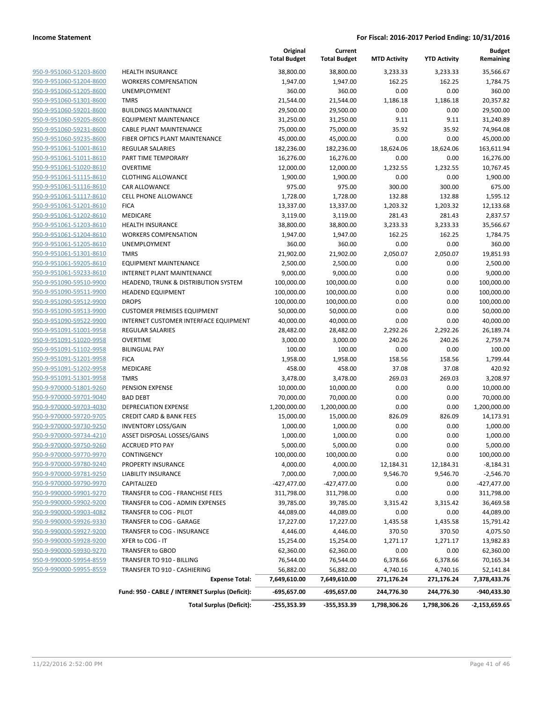|                                                           |                                                       | Original<br><b>Total Budget</b> | Current<br><b>Total Budget</b> | <b>MTD Activity</b> | <b>YTD Activity</b> | Budget<br>Remaining       |
|-----------------------------------------------------------|-------------------------------------------------------|---------------------------------|--------------------------------|---------------------|---------------------|---------------------------|
| 950-9-951060-51203-8600                                   | <b>HEALTH INSURANCE</b>                               | 38,800.00                       | 38,800.00                      | 3,233.33            | 3,233.33            | 35,566.67                 |
| 950-9-951060-51204-8600                                   | <b>WORKERS COMPENSATION</b>                           | 1,947.00                        | 1,947.00                       | 162.25              | 162.25              | 1,784.75                  |
| 950-9-951060-51205-8600                                   | <b>UNEMPLOYMENT</b>                                   | 360.00                          | 360.00                         | 0.00                | 0.00                | 360.00                    |
| 950-9-951060-51301-8600                                   | <b>TMRS</b>                                           | 21,544.00                       | 21,544.00                      | 1,186.18            | 1,186.18            | 20,357.82                 |
| 950-9-951060-59201-8600                                   | <b>BUILDINGS MAINTNANCE</b>                           | 29,500.00                       | 29,500.00                      | 0.00                | 0.00                | 29,500.00                 |
| 950-9-951060-59205-8600                                   | <b>EQUIPMENT MAINTENANCE</b>                          | 31,250.00                       | 31,250.00                      | 9.11                | 9.11                | 31,240.89                 |
| 950-9-951060-59231-8600                                   | <b>CABLE PLANT MAINTENANCE</b>                        | 75,000.00                       | 75,000.00                      | 35.92               | 35.92               | 74,964.08                 |
| 950-9-951060-59235-8600                                   | FIBER OPTICS PLANT MAINTENANCE                        | 45,000.00                       | 45,000.00                      | 0.00                | 0.00                | 45,000.00                 |
| 950-9-951061-51001-8610                                   | <b>REGULAR SALARIES</b>                               | 182,236.00                      | 182,236.00                     | 18,624.06           | 18,624.06           | 163,611.94                |
| 950-9-951061-51011-8610                                   | PART TIME TEMPORARY                                   | 16,276.00                       | 16,276.00                      | 0.00                | 0.00                | 16,276.00                 |
| 950-9-951061-51020-8610                                   | <b>OVERTIME</b>                                       | 12,000.00                       | 12,000.00                      | 1,232.55            | 1,232.55            | 10,767.45                 |
| 950-9-951061-51115-8610                                   | <b>CLOTHING ALLOWANCE</b>                             | 1,900.00                        | 1,900.00                       | 0.00                | 0.00                | 1,900.00                  |
| 950-9-951061-51116-8610                                   | CAR ALLOWANCE                                         | 975.00                          | 975.00                         | 300.00              | 300.00              | 675.00                    |
| 950-9-951061-51117-8610                                   | <b>CELL PHONE ALLOWANCE</b>                           | 1,728.00                        | 1,728.00                       | 132.88              | 132.88              | 1,595.12                  |
| 950-9-951061-51201-8610                                   | <b>FICA</b>                                           | 13,337.00                       | 13,337.00                      | 1,203.32            | 1,203.32            | 12,133.68                 |
| 950-9-951061-51202-8610                                   | MEDICARE                                              | 3,119.00                        | 3,119.00                       | 281.43              | 281.43              | 2,837.57                  |
| 950-9-951061-51203-8610                                   | <b>HEALTH INSURANCE</b>                               | 38,800.00                       | 38,800.00                      | 3,233.33            | 3,233.33            | 35,566.67                 |
| 950-9-951061-51204-8610                                   | <b>WORKERS COMPENSATION</b>                           | 1,947.00                        | 1,947.00                       | 162.25              | 162.25              | 1,784.75                  |
| 950-9-951061-51205-8610                                   | <b>UNEMPLOYMENT</b>                                   | 360.00                          | 360.00                         | 0.00                | 0.00                | 360.00                    |
| 950-9-951061-51301-8610                                   | <b>TMRS</b>                                           | 21,902.00                       | 21,902.00                      | 2,050.07            | 2,050.07            | 19,851.93                 |
| 950-9-951061-59205-8610                                   | <b>EQUIPMENT MAINTENANCE</b>                          | 2,500.00                        | 2,500.00                       | 0.00                | 0.00                | 2,500.00                  |
| 950-9-951061-59233-8610                                   | <b>INTERNET PLANT MAINTENANCE</b>                     | 9,000.00                        | 9,000.00                       | 0.00                | 0.00                | 9,000.00                  |
| 950-9-951090-59510-9900                                   | HEADEND, TRUNK & DISTRIBUTION SYSTEM                  | 100,000.00                      | 100,000.00                     | 0.00                | 0.00                | 100,000.00                |
| 950-9-951090-59511-9900                                   |                                                       |                                 | 100,000.00                     |                     |                     | 100,000.00                |
| 950-9-951090-59512-9900                                   | <b>HEADEND EQUIPMENT</b><br><b>DROPS</b>              | 100,000.00<br>100,000.00        | 100,000.00                     | 0.00<br>0.00        | 0.00<br>0.00        | 100,000.00                |
| 950-9-951090-59513-9900                                   | <b>CUSTOMER PREMISES EQUIPMENT</b>                    | 50,000.00                       | 50,000.00                      | 0.00                | 0.00                | 50,000.00                 |
| 950-9-951090-59522-9900                                   | INTERNET CUSTOMER INTERFACE EQUIPMENT                 | 40,000.00                       | 40,000.00                      | 0.00                | 0.00                | 40,000.00                 |
| 950-9-951091-51001-9958                                   |                                                       |                                 |                                |                     |                     |                           |
| 950-9-951091-51020-9958                                   | <b>REGULAR SALARIES</b>                               | 28,482.00                       | 28,482.00                      | 2,292.26            | 2,292.26            | 26,189.74                 |
| 950-9-951091-51102-9958                                   | <b>OVERTIME</b><br><b>BILINGUAL PAY</b>               | 3,000.00<br>100.00              | 3,000.00<br>100.00             | 240.26<br>0.00      | 240.26<br>0.00      | 2,759.74<br>100.00        |
| 950-9-951091-51201-9958                                   | <b>FICA</b>                                           | 1,958.00                        | 1,958.00                       | 158.56              | 158.56              | 1,799.44                  |
| 950-9-951091-51202-9958                                   | MEDICARE                                              | 458.00                          | 458.00                         | 37.08               | 37.08               | 420.92                    |
| 950-9-951091-51301-9958                                   | <b>TMRS</b>                                           | 3,478.00                        | 3,478.00                       | 269.03              | 269.03              | 3,208.97                  |
| 950-9-970000-51801-9260                                   | PENSION EXPENSE                                       | 10,000.00                       | 10,000.00                      | 0.00                | 0.00                | 10,000.00                 |
| 950-9-970000-59701-9040                                   | <b>BAD DEBT</b>                                       | 70,000.00                       | 70,000.00                      | 0.00                | 0.00                | 70,000.00                 |
| 950-9-970000-59703-4030                                   | <b>DEPRECIATION EXPENSE</b>                           | 1,200,000.00                    | 1,200,000.00                   | 0.00                | 0.00                | 1,200,000.00              |
| 950-9-970000-59720-9705                                   | <b>CREDIT CARD &amp; BANK FEES</b>                    | 15,000.00                       | 15,000.00                      | 826.09              | 826.09              | 14,173.91                 |
| 950-9-970000-59730-9250                                   |                                                       |                                 |                                | 0.00                |                     |                           |
| 950-9-970000-59734-4210                                   | <b>INVENTORY LOSS/GAIN</b>                            | 1,000.00                        | 1,000.00<br>1,000.00           | 0.00                | 0.00                | 1,000.00<br>1,000.00      |
|                                                           | ASSET DISPOSAL LOSSES/GAINS<br><b>ACCRUED PTO PAY</b> | 1,000.00<br>5,000.00            | 5,000.00                       | 0.00                | 0.00<br>0.00        |                           |
| <u>950-9-970000-59750-9260</u><br>950-9-970000-59770-9970 | CONTINGENCY                                           |                                 |                                | 0.00                | 0.00                | 5,000.00                  |
| 950-9-970000-59780-9240                                   | PROPERTY INSURANCE                                    | 100,000.00<br>4,000.00          | 100,000.00<br>4,000.00         |                     |                     | 100,000.00<br>$-8,184.31$ |
| 950-9-970000-59781-9250                                   | <b>LIABILITY INSURANCE</b>                            |                                 |                                | 12,184.31           | 12,184.31           |                           |
| 950-9-970000-59790-9970                                   |                                                       | 7,000.00                        | 7,000.00                       | 9,546.70            | 9,546.70            | $-2,546.70$               |
| 950-9-990000-59901-9270                                   | CAPITALIZED<br>TRANSFER to COG - FRANCHISE FEES       | $-427,477.00$                   | $-427,477.00$                  | 0.00<br>0.00        | 0.00<br>0.00        | $-427,477.00$             |
|                                                           |                                                       | 311,798.00                      | 311,798.00                     |                     |                     | 311,798.00                |
| 950-9-990000-59902-9200<br>950-9-990000-59903-4082        | TRANSFER to COG - ADMIN EXPENSES                      | 39,785.00                       | 39,785.00                      | 3,315.42            | 3,315.42            | 36,469.58<br>44,089.00    |
|                                                           | TRANSFER to COG - PILOT                               | 44,089.00                       | 44,089.00                      | 0.00                | 0.00                |                           |
| 950-9-990000-59926-9330                                   | TRANSFER to COG - GARAGE                              | 17,227.00                       | 17,227.00                      | 1,435.58            | 1,435.58            | 15,791.42                 |
| 950-9-990000-59927-9200                                   | TRANSFER to COG - INSURANCE                           | 4,446.00                        | 4,446.00                       | 370.50              | 370.50              | 4,075.50                  |
| 950-9-990000-59928-9200                                   | XFER to COG - IT                                      | 15,254.00                       | 15,254.00                      | 1,271.17            | 1,271.17            | 13,982.83                 |
| 950-9-990000-59930-9270                                   | TRANSFER to GBOD                                      | 62,360.00                       | 62,360.00                      | 0.00                | 0.00                | 62,360.00                 |
| 950-9-990000-59954-8559                                   | TRANSFER TO 910 - BILLING                             | 76,544.00                       | 76,544.00                      | 6,378.66            | 6,378.66            | 70,165.34                 |
| 950-9-990000-59955-8559                                   | TRANSFER TO 910 - CASHIERING                          | 56,882.00                       | 56,882.00                      | 4,740.16            | 4,740.16            | 52,141.84                 |
|                                                           | <b>Expense Total:</b>                                 | 7,649,610.00                    | 7,649,610.00                   | 271,176.24          | 271,176.24          | 7,378,433.76              |
|                                                           | Fund: 950 - CABLE / INTERNET Surplus (Deficit):       | -695,657.00                     | -695,657.00                    | 244,776.30          | 244,776.30          | -940,433.30               |
|                                                           | <b>Total Surplus (Deficit):</b>                       | -255,353.39                     | -355,353.39                    | 1,798,306.26        | 1,798,306.26        | -2,153,659.65             |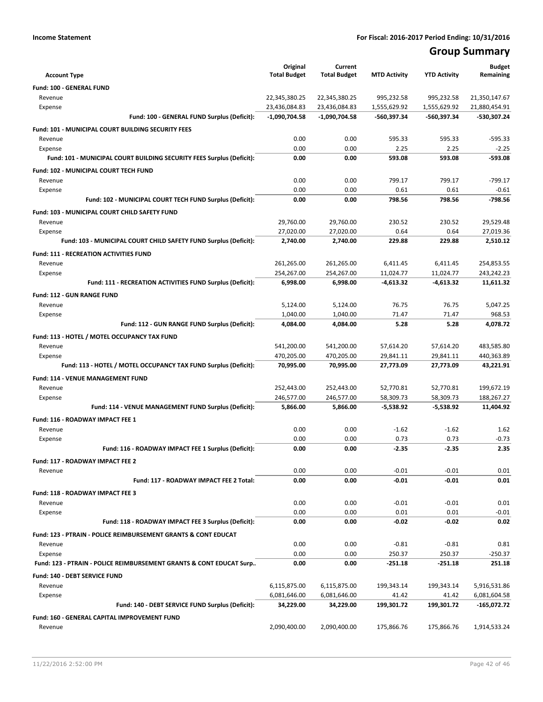# **Group Summary**

|                                                                            | Original                       | Current                        |                            |                            | <b>Budget</b>                  |
|----------------------------------------------------------------------------|--------------------------------|--------------------------------|----------------------------|----------------------------|--------------------------------|
| <b>Account Type</b>                                                        | <b>Total Budget</b>            | <b>Total Budget</b>            | <b>MTD Activity</b>        | <b>YTD Activity</b>        | Remaining                      |
| Fund: 100 - GENERAL FUND                                                   |                                |                                |                            |                            |                                |
| Revenue<br>Expense                                                         | 22,345,380.25<br>23,436,084.83 | 22,345,380.25<br>23,436,084.83 | 995,232.58<br>1,555,629.92 | 995,232.58<br>1,555,629.92 | 21,350,147.67<br>21,880,454.91 |
| Fund: 100 - GENERAL FUND Surplus (Deficit):                                | $-1,090,704.58$                | -1,090,704.58                  | -560,397.34                | -560,397.34                | -530,307.24                    |
| Fund: 101 - MUNICIPAL COURT BUILDING SECURITY FEES                         |                                |                                |                            |                            |                                |
| Revenue                                                                    | 0.00                           | 0.00                           | 595.33                     | 595.33                     | $-595.33$                      |
| Expense                                                                    | 0.00                           | 0.00                           | 2.25                       | 2.25                       | $-2.25$                        |
| Fund: 101 - MUNICIPAL COURT BUILDING SECURITY FEES Surplus (Deficit):      | 0.00                           | 0.00                           | 593.08                     | 593.08                     | $-593.08$                      |
| Fund: 102 - MUNICIPAL COURT TECH FUND                                      |                                |                                |                            |                            |                                |
| Revenue                                                                    | 0.00                           | 0.00                           | 799.17                     | 799.17                     | $-799.17$                      |
| Expense                                                                    | 0.00                           | 0.00                           | 0.61                       | 0.61                       | $-0.61$                        |
| Fund: 102 - MUNICIPAL COURT TECH FUND Surplus (Deficit):                   | 0.00                           | 0.00                           | 798.56                     | 798.56                     | $-798.56$                      |
| <b>Fund: 103 - MUNICIPAL COURT CHILD SAFETY FUND</b>                       |                                |                                |                            |                            |                                |
| Revenue                                                                    | 29,760.00                      | 29,760.00                      | 230.52                     | 230.52                     | 29,529.48                      |
| Expense                                                                    | 27,020.00                      | 27,020.00                      | 0.64                       | 0.64                       | 27,019.36                      |
| Fund: 103 - MUNICIPAL COURT CHILD SAFETY FUND Surplus (Deficit):           | 2,740.00                       | 2,740.00                       | 229.88                     | 229.88                     | 2,510.12                       |
| <b>Fund: 111 - RECREATION ACTIVITIES FUND</b>                              |                                |                                |                            |                            |                                |
| Revenue                                                                    | 261,265.00                     | 261,265.00                     | 6,411.45                   | 6,411.45                   | 254,853.55                     |
| Expense                                                                    | 254,267.00                     | 254,267.00                     | 11,024.77                  | 11,024.77                  | 243,242.23                     |
| Fund: 111 - RECREATION ACTIVITIES FUND Surplus (Deficit):                  | 6,998.00                       | 6,998.00                       | $-4,613.32$                | $-4,613.32$                | 11,611.32                      |
| Fund: 112 - GUN RANGE FUND                                                 |                                |                                |                            |                            |                                |
| Revenue                                                                    | 5,124.00                       | 5,124.00                       | 76.75                      | 76.75                      | 5,047.25                       |
| Expense                                                                    | 1.040.00                       | 1,040.00                       | 71.47                      | 71.47                      | 968.53                         |
| Fund: 112 - GUN RANGE FUND Surplus (Deficit):                              | 4,084.00                       | 4,084.00                       | 5.28                       | 5.28                       | 4,078.72                       |
| Fund: 113 - HOTEL / MOTEL OCCUPANCY TAX FUND                               |                                |                                |                            |                            |                                |
| Revenue                                                                    | 541,200.00<br>470,205.00       | 541,200.00<br>470,205.00       | 57,614.20<br>29,841.11     | 57,614.20<br>29,841.11     | 483,585.80<br>440,363.89       |
| Expense<br>Fund: 113 - HOTEL / MOTEL OCCUPANCY TAX FUND Surplus (Deficit): | 70,995.00                      | 70,995.00                      | 27,773.09                  | 27,773.09                  | 43,221.91                      |
|                                                                            |                                |                                |                            |                            |                                |
| Fund: 114 - VENUE MANAGEMENT FUND<br>Revenue                               | 252,443.00                     | 252,443.00                     | 52,770.81                  | 52,770.81                  | 199,672.19                     |
| Expense                                                                    | 246,577.00                     | 246,577.00                     | 58,309.73                  | 58,309.73                  | 188,267.27                     |
| Fund: 114 - VENUE MANAGEMENT FUND Surplus (Deficit):                       | 5,866.00                       | 5,866.00                       | $-5,538.92$                | $-5,538.92$                | 11,404.92                      |
| Fund: 116 - ROADWAY IMPACT FEE 1                                           |                                |                                |                            |                            |                                |
| Revenue                                                                    | 0.00                           | 0.00                           | $-1.62$                    | $-1.62$                    | 1.62                           |
| Expense                                                                    | 0.00                           | 0.00                           | 0.73                       | 0.73                       | $-0.73$                        |
| Fund: 116 - ROADWAY IMPACT FEE 1 Surplus (Deficit):                        | 0.00                           | 0.00                           | $-2.35$                    | $-2.35$                    | 2.35                           |
| Fund: 117 - ROADWAY IMPACT FEE 2                                           |                                |                                |                            |                            |                                |
| Revenue                                                                    | 0.00                           | 0.00                           | $-0.01$                    | $-0.01$                    | 0.01                           |
| Fund: 117 - ROADWAY IMPACT FEE 2 Total:                                    | 0.00                           | 0.00                           | $-0.01$                    | $-0.01$                    | 0.01                           |
| Fund: 118 - ROADWAY IMPACT FEE 3                                           |                                |                                |                            |                            |                                |
| Revenue                                                                    | 0.00                           | 0.00                           | $-0.01$                    | $-0.01$                    | 0.01                           |
| Expense                                                                    | 0.00                           | 0.00                           | 0.01                       | 0.01                       | $-0.01$                        |
| Fund: 118 - ROADWAY IMPACT FEE 3 Surplus (Deficit):                        | 0.00                           | 0.00                           | $-0.02$                    | $-0.02$                    | 0.02                           |
| Fund: 123 - PTRAIN - POLICE REIMBURSEMENT GRANTS & CONT EDUCAT             |                                |                                |                            |                            |                                |
| Revenue                                                                    | 0.00                           | 0.00                           | $-0.81$                    | $-0.81$                    | 0.81                           |
| Expense                                                                    | 0.00                           | 0.00                           | 250.37                     | 250.37                     | -250.37                        |
| Fund: 123 - PTRAIN - POLICE REIMBURSEMENT GRANTS & CONT EDUCAT Surp        | 0.00                           | 0.00                           | -251.18                    | -251.18                    | 251.18                         |
| Fund: 140 - DEBT SERVICE FUND                                              |                                |                                |                            |                            |                                |
| Revenue                                                                    | 6,115,875.00                   | 6,115,875.00                   | 199,343.14                 | 199,343.14                 | 5,916,531.86                   |
| Expense                                                                    | 6,081,646.00                   | 6,081,646.00                   | 41.42                      | 41.42                      | 6,081,604.58                   |
| Fund: 140 - DEBT SERVICE FUND Surplus (Deficit):                           | 34,229.00                      | 34,229.00                      | 199,301.72                 | 199,301.72                 | -165,072.72                    |
| Fund: 160 - GENERAL CAPITAL IMPROVEMENT FUND                               |                                |                                |                            |                            |                                |
| Revenue                                                                    | 2,090,400.00                   | 2,090,400.00                   | 175,866.76                 | 175,866.76                 | 1,914,533.24                   |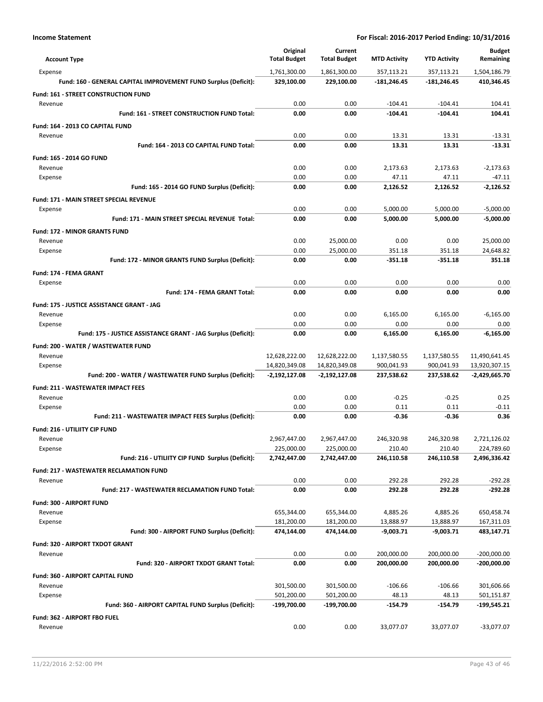| <b>Account Type</b>                                             | Original<br><b>Total Budget</b> | Current<br><b>Total Budget</b> | <b>MTD Activity</b> | <b>YTD Activity</b> | <b>Budget</b><br>Remaining |
|-----------------------------------------------------------------|---------------------------------|--------------------------------|---------------------|---------------------|----------------------------|
| Expense                                                         | 1,761,300.00                    | 1,861,300.00                   | 357,113.21          | 357,113.21          | 1,504,186.79               |
| Fund: 160 - GENERAL CAPITAL IMPROVEMENT FUND Surplus (Deficit): | 329,100.00                      | 229,100.00                     | -181,246.45         | -181,246.45         | 410,346.45                 |
| <b>Fund: 161 - STREET CONSTRUCTION FUND</b>                     |                                 |                                |                     |                     |                            |
| Revenue                                                         | 0.00                            | 0.00                           | $-104.41$           | $-104.41$           | 104.41                     |
| Fund: 161 - STREET CONSTRUCTION FUND Total:                     | 0.00                            | 0.00                           | $-104.41$           | $-104.41$           | 104.41                     |
| Fund: 164 - 2013 CO CAPITAL FUND                                |                                 |                                |                     |                     |                            |
| Revenue                                                         | 0.00                            | 0.00                           | 13.31               | 13.31               | $-13.31$                   |
| Fund: 164 - 2013 CO CAPITAL FUND Total:                         | 0.00                            | 0.00                           | 13.31               | 13.31               | $-13.31$                   |
| <b>Fund: 165 - 2014 GO FUND</b>                                 |                                 |                                |                     |                     |                            |
| Revenue                                                         | 0.00                            | 0.00                           | 2,173.63            | 2,173.63            | $-2,173.63$                |
| Expense                                                         | 0.00                            | 0.00                           | 47.11               | 47.11               | -47.11                     |
| Fund: 165 - 2014 GO FUND Surplus (Deficit):                     | 0.00                            | 0.00                           | 2,126.52            | 2,126.52            | $-2,126.52$                |
| <b>Fund: 171 - MAIN STREET SPECIAL REVENUE</b>                  |                                 |                                |                     |                     |                            |
| Expense                                                         | 0.00                            | 0.00                           | 5,000.00            | 5,000.00            | $-5,000.00$                |
| Fund: 171 - MAIN STREET SPECIAL REVENUE Total:                  | 0.00                            | 0.00                           | 5,000.00            | 5,000.00            | $-5,000.00$                |
| <b>Fund: 172 - MINOR GRANTS FUND</b>                            |                                 |                                |                     |                     |                            |
| Revenue                                                         | 0.00                            | 25,000.00                      | 0.00                | 0.00                | 25,000.00                  |
| Expense                                                         | 0.00                            | 25,000.00                      | 351.18              | 351.18              | 24,648.82                  |
| Fund: 172 - MINOR GRANTS FUND Surplus (Deficit):                | 0.00                            | 0.00                           | $-351.18$           | $-351.18$           | 351.18                     |
|                                                                 |                                 |                                |                     |                     |                            |
| Fund: 174 - FEMA GRANT                                          |                                 |                                |                     |                     |                            |
| Expense                                                         | 0.00<br>0.00                    | 0.00<br>0.00                   | 0.00<br>0.00        | 0.00<br>0.00        | 0.00<br>0.00               |
| Fund: 174 - FEMA GRANT Total:                                   |                                 |                                |                     |                     |                            |
| Fund: 175 - JUSTICE ASSISTANCE GRANT - JAG                      |                                 |                                |                     |                     |                            |
| Revenue                                                         | 0.00                            | 0.00                           | 6,165.00            | 6,165.00            | $-6,165.00$                |
| Expense                                                         | 0.00                            | 0.00                           | 0.00                | 0.00                | 0.00                       |
| Fund: 175 - JUSTICE ASSISTANCE GRANT - JAG Surplus (Deficit):   | 0.00                            | 0.00                           | 6,165.00            | 6,165.00            | $-6,165.00$                |
| Fund: 200 - WATER / WASTEWATER FUND                             |                                 |                                |                     |                     |                            |
| Revenue                                                         | 12,628,222.00                   | 12,628,222.00                  | 1,137,580.55        | 1,137,580.55        | 11,490,641.45              |
| Expense                                                         | 14,820,349.08                   | 14,820,349.08                  | 900,041.93          | 900,041.93          | 13,920,307.15              |
| Fund: 200 - WATER / WASTEWATER FUND Surplus (Deficit):          | $-2,192,127.08$                 | -2,192,127.08                  | 237,538.62          | 237,538.62          | -2,429,665.70              |
| <b>Fund: 211 - WASTEWATER IMPACT FEES</b>                       |                                 |                                |                     |                     |                            |
| Revenue                                                         | 0.00                            | 0.00                           | $-0.25$             | $-0.25$             | 0.25                       |
| Expense                                                         | 0.00                            | 0.00                           | 0.11                | 0.11                | $-0.11$                    |
| Fund: 211 - WASTEWATER IMPACT FEES Surplus (Deficit):           | 0.00                            | 0.00                           | $-0.36$             | -0.36               | 0.36                       |
| <b>Fund: 216 - UTILIITY CIP FUND</b>                            |                                 |                                |                     |                     |                            |
| Revenue                                                         | 2,967,447.00                    | 2,967,447.00                   | 246,320.98          | 246,320.98          | 2,721,126.02               |
| Expense                                                         | 225,000.00                      | 225,000.00                     | 210.40              | 210.40              | 224,789.60                 |
| Fund: 216 - UTILIITY CIP FUND Surplus (Deficit):                | 2,742,447.00                    | 2,742,447.00                   | 246,110.58          | 246,110.58          | 2,496,336.42               |
| <b>Fund: 217 - WASTEWATER RECLAMATION FUND</b>                  |                                 |                                |                     |                     |                            |
| Revenue                                                         | 0.00                            | 0.00                           | 292.28              | 292.28              | $-292.28$                  |
| Fund: 217 - WASTEWATER RECLAMATION FUND Total:                  | 0.00                            | 0.00                           | 292.28              | 292.28              | $-292.28$                  |
| <b>Fund: 300 - AIRPORT FUND</b>                                 |                                 |                                |                     |                     |                            |
| Revenue                                                         | 655,344.00                      | 655,344.00                     | 4,885.26            | 4,885.26            | 650,458.74                 |
| Expense                                                         | 181,200.00                      | 181,200.00                     | 13,888.97           | 13,888.97           | 167,311.03                 |
| Fund: 300 - AIRPORT FUND Surplus (Deficit):                     | 474,144.00                      | 474,144.00                     | $-9,003.71$         | $-9,003.71$         | 483,147.71                 |
| <b>Fund: 320 - AIRPORT TXDOT GRANT</b>                          |                                 |                                |                     |                     |                            |
| Revenue                                                         | 0.00                            | 0.00                           | 200,000.00          | 200,000.00          | $-200,000.00$              |
| Fund: 320 - AIRPORT TXDOT GRANT Total:                          | 0.00                            | 0.00                           | 200,000.00          | 200,000.00          | $-200,000.00$              |
| Fund: 360 - AIRPORT CAPITAL FUND                                |                                 |                                |                     |                     |                            |
| Revenue                                                         | 301,500.00                      | 301,500.00                     | $-106.66$           | $-106.66$           | 301,606.66                 |
| Expense                                                         | 501,200.00                      | 501,200.00                     | 48.13               | 48.13               | 501,151.87                 |
| Fund: 360 - AIRPORT CAPITAL FUND Surplus (Deficit):             | -199,700.00                     | -199,700.00                    | -154.79             | -154.79             | -199,545.21                |
| Fund: 362 - AIRPORT FBO FUEL                                    |                                 |                                |                     |                     |                            |
| Revenue                                                         | 0.00                            | 0.00                           | 33,077.07           | 33,077.07           | $-33,077.07$               |
|                                                                 |                                 |                                |                     |                     |                            |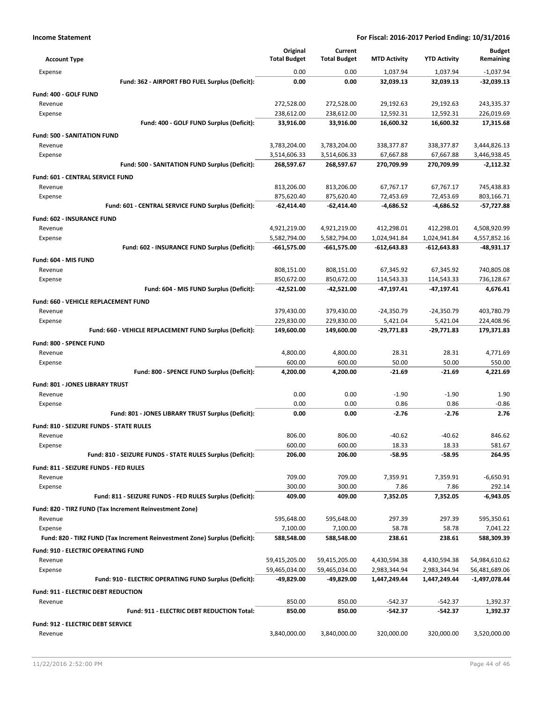| <b>Account Type</b>                                                        | Original<br><b>Total Budget</b> | Current<br><b>Total Budget</b> | <b>MTD Activity</b>      | <b>YTD Activity</b>      | <b>Budget</b><br>Remaining |
|----------------------------------------------------------------------------|---------------------------------|--------------------------------|--------------------------|--------------------------|----------------------------|
| Expense                                                                    | 0.00                            | 0.00                           | 1,037.94                 | 1,037.94                 | $-1.037.94$                |
| Fund: 362 - AIRPORT FBO FUEL Surplus (Deficit):                            | 0.00                            | 0.00                           | 32,039.13                | 32,039.13                | $-32,039.13$               |
| Fund: 400 - GOLF FUND                                                      |                                 |                                |                          |                          |                            |
| Revenue                                                                    | 272,528.00                      | 272,528.00                     | 29,192.63                | 29,192.63                | 243,335.37                 |
| Expense                                                                    | 238,612.00                      | 238,612.00                     | 12,592.31                | 12,592.31                | 226,019.69                 |
| Fund: 400 - GOLF FUND Surplus (Deficit):                                   | 33,916.00                       | 33,916.00                      | 16,600.32                | 16,600.32                | 17,315.68                  |
| <b>Fund: 500 - SANITATION FUND</b>                                         |                                 |                                |                          |                          |                            |
| Revenue                                                                    | 3,783,204.00                    | 3,783,204.00                   | 338,377.87               | 338,377.87               | 3,444,826.13               |
| Expense                                                                    | 3,514,606.33                    | 3,514,606.33                   | 67,667.88                | 67,667.88                | 3,446,938.45               |
| Fund: 500 - SANITATION FUND Surplus (Deficit):                             | 268,597.67                      | 268,597.67                     | 270,709.99               | 270,709.99               | $-2,112.32$                |
| Fund: 601 - CENTRAL SERVICE FUND                                           |                                 |                                |                          |                          |                            |
| Revenue                                                                    | 813,206.00                      | 813,206.00                     | 67,767.17                | 67,767.17                | 745,438.83                 |
| Expense                                                                    | 875,620.40                      | 875,620.40                     | 72,453.69                | 72,453.69                | 803,166.71                 |
| Fund: 601 - CENTRAL SERVICE FUND Surplus (Deficit):                        | $-62,414.40$                    | $-62,414.40$                   | $-4,686.52$              | $-4,686.52$              | -57,727.88                 |
| <b>Fund: 602 - INSURANCE FUND</b>                                          |                                 |                                |                          |                          |                            |
| Revenue                                                                    | 4,921,219.00                    | 4,921,219.00                   | 412,298.01               | 412,298.01               | 4,508,920.99               |
| Expense                                                                    | 5,582,794.00                    | 5,582,794.00                   | 1,024,941.84             | 1,024,941.84             | 4,557,852.16               |
| Fund: 602 - INSURANCE FUND Surplus (Deficit):                              | -661,575.00                     | $-661,575.00$                  | $-612,643.83$            | -612,643.83              | -48,931.17                 |
| Fund: 604 - MIS FUND                                                       |                                 |                                |                          |                          |                            |
| Revenue                                                                    | 808,151.00                      | 808,151.00                     | 67,345.92                | 67,345.92                | 740,805.08                 |
| Expense                                                                    | 850,672.00                      | 850,672.00                     | 114,543.33               | 114,543.33               | 736,128.67                 |
| Fund: 604 - MIS FUND Surplus (Deficit):                                    | -42,521.00                      | -42,521.00                     | -47,197.41               | -47,197.41               | 4,676.41                   |
|                                                                            |                                 |                                |                          |                          |                            |
| Fund: 660 - VEHICLE REPLACEMENT FUND                                       |                                 |                                |                          |                          |                            |
| Revenue                                                                    | 379,430.00<br>229,830.00        | 379,430.00<br>229,830.00       | $-24,350.79$<br>5,421.04 | $-24,350.79$<br>5,421.04 | 403,780.79<br>224,408.96   |
| Expense<br>Fund: 660 - VEHICLE REPLACEMENT FUND Surplus (Deficit):         | 149,600.00                      | 149,600.00                     | $-29,771.83$             | $-29,771.83$             | 179,371.83                 |
|                                                                            |                                 |                                |                          |                          |                            |
| Fund: 800 - SPENCE FUND                                                    |                                 |                                |                          |                          |                            |
| Revenue                                                                    | 4,800.00                        | 4,800.00                       | 28.31                    | 28.31                    | 4,771.69                   |
| Expense                                                                    | 600.00                          | 600.00                         | 50.00                    | 50.00                    | 550.00                     |
| Fund: 800 - SPENCE FUND Surplus (Deficit):                                 | 4,200.00                        | 4,200.00                       | $-21.69$                 | -21.69                   | 4,221.69                   |
| Fund: 801 - JONES LIBRARY TRUST                                            |                                 |                                |                          |                          |                            |
| Revenue                                                                    | 0.00                            | 0.00                           | $-1.90$                  | $-1.90$                  | 1.90                       |
| Expense                                                                    | 0.00                            | 0.00                           | 0.86                     | 0.86                     | $-0.86$                    |
| Fund: 801 - JONES LIBRARY TRUST Surplus (Deficit):                         | 0.00                            | 0.00                           | $-2.76$                  | $-2.76$                  | 2.76                       |
| Fund: 810 - SEIZURE FUNDS - STATE RULES                                    |                                 |                                |                          |                          |                            |
| Revenue                                                                    | 806.00                          | 806.00                         | $-40.62$                 | -40.62                   | 846.62                     |
| Expense                                                                    | 600.00                          | 600.00                         | 18.33                    | 18.33                    | 581.67                     |
| Fund: 810 - SEIZURE FUNDS - STATE RULES Surplus (Deficit):                 | 206.00                          | 206.00                         | $-58.95$                 | -58.95                   | 264.95                     |
| Fund: 811 - SEIZURE FUNDS - FED RULES                                      |                                 |                                |                          |                          |                            |
| Revenue                                                                    | 709.00                          | 709.00                         | 7,359.91                 | 7,359.91                 | $-6,650.91$                |
| Expense                                                                    | 300.00                          | 300.00                         | 7.86                     | 7.86                     | 292.14                     |
| Fund: 811 - SEIZURE FUNDS - FED RULES Surplus (Deficit):                   | 409.00                          | 409.00                         | 7,352.05                 | 7,352.05                 | -6,943.05                  |
| Fund: 820 - TIRZ FUND (Tax Increment Reinvestment Zone)                    |                                 |                                |                          |                          |                            |
| Revenue                                                                    | 595,648.00                      | 595,648.00                     | 297.39                   | 297.39                   | 595,350.61                 |
| Expense                                                                    | 7,100.00                        | 7,100.00                       | 58.78                    | 58.78                    | 7,041.22                   |
| Fund: 820 - TIRZ FUND (Tax Increment Reinvestment Zone) Surplus (Deficit): | 588,548.00                      | 588,548.00                     | 238.61                   | 238.61                   | 588,309.39                 |
| <b>Fund: 910 - ELECTRIC OPERATING FUND</b>                                 |                                 |                                |                          |                          |                            |
| Revenue                                                                    | 59,415,205.00                   | 59,415,205.00                  | 4,430,594.38             | 4,430,594.38             | 54,984,610.62              |
| Expense                                                                    | 59,465,034.00                   | 59,465,034.00                  | 2,983,344.94             | 2,983,344.94             | 56,481,689.06              |
| Fund: 910 - ELECTRIC OPERATING FUND Surplus (Deficit):                     | -49,829.00                      | -49,829.00                     | 1,447,249.44             | 1,447,249.44             | -1,497,078.44              |
| Fund: 911 - ELECTRIC DEBT REDUCTION                                        |                                 |                                |                          |                          |                            |
| Revenue                                                                    | 850.00                          | 850.00                         | $-542.37$                | -542.37                  | 1,392.37                   |
| Fund: 911 - ELECTRIC DEBT REDUCTION Total:                                 | 850.00                          | 850.00                         | -542.37                  | -542.37                  | 1,392.37                   |
|                                                                            |                                 |                                |                          |                          |                            |
| <b>Fund: 912 - ELECTRIC DEBT SERVICE</b>                                   |                                 |                                |                          |                          |                            |
| Revenue                                                                    | 3,840,000.00                    | 3,840,000.00                   | 320,000.00               | 320,000.00               | 3,520,000.00               |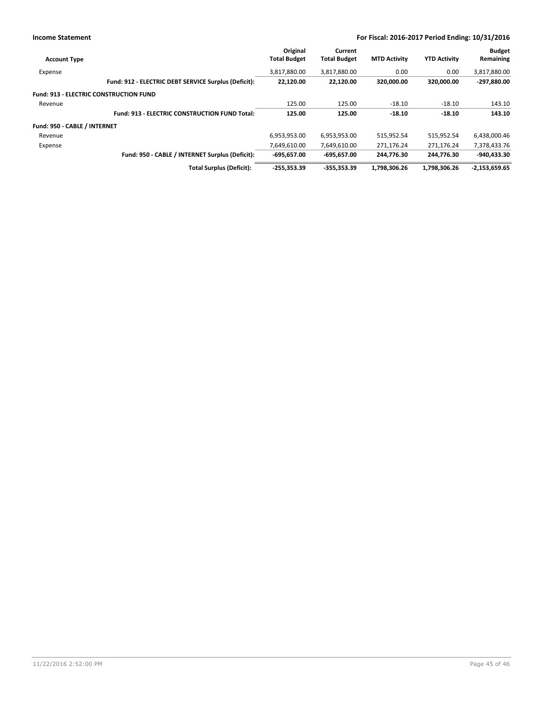|                                               |                                                      | Original            | Current             |                     |                     | <b>Budget</b>   |
|-----------------------------------------------|------------------------------------------------------|---------------------|---------------------|---------------------|---------------------|-----------------|
| <b>Account Type</b>                           |                                                      | <b>Total Budget</b> | <b>Total Budget</b> | <b>MTD Activity</b> | <b>YTD Activity</b> | Remaining       |
| Expense                                       |                                                      | 3,817,880.00        | 3,817,880.00        | 0.00                | 0.00                | 3,817,880.00    |
|                                               | Fund: 912 - ELECTRIC DEBT SERVICE Surplus (Deficit): | 22,120.00           | 22,120.00           | 320.000.00          | 320.000.00          | -297,880.00     |
| <b>Fund: 913 - ELECTRIC CONSTRUCTION FUND</b> |                                                      |                     |                     |                     |                     |                 |
| Revenue                                       |                                                      | 125.00              | 125.00              | $-18.10$            | $-18.10$            | 143.10          |
|                                               | <b>Fund: 913 - ELECTRIC CONSTRUCTION FUND Total:</b> | 125.00              | 125.00              | $-18.10$            | $-18.10$            | 143.10          |
| Fund: 950 - CABLE / INTERNET                  |                                                      |                     |                     |                     |                     |                 |
| Revenue                                       |                                                      | 6,953,953.00        | 6,953,953.00        | 515,952.54          | 515.952.54          | 6,438,000.46    |
| Expense                                       |                                                      | 7,649,610.00        | 7,649,610.00        | 271,176.24          | 271,176.24          | 7,378,433.76    |
|                                               | Fund: 950 - CABLE / INTERNET Surplus (Deficit):      | $-695,657.00$       | $-695,657.00$       | 244.776.30          | 244.776.30          | $-940.433.30$   |
|                                               | <b>Total Surplus (Deficit):</b>                      | $-255.353.39$       | -355.353.39         | 1,798,306.26        | 1.798.306.26        | $-2,153,659.65$ |